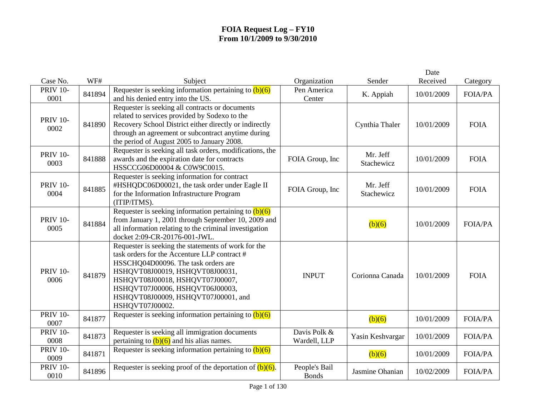|                         |        |                                                                                                                                                                                                                                                                                                               |                               |                        | Date       |                |
|-------------------------|--------|---------------------------------------------------------------------------------------------------------------------------------------------------------------------------------------------------------------------------------------------------------------------------------------------------------------|-------------------------------|------------------------|------------|----------------|
| Case No.                | WF#    | Subject                                                                                                                                                                                                                                                                                                       | Organization                  | Sender                 | Received   | Category       |
| <b>PRIV 10-</b><br>0001 | 841894 | Requester is seeking information pertaining to $(b)(6)$<br>and his denied entry into the US.                                                                                                                                                                                                                  | Pen America<br>Center         | K. Appiah              | 10/01/2009 | <b>FOIA/PA</b> |
| <b>PRIV 10-</b><br>0002 | 841890 | Requester is seeking all contracts or documents<br>related to services provided by Sodexo to the<br>Recovery School District either directly or indirectly<br>through an agreement or subcontract anytime during<br>the period of August 2005 to January 2008.                                                |                               | Cynthia Thaler         | 10/01/2009 | <b>FOIA</b>    |
| <b>PRIV 10-</b><br>0003 | 841888 | Requester is seeking all task orders, modifications, the<br>awards and the expiration date for contracts<br>HSSCCG06D00004 & C0W9C0015.                                                                                                                                                                       | FOIA Group, Inc               | Mr. Jeff<br>Stachewicz | 10/01/2009 | <b>FOIA</b>    |
| <b>PRIV 10-</b><br>0004 | 841885 | Requester is seeking information for contract<br>#HSHQDC06D00021, the task order under Eagle II<br>for the Information Infrastructure Program<br>(ITIP/ITMS).                                                                                                                                                 | FOIA Group, Inc               | Mr. Jeff<br>Stachewicz | 10/01/2009 | <b>FOIA</b>    |
| <b>PRIV 10-</b><br>0005 | 841884 | Requester is seeking information pertaining to $(b)(6)$<br>from January 1, 2001 through September 10, 2009 and<br>all information relating to the criminal investigation<br>docket 2:09-CR-20176-001-JWL.                                                                                                     |                               | (b)(6)                 | 10/01/2009 | <b>FOIA/PA</b> |
| <b>PRIV 10-</b><br>0006 | 841879 | Requester is seeking the statements of work for the<br>task orders for the Accenture LLP contract #<br>HSSCHQ04D00096. The task orders are<br>HSHQVT08J00019, HSHQVT08J00031,<br>HSHQVT08J00018, HSHQVT07J00007,<br>HSHQVT07J00006, HSHQVT06J00003,<br>HSHQVT08J00009, HSHQVT07J00001, and<br>HSHQVT07J00002. | <b>INPUT</b>                  | Corionna Canada        | 10/01/2009 | <b>FOIA</b>    |
| <b>PRIV 10-</b><br>0007 | 841877 | Requester is seeking information pertaining to $(b)(6)$                                                                                                                                                                                                                                                       |                               | (b)(6)                 | 10/01/2009 | FOIA/PA        |
| <b>PRIV 10-</b><br>0008 | 841873 | Requester is seeking all immigration documents<br>pertaining to $(b)(6)$ and his alias names.                                                                                                                                                                                                                 | Davis Polk &<br>Wardell, LLP  | Yasin Keshvargar       | 10/01/2009 | <b>FOIA/PA</b> |
| <b>PRIV 10-</b><br>0009 | 841871 | Requester is seeking information pertaining to $(b)(6)$                                                                                                                                                                                                                                                       |                               | (b)(6)                 | 10/01/2009 | <b>FOIA/PA</b> |
| <b>PRIV 10-</b><br>0010 | 841896 | Requester is seeking proof of the deportation of $(b)(6)$ .                                                                                                                                                                                                                                                   | People's Bail<br><b>Bonds</b> | Jasmine Ohanian        | 10/02/2009 | <b>FOIA/PA</b> |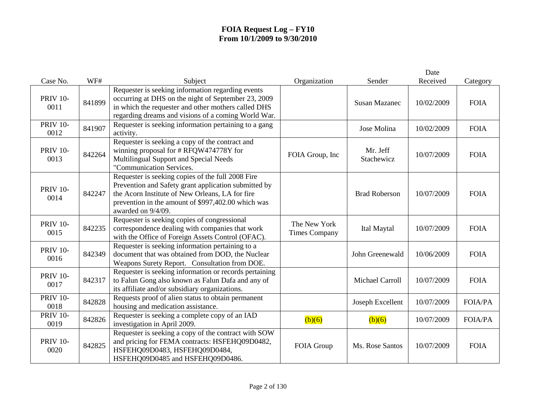| Case No.                | WF#    | Subject                                                                                                                                                                                                                                  | Organization                         | Sender                 | Date<br>Received | Category       |
|-------------------------|--------|------------------------------------------------------------------------------------------------------------------------------------------------------------------------------------------------------------------------------------------|--------------------------------------|------------------------|------------------|----------------|
| <b>PRIV 10-</b><br>0011 | 841899 | Requester is seeking information regarding events<br>occurring at DHS on the night of September 23, 2009<br>in which the requester and other mothers called DHS                                                                          |                                      | <b>Susan Mazanec</b>   | 10/02/2009       | <b>FOIA</b>    |
| <b>PRIV 10-</b><br>0012 | 841907 | regarding dreams and visions of a coming World War.<br>Requester is seeking information pertaining to a gang<br>activity.                                                                                                                |                                      | Jose Molina            | 10/02/2009       | <b>FOIA</b>    |
| <b>PRIV 10-</b><br>0013 | 842264 | Requester is seeking a copy of the contract and<br>winning proposal for #RFQW474778Y for<br>Multilingual Support and Special Needs<br>"Communication Services.                                                                           | FOIA Group, Inc                      | Mr. Jeff<br>Stachewicz | 10/07/2009       | <b>FOIA</b>    |
| <b>PRIV 10-</b><br>0014 | 842247 | Requester is seeking copies of the full 2008 Fire<br>Prevention and Safety grant application submitted by<br>the Acorn Institute of New Orleans, LA for fire<br>prevention in the amount of \$997,402.00 which was<br>awarded on 9/4/09. |                                      | <b>Brad Roberson</b>   | 10/07/2009       | <b>FOIA</b>    |
| <b>PRIV 10-</b><br>0015 | 842235 | Requester is seeking copies of congressional<br>correspondence dealing with companies that work<br>with the Office of Foreign Assets Control (OFAC).                                                                                     | The New York<br><b>Times Company</b> | Ital Maytal            | 10/07/2009       | <b>FOIA</b>    |
| <b>PRIV 10-</b><br>0016 | 842349 | Requester is seeking information pertaining to a<br>document that was obtained from DOD, the Nuclear<br>Weapons Surety Report. Consultation from DOE.                                                                                    |                                      | John Greenewald        | 10/06/2009       | <b>FOIA</b>    |
| <b>PRIV 10-</b><br>0017 | 842317 | Requester is seeking information or records pertaining<br>to Falun Gong also known as Falun Dafa and any of<br>its affiliate and/or subsidiary organizations.                                                                            |                                      | Michael Carroll        | 10/07/2009       | <b>FOIA</b>    |
| <b>PRIV 10-</b><br>0018 | 842828 | Requests proof of alien status to obtain permanent<br>housing and medication assistance.                                                                                                                                                 |                                      | Joseph Excellent       | 10/07/2009       | <b>FOIA/PA</b> |
| <b>PRIV 10-</b><br>0019 | 842826 | Requester is seeking a complete copy of an IAD<br>investigation in April 2009.                                                                                                                                                           | (b)(6)                               | (b)(6)                 | 10/07/2009       | <b>FOIA/PA</b> |
| <b>PRIV 10-</b><br>0020 | 842825 | Requester is seeking a copy of the contract with SOW<br>and pricing for FEMA contracts: HSFEHQ09D0482,<br>HSFEHQ09D0483, HSFEHQ09D0484,<br>HSFEHQ09D0485 and HSFEHQ09D0486.                                                              | FOIA Group                           | Ms. Rose Santos        | 10/07/2009       | <b>FOIA</b>    |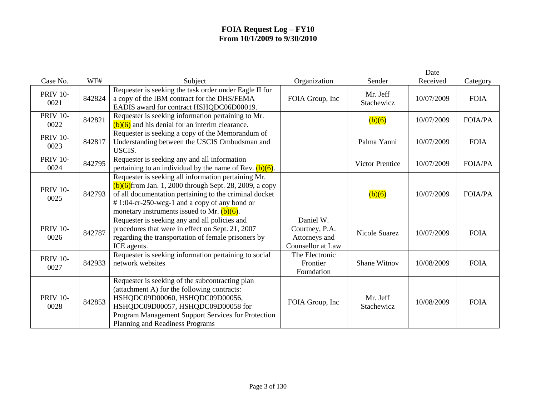|                         |        |                                                                                                                                                                                                                                                                                  |                                                                          |                        | Date       |                |
|-------------------------|--------|----------------------------------------------------------------------------------------------------------------------------------------------------------------------------------------------------------------------------------------------------------------------------------|--------------------------------------------------------------------------|------------------------|------------|----------------|
| Case No.                | WF#    | Subject                                                                                                                                                                                                                                                                          | Organization                                                             | Sender                 | Received   | Category       |
| <b>PRIV 10-</b><br>0021 | 842824 | Requester is seeking the task order under Eagle II for<br>a copy of the IBM contract for the DHS/FEMA<br>EADIS award for contract HSHQDC06D00019.                                                                                                                                | FOIA Group, Inc                                                          | Mr. Jeff<br>Stachewicz | 10/07/2009 | <b>FOIA</b>    |
| <b>PRIV 10-</b><br>0022 | 842821 | Requester is seeking information pertaining to Mr.<br>$(b)(6)$ and his denial for an interim clearance.                                                                                                                                                                          |                                                                          | (b)(6)                 | 10/07/2009 | <b>FOIA/PA</b> |
| <b>PRIV 10-</b><br>0023 | 842817 | Requester is seeking a copy of the Memorandum of<br>Understanding between the USCIS Ombudsman and<br>USCIS.                                                                                                                                                                      |                                                                          | Palma Yanni            | 10/07/2009 | <b>FOIA</b>    |
| <b>PRIV 10-</b><br>0024 | 842795 | Requester is seeking any and all information<br>pertaining to an individual by the name of Rev. $(b)(6)$ .                                                                                                                                                                       |                                                                          | <b>Victor Prentice</b> | 10/07/2009 | <b>FOIA/PA</b> |
| <b>PRIV 10-</b><br>0025 | 842793 | Requester is seeking all information pertaining Mr.<br>$(b)(6)$ from Jan. 1, 2000 through Sept. 28, 2009, a copy<br>of all documentation pertaining to the criminal docket<br>$\# 1:04$ -cr-250-wcg-1 and a copy of any bond or<br>monetary instruments issued to Mr. $(b)(6)$ . |                                                                          | (b)(6)                 | 10/07/2009 | <b>FOIA/PA</b> |
| <b>PRIV 10-</b><br>0026 | 842787 | Requester is seeking any and all policies and<br>procedures that were in effect on Sept. 21, 2007<br>regarding the transportation of female prisoners by<br>ICE agents.                                                                                                          | Daniel W.<br>Courtney, P.A.<br>Attorneys and<br><b>Counsellor</b> at Law | <b>Nicole Suarez</b>   | 10/07/2009 | <b>FOIA</b>    |
| <b>PRIV 10-</b><br>0027 | 842933 | Requester is seeking information pertaining to social<br>network websites                                                                                                                                                                                                        | The Electronic<br>Frontier<br>Foundation                                 | <b>Shane Witnov</b>    | 10/08/2009 | <b>FOIA</b>    |
| <b>PRIV 10-</b><br>0028 | 842853 | Requester is seeking of the subcontracting plan<br>(attachment A) for the following contracts:<br>HSHQDC09D00060, HSHQDC09D00056,<br>HSHQDC09D00057, HSHQDC09D00058 for<br>Program Management Support Services for Protection<br>Planning and Readiness Programs                 | FOIA Group, Inc                                                          | Mr. Jeff<br>Stachewicz | 10/08/2009 | <b>FOIA</b>    |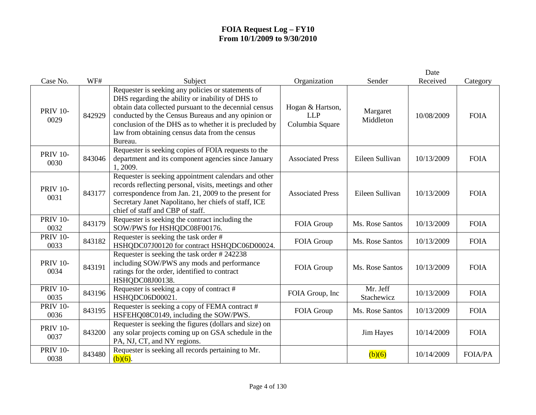|                         |        |                                                                                                                                                                                                                                                                                                                                               |                                                   |                        | Date       |                |
|-------------------------|--------|-----------------------------------------------------------------------------------------------------------------------------------------------------------------------------------------------------------------------------------------------------------------------------------------------------------------------------------------------|---------------------------------------------------|------------------------|------------|----------------|
| Case No.                | WF#    | Subject                                                                                                                                                                                                                                                                                                                                       | Organization                                      | Sender                 | Received   | Category       |
| <b>PRIV 10-</b><br>0029 | 842929 | Requester is seeking any policies or statements of<br>DHS regarding the ability or inability of DHS to<br>obtain data collected pursuant to the decennial census<br>conducted by the Census Bureaus and any opinion or<br>conclusion of the DHS as to whether it is precluded by<br>law from obtaining census data from the census<br>Bureau. | Hogan & Hartson,<br><b>LLP</b><br>Columbia Square | Margaret<br>Middleton  | 10/08/2009 | <b>FOIA</b>    |
| <b>PRIV 10-</b><br>0030 | 843046 | Requester is seeking copies of FOIA requests to the<br>department and its component agencies since January<br>1, 2009.                                                                                                                                                                                                                        | <b>Associated Press</b>                           | Eileen Sullivan        | 10/13/2009 | <b>FOIA</b>    |
| <b>PRIV 10-</b><br>0031 | 843177 | Requester is seeking appointment calendars and other<br>records reflecting personal, visits, meetings and other<br>correspondence from Jan. 21, 2009 to the present for<br>Secretary Janet Napolitano, her chiefs of staff, ICE<br>chief of staff and CBP of staff.                                                                           | <b>Associated Press</b>                           | Eileen Sullivan        | 10/13/2009 | <b>FOIA</b>    |
| <b>PRIV 10-</b><br>0032 | 843179 | Requester is seeking the contract including the<br>SOW/PWS for HSHQDC08F00176.                                                                                                                                                                                                                                                                | FOIA Group                                        | Ms. Rose Santos        | 10/13/2009 | <b>FOIA</b>    |
| <b>PRIV 10-</b><br>0033 | 843182 | Requester is seeking the task order #<br>HSHQDC07J00120 for contract HSHQDC06D00024.                                                                                                                                                                                                                                                          | FOIA Group                                        | Ms. Rose Santos        | 10/13/2009 | <b>FOIA</b>    |
| <b>PRIV 10-</b><br>0034 | 843191 | Requester is seeking the task order #242238<br>including SOW/PWS any mods and performance<br>ratings for the order, identified to contract<br>HSHQDC08J00138.                                                                                                                                                                                 | FOIA Group                                        | Ms. Rose Santos        | 10/13/2009 | <b>FOIA</b>    |
| <b>PRIV 10-</b><br>0035 | 843196 | Requester is seeking a copy of contract #<br>HSHQDC06D00021.                                                                                                                                                                                                                                                                                  | FOIA Group, Inc                                   | Mr. Jeff<br>Stachewicz | 10/13/2009 | <b>FOIA</b>    |
| <b>PRIV 10-</b><br>0036 | 843195 | Requester is seeking a copy of FEMA contract #<br>HSFEHQ08C0149, including the SOW/PWS.                                                                                                                                                                                                                                                       | FOIA Group                                        | Ms. Rose Santos        | 10/13/2009 | <b>FOIA</b>    |
| <b>PRIV 10-</b><br>0037 | 843200 | Requester is seeking the figures (dollars and size) on<br>any solar projects coming up on GSA schedule in the<br>PA, NJ, CT, and NY regions.                                                                                                                                                                                                  |                                                   | Jim Hayes              | 10/14/2009 | <b>FOIA</b>    |
| <b>PRIV 10-</b><br>0038 | 843480 | Requester is seeking all records pertaining to Mr.<br>$(b)(6)$ .                                                                                                                                                                                                                                                                              |                                                   | (b)(6)                 | 10/14/2009 | <b>FOIA/PA</b> |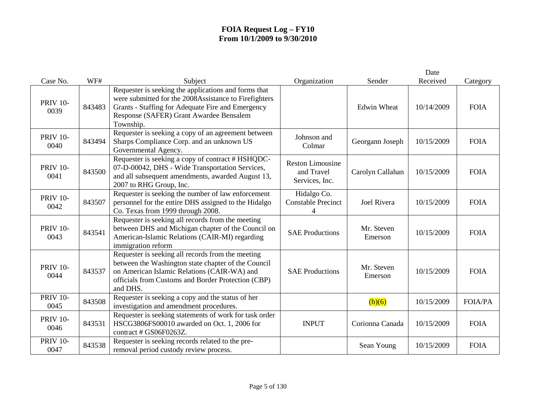| Case No.                | WF#    | Subject                                                                                                                                                                                                                   | Organization                                            | Sender                | Date<br>Received | Category       |
|-------------------------|--------|---------------------------------------------------------------------------------------------------------------------------------------------------------------------------------------------------------------------------|---------------------------------------------------------|-----------------------|------------------|----------------|
|                         |        | Requester is seeking the applications and forms that                                                                                                                                                                      |                                                         |                       |                  |                |
| <b>PRIV 10-</b><br>0039 | 843483 | were submitted for the 2008Assistance to Firefighters<br>Grants - Staffing for Adequate Fire and Emergency<br>Response (SAFER) Grant Awardee Bensalem<br>Township.                                                        |                                                         | <b>Edwin Wheat</b>    | 10/14/2009       | <b>FOIA</b>    |
| <b>PRIV 10-</b><br>0040 | 843494 | Requester is seeking a copy of an agreement between<br>Sharps Compliance Corp. and an unknown US<br>Governmental Agency.                                                                                                  | Johnson and<br>Colmar                                   | Georgann Joseph       | 10/15/2009       | <b>FOIA</b>    |
| <b>PRIV 10-</b><br>0041 | 843500 | Requester is seeking a copy of contract # HSHQDC-<br>07-D-00042, DHS - Wide Transportation Services,<br>and all subsequent amendments, awarded August 13,<br>2007 to RHG Group, Inc.                                      | <b>Reston Limousine</b><br>and Travel<br>Services, Inc. | Carolyn Callahan      | 10/15/2009       | <b>FOIA</b>    |
| <b>PRIV 10-</b><br>0042 | 843507 | Requester is seeking the number of law enforcement<br>personnel for the entire DHS assigned to the Hidalgo<br>Co. Texas from 1999 through 2008.                                                                           | Hidalgo Co.<br><b>Constable Precinct</b><br>4           | <b>Joel Rivera</b>    | 10/15/2009       | <b>FOIA</b>    |
| <b>PRIV 10-</b><br>0043 | 843541 | Requester is seeking all records from the meeting<br>between DHS and Michigan chapter of the Council on<br>American-Islamic Relations (CAIR-MI) regarding<br>immigration reform                                           | <b>SAE Productions</b>                                  | Mr. Steven<br>Emerson | 10/15/2009       | <b>FOIA</b>    |
| <b>PRIV 10-</b><br>0044 | 843537 | Requester is seeking all records from the meeting<br>between the Washington state chapter of the Council<br>on American Islamic Relations (CAIR-WA) and<br>officials from Customs and Border Protection (CBP)<br>and DHS. | <b>SAE Productions</b>                                  | Mr. Steven<br>Emerson | 10/15/2009       | <b>FOIA</b>    |
| <b>PRIV 10-</b><br>0045 | 843508 | Requester is seeking a copy and the status of her<br>investigation and amendment procedures.                                                                                                                              |                                                         | (b)(6)                | 10/15/2009       | <b>FOIA/PA</b> |
| <b>PRIV 10-</b><br>0046 | 843531 | Requester is seeking statements of work for task order<br>HSCG3806FS00010 awarded on Oct. 1, 2006 for<br>contract # GS06F0263Z.                                                                                           | <b>INPUT</b>                                            | Corionna Canada       | 10/15/2009       | <b>FOIA</b>    |
| <b>PRIV 10-</b><br>0047 | 843538 | Requester is seeking records related to the pre-<br>removal period custody review process.                                                                                                                                |                                                         | Sean Young            | 10/15/2009       | <b>FOIA</b>    |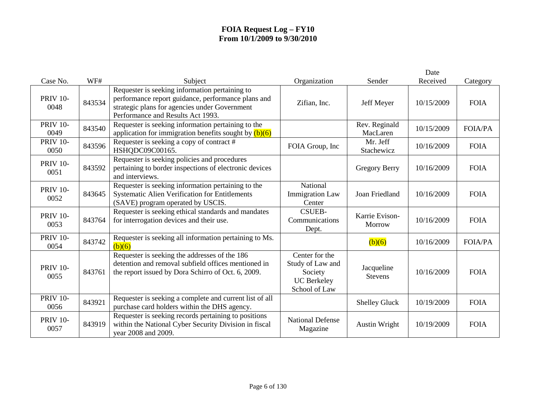|                         |        |                                                                                                                                                                                            |                                                                                      |                              | Date       |                |
|-------------------------|--------|--------------------------------------------------------------------------------------------------------------------------------------------------------------------------------------------|--------------------------------------------------------------------------------------|------------------------------|------------|----------------|
| Case No.                | WF#    | Subject                                                                                                                                                                                    | Organization                                                                         | Sender                       | Received   | Category       |
| <b>PRIV 10-</b><br>0048 | 843534 | Requester is seeking information pertaining to<br>performance report guidance, performance plans and<br>strategic plans for agencies under Government<br>Performance and Results Act 1993. | Zifian, Inc.                                                                         | Jeff Meyer                   | 10/15/2009 | <b>FOIA</b>    |
| <b>PRIV 10-</b><br>0049 | 843540 | Requester is seeking information pertaining to the<br>application for immigration benefits sought by $(b)(6)$                                                                              |                                                                                      | Rev. Reginald<br>MacLaren    | 10/15/2009 | <b>FOIA/PA</b> |
| <b>PRIV 10-</b><br>0050 | 843596 | Requester is seeking a copy of contract #<br>HSHQDC09C00165.                                                                                                                               | FOIA Group, Inc                                                                      | Mr. Jeff<br>Stachewicz       | 10/16/2009 | <b>FOIA</b>    |
| <b>PRIV 10-</b><br>0051 | 843592 | Requester is seeking policies and procedures<br>pertaining to border inspections of electronic devices<br>and interviews.                                                                  |                                                                                      | <b>Gregory Berry</b>         | 10/16/2009 | <b>FOIA</b>    |
| <b>PRIV 10-</b><br>0052 | 843645 | Requester is seeking information pertaining to the<br>Systematic Alien Verification for Entitlements<br>(SAVE) program operated by USCIS.                                                  | National<br><b>Immigration Law</b><br>Center                                         | Joan Friedland               | 10/16/2009 | <b>FOIA</b>    |
| <b>PRIV 10-</b><br>0053 | 843764 | Requester is seeking ethical standards and mandates<br>for interrogation devices and their use.                                                                                            | <b>CSUEB-</b><br>Communications<br>Dept.                                             | Karrie Evison-<br>Morrow     | 10/16/2009 | <b>FOIA</b>    |
| <b>PRIV 10-</b><br>0054 | 843742 | Requester is seeking all information pertaining to Ms.<br>(b)(6)                                                                                                                           |                                                                                      | (b)(6)                       | 10/16/2009 | <b>FOIA/PA</b> |
| <b>PRIV 10-</b><br>0055 | 843761 | Requester is seeking the addresses of the 186<br>detention and removal subfield offices mentioned in<br>the report issued by Dora Schirro of Oct. 6, 2009.                                 | Center for the<br>Study of Law and<br>Society<br><b>UC</b> Berkeley<br>School of Law | Jacqueline<br><b>Stevens</b> | 10/16/2009 | <b>FOIA</b>    |
| <b>PRIV 10-</b><br>0056 | 843921 | Requester is seeking a complete and current list of all<br>purchase card holders within the DHS agency.                                                                                    |                                                                                      | <b>Shelley Gluck</b>         | 10/19/2009 | <b>FOIA</b>    |
| <b>PRIV 10-</b><br>0057 | 843919 | Requester is seeking records pertaining to positions<br>within the National Cyber Security Division in fiscal<br>year 2008 and 2009.                                                       | <b>National Defense</b><br>Magazine                                                  | <b>Austin Wright</b>         | 10/19/2009 | <b>FOIA</b>    |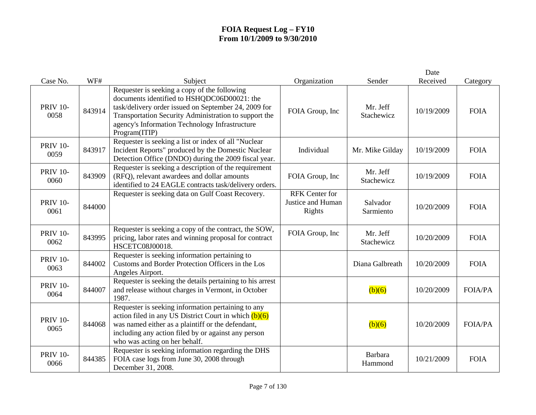|                         |        |                                                                                                                                                                                                                                                                                 |                                                      |                        | Date       |                |
|-------------------------|--------|---------------------------------------------------------------------------------------------------------------------------------------------------------------------------------------------------------------------------------------------------------------------------------|------------------------------------------------------|------------------------|------------|----------------|
| Case No.                | WF#    | Subject                                                                                                                                                                                                                                                                         | Organization                                         | Sender                 | Received   | Category       |
| <b>PRIV 10-</b><br>0058 | 843914 | Requester is seeking a copy of the following<br>documents identified to HSHQDC06D00021: the<br>task/delivery order issued on September 24, 2009 for<br>Transportation Security Administration to support the<br>agency's Information Technology Infrastructure<br>Program(ITIP) | FOIA Group, Inc                                      | Mr. Jeff<br>Stachewicz | 10/19/2009 | <b>FOIA</b>    |
| <b>PRIV 10-</b><br>0059 | 843917 | Requester is seeking a list or index of all "Nuclear<br>Incident Reports" produced by the Domestic Nuclear<br>Detection Office (DNDO) during the 2009 fiscal year.                                                                                                              | Individual                                           | Mr. Mike Gilday        | 10/19/2009 | <b>FOIA</b>    |
| <b>PRIV 10-</b><br>0060 | 843909 | Requester is seeking a description of the requirement<br>(RFQ), relevant awardees and dollar amounts<br>identified to 24 EAGLE contracts task/delivery orders.                                                                                                                  | FOIA Group, Inc                                      | Mr. Jeff<br>Stachewicz | 10/19/2009 | <b>FOIA</b>    |
| <b>PRIV 10-</b><br>0061 | 844000 | Requester is seeking data on Gulf Coast Recovery.                                                                                                                                                                                                                               | <b>RFK</b> Center for<br>Justice and Human<br>Rights | Salvador<br>Sarmiento  | 10/20/2009 | <b>FOIA</b>    |
| <b>PRIV 10-</b><br>0062 | 843995 | Requester is seeking a copy of the contract, the SOW,<br>pricing, labor rates and winning proposal for contract<br>HSCETC08J00018.                                                                                                                                              | FOIA Group, Inc                                      | Mr. Jeff<br>Stachewicz | 10/20/2009 | <b>FOIA</b>    |
| <b>PRIV 10-</b><br>0063 | 844002 | Requester is seeking information pertaining to<br>Customs and Border Protection Officers in the Los<br>Angeles Airport.                                                                                                                                                         |                                                      | Diana Galbreath        | 10/20/2009 | <b>FOIA</b>    |
| <b>PRIV 10-</b><br>0064 | 844007 | Requester is seeking the details pertaining to his arrest<br>and release without charges in Vermont, in October<br>1987.                                                                                                                                                        |                                                      | (b)(6)                 | 10/20/2009 | <b>FOIA/PA</b> |
| <b>PRIV 10-</b><br>0065 | 844068 | Requester is seeking information pertaining to any<br>action filed in any US District Court in which $(b)(6)$<br>was named either as a plaintiff or the defendant,<br>including any action filed by or against any person<br>who was acting on her behalf.                      |                                                      | (b)(6)                 | 10/20/2009 | <b>FOIA/PA</b> |
| <b>PRIV 10-</b><br>0066 | 844385 | Requester is seeking information regarding the DHS<br>FOIA case logs from June 30, 2008 through<br>December 31, 2008.                                                                                                                                                           |                                                      | Barbara<br>Hammond     | 10/21/2009 | <b>FOIA</b>    |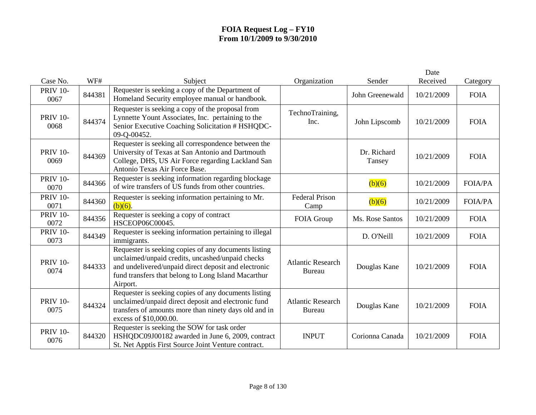|                         |        |                                                                                                                                                                                                                                     |                                           |                       | Date       |                |
|-------------------------|--------|-------------------------------------------------------------------------------------------------------------------------------------------------------------------------------------------------------------------------------------|-------------------------------------------|-----------------------|------------|----------------|
| Case No.                | WF#    | Subject                                                                                                                                                                                                                             | Organization                              | Sender                | Received   | Category       |
| <b>PRIV 10-</b><br>0067 | 844381 | Requester is seeking a copy of the Department of<br>Homeland Security employee manual or handbook.                                                                                                                                  |                                           | John Greenewald       | 10/21/2009 | <b>FOIA</b>    |
| <b>PRIV 10-</b><br>0068 | 844374 | Requester is seeking a copy of the proposal from<br>Lynnette Yount Associates, Inc. pertaining to the<br>Senior Executive Coaching Solicitation # HSHQDC-<br>09-Q-00452.                                                            | TechnoTraining,<br>Inc.                   | John Lipscomb         | 10/21/2009 | <b>FOIA</b>    |
| <b>PRIV 10-</b><br>0069 | 844369 | Requester is seeking all correspondence between the<br>University of Texas at San Antonio and Dartmouth<br>College, DHS, US Air Force regarding Lackland San<br>Antonio Texas Air Force Base.                                       |                                           | Dr. Richard<br>Tansey | 10/21/2009 | <b>FOIA</b>    |
| <b>PRIV 10-</b><br>0070 | 844366 | Requester is seeking information regarding blockage<br>of wire transfers of US funds from other countries.                                                                                                                          |                                           | (b)(6)                | 10/21/2009 | <b>FOIA/PA</b> |
| <b>PRIV 10-</b><br>0071 | 844360 | Requester is seeking information pertaining to Mr.<br>$(b)(6)$ .                                                                                                                                                                    | <b>Federal Prison</b><br>Camp             | (b)(6)                | 10/21/2009 | <b>FOIA/PA</b> |
| <b>PRIV 10-</b><br>0072 | 844356 | Requester is seeking a copy of contract<br>HSCEOP06C00045.                                                                                                                                                                          | FOIA Group                                | Ms. Rose Santos       | 10/21/2009 | <b>FOIA</b>    |
| <b>PRIV 10-</b><br>0073 | 844349 | Requester is seeking information pertaining to illegal<br>immigrants.                                                                                                                                                               |                                           | D. O'Neill            | 10/21/2009 | <b>FOIA</b>    |
| <b>PRIV 10-</b><br>0074 | 844333 | Requester is seeking copies of any documents listing<br>unclaimed/unpaid credits, uncashed/unpaid checks<br>and undelivered/unpaid direct deposit and electronic<br>fund transfers that belong to Long Island Macarthur<br>Airport. | <b>Atlantic Research</b><br><b>Bureau</b> | Douglas Kane          | 10/21/2009 | <b>FOIA</b>    |
| <b>PRIV 10-</b><br>0075 | 844324 | Requester is seeking copies of any documents listing<br>unclaimed/unpaid direct deposit and electronic fund<br>transfers of amounts more than ninety days old and in<br>excess of \$10,000.00.                                      | <b>Atlantic Research</b><br>Bureau        | Douglas Kane          | 10/21/2009 | <b>FOIA</b>    |
| <b>PRIV 10-</b><br>0076 | 844320 | Requester is seeking the SOW for task order<br>HSHQDC09J00182 awarded in June 6, 2009, contract<br>St. Net Apptis First Source Joint Venture contract.                                                                              | <b>INPUT</b>                              | Corionna Canada       | 10/21/2009 | <b>FOIA</b>    |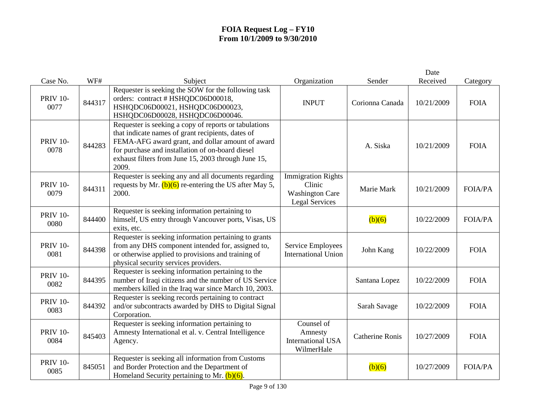|                         |        |                                                                                                                                                                                                                                                                                    |                                                                                        |                        | Date       |                |
|-------------------------|--------|------------------------------------------------------------------------------------------------------------------------------------------------------------------------------------------------------------------------------------------------------------------------------------|----------------------------------------------------------------------------------------|------------------------|------------|----------------|
| Case No.                | WF#    | Subject                                                                                                                                                                                                                                                                            | Organization                                                                           | Sender                 | Received   | Category       |
| <b>PRIV 10-</b><br>0077 | 844317 | Requester is seeking the SOW for the following task<br>orders: contract # HSHQDC06D00018,<br>HSHQDC06D00021, HSHQDC06D00023,<br>HSHQDC06D00028, HSHQDC06D00046.                                                                                                                    | <b>INPUT</b>                                                                           | Corionna Canada        | 10/21/2009 | <b>FOIA</b>    |
| <b>PRIV 10-</b><br>0078 | 844283 | Requester is seeking a copy of reports or tabulations<br>that indicate names of grant recipients, dates of<br>FEMA-AFG award grant, and dollar amount of award<br>for purchase and installation of on-board diesel<br>exhaust filters from June 15, 2003 through June 15,<br>2009. |                                                                                        | A. Siska               | 10/21/2009 | <b>FOIA</b>    |
| <b>PRIV 10-</b><br>0079 | 844311 | Requester is seeking any and all documents regarding<br>requests by Mr. $(b)(6)$ re-entering the US after May 5,<br>2000.                                                                                                                                                          | <b>Immigration Rights</b><br>Clinic<br><b>Washington Care</b><br><b>Legal Services</b> | Marie Mark             | 10/21/2009 | <b>FOIA/PA</b> |
| <b>PRIV 10-</b><br>0080 | 844400 | Requester is seeking information pertaining to<br>himself, US entry through Vancouver ports, Visas, US<br>exits, etc.                                                                                                                                                              |                                                                                        | (b)(6)                 | 10/22/2009 | <b>FOIA/PA</b> |
| <b>PRIV 10-</b><br>0081 | 844398 | Requester is seeking information pertaining to grants<br>from any DHS component intended for, assigned to,<br>or otherwise applied to provisions and training of<br>physical security services providers.                                                                          | Service Employees<br><b>International Union</b>                                        | John Kang              | 10/22/2009 | <b>FOIA</b>    |
| <b>PRIV 10-</b><br>0082 | 844395 | Requester is seeking information pertaining to the<br>number of Iraqi citizens and the number of US Service<br>members killed in the Iraq war since March 10, 2003.                                                                                                                |                                                                                        | Santana Lopez          | 10/22/2009 | <b>FOIA</b>    |
| <b>PRIV 10-</b><br>0083 | 844392 | Requester is seeking records pertaining to contract<br>and/or subcontracts awarded by DHS to Digital Signal<br>Corporation.                                                                                                                                                        |                                                                                        | Sarah Savage           | 10/22/2009 | <b>FOIA</b>    |
| <b>PRIV 10-</b><br>0084 | 845403 | Requester is seeking information pertaining to<br>Amnesty International et al. v. Central Intelligence<br>Agency.                                                                                                                                                                  | Counsel of<br>Amnesty<br><b>International USA</b><br>WilmerHale                        | <b>Catherine Ronis</b> | 10/27/2009 | <b>FOIA</b>    |
| <b>PRIV 10-</b><br>0085 | 845051 | Requester is seeking all information from Customs<br>and Border Protection and the Department of<br>Homeland Security pertaining to Mr. $(b)(6)$ .                                                                                                                                 |                                                                                        | (b)(6)                 | 10/27/2009 | <b>FOIA/PA</b> |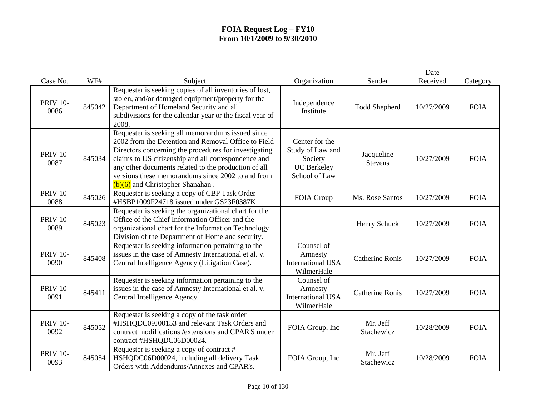|                         |        |                                                                                                                                                                                                                                                                                                                                                                             |                                                                                      |                              | Date       |             |
|-------------------------|--------|-----------------------------------------------------------------------------------------------------------------------------------------------------------------------------------------------------------------------------------------------------------------------------------------------------------------------------------------------------------------------------|--------------------------------------------------------------------------------------|------------------------------|------------|-------------|
| Case No.                | WF#    | Subject                                                                                                                                                                                                                                                                                                                                                                     | Organization                                                                         | Sender                       | Received   | Category    |
| <b>PRIV 10-</b><br>0086 | 845042 | Requester is seeking copies of all inventories of lost,<br>stolen, and/or damaged equipment/property for the<br>Department of Homeland Security and all<br>subdivisions for the calendar year or the fiscal year of<br>2008.                                                                                                                                                | Independence<br>Institute                                                            | <b>Todd Shepherd</b>         | 10/27/2009 | <b>FOIA</b> |
| <b>PRIV 10-</b><br>0087 | 845034 | Requester is seeking all memorandums issued since<br>2002 from the Detention and Removal Office to Field<br>Directors concerning the procedures for investigating<br>claims to US citizenship and all correspondence and<br>any other documents related to the production of all<br>versions these memorandums since 2002 to and from<br>$(b)(6)$ and Christopher Shanahan. | Center for the<br>Study of Law and<br>Society<br><b>UC</b> Berkeley<br>School of Law | Jacqueline<br><b>Stevens</b> | 10/27/2009 | <b>FOIA</b> |
| <b>PRIV 10-</b><br>0088 | 845026 | Requester is seeking a copy of CBP Task Order<br>#HSBP1009F24718 issued under GS23F0387K.                                                                                                                                                                                                                                                                                   | FOIA Group                                                                           | Ms. Rose Santos              | 10/27/2009 | <b>FOIA</b> |
| <b>PRIV 10-</b><br>0089 | 845023 | Requester is seeking the organizational chart for the<br>Office of the Chief Information Officer and the<br>organizational chart for the Information Technology<br>Division of the Department of Homeland security.                                                                                                                                                         |                                                                                      | Henry Schuck                 | 10/27/2009 | <b>FOIA</b> |
| <b>PRIV 10-</b><br>0090 | 845408 | Requester is seeking information pertaining to the<br>issues in the case of Amnesty International et al. v.<br>Central Intelligence Agency (Litigation Case).                                                                                                                                                                                                               | Counsel of<br>Amnesty<br><b>International USA</b><br>WilmerHale                      | <b>Catherine Ronis</b>       | 10/27/2009 | <b>FOIA</b> |
| <b>PRIV 10-</b><br>0091 | 845411 | Requester is seeking information pertaining to the<br>issues in the case of Amnesty International et al. v.<br>Central Intelligence Agency.                                                                                                                                                                                                                                 | Counsel of<br>Amnesty<br><b>International USA</b><br>WilmerHale                      | <b>Catherine Ronis</b>       | 10/27/2009 | <b>FOIA</b> |
| <b>PRIV 10-</b><br>0092 | 845052 | Requester is seeking a copy of the task order<br>#HSHQDC09J00153 and relevant Task Orders and<br>contract modifications /extensions and CPAR'S under<br>contract #HSHQDC06D00024.                                                                                                                                                                                           | FOIA Group, Inc                                                                      | Mr. Jeff<br>Stachewicz       | 10/28/2009 | <b>FOIA</b> |
| <b>PRIV 10-</b><br>0093 | 845054 | Requester is seeking a copy of contract #<br>HSHQDC06D00024, including all delivery Task<br>Orders with Addendums/Annexes and CPAR's.                                                                                                                                                                                                                                       | FOIA Group, Inc                                                                      | Mr. Jeff<br>Stachewicz       | 10/28/2009 | <b>FOIA</b> |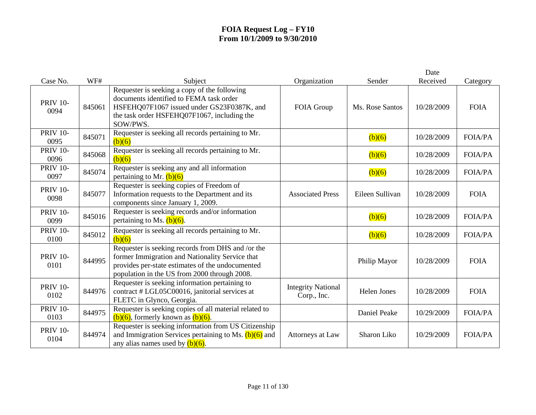|                         |        |                                                                                                                                                                                                          |                                          |                    | Date       |                |
|-------------------------|--------|----------------------------------------------------------------------------------------------------------------------------------------------------------------------------------------------------------|------------------------------------------|--------------------|------------|----------------|
| Case No.                | WF#    | Subject                                                                                                                                                                                                  | Organization                             | Sender             | Received   | Category       |
| <b>PRIV 10-</b><br>0094 | 845061 | Requester is seeking a copy of the following<br>documents identified to FEMA task order<br>HSFEHQ07F1067 issued under GS23F0387K, and<br>the task order HSFEHQ07F1067, including the<br>SOW/PWS.         | FOIA Group                               | Ms. Rose Santos    | 10/28/2009 | <b>FOIA</b>    |
| <b>PRIV 10-</b><br>0095 | 845071 | Requester is seeking all records pertaining to Mr.<br>(b)(6)                                                                                                                                             |                                          | (b)(6)             | 10/28/2009 | <b>FOIA/PA</b> |
| <b>PRIV 10-</b><br>0096 | 845068 | Requester is seeking all records pertaining to Mr.<br>(b)(6)                                                                                                                                             |                                          | (b)(6)             | 10/28/2009 | <b>FOIA/PA</b> |
| <b>PRIV 10-</b><br>0097 | 845074 | Requester is seeking any and all information<br>pertaining to Mr. $(b)(6)$                                                                                                                               |                                          | (b)(6)             | 10/28/2009 | <b>FOIA/PA</b> |
| <b>PRIV 10-</b><br>0098 | 845077 | Requester is seeking copies of Freedom of<br>Information requests to the Department and its<br>components since January 1, 2009.                                                                         | <b>Associated Press</b>                  | Eileen Sullivan    | 10/28/2009 | <b>FOIA</b>    |
| <b>PRIV 10-</b><br>0099 | 845016 | Requester is seeking records and/or information<br>pertaining to Ms. $(b)(6)$ .                                                                                                                          |                                          | (b)(6)             | 10/28/2009 | <b>FOIA/PA</b> |
| <b>PRIV 10-</b><br>0100 | 845012 | Requester is seeking all records pertaining to Mr.<br>(b)(6)                                                                                                                                             |                                          | (b)(6)             | 10/28/2009 | <b>FOIA/PA</b> |
| <b>PRIV 10-</b><br>0101 | 844995 | Requester is seeking records from DHS and /or the<br>former Immigration and Nationality Service that<br>provides per-state estimates of the undocumented<br>population in the US from 2000 through 2008. |                                          | Philip Mayor       | 10/28/2009 | <b>FOIA</b>    |
| <b>PRIV 10-</b><br>0102 | 844976 | Requester is seeking information pertaining to<br>contract # LGL05C00016, janitorial services at<br>FLETC in Glynco, Georgia.                                                                            | <b>Integrity National</b><br>Corp., Inc. | <b>Helen Jones</b> | 10/28/2009 | <b>FOIA</b>    |
| <b>PRIV 10-</b><br>0103 | 844975 | Requester is seeking copies of all material related to<br>$(b)(6)$ , formerly known as $(b)(6)$ .                                                                                                        |                                          | Daniel Peake       | 10/29/2009 | <b>FOIA/PA</b> |
| <b>PRIV 10-</b><br>0104 | 844974 | Requester is seeking information from US Citizenship<br>and Immigration Services pertaining to Ms. $(b)(6)$ and<br>any alias names used by $(b)(6)$ .                                                    | Attorneys at Law                         | Sharon Liko        | 10/29/2009 | <b>FOIA/PA</b> |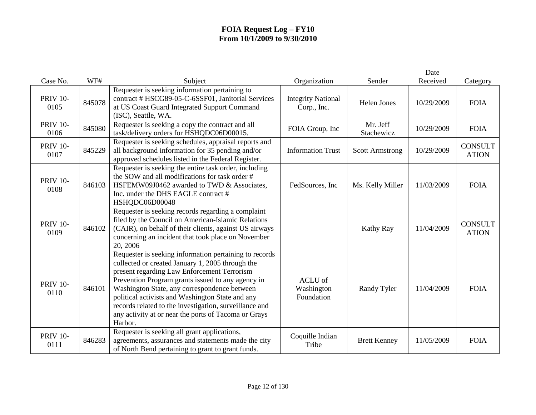|                         |        |                                                                                                                                                                                                                                                                                                                                                                                                                                                 |                                          |                        | Date       |                                |
|-------------------------|--------|-------------------------------------------------------------------------------------------------------------------------------------------------------------------------------------------------------------------------------------------------------------------------------------------------------------------------------------------------------------------------------------------------------------------------------------------------|------------------------------------------|------------------------|------------|--------------------------------|
| Case No.                | WF#    | Subject                                                                                                                                                                                                                                                                                                                                                                                                                                         | Organization                             | Sender                 | Received   | Category                       |
| <b>PRIV 10-</b><br>0105 | 845078 | Requester is seeking information pertaining to<br>contract # HSCG89-05-C-6SSF01, Janitorial Services<br>at US Coast Guard Integrated Support Command<br>(ISC), Seattle, WA.                                                                                                                                                                                                                                                                     | <b>Integrity National</b><br>Corp., Inc. | <b>Helen Jones</b>     | 10/29/2009 | <b>FOIA</b>                    |
| <b>PRIV 10-</b><br>0106 | 845080 | Requester is seeking a copy the contract and all<br>task/delivery orders for HSHQDC06D00015.                                                                                                                                                                                                                                                                                                                                                    | FOIA Group, Inc                          | Mr. Jeff<br>Stachewicz | 10/29/2009 | <b>FOIA</b>                    |
| <b>PRIV 10-</b><br>0107 | 845229 | Requester is seeking schedules, appraisal reports and<br>all background information for 35 pending and/or<br>approved schedules listed in the Federal Register.                                                                                                                                                                                                                                                                                 | <b>Information Trust</b>                 | <b>Scott Armstrong</b> | 10/29/2009 | <b>CONSULT</b><br><b>ATION</b> |
| <b>PRIV 10-</b><br>0108 | 846103 | Requester is seeking the entire task order, including<br>the SOW and all modifications for task order #<br>HSFEMW09J0462 awarded to TWD & Associates,<br>Inc. under the DHS EAGLE contract #<br>HSHQDC06D00048                                                                                                                                                                                                                                  | FedSources, Inc.                         | Ms. Kelly Miller       | 11/03/2009 | <b>FOIA</b>                    |
| <b>PRIV 10-</b><br>0109 | 846102 | Requester is seeking records regarding a complaint<br>filed by the Council on American-Islamic Relations<br>(CAIR), on behalf of their clients, against US airways<br>concerning an incident that took place on November<br>20, 2006                                                                                                                                                                                                            |                                          | <b>Kathy Ray</b>       | 11/04/2009 | <b>CONSULT</b><br><b>ATION</b> |
| <b>PRIV 10-</b><br>0110 | 846101 | Requester is seeking information pertaining to records<br>collected or created January 1, 2005 through the<br>present regarding Law Enforcement Terrorism<br>Prevention Program grants issued to any agency in<br>Washington State, any correspondence between<br>political activists and Washington State and any<br>records related to the investigation, surveillance and<br>any activity at or near the ports of Tacoma or Grays<br>Harbor. | ACLU of<br>Washington<br>Foundation      | Randy Tyler            | 11/04/2009 | <b>FOIA</b>                    |
| <b>PRIV 10-</b><br>0111 | 846283 | Requester is seeking all grant applications,<br>agreements, assurances and statements made the city<br>of North Bend pertaining to grant to grant funds.                                                                                                                                                                                                                                                                                        | Coquille Indian<br>Tribe                 | <b>Brett Kenney</b>    | 11/05/2009 | <b>FOIA</b>                    |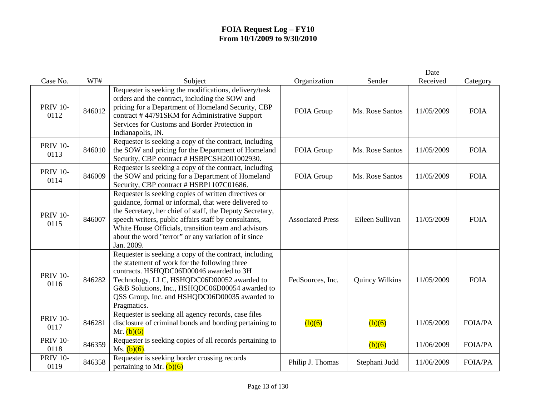|                         |        |                                                                                                                                                                                                                                                                                                                                                               |                         |                 | Date       |                |
|-------------------------|--------|---------------------------------------------------------------------------------------------------------------------------------------------------------------------------------------------------------------------------------------------------------------------------------------------------------------------------------------------------------------|-------------------------|-----------------|------------|----------------|
| Case No.                | WF#    | Subject                                                                                                                                                                                                                                                                                                                                                       | Organization            | Sender          | Received   | Category       |
| <b>PRIV 10-</b><br>0112 | 846012 | Requester is seeking the modifications, delivery/task<br>orders and the contract, including the SOW and<br>pricing for a Department of Homeland Security, CBP<br>contract #44791SKM for Administrative Support<br>Services for Customs and Border Protection in<br>Indianapolis, IN.                                                                          | FOIA Group              | Ms. Rose Santos | 11/05/2009 | <b>FOIA</b>    |
| <b>PRIV 10-</b><br>0113 | 846010 | Requester is seeking a copy of the contract, including<br>the SOW and pricing for the Department of Homeland<br>Security, CBP contract # HSBPCSH2001002930.                                                                                                                                                                                                   | FOIA Group              | Ms. Rose Santos | 11/05/2009 | <b>FOIA</b>    |
| <b>PRIV 10-</b><br>0114 | 846009 | Requester is seeking a copy of the contract, including<br>the SOW and pricing for a Department of Homeland<br>Security, CBP contract # HSBP1107C01686.                                                                                                                                                                                                        | FOIA Group              | Ms. Rose Santos | 11/05/2009 | <b>FOIA</b>    |
| <b>PRIV 10-</b><br>0115 | 846007 | Requester is seeking copies of written directives or<br>guidance, formal or informal, that were delivered to<br>the Secretary, her chief of staff, the Deputy Secretary,<br>speech writers, public affairs staff by consultants,<br>White House Officials, transition team and advisors<br>about the word "terror" or any variation of it since<br>Jan. 2009. | <b>Associated Press</b> | Eileen Sullivan | 11/05/2009 | <b>FOIA</b>    |
| <b>PRIV 10-</b><br>0116 | 846282 | Requester is seeking a copy of the contract, including<br>the statement of work for the following three<br>contracts. HSHQDC06D00046 awarded to 3H<br>Technology, LLC, HSHQDC06D00052 awarded to<br>G&B Solutions, Inc., HSHQDC06D00054 awarded to<br>QSS Group, Inc. and HSHQDC06D00035 awarded to<br>Pragmatics.                                            | FedSources, Inc.        | Quincy Wilkins  | 11/05/2009 | <b>FOIA</b>    |
| <b>PRIV 10-</b><br>0117 | 846281 | Requester is seeking all agency records, case files<br>disclosure of criminal bonds and bonding pertaining to<br>Mr. $(b)(6)$                                                                                                                                                                                                                                 | (b)(6)                  | (b)(6)          | 11/05/2009 | <b>FOIA/PA</b> |
| <b>PRIV 10-</b><br>0118 | 846359 | Requester is seeking copies of all records pertaining to<br>Ms. $(b)(6)$ .                                                                                                                                                                                                                                                                                    |                         | (b)(6)          | 11/06/2009 | <b>FOIA/PA</b> |
| <b>PRIV 10-</b><br>0119 | 846358 | Requester is seeking border crossing records<br>pertaining to Mr. $(b)(6)$                                                                                                                                                                                                                                                                                    | Philip J. Thomas        | Stephani Judd   | 11/06/2009 | <b>FOIA/PA</b> |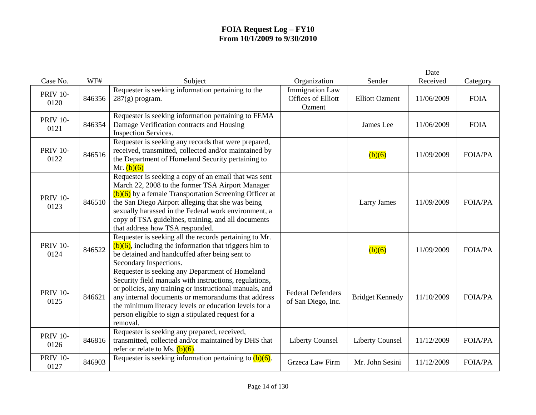|                         |        |                                                                                                                                                                                                                                                                                                                                                                              |                                                               |                        | Date       |                |
|-------------------------|--------|------------------------------------------------------------------------------------------------------------------------------------------------------------------------------------------------------------------------------------------------------------------------------------------------------------------------------------------------------------------------------|---------------------------------------------------------------|------------------------|------------|----------------|
| Case No.                | WF#    | Subject                                                                                                                                                                                                                                                                                                                                                                      | Organization                                                  | Sender                 | Received   | Category       |
| <b>PRIV 10-</b><br>0120 | 846356 | Requester is seeking information pertaining to the<br>$287(g)$ program.                                                                                                                                                                                                                                                                                                      | <b>Immigration Law</b><br><b>Offices of Elliott</b><br>Ozment | <b>Elliott Ozment</b>  | 11/06/2009 | <b>FOIA</b>    |
| <b>PRIV 10-</b><br>0121 | 846354 | Requester is seeking information pertaining to FEMA<br>Damage Verification contracts and Housing<br><b>Inspection Services.</b>                                                                                                                                                                                                                                              |                                                               | James Lee              | 11/06/2009 | <b>FOIA</b>    |
| <b>PRIV 10-</b><br>0122 | 846516 | Requester is seeking any records that were prepared,<br>received, transmitted, collected and/or maintained by<br>the Department of Homeland Security pertaining to<br>Mr. $(b)(6)$                                                                                                                                                                                           |                                                               | (b)(6)                 | 11/09/2009 | <b>FOIA/PA</b> |
| <b>PRIV 10-</b><br>0123 | 846510 | Requester is seeking a copy of an email that was sent<br>March 22, 2008 to the former TSA Airport Manager<br>$(b)(6)$ by a female Transportation Screening Officer at<br>the San Diego Airport alleging that she was being<br>sexually harassed in the Federal work environment, a<br>copy of TSA guidelines, training, and all documents<br>that address how TSA responded. |                                                               | Larry James            | 11/09/2009 | <b>FOIA/PA</b> |
| <b>PRIV 10-</b><br>0124 | 846522 | Requester is seeking all the records pertaining to Mr.<br>$(b)(6)$ , including the information that triggers him to<br>be detained and handcuffed after being sent to<br>Secondary Inspections.                                                                                                                                                                              |                                                               | (b)(6)                 | 11/09/2009 | <b>FOIA/PA</b> |
| <b>PRIV 10-</b><br>0125 | 846621 | Requester is seeking any Department of Homeland<br>Security field manuals with instructions, regulations,<br>or policies, any training or instructional manuals, and<br>any internal documents or memorandums that address<br>the minimum literacy levels or education levels for a<br>person eligible to sign a stipulated request for a<br>removal.                        | <b>Federal Defenders</b><br>of San Diego, Inc.                | <b>Bridget Kennedy</b> | 11/10/2009 | <b>FOIA/PA</b> |
| <b>PRIV 10-</b><br>0126 | 846816 | Requester is seeking any prepared, received,<br>transmitted, collected and/or maintained by DHS that<br>refer or relate to Ms. $(b)(6)$ .                                                                                                                                                                                                                                    | <b>Liberty Counsel</b>                                        | <b>Liberty Counsel</b> | 11/12/2009 | <b>FOIA/PA</b> |
| <b>PRIV 10-</b><br>0127 | 846903 | Requester is seeking information pertaining to $(b)(6)$ .                                                                                                                                                                                                                                                                                                                    | Grzeca Law Firm                                               | Mr. John Sesini        | 11/12/2009 | <b>FOIA/PA</b> |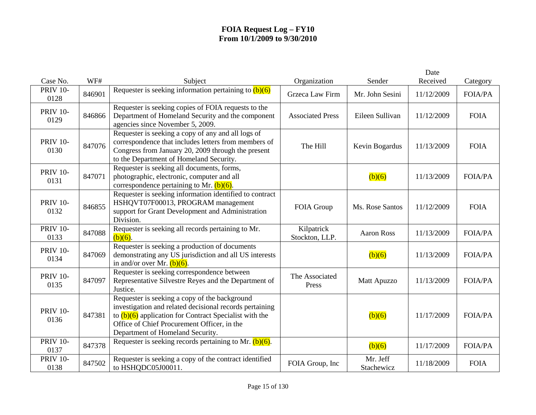| Case No.                | WF#    | Subject                                                                                                                                                                                                                                                 | Organization                 | Sender                 | Date<br>Received | Category       |
|-------------------------|--------|---------------------------------------------------------------------------------------------------------------------------------------------------------------------------------------------------------------------------------------------------------|------------------------------|------------------------|------------------|----------------|
| <b>PRIV 10-</b><br>0128 | 846901 | Requester is seeking information pertaining to $(b)(6)$                                                                                                                                                                                                 | Grzeca Law Firm              | Mr. John Sesini        | 11/12/2009       | <b>FOIA/PA</b> |
| <b>PRIV 10-</b><br>0129 | 846866 | Requester is seeking copies of FOIA requests to the<br>Department of Homeland Security and the component<br>agencies since November 5, 2009.                                                                                                            | <b>Associated Press</b>      | Eileen Sullivan        | 11/12/2009       | <b>FOIA</b>    |
| <b>PRIV 10-</b><br>0130 | 847076 | Requester is seeking a copy of any and all logs of<br>correspondence that includes letters from members of<br>Congress from January 20, 2009 through the present<br>to the Department of Homeland Security.                                             | The Hill                     | Kevin Bogardus         | 11/13/2009       | <b>FOIA</b>    |
| <b>PRIV 10-</b><br>0131 | 847071 | Requester is seeking all documents, forms,<br>photographic, electronic, computer and all<br>correspondence pertaining to Mr. $(b)(6)$ .                                                                                                                 |                              | (b)(6)                 | 11/13/2009       | <b>FOIA/PA</b> |
| <b>PRIV 10-</b><br>0132 | 846855 | Requester is seeking information identified to contract<br>HSHQVT07F00013, PROGRAM management<br>support for Grant Development and Administration<br>Division.                                                                                          | FOIA Group                   | Ms. Rose Santos        | 11/12/2009       | <b>FOIA</b>    |
| <b>PRIV 10-</b><br>0133 | 847088 | Requester is seeking all records pertaining to Mr.<br>$(b)(6)$ .                                                                                                                                                                                        | Kilpatrick<br>Stockton, LLP. | <b>Aaron Ross</b>      | 11/13/2009       | <b>FOIA/PA</b> |
| <b>PRIV 10-</b><br>0134 | 847069 | Requester is seeking a production of documents<br>demonstrating any US jurisdiction and all US interests<br>in and/or over Mr. $(b)(6)$ .                                                                                                               |                              | (b)(6)                 | 11/13/2009       | <b>FOIA/PA</b> |
| <b>PRIV 10-</b><br>0135 | 847097 | Requester is seeking correspondence between<br>Representative Silvestre Reyes and the Department of<br>Justice.                                                                                                                                         | The Associated<br>Press      | Matt Apuzzo            | 11/13/2009       | <b>FOIA/PA</b> |
| <b>PRIV 10-</b><br>0136 | 847381 | Requester is seeking a copy of the background<br>investigation and related decisional records pertaining<br>to $(b)(6)$ application for Contract Specialist with the<br>Office of Chief Procurement Officer, in the<br>Department of Homeland Security. |                              | (b)(6)                 | 11/17/2009       | <b>FOIA/PA</b> |
| <b>PRIV 10-</b><br>0137 | 847378 | Requester is seeking records pertaining to Mr. $(b)(6)$ .                                                                                                                                                                                               |                              | (b)(6)                 | 11/17/2009       | <b>FOIA/PA</b> |
| <b>PRIV 10-</b><br>0138 | 847502 | Requester is seeking a copy of the contract identified<br>to HSHQDC05J00011.                                                                                                                                                                            | FOIA Group, Inc              | Mr. Jeff<br>Stachewicz | 11/18/2009       | <b>FOIA</b>    |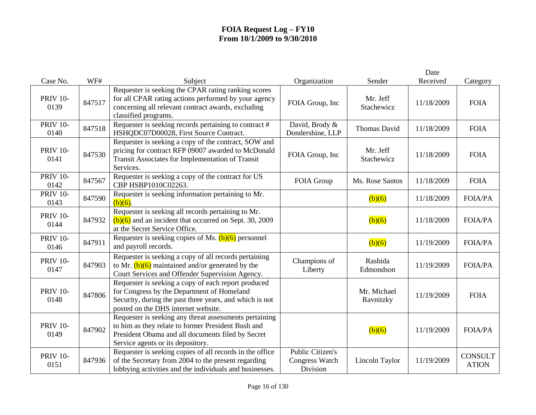|                         |        |                                                                                                                                                                                                        |                                                              |                          | Date       |                                |
|-------------------------|--------|--------------------------------------------------------------------------------------------------------------------------------------------------------------------------------------------------------|--------------------------------------------------------------|--------------------------|------------|--------------------------------|
| Case No.                | WF#    | Subject                                                                                                                                                                                                | Organization                                                 | Sender                   | Received   | Category                       |
| <b>PRIV 10-</b><br>0139 | 847517 | Requester is seeking the CPAR rating ranking scores<br>for all CPAR rating actions performed by your agency<br>concerning all relevant contract awards, excluding<br>classified programs.              | FOIA Group, Inc                                              | Mr. Jeff<br>Stachewicz   | 11/18/2009 | <b>FOIA</b>                    |
| <b>PRIV 10-</b><br>0140 | 847518 | Requester is seeking records pertaining to contract #<br>HSHQDC07D00028, First Source Contract.                                                                                                        | David, Brody &<br>Dondershine, LLP                           | Thomas David             | 11/18/2009 | <b>FOIA</b>                    |
| <b>PRIV 10-</b><br>0141 | 847530 | Requester is seeking a copy of the contract, SOW and<br>pricing for contract RFP 09007 awarded to McDonald<br>Transit Associates for Implementation of Transit<br>Services.                            | FOIA Group, Inc                                              | Mr. Jeff<br>Stachewicz   | 11/18/2009 | <b>FOIA</b>                    |
| <b>PRIV 10-</b><br>0142 | 847567 | Requester is seeking a copy of the contract for US<br>CBP HSBP1010C02263.                                                                                                                              | FOIA Group                                                   | Ms. Rose Santos          | 11/18/2009 | <b>FOIA</b>                    |
| <b>PRIV 10-</b><br>0143 | 847590 | Requester is seeking information pertaining to Mr.<br>$(b)(6)$ .                                                                                                                                       |                                                              | (b)(6)                   | 11/18/2009 | <b>FOIA/PA</b>                 |
| <b>PRIV 10-</b><br>0144 | 847932 | Requester is seeking all records pertaining to Mr.<br>$(b)(6)$ and an incident that occurred on Sept. 30, 2009<br>at the Secret Service Office.                                                        |                                                              | (b)(6)                   | 11/18/2009 | <b>FOIA/PA</b>                 |
| <b>PRIV 10-</b><br>0146 | 847911 | Requester is seeking copies of Ms. $(b)(6)$ personnel<br>and payroll records.                                                                                                                          |                                                              | (b)(6)                   | 11/19/2009 | <b>FOIA/PA</b>                 |
| <b>PRIV 10-</b><br>0147 | 847903 | Requester is seeking a copy of all records pertaining<br>to Mr. $(b)(6)$ maintained and/or generated by the<br>Court Services and Offender Supervision Agency.                                         | Champions of<br>Liberty                                      | Rashida<br>Edmondson     | 11/19/2009 | FOIA/PA                        |
| <b>PRIV 10-</b><br>0148 | 847806 | Requester is seeking a copy of each report produced<br>for Congress by the Department of Homeland<br>Security, during the past three years, and which is not<br>posted on the DHS internet website.    |                                                              | Mr. Michael<br>Ravnitzky | 11/19/2009 | <b>FOIA</b>                    |
| <b>PRIV 10-</b><br>0149 | 847902 | Requester is seeking any threat assessments pertaining<br>to him as they relate to former President Bush and<br>President Obama and all documents filed by Secret<br>Service agents or its depository. |                                                              | (b)(6)                   | 11/19/2009 | <b>FOIA/PA</b>                 |
| <b>PRIV 10-</b><br>0151 | 847936 | Requester is seeking copies of all records in the office<br>of the Secretary from 2004 to the present regarding<br>lobbying activities and the individuals and businesses.                             | <b>Public Citizen's</b><br><b>Congress Watch</b><br>Division | Lincoln Taylor           | 11/19/2009 | <b>CONSULT</b><br><b>ATION</b> |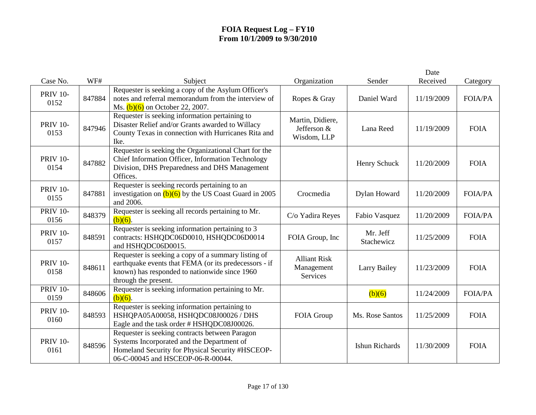|                         |        |                                                                                                                                                                                       |                                                |                        | Date       |                |
|-------------------------|--------|---------------------------------------------------------------------------------------------------------------------------------------------------------------------------------------|------------------------------------------------|------------------------|------------|----------------|
| Case No.                | WF#    | Subject                                                                                                                                                                               | Organization                                   | Sender                 | Received   | Category       |
| <b>PRIV 10-</b><br>0152 | 847884 | Requester is seeking a copy of the Asylum Officer's<br>notes and referral memorandum from the interview of<br>Ms. $(b)(6)$ on October 22, 2007.                                       | Ropes & Gray                                   | Daniel Ward            | 11/19/2009 | <b>FOIA/PA</b> |
| <b>PRIV 10-</b><br>0153 | 847946 | Requester is seeking information pertaining to<br>Disaster Relief and/or Grants awarded to Willacy<br>County Texas in connection with Hurricanes Rita and<br>Ike.                     | Martin, Didiere,<br>Jefferson &<br>Wisdom, LLP | Lana Reed              | 11/19/2009 | <b>FOIA</b>    |
| <b>PRIV 10-</b><br>0154 | 847882 | Requester is seeking the Organizational Chart for the<br>Chief Information Officer, Information Technology<br>Division, DHS Preparedness and DHS Management<br>Offices.               |                                                | Henry Schuck           | 11/20/2009 | <b>FOIA</b>    |
| <b>PRIV 10-</b><br>0155 | 847881 | Requester is seeking records pertaining to an<br>investigation on $(b)(6)$ by the US Coast Guard in 2005<br>and 2006.                                                                 | Crocmedia                                      | Dylan Howard           | 11/20/2009 | <b>FOIA/PA</b> |
| <b>PRIV 10-</b><br>0156 | 848379 | Requester is seeking all records pertaining to Mr.<br>$(b)(6)$ .                                                                                                                      | C/o Yadira Reyes                               | Fabio Vasquez          | 11/20/2009 | <b>FOIA/PA</b> |
| <b>PRIV 10-</b><br>0157 | 848591 | Requester is seeking information pertaining to 3<br>contracts: HSHQDC06D0010, HSHQDC06D0014<br>and HSHQDC06D0015.                                                                     | FOIA Group, Inc                                | Mr. Jeff<br>Stachewicz | 11/25/2009 | <b>FOIA</b>    |
| <b>PRIV 10-</b><br>0158 | 848611 | Requester is seeking a copy of a summary listing of<br>earthquake events that FEMA (or its predecessors - if<br>known) has responded to nationwide since 1960<br>through the present. | <b>Alliant Risk</b><br>Management<br>Services  | <b>Larry Bailey</b>    | 11/23/2009 | <b>FOIA</b>    |
| <b>PRIV 10-</b><br>0159 | 848606 | Requester is seeking information pertaining to Mr.<br>$(b)(6)$ .                                                                                                                      |                                                | (b)(6)                 | 11/24/2009 | <b>FOIA/PA</b> |
| <b>PRIV 10-</b><br>0160 | 848593 | Requester is seeking information pertaining to<br>HSHQPA05A00058, HSHQDC08J00026 / DHS<br>Eagle and the task order # HSHQDC08J00026.                                                  | FOIA Group                                     | Ms. Rose Santos        | 11/25/2009 | <b>FOIA</b>    |
| <b>PRIV 10-</b><br>0161 | 848596 | Requester is seeking contracts between Paragon<br>Systems Incorporated and the Department of<br>Homeland Security for Physical Security #HSCEOP-<br>06-C-00045 and HSCEOP-06-R-00044. |                                                | <b>Ishun Richards</b>  | 11/30/2009 | <b>FOIA</b>    |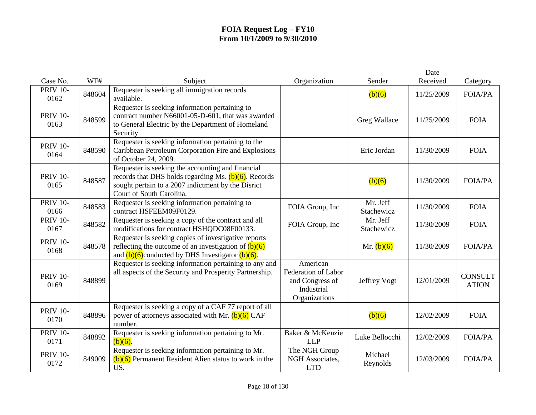|                         |        |                                                                                                                                                                                                |                                                                                   |                        | Date       |                                |
|-------------------------|--------|------------------------------------------------------------------------------------------------------------------------------------------------------------------------------------------------|-----------------------------------------------------------------------------------|------------------------|------------|--------------------------------|
| Case No.                | WF#    | Subject                                                                                                                                                                                        | Organization                                                                      | Sender                 | Received   | Category                       |
| <b>PRIV 10-</b><br>0162 | 848604 | Requester is seeking all immigration records<br>available.                                                                                                                                     |                                                                                   | (b)(6)                 | 11/25/2009 | <b>FOIA/PA</b>                 |
| <b>PRIV 10-</b><br>0163 | 848599 | Requester is seeking information pertaining to<br>contract number N66001-05-D-601, that was awarded<br>to General Electric by the Department of Homeland<br>Security                           |                                                                                   | Greg Wallace           | 11/25/2009 | <b>FOIA</b>                    |
| <b>PRIV 10-</b><br>0164 | 848590 | Requester is seeking information pertaining to the<br>Caribbean Petroleum Corporation Fire and Explosions<br>of October 24, 2009.                                                              |                                                                                   | Eric Jordan            | 11/30/2009 | <b>FOIA</b>                    |
| <b>PRIV 10-</b><br>0165 | 848587 | Requester is seeking the accounting and financial<br>records that DHS holds regarding Ms. $(b)(6)$ . Records<br>sought pertain to a 2007 indictment by the Disrict<br>Court of South Carolina. |                                                                                   | (b)(6)                 | 11/30/2009 | <b>FOIA/PA</b>                 |
| <b>PRIV 10-</b><br>0166 | 848583 | Requester is seeking information pertaining to<br>contract HSFEEM09F0129.                                                                                                                      | FOIA Group, Inc                                                                   | Mr. Jeff<br>Stachewicz | 11/30/2009 | <b>FOIA</b>                    |
| <b>PRIV 10-</b><br>0167 | 848582 | Requester is seeking a copy of the contract and all<br>modifications for contract HSHQDC08F00133.                                                                                              | FOIA Group, Inc                                                                   | Mr. Jeff<br>Stachewicz | 11/30/2009 | <b>FOIA</b>                    |
| <b>PRIV 10-</b><br>0168 | 848578 | Requester is seeking copies of investigative reports<br>reflecting the outcome of an investigation of $(b)(6)$<br>and $(b)(6)$ conducted by DHS Investigator $(b)(6)$ .                        |                                                                                   | Mr. $(b)(6)$           | 11/30/2009 | <b>FOIA/PA</b>                 |
| <b>PRIV 10-</b><br>0169 | 848899 | Requester is seeking information pertaining to any and<br>all aspects of the Security and Prosperity Partnership.                                                                              | American<br>Federation of Labor<br>and Congress of<br>Industrial<br>Organizations | Jeffrey Vogt           | 12/01/2009 | <b>CONSULT</b><br><b>ATION</b> |
| <b>PRIV 10-</b><br>0170 | 848896 | Requester is seeking a copy of a CAF 77 report of all<br>power of attorneys associated with Mr. $(b)(6)$ CAF<br>number.                                                                        |                                                                                   | (b)(6)                 | 12/02/2009 | <b>FOIA</b>                    |
| <b>PRIV 10-</b><br>0171 | 848892 | Requester is seeking information pertaining to Mr.<br>$(b)(6)$ .                                                                                                                               | Baker & McKenzie<br><b>LLP</b>                                                    | Luke Bellocchi         | 12/02/2009 | <b>FOIA/PA</b>                 |
| <b>PRIV 10-</b><br>0172 | 849009 | Requester is seeking information pertaining to Mr.<br>$(b)(6)$ Permanent Resident Alien status to work in the<br>US.                                                                           | The NGH Group<br>NGH Associates,<br><b>LTD</b>                                    | Michael<br>Reynolds    | 12/03/2009 | <b>FOIA/PA</b>                 |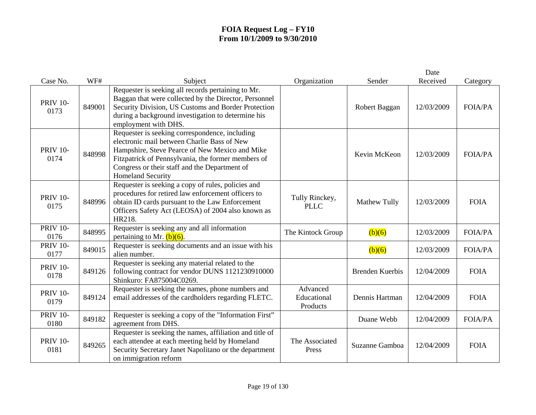| Case No.                | WF#    | Subject                                                                                                                                                                                                                                                                            | Organization                        | Sender                 | Date<br>Received | Category       |
|-------------------------|--------|------------------------------------------------------------------------------------------------------------------------------------------------------------------------------------------------------------------------------------------------------------------------------------|-------------------------------------|------------------------|------------------|----------------|
| <b>PRIV 10-</b><br>0173 | 849001 | Requester is seeking all records pertaining to Mr.<br>Baggan that were collected by the Director, Personnel<br>Security Division, US Customs and Border Protection<br>during a background investigation to determine his<br>employment with DHS.                                   |                                     | Robert Baggan          | 12/03/2009       | <b>FOIA/PA</b> |
| <b>PRIV 10-</b><br>0174 | 848998 | Requester is seeking correspondence, including<br>electronic mail between Charlie Bass of New<br>Hampshire, Steve Pearce of New Mexico and Mike<br>Fitzpatrick of Pennsylvania, the former members of<br>Congress or their staff and the Department of<br><b>Homeland Security</b> |                                     | Kevin McKeon           | 12/03/2009       | <b>FOIA/PA</b> |
| <b>PRIV 10-</b><br>0175 | 848996 | Requester is seeking a copy of rules, policies and<br>procedures for retired law enforcement officers to<br>obtain ID cards pursuant to the Law Enforcement<br>Officers Safety Act (LEOSA) of 2004 also known as<br>HR218.                                                         | Tully Rinckey,<br><b>PLLC</b>       | Mathew Tully           | 12/03/2009       | <b>FOIA</b>    |
| <b>PRIV 10-</b><br>0176 | 848995 | Requester is seeking any and all information<br>pertaining to Mr. $(b)(6)$ .                                                                                                                                                                                                       | The Kintock Group                   | (b)(6)                 | 12/03/2009       | <b>FOIA/PA</b> |
| <b>PRIV 10-</b><br>0177 | 849015 | Requester is seeking documents and an issue with his<br>alien number.                                                                                                                                                                                                              |                                     | (b)(6)                 | 12/03/2009       | <b>FOIA/PA</b> |
| <b>PRIV 10-</b><br>0178 | 849126 | Requester is seeking any material related to the<br>following contract for vendor DUNS 1121230910000<br>Shinkuro: FA875004C0269.                                                                                                                                                   |                                     | <b>Brenden Kuerbis</b> | 12/04/2009       | <b>FOIA</b>    |
| <b>PRIV 10-</b><br>0179 | 849124 | Requester is seeking the names, phone numbers and<br>email addresses of the cardholders regarding FLETC.                                                                                                                                                                           | Advanced<br>Educational<br>Products | Dennis Hartman         | 12/04/2009       | <b>FOIA</b>    |
| <b>PRIV 10-</b><br>0180 | 849182 | Requester is seeking a copy of the "Information First"<br>agreement from DHS.                                                                                                                                                                                                      |                                     | Duane Webb             | 12/04/2009       | <b>FOIA/PA</b> |
| <b>PRIV 10-</b><br>0181 | 849265 | Requester is seeking the names, affiliation and title of<br>each attendee at each meeting held by Homeland<br>Security Secretary Janet Napolitano or the department<br>on immigration reform                                                                                       | The Associated<br>Press             | Suzanne Gamboa         | 12/04/2009       | <b>FOIA</b>    |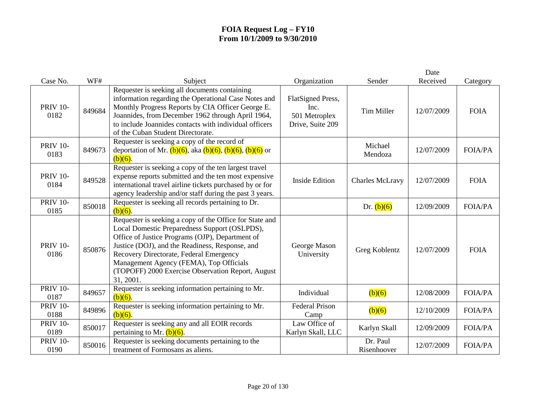| Case No.                | WF#    | Subject                                                                                                                                                                                                                                                                                                                                                                | Organization                                                   | Sender                  | Date<br>Received | Category       |
|-------------------------|--------|------------------------------------------------------------------------------------------------------------------------------------------------------------------------------------------------------------------------------------------------------------------------------------------------------------------------------------------------------------------------|----------------------------------------------------------------|-------------------------|------------------|----------------|
| <b>PRIV 10-</b><br>0182 | 849684 | Requester is seeking all documents containing<br>information regarding the Operational Case Notes and<br>Monthly Progress Reports by CIA Officer George E.<br>Joannides, from December 1962 through April 1964,<br>to include Joannides contacts with individual officers<br>of the Cuban Student Directorate.                                                         | FlatSigned Press,<br>Inc.<br>501 Metroplex<br>Drive, Suite 209 | <b>Tim Miller</b>       | 12/07/2009       | <b>FOIA</b>    |
| <b>PRIV 10-</b><br>0183 | 849673 | Requester is seeking a copy of the record of<br>deportation of Mr. $(b)(6)$ , aka $(b)(6)$ , $(b)(6)$ , $(b)(6)$ or<br>$(b)(6)$ .                                                                                                                                                                                                                                      |                                                                | Michael<br>Mendoza      | 12/07/2009       | <b>FOIA/PA</b> |
| <b>PRIV 10-</b><br>0184 | 849528 | Requester is seeking a copy of the ten largest travel<br>expense reports submitted and the ten most expensive<br>international travel airline tickets purchased by or for<br>agency leadership and/or staff during the past 3 years.                                                                                                                                   | <b>Inside Edition</b>                                          | <b>Charles McLravy</b>  | 12/07/2009       | <b>FOIA</b>    |
| <b>PRIV 10-</b><br>0185 | 850018 | Requester is seeking all records pertaining to Dr.<br>$(b)(6)$ .                                                                                                                                                                                                                                                                                                       |                                                                | Dr. $(b)(6)$            | 12/09/2009       | <b>FOIA/PA</b> |
| <b>PRIV 10-</b><br>0186 | 850876 | Requester is seeking a copy of the Office for State and<br>Local Domestic Preparedness Support (OSLPDS),<br>Office of Justice Programs (OJP), Department of<br>Justice (DOJ), and the Readiness, Response, and<br>Recovery Directorate, Federal Emergency<br>Management Agency (FEMA), Top Officials<br>(TOPOFF) 2000 Exercise Observation Report, August<br>31, 2001. | George Mason<br>University                                     | Greg Koblentz           | 12/07/2009       | <b>FOIA</b>    |
| <b>PRIV 10-</b><br>0187 | 849657 | Requester is seeking information pertaining to Mr.<br>$(b)(6)$ .                                                                                                                                                                                                                                                                                                       | Individual                                                     | (b)(6)                  | 12/08/2009       | <b>FOIA/PA</b> |
| <b>PRIV 10-</b><br>0188 | 849896 | Requester is seeking information pertaining to Mr.<br>$(b)(6)$ .                                                                                                                                                                                                                                                                                                       | <b>Federal Prison</b><br>Camp                                  | (b)(6)                  | 12/10/2009       | <b>FOIA/PA</b> |
| <b>PRIV 10-</b><br>0189 | 850017 | Requester is seeking any and all EOIR records<br>pertaining to Mr. $(b)(6)$ .                                                                                                                                                                                                                                                                                          | Law Office of<br>Karlyn Skall, LLC                             | Karlyn Skall            | 12/09/2009       | <b>FOIA/PA</b> |
| <b>PRIV 10-</b><br>0190 | 850016 | Requester is seeking documents pertaining to the<br>treatment of Formosans as aliens.                                                                                                                                                                                                                                                                                  |                                                                | Dr. Paul<br>Risenhoover | 12/07/2009       | <b>FOIA/PA</b> |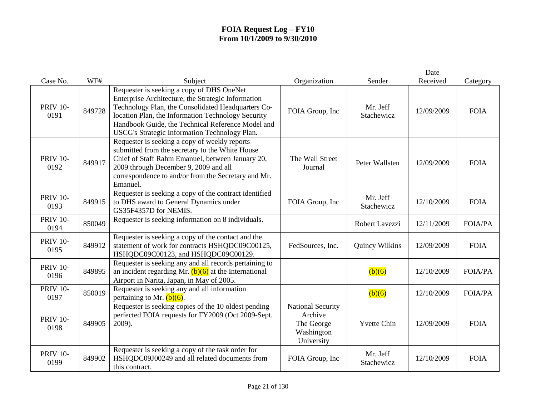|                         |        |                                                                                                                                                                                                                                                                                                                   |                                                                               |                        | Date       |                |
|-------------------------|--------|-------------------------------------------------------------------------------------------------------------------------------------------------------------------------------------------------------------------------------------------------------------------------------------------------------------------|-------------------------------------------------------------------------------|------------------------|------------|----------------|
| Case No.                | WF#    | Subject                                                                                                                                                                                                                                                                                                           | Organization                                                                  | Sender                 | Received   | Category       |
| <b>PRIV 10-</b><br>0191 | 849728 | Requester is seeking a copy of DHS OneNet<br>Enterprise Architecture, the Strategic Information<br>Technology Plan, the Consolidated Headquarters Co-<br>location Plan, the Information Technology Security<br>Handbook Guide, the Technical Reference Model and<br>USCG's Strategic Information Technology Plan. | FOIA Group, Inc                                                               | Mr. Jeff<br>Stachewicz | 12/09/2009 | <b>FOIA</b>    |
| <b>PRIV 10-</b><br>0192 | 849917 | Requester is seeking a copy of weekly reports<br>submitted from the secretary to the White House<br>Chief of Staff Rahm Emanuel, between January 20,<br>2009 through December 9, 2009 and all<br>correspondence to and/or from the Secretary and Mr.<br>Emanuel.                                                  | The Wall Street<br>Journal                                                    | Peter Wallsten         | 12/09/2009 | <b>FOIA</b>    |
| <b>PRIV 10-</b><br>0193 | 849915 | Requester is seeking a copy of the contract identified<br>to DHS award to General Dynamics under<br>GS35F4357D for NEMIS.                                                                                                                                                                                         | FOIA Group, Inc                                                               | Mr. Jeff<br>Stachewicz | 12/10/2009 | <b>FOIA</b>    |
| <b>PRIV 10-</b><br>0194 | 850049 | Requester is seeking information on 8 individuals.                                                                                                                                                                                                                                                                |                                                                               | Robert Lavezzi         | 12/11/2009 | <b>FOIA/PA</b> |
| <b>PRIV 10-</b><br>0195 | 849912 | Requester is seeking a copy of the contact and the<br>statement of work for contracts HSHQDC09C00125,<br>HSHQDC09C00123, and HSHQDC09C00129.                                                                                                                                                                      | FedSources, Inc.                                                              | Quincy Wilkins         | 12/09/2009 | <b>FOIA</b>    |
| <b>PRIV 10-</b><br>0196 | 849895 | Requester is seeking any and all records pertaining to<br>an incident regarding Mr. $(b)(6)$ at the International<br>Airport in Narita, Japan, in May of 2005.                                                                                                                                                    |                                                                               | (b)(6)                 | 12/10/2009 | <b>FOIA/PA</b> |
| <b>PRIV 10-</b><br>0197 | 850019 | Requester is seeking any and all information<br>pertaining to Mr. $(b)(6)$ .                                                                                                                                                                                                                                      |                                                                               | (b)(6)                 | 12/10/2009 | <b>FOIA/PA</b> |
| <b>PRIV 10-</b><br>0198 | 849905 | Requester is seeking copies of the 10 oldest pending<br>perfected FOIA requests for FY2009 (Oct 2009-Sept.<br>2009).                                                                                                                                                                                              | <b>National Security</b><br>Archive<br>The George<br>Washington<br>University | <b>Yvette Chin</b>     | 12/09/2009 | <b>FOIA</b>    |
| <b>PRIV 10-</b><br>0199 | 849902 | Requester is seeking a copy of the task order for<br>HSHQDC09J00249 and all related documents from<br>this contract.                                                                                                                                                                                              | FOIA Group, Inc                                                               | Mr. Jeff<br>Stachewicz | 12/10/2009 | <b>FOIA</b>    |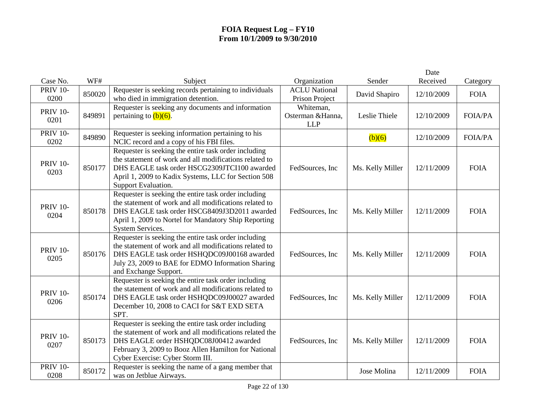|                         |        |                                                                                                                                                                                                                                                       |                                              |                  | Date       |                |
|-------------------------|--------|-------------------------------------------------------------------------------------------------------------------------------------------------------------------------------------------------------------------------------------------------------|----------------------------------------------|------------------|------------|----------------|
| Case No.                | WF#    | Subject                                                                                                                                                                                                                                               | Organization                                 | Sender           | Received   | Category       |
| <b>PRIV 10-</b><br>0200 | 850020 | Requester is seeking records pertaining to individuals<br>who died in immigration detention.                                                                                                                                                          | <b>ACLU National</b><br>Prison Project       | David Shapiro    | 12/10/2009 | <b>FOIA</b>    |
| <b>PRIV 10-</b><br>0201 | 849891 | Requester is seeking any documents and information<br>pertaining to $(b)(6)$ .                                                                                                                                                                        | Whiteman,<br>Osterman & Hanna,<br><b>LLP</b> | Leslie Thiele    | 12/10/2009 | <b>FOIA/PA</b> |
| <b>PRIV 10-</b><br>0202 | 849890 | Requester is seeking information pertaining to his<br>NCIC record and a copy of his FBI files.                                                                                                                                                        |                                              | (b)(6)           | 12/10/2009 | <b>FOIA/PA</b> |
| <b>PRIV 10-</b><br>0203 | 850177 | Requester is seeking the entire task order including<br>the statement of work and all modifications related to<br>DHS EAGLE task order HSCG2309JTCI100 awarded<br>April 1, 2009 to Kadix Systems, LLC for Section 508<br>Support Evaluation.          | FedSources, Inc                              | Ms. Kelly Miller | 12/11/2009 | <b>FOIA</b>    |
| <b>PRIV 10-</b><br>0204 | 850178 | Requester is seeking the entire task order including<br>the statement of work and all modifications related to<br>DHS EAGLE task order HSCG8409J3D2011 awarded<br>April 1, 2009 to Nortel for Mandatory Ship Reporting<br>System Services.            | FedSources, Inc                              | Ms. Kelly Miller | 12/11/2009 | <b>FOIA</b>    |
| <b>PRIV 10-</b><br>0205 | 850176 | Requester is seeking the entire task order including<br>the statement of work and all modifications related to<br>DHS EAGLE task order HSHQDC09J00168 awarded<br>July 23, 2009 to BAE for EDMO Information Sharing<br>and Exchange Support.           | FedSources, Inc                              | Ms. Kelly Miller | 12/11/2009 | <b>FOIA</b>    |
| <b>PRIV 10-</b><br>0206 | 850174 | Requester is seeking the entire task order including<br>the statement of work and all modifications related to<br>DHS EAGLE task order HSHQDC09J00027 awarded<br>December 10, 2008 to CACI for S&T EXD SETA<br>SPT.                                   | FedSources, Inc                              | Ms. Kelly Miller | 12/11/2009 | <b>FOIA</b>    |
| <b>PRIV 10-</b><br>0207 | 850173 | Requester is seeking the entire task order including<br>the statement of work and all modifications related the<br>DHS EAGLE order HSHQDC08J00412 awarded<br>February 3, 2009 to Booz Allen Hamilton for National<br>Cyber Exercise: Cyber Storm III. | FedSources, Inc                              | Ms. Kelly Miller | 12/11/2009 | <b>FOIA</b>    |
| <b>PRIV 10-</b><br>0208 | 850172 | Requester is seeking the name of a gang member that<br>was on Jetblue Airways.                                                                                                                                                                        |                                              | Jose Molina      | 12/11/2009 | <b>FOIA</b>    |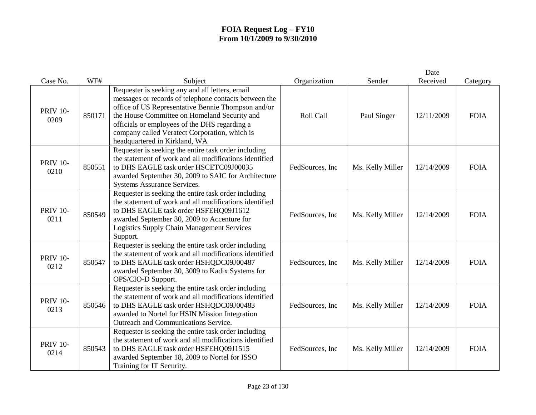| Case No.                | WF#    | Subject                                                                                                                                                                                                                                                                                                                                           | Organization     | Sender           | Date<br>Received | Category    |
|-------------------------|--------|---------------------------------------------------------------------------------------------------------------------------------------------------------------------------------------------------------------------------------------------------------------------------------------------------------------------------------------------------|------------------|------------------|------------------|-------------|
| <b>PRIV 10-</b><br>0209 | 850171 | Requester is seeking any and all letters, email<br>messages or records of telephone contacts between the<br>office of US Representative Bennie Thompson and/or<br>the House Committee on Homeland Security and<br>officials or employees of the DHS regarding a<br>company called Veratect Corporation, which is<br>headquartered in Kirkland, WA | Roll Call        | Paul Singer      | 12/11/2009       | <b>FOIA</b> |
| <b>PRIV 10-</b><br>0210 | 850551 | Requester is seeking the entire task order including<br>the statement of work and all modifications identified<br>to DHS EAGLE task order HSCETC09J00035<br>awarded September 30, 2009 to SAIC for Architecture<br>Systems Assurance Services.                                                                                                    | FedSources, Inc  | Ms. Kelly Miller | 12/14/2009       | <b>FOIA</b> |
| <b>PRIV 10-</b><br>0211 | 850549 | Requester is seeking the entire task order including<br>the statement of work and all modifications identified<br>to DHS EAGLE task order HSFEHQ09J1612<br>awarded September 30, 2009 to Accenture for<br><b>Logistics Supply Chain Management Services</b><br>Support.                                                                           | FedSources, Inc  | Ms. Kelly Miller | 12/14/2009       | <b>FOIA</b> |
| <b>PRIV 10-</b><br>0212 | 850547 | Requester is seeking the entire task order including<br>the statement of work and all modifications identified<br>to DHS EAGLE task order HSHQDC09J00487<br>awarded September 30, 3009 to Kadix Systems for<br>OPS/CIO-D Support.                                                                                                                 | FedSources, Inc  | Ms. Kelly Miller | 12/14/2009       | <b>FOIA</b> |
| <b>PRIV 10-</b><br>0213 | 850546 | Requester is seeking the entire task order including<br>the statement of work and all modifications identified<br>to DHS EAGLE task order HSHQDC09J00483<br>awarded to Nortel for HSIN Mission Integration<br>Outreach and Communications Service.                                                                                                | FedSources, Inc  | Ms. Kelly Miller | 12/14/2009       | <b>FOIA</b> |
| <b>PRIV 10-</b><br>0214 | 850543 | Requester is seeking the entire task order including<br>the statement of work and all modifications identified<br>to DHS EAGLE task order HSFEHQ09J1515<br>awarded September 18, 2009 to Nortel for ISSO<br>Training for IT Security.                                                                                                             | FedSources, Inc. | Ms. Kelly Miller | 12/14/2009       | <b>FOIA</b> |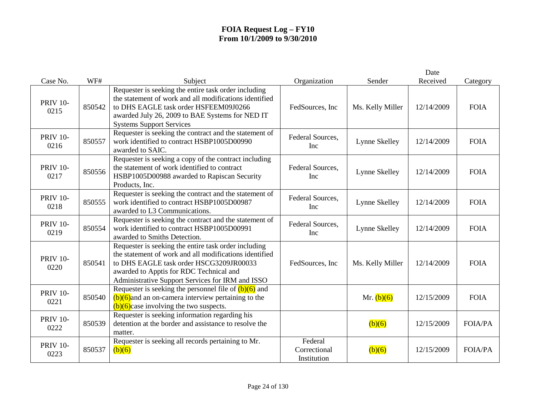|                         |        |                                                                                                                                                                                                                                                          |                                        |                  | Date       |                |
|-------------------------|--------|----------------------------------------------------------------------------------------------------------------------------------------------------------------------------------------------------------------------------------------------------------|----------------------------------------|------------------|------------|----------------|
| Case No.                | WF#    | Subject                                                                                                                                                                                                                                                  | Organization                           | Sender           | Received   | Category       |
| <b>PRIV 10-</b><br>0215 | 850542 | Requester is seeking the entire task order including<br>the statement of work and all modifications identified<br>to DHS EAGLE task order HSFEEM09J0266<br>awarded July 26, 2009 to BAE Systems for NED IT<br><b>Systems Support Services</b>            | FedSources, Inc.                       | Ms. Kelly Miller | 12/14/2009 | <b>FOIA</b>    |
| <b>PRIV 10-</b><br>0216 | 850557 | Requester is seeking the contract and the statement of<br>work identified to contract HSBP1005D00990<br>awarded to SAIC.                                                                                                                                 | Federal Sources,<br>Inc                | Lynne Skelley    | 12/14/2009 | <b>FOIA</b>    |
| <b>PRIV 10-</b><br>0217 | 850556 | Requester is seeking a copy of the contract including<br>the statement of work identified to contract<br>HSBP1005D00988 awarded to Rapiscan Security<br>Products, Inc.                                                                                   | Federal Sources,<br><b>Inc</b>         | Lynne Skelley    | 12/14/2009 | <b>FOIA</b>    |
| <b>PRIV 10-</b><br>0218 | 850555 | Requester is seeking the contract and the statement of<br>work identified to contract HSBP1005D00987<br>awarded to L3 Communications.                                                                                                                    | Federal Sources,<br>Inc                | Lynne Skelley    | 12/14/2009 | <b>FOIA</b>    |
| <b>PRIV 10-</b><br>0219 | 850554 | Requester is seeking the contract and the statement of<br>work identified to contract HSBP1005D00991<br>awarded to Smiths Detection.                                                                                                                     | Federal Sources,<br>Inc                | Lynne Skelley    | 12/14/2009 | <b>FOIA</b>    |
| <b>PRIV 10-</b><br>0220 | 850541 | Requester is seeking the entire task order including<br>the statement of work and all modifications identified<br>to DHS EAGLE task order HSCG3209JR00033<br>awarded to Apptis for RDC Technical and<br>Administrative Support Services for IRM and ISSO | FedSources, Inc                        | Ms. Kelly Miller | 12/14/2009 | <b>FOIA</b>    |
| <b>PRIV 10-</b><br>0221 | 850540 | Requester is seeking the personnel file of $(b)(6)$ and<br>$(b)(6)$ and an on-camera interview pertaining to the<br>$(b)(6)$ case involving the two suspects.                                                                                            |                                        | Mr. $(b)(6)$     | 12/15/2009 | <b>FOIA</b>    |
| <b>PRIV 10-</b><br>0222 | 850539 | Requester is seeking information regarding his<br>detention at the border and assistance to resolve the<br>matter.                                                                                                                                       |                                        | (b)(6)           | 12/15/2009 | <b>FOIA/PA</b> |
| <b>PRIV 10-</b><br>0223 | 850537 | Requester is seeking all records pertaining to Mr.<br>(b)(6)                                                                                                                                                                                             | Federal<br>Correctional<br>Institution | (b)(6)           | 12/15/2009 | <b>FOIA/PA</b> |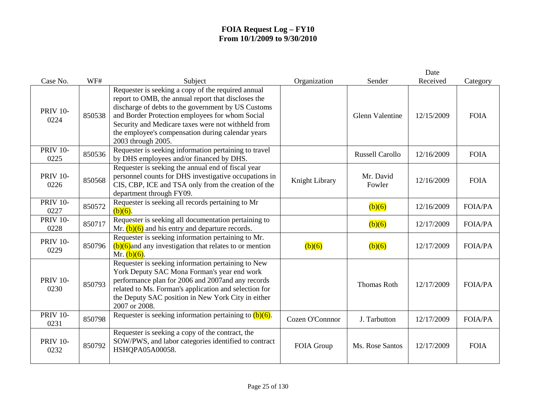| Case No.                | WF#    | Subject                                                                                                                                                                                                                                                                                                                                             | Organization    | Sender                 | Date<br>Received | Category       |
|-------------------------|--------|-----------------------------------------------------------------------------------------------------------------------------------------------------------------------------------------------------------------------------------------------------------------------------------------------------------------------------------------------------|-----------------|------------------------|------------------|----------------|
| <b>PRIV 10-</b><br>0224 | 850538 | Requester is seeking a copy of the required annual<br>report to OMB, the annual report that discloses the<br>discharge of debts to the government by US Customs<br>and Border Protection employees for whom Social<br>Security and Medicare taxes were not withheld from<br>the employee's compensation during calendar years<br>2003 through 2005. |                 | <b>Glenn Valentine</b> | 12/15/2009       | <b>FOIA</b>    |
| <b>PRIV 10-</b><br>0225 | 850536 | Requester is seeking information pertaining to travel<br>by DHS employees and/or financed by DHS.                                                                                                                                                                                                                                                   |                 | <b>Russell Carollo</b> | 12/16/2009       | <b>FOIA</b>    |
| <b>PRIV 10-</b><br>0226 | 850568 | Requester is seeking the annual end of fiscal year<br>personnel counts for DHS investigative occupations in<br>CIS, CBP, ICE and TSA only from the creation of the<br>department through FY09.                                                                                                                                                      | Knight Library  | Mr. David<br>Fowler    | 12/16/2009       | <b>FOIA</b>    |
| PRIV $10$ -<br>0227     | 850572 | Requester is seeking all records pertaining to Mr<br>$(b)(6)$ .                                                                                                                                                                                                                                                                                     |                 | (b)(6)                 | 12/16/2009       | <b>FOIA/PA</b> |
| <b>PRIV 10-</b><br>0228 | 850717 | Requester is seeking all documentation pertaining to<br>Mr. $(b)(6)$ and his entry and departure records.                                                                                                                                                                                                                                           |                 | (b)(6)                 | 12/17/2009       | <b>FOIA/PA</b> |
| <b>PRIV 10-</b><br>0229 | 850796 | Requester is seeking information pertaining to Mr.<br>$(b)(6)$ and any investigation that relates to or mention<br>Mr. $(b)(6)$ .                                                                                                                                                                                                                   | (b)(6)          | (b)(6)                 | 12/17/2009       | <b>FOIA/PA</b> |
| <b>PRIV 10-</b><br>0230 | 850793 | Requester is seeking information pertaining to New<br>York Deputy SAC Mona Forman's year end work<br>performance plan for 2006 and 2007and any records<br>related to Ms. Forman's application and selection for<br>the Deputy SAC position in New York City in either<br>2007 or 2008.                                                              |                 | <b>Thomas Roth</b>     | 12/17/2009       | <b>FOIA/PA</b> |
| <b>PRIV 10-</b><br>0231 | 850798 | Requester is seeking information pertaining to $(b)(6)$ .                                                                                                                                                                                                                                                                                           | Cozen O'Connnor | J. Tarbutton           | 12/17/2009       | <b>FOIA/PA</b> |
| <b>PRIV 10-</b><br>0232 | 850792 | Requester is seeking a copy of the contract, the<br>SOW/PWS, and labor categories identified to contract<br>HSHQPA05A00058.                                                                                                                                                                                                                         | FOIA Group      | Ms. Rose Santos        | 12/17/2009       | <b>FOIA</b>    |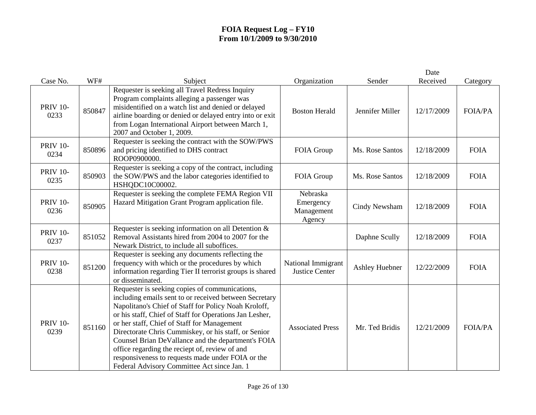|                         |        |                                                                                                                                                                                                                                                                                                                                                                                                                                                                                                                                                |                                               |                       | Date       |                |
|-------------------------|--------|------------------------------------------------------------------------------------------------------------------------------------------------------------------------------------------------------------------------------------------------------------------------------------------------------------------------------------------------------------------------------------------------------------------------------------------------------------------------------------------------------------------------------------------------|-----------------------------------------------|-----------------------|------------|----------------|
| Case No.                | WF#    | Subject                                                                                                                                                                                                                                                                                                                                                                                                                                                                                                                                        | Organization                                  | Sender                | Received   | Category       |
| <b>PRIV 10-</b><br>0233 | 850847 | Requester is seeking all Travel Redress Inquiry<br>Program complaints alleging a passenger was<br>misidentified on a watch list and denied or delayed<br>airline boarding or denied or delayed entry into or exit<br>from Logan International Airport between March 1,<br>2007 and October 1, 2009.                                                                                                                                                                                                                                            | <b>Boston Herald</b>                          | Jennifer Miller       | 12/17/2009 | <b>FOIA/PA</b> |
| <b>PRIV 10-</b><br>0234 | 850896 | Requester is seeking the contract with the SOW/PWS<br>and pricing identified to DHS contract<br>ROOP0900000.                                                                                                                                                                                                                                                                                                                                                                                                                                   | FOIA Group                                    | Ms. Rose Santos       | 12/18/2009 | <b>FOIA</b>    |
| <b>PRIV 10-</b><br>0235 | 850903 | Requester is seeking a copy of the contract, including<br>the SOW/PWS and the labor categories identified to<br>HSHQDC10C00002.                                                                                                                                                                                                                                                                                                                                                                                                                | FOIA Group                                    | Ms. Rose Santos       | 12/18/2009 | <b>FOIA</b>    |
| <b>PRIV 10-</b><br>0236 | 850905 | Requester is seeking the complete FEMA Region VII<br>Hazard Mitigation Grant Program application file.                                                                                                                                                                                                                                                                                                                                                                                                                                         | Nebraska<br>Emergency<br>Management<br>Agency | Cindy Newsham         | 12/18/2009 | <b>FOIA</b>    |
| <b>PRIV 10-</b><br>0237 | 851052 | Requester is seeking information on all Detention $\&$<br>Removal Assistants hired from 2004 to 2007 for the<br>Newark District, to include all suboffices.                                                                                                                                                                                                                                                                                                                                                                                    |                                               | Daphne Scully         | 12/18/2009 | <b>FOIA</b>    |
| <b>PRIV 10-</b><br>0238 | 851200 | Requester is seeking any documents reflecting the<br>frequency with which or the procedures by which<br>information regarding Tier II terrorist groups is shared<br>or disseminated.                                                                                                                                                                                                                                                                                                                                                           | National Immigrant<br><b>Justice Center</b>   | <b>Ashley Huebner</b> | 12/22/2009 | <b>FOIA</b>    |
| <b>PRIV 10-</b><br>0239 | 851160 | Requester is seeking copies of communications,<br>including emails sent to or received between Secretary<br>Napolitano's Chief of Staff for Policy Noah Kroloff,<br>or his staff, Chief of Staff for Operations Jan Lesher,<br>or her staff, Chief of Staff for Management<br>Directorate Chris Cummiskey, or his staff, or Senior<br>Counsel Brian DeVallance and the department's FOIA<br>office regarding the reciept of, review of and<br>responsiveness to requests made under FOIA or the<br>Federal Advisory Committee Act since Jan. 1 | <b>Associated Press</b>                       | Mr. Ted Bridis        | 12/21/2009 | <b>FOIA/PA</b> |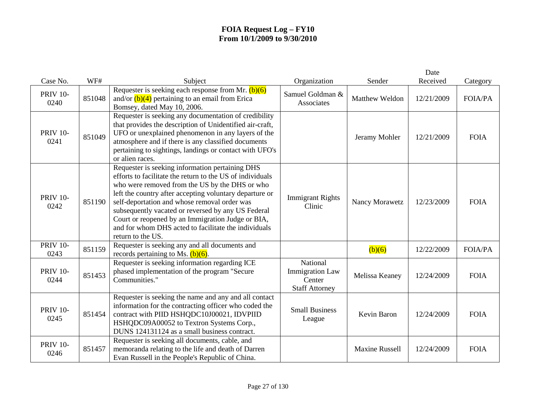|                         |        |                                                                                                                                                                                                                                                                                                                                                                                                                                                                   |                                                                       |                       | Date       |                |
|-------------------------|--------|-------------------------------------------------------------------------------------------------------------------------------------------------------------------------------------------------------------------------------------------------------------------------------------------------------------------------------------------------------------------------------------------------------------------------------------------------------------------|-----------------------------------------------------------------------|-----------------------|------------|----------------|
| Case No.                | WF#    | Subject                                                                                                                                                                                                                                                                                                                                                                                                                                                           | Organization                                                          | Sender                | Received   | Category       |
| <b>PRIV 10-</b><br>0240 | 851048 | Requester is seeking each response from Mr. $(b)(6)$<br>and/or $(b)(4)$ pertaining to an email from Erica<br>Bomsey, dated May 10, 2006.                                                                                                                                                                                                                                                                                                                          | Samuel Goldman &<br>Associates                                        | Matthew Weldon        | 12/21/2009 | <b>FOIA/PA</b> |
| <b>PRIV 10-</b><br>0241 | 851049 | Requester is seeking any documentation of credibility<br>that provides the description of Unidentified air-craft,<br>UFO or unexplained phenomenon in any layers of the<br>atmosphere and if there is any classified documents<br>pertaining to sightings, landings or contact with UFO's<br>or alien races.                                                                                                                                                      |                                                                       | Jeramy Mohler         | 12/21/2009 | <b>FOIA</b>    |
| <b>PRIV 10-</b><br>0242 | 851190 | Requester is seeking information pertaining DHS<br>efforts to facilitate the return to the US of individuals<br>who were removed from the US by the DHS or who<br>left the country after accepting voluntary departure or<br>self-deportation and whose removal order was<br>subsequently vacated or reversed by any US Federal<br>Court or reopened by an Immigration Judge or BIA,<br>and for whom DHS acted to facilitate the individuals<br>return to the US. | <b>Immigrant Rights</b><br>Clinic                                     | Nancy Morawetz        | 12/23/2009 | <b>FOIA</b>    |
| <b>PRIV 10-</b><br>0243 | 851159 | Requester is seeking any and all documents and<br>records pertaining to Ms. $(b)(6)$ .                                                                                                                                                                                                                                                                                                                                                                            |                                                                       | (b)(6)                | 12/22/2009 | <b>FOIA/PA</b> |
| <b>PRIV 10-</b><br>0244 | 851453 | Requester is seeking information regarding ICE<br>phased implementation of the program "Secure<br>Communities."                                                                                                                                                                                                                                                                                                                                                   | National<br><b>Immigration Law</b><br>Center<br><b>Staff Attorney</b> | Melissa Keaney        | 12/24/2009 | <b>FOIA</b>    |
| <b>PRIV 10-</b><br>0245 | 851454 | Requester is seeking the name and any and all contact<br>information for the contracting officer who coded the<br>contract with PIID HSHQDC10J00021, IDVPIID<br>HSHQDC09A00052 to Textron Systems Corp.,<br>DUNS 124131124 as a small business contract.                                                                                                                                                                                                          | <b>Small Business</b><br>League                                       | Kevin Baron           | 12/24/2009 | <b>FOIA</b>    |
| <b>PRIV 10-</b><br>0246 | 851457 | Requester is seeking all documents, cable, and<br>memoranda relating to the life and death of Darren<br>Evan Russell in the People's Republic of China.                                                                                                                                                                                                                                                                                                           |                                                                       | <b>Maxine Russell</b> | 12/24/2009 | <b>FOIA</b>    |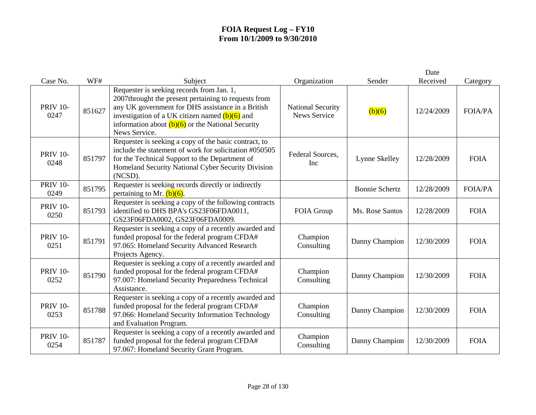| Case No.                | WF#    | Subject                                                                                                                                                                                                                                                                            | Organization                                    | Sender                | Date<br>Received | Category       |
|-------------------------|--------|------------------------------------------------------------------------------------------------------------------------------------------------------------------------------------------------------------------------------------------------------------------------------------|-------------------------------------------------|-----------------------|------------------|----------------|
| <b>PRIV 10-</b><br>0247 | 851627 | Requester is seeking records from Jan. 1,<br>2007throught the present pertaining to requests from<br>any UK government for DHS assistance in a British<br>investigation of a UK citizen named $(b)(6)$ and<br>information about $(b)(6)$ or the National Security<br>News Service. | <b>National Security</b><br><b>News Service</b> | (b)(6)                | 12/24/2009       | <b>FOIA/PA</b> |
| <b>PRIV 10-</b><br>0248 | 851797 | Requester is seeking a copy of the basic contract, to<br>include the statement of work for solicitation #050505<br>for the Technical Support to the Department of<br>Homeland Security National Cyber Security Division<br>(NCSD).                                                 | Federal Sources,<br>Inc                         | Lynne Skelley         | 12/28/2009       | <b>FOIA</b>    |
| <b>PRIV 10-</b><br>0249 | 851795 | Requester is seeking records directly or indirectly<br>pertaining to Mr. $(b)(6)$ .                                                                                                                                                                                                |                                                 | <b>Bonnie Schertz</b> | 12/28/2009       | <b>FOIA/PA</b> |
| <b>PRIV 10-</b><br>0250 | 851793 | Requester is seeking a copy of the following contracts<br>identified to DHS BPA's GS23F06FDA0011,<br>GS23F06FDA0002, GS23F06FDA0009.                                                                                                                                               | FOIA Group                                      | Ms. Rose Santos       | 12/28/2009       | <b>FOIA</b>    |
| <b>PRIV 10-</b><br>0251 | 851791 | Requester is seeking a copy of a recently awarded and<br>funded proposal for the federal program CFDA#<br>97.065: Homeland Security Advanced Research<br>Projects Agency.                                                                                                          | Champion<br>Consulting                          | Danny Champion        | 12/30/2009       | <b>FOIA</b>    |
| <b>PRIV 10-</b><br>0252 | 851790 | Requester is seeking a copy of a recently awarded and<br>funded proposal for the federal program CFDA#<br>97.007: Homeland Security Preparedness Technical<br>Assistance.                                                                                                          | Champion<br>Consulting                          | Danny Champion        | 12/30/2009       | <b>FOIA</b>    |
| <b>PRIV 10-</b><br>0253 | 851788 | Requester is seeking a copy of a recently awarded and<br>funded proposal for the federal program CFDA#<br>97.066: Homeland Security Information Technology<br>and Evaluation Program.                                                                                              | Champion<br>Consulting                          | Danny Champion        | 12/30/2009       | <b>FOIA</b>    |
| <b>PRIV 10-</b><br>0254 | 851787 | Requester is seeking a copy of a recently awarded and<br>funded proposal for the federal program CFDA#<br>97.067: Homeland Security Grant Program.                                                                                                                                 | Champion<br>Consulting                          | Danny Champion        | 12/30/2009       | <b>FOIA</b>    |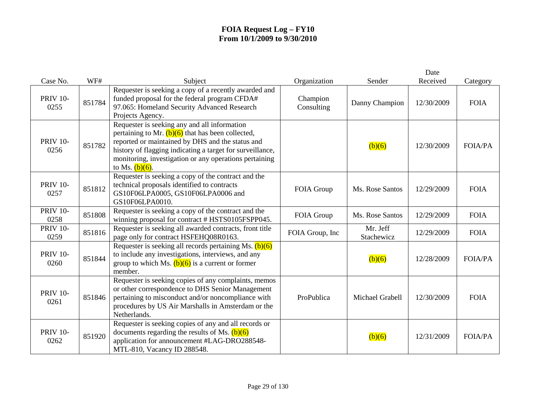|                         |        |                                                                                                                                                                                                                                                                                                     |                        |                        | Date       |                |
|-------------------------|--------|-----------------------------------------------------------------------------------------------------------------------------------------------------------------------------------------------------------------------------------------------------------------------------------------------------|------------------------|------------------------|------------|----------------|
| Case No.                | WF#    | Subject                                                                                                                                                                                                                                                                                             | Organization           | Sender                 | Received   | Category       |
| <b>PRIV 10-</b><br>0255 | 851784 | Requester is seeking a copy of a recently awarded and<br>funded proposal for the federal program CFDA#<br>97.065: Homeland Security Advanced Research<br>Projects Agency.                                                                                                                           | Champion<br>Consulting | Danny Champion         | 12/30/2009 | <b>FOIA</b>    |
| <b>PRIV 10-</b><br>0256 | 851782 | Requester is seeking any and all information<br>pertaining to Mr. $(b)(6)$ that has been collected,<br>reported or maintained by DHS and the status and<br>history of flagging indicating a target for surveillance,<br>monitoring, investigation or any operations pertaining<br>to Ms. $(b)(6)$ . |                        | (b)(6)                 | 12/30/2009 | <b>FOIA/PA</b> |
| <b>PRIV 10-</b><br>0257 | 851812 | Requester is seeking a copy of the contract and the<br>technical proposals identified to contracts<br>GS10F06LPA0005, GS10F06LPA0006 and<br>GS10F06LPA0010.                                                                                                                                         | FOIA Group             | Ms. Rose Santos        | 12/29/2009 | <b>FOIA</b>    |
| <b>PRIV 10-</b><br>0258 | 851808 | Requester is seeking a copy of the contract and the<br>winning proposal for contract # HSTS0105FSPP045.                                                                                                                                                                                             | FOIA Group             | Ms. Rose Santos        | 12/29/2009 | <b>FOIA</b>    |
| <b>PRIV 10-</b><br>0259 | 851816 | Requester is seeking all awarded contracts, front title<br>page only for contract HSFEHQ08R0163.                                                                                                                                                                                                    | FOIA Group, Inc        | Mr. Jeff<br>Stachewicz | 12/29/2009 | <b>FOIA</b>    |
| <b>PRIV 10-</b><br>0260 | 851844 | Requester is seeking all records pertaining Ms. $(b)(6)$<br>to include any investigations, interviews, and any<br>group to which Ms. $(b)(6)$ is a current or former<br>member.                                                                                                                     |                        | (b)(6)                 | 12/28/2009 | <b>FOIA/PA</b> |
| <b>PRIV 10-</b><br>0261 | 851846 | Requester is seeking copies of any complaints, memos<br>or other correspondence to DHS Senior Management<br>pertaining to misconduct and/or noncompliance with<br>procedures by US Air Marshalls in Amsterdam or the<br>Netherlands.                                                                | ProPublica             | Michael Grabell        | 12/30/2009 | <b>FOIA</b>    |
| <b>PRIV 10-</b><br>0262 | 851920 | Requester is seeking copies of any and all records or<br>documents regarding the results of Ms. $(b)(6)$<br>application for announcement #LAG-DRO288548-<br>MTL-810, Vacancy ID 288548.                                                                                                             |                        | (b)(6)                 | 12/31/2009 | <b>FOIA/PA</b> |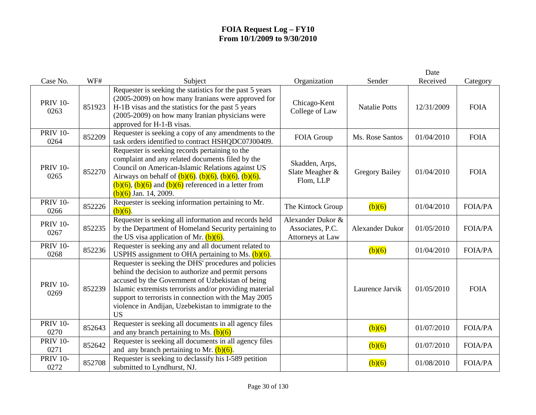| Case No.                | WF#    | Subject                                                                                                                                                                                                                                                                                                                                                   | Organization                                              | Sender                | Date<br>Received | Category       |
|-------------------------|--------|-----------------------------------------------------------------------------------------------------------------------------------------------------------------------------------------------------------------------------------------------------------------------------------------------------------------------------------------------------------|-----------------------------------------------------------|-----------------------|------------------|----------------|
| <b>PRIV 10-</b><br>0263 | 851923 | Requester is seeking the statistics for the past 5 years<br>(2005-2009) on how many Iranians were approved for<br>H-1B visas and the statistics for the past 5 years<br>(2005-2009) on how many Iranian physicians were<br>approved for H-1-B visas.                                                                                                      | Chicago-Kent<br>College of Law                            | <b>Natalie Potts</b>  | 12/31/2009       | <b>FOIA</b>    |
| <b>PRIV 10-</b><br>0264 | 852209 | Requester is seeking a copy of any amendments to the<br>task orders identified to contract HSHQDC07J00409.                                                                                                                                                                                                                                                | FOIA Group                                                | Ms. Rose Santos       | 01/04/2010       | <b>FOIA</b>    |
| <b>PRIV 10-</b><br>0265 | 852270 | Requester is seeking records pertaining to the<br>complaint and any related documents filed by the<br>Council on American-Islamic Relations against US<br>Airways on behalf of $(b)(6)$ . $(b)(6)$ , $(b)(6)$ , $(b)(6)$ ,<br>$(b)(6)$ , $(b)(6)$ and $(b)(6)$ referenced in a letter from<br>$(b)(6)$ Jan. 14, 2009.                                     | Skadden, Arps,<br>Slate Meagher &<br>Flom, LLP            | <b>Gregory Bailey</b> | 01/04/2010       | <b>FOIA</b>    |
| <b>PRIV 10-</b><br>0266 | 852226 | Requester is seeking information pertaining to Mr.<br>$(b)(6)$ .                                                                                                                                                                                                                                                                                          | The Kintock Group                                         | (b)(6)                | 01/04/2010       | <b>FOIA/PA</b> |
| <b>PRIV 10-</b><br>0267 | 852235 | Requester is seeking all information and records held<br>by the Department of Homeland Security pertaining to<br>the US visa application of Mr. $(b)(6)$ .                                                                                                                                                                                                | Alexander Dukor &<br>Associates, P.C.<br>Attorneys at Law | Alexander Dukor       | 01/05/2010       | <b>FOIA/PA</b> |
| <b>PRIV 10-</b><br>0268 | 852236 | Requester is seeking any and all document related to<br>USPHS assignment to OHA pertaining to Ms. $(b)(6)$ .                                                                                                                                                                                                                                              |                                                           | (b)(6)                | 01/04/2010       | <b>FOIA/PA</b> |
| <b>PRIV 10-</b><br>0269 | 852239 | Requester is seeking the DHS' procedures and policies<br>behind the decision to authorize and permit persons<br>accused by the Government of Uzbekistan of being<br>Islamic extremists terrorists and/or providing material<br>support to terrorists in connection with the May 2005<br>violence in Andijan, Uzebekistan to immigrate to the<br><b>US</b> |                                                           | Laurence Jarvik       | 01/05/2010       | <b>FOIA</b>    |
| <b>PRIV 10-</b><br>0270 | 852643 | Requester is seeking all documents in all agency files<br>and any branch pertaining to Ms. $(b)(6)$                                                                                                                                                                                                                                                       |                                                           | (b)(6)                | 01/07/2010       | FOIA/PA        |
| <b>PRIV 10-</b><br>0271 | 852642 | Requester is seeking all documents in all agency files<br>and any branch pertaining to Mr. $(b)(6)$ .                                                                                                                                                                                                                                                     |                                                           | (b)(6)                | 01/07/2010       | <b>FOIA/PA</b> |
| <b>PRIV 10-</b><br>0272 | 852708 | Requester is seeking to declassify his I-589 petition<br>submitted to Lyndhurst, NJ.                                                                                                                                                                                                                                                                      |                                                           | (b)(6)                | 01/08/2010       | <b>FOIA/PA</b> |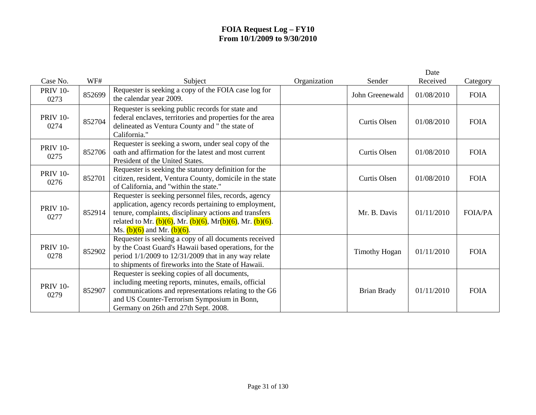|                         |        |                                                                                                                                                                                                                                                                                      |              |                      | Date       |                |
|-------------------------|--------|--------------------------------------------------------------------------------------------------------------------------------------------------------------------------------------------------------------------------------------------------------------------------------------|--------------|----------------------|------------|----------------|
| Case No.                | WF#    | Subject                                                                                                                                                                                                                                                                              | Organization | Sender               | Received   | Category       |
| <b>PRIV 10-</b><br>0273 | 852699 | Requester is seeking a copy of the FOIA case log for<br>the calendar year 2009.                                                                                                                                                                                                      |              | John Greenewald      | 01/08/2010 | <b>FOIA</b>    |
| <b>PRIV 10-</b><br>0274 | 852704 | Requester is seeking public records for state and<br>federal enclaves, territories and properties for the area<br>delineated as Ventura County and " the state of<br>California."                                                                                                    |              | Curtis Olsen         | 01/08/2010 | <b>FOIA</b>    |
| <b>PRIV 10-</b><br>0275 | 852706 | Requester is seeking a sworn, under seal copy of the<br>oath and affirmation for the latest and most current<br>President of the United States.                                                                                                                                      |              | Curtis Olsen         | 01/08/2010 | <b>FOIA</b>    |
| <b>PRIV 10-</b><br>0276 | 852701 | Requester is seeking the statutory definition for the<br>citizen, resident, Ventura County, domicile in the state<br>of California, and "within the state."                                                                                                                          |              | Curtis Olsen         | 01/08/2010 | <b>FOIA</b>    |
| <b>PRIV 10-</b><br>0277 | 852914 | Requester is seeking personnel files, records, agency<br>application, agency records pertaining to employment,<br>tenure, complaints, disciplinary actions and transfers<br>related to Mr. $(b)(6)$ , Mr. $(b)(6)$ , Mr $(b)(6)$ , Mr. $(b)(6)$ .<br>Ms. $(b)(6)$ and Mr. $(b)(6)$ . |              | Mr. B. Davis         | 01/11/2010 | <b>FOIA/PA</b> |
| <b>PRIV 10-</b><br>0278 | 852902 | Requester is seeking a copy of all documents received<br>by the Coast Guard's Hawaii based operations, for the<br>period $1/1/2009$ to $12/31/2009$ that in any way relate<br>to shipments of fireworks into the State of Hawaii.                                                    |              | <b>Timothy Hogan</b> | 01/11/2010 | <b>FOIA</b>    |
| <b>PRIV 10-</b><br>0279 | 852907 | Requester is seeking copies of all documents,<br>including meeting reports, minutes, emails, official<br>communications and representations relating to the G6<br>and US Counter-Terrorism Symposium in Bonn,<br>Germany on 26th and 27th Sept. 2008.                                |              | Brian Brady          | 01/11/2010 | <b>FOIA</b>    |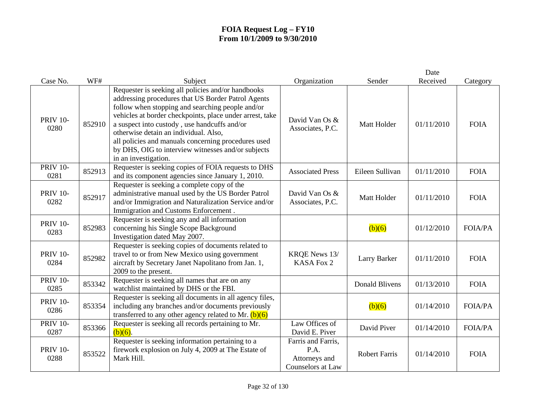|                         |        |                                                                                                                                                                                                                                                                                                                                                                                                                                                        |                                                                         |                      | Date       |                |
|-------------------------|--------|--------------------------------------------------------------------------------------------------------------------------------------------------------------------------------------------------------------------------------------------------------------------------------------------------------------------------------------------------------------------------------------------------------------------------------------------------------|-------------------------------------------------------------------------|----------------------|------------|----------------|
| Case No.                | WF#    | Subject                                                                                                                                                                                                                                                                                                                                                                                                                                                | Organization                                                            | Sender               | Received   | Category       |
| <b>PRIV 10-</b><br>0280 | 852910 | Requester is seeking all policies and/or handbooks<br>addressing procedures that US Border Patrol Agents<br>follow when stopping and searching people and/or<br>vehicles at border checkpoints, place under arrest, take<br>a suspect into custody, use handcuffs and/or<br>otherwise detain an individual. Also,<br>all policies and manuals concerning procedures used<br>by DHS, OIG to interview witnesses and/or subjects<br>in an investigation. | David Van Os &<br>Associates, P.C.                                      | Matt Holder          | 01/11/2010 | <b>FOIA</b>    |
| <b>PRIV 10-</b><br>0281 | 852913 | Requester is seeking copies of FOIA requests to DHS<br>and its component agencies since January 1, 2010.                                                                                                                                                                                                                                                                                                                                               | <b>Associated Press</b>                                                 | Eileen Sullivan      | 01/11/2010 | <b>FOIA</b>    |
| <b>PRIV 10-</b><br>0282 | 852917 | Requester is seeking a complete copy of the<br>administrative manual used by the US Border Patrol<br>and/or Immigration and Naturalization Service and/or<br>Immigration and Customs Enforcement.                                                                                                                                                                                                                                                      | David Van Os &<br>Associates, P.C.                                      | Matt Holder          | 01/11/2010 | <b>FOIA</b>    |
| <b>PRIV 10-</b><br>0283 | 852983 | Requester is seeking any and all information<br>concerning his Single Scope Background<br>Investigation dated May 2007.                                                                                                                                                                                                                                                                                                                                |                                                                         | (b)(6)               | 01/12/2010 | <b>FOIA/PA</b> |
| <b>PRIV 10-</b><br>0284 | 852982 | Requester is seeking copies of documents related to<br>travel to or from New Mexico using government<br>aircraft by Secretary Janet Napolitano from Jan. 1,<br>2009 to the present.                                                                                                                                                                                                                                                                    | <b>KRQE News 13/</b><br>KASA Fox 2                                      | Larry Barker         | 01/11/2010 | <b>FOIA</b>    |
| <b>PRIV 10-</b><br>0285 | 853342 | Requester is seeking all names that are on any<br>watchlist maintained by DHS or the FBI.                                                                                                                                                                                                                                                                                                                                                              |                                                                         | Donald Blivens       | 01/13/2010 | <b>FOIA</b>    |
| <b>PRIV 10-</b><br>0286 | 853354 | Requester is seeking all documents in all agency files,<br>including any branches and/or documents previously<br>transferred to any other agency related to Mr. $(b)(6)$                                                                                                                                                                                                                                                                               |                                                                         | (b)(6)               | 01/14/2010 | <b>FOIA/PA</b> |
| <b>PRIV 10-</b><br>0287 | 853366 | Requester is seeking all records pertaining to Mr.<br>$(b)(6)$ .                                                                                                                                                                                                                                                                                                                                                                                       | Law Offices of<br>David E. Piver                                        | David Piver          | 01/14/2010 | <b>FOIA/PA</b> |
| <b>PRIV 10-</b><br>0288 | 853522 | Requester is seeking information pertaining to a<br>firework explosion on July 4, 2009 at The Estate of<br>Mark Hill.                                                                                                                                                                                                                                                                                                                                  | Farris and Farris,<br>P.A.<br>Attorneys and<br><b>Counselors at Law</b> | <b>Robert Farris</b> | 01/14/2010 | <b>FOIA</b>    |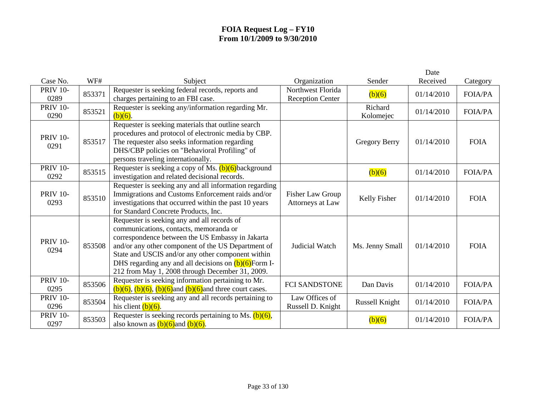|                         |        |                                                                                                                                                                                                                                                                                                                                                                    |                                              |                      | Date       |                |
|-------------------------|--------|--------------------------------------------------------------------------------------------------------------------------------------------------------------------------------------------------------------------------------------------------------------------------------------------------------------------------------------------------------------------|----------------------------------------------|----------------------|------------|----------------|
| Case No.                | WF#    | Subject                                                                                                                                                                                                                                                                                                                                                            | Organization                                 | Sender               | Received   | Category       |
| <b>PRIV 10-</b><br>0289 | 853371 | Requester is seeking federal records, reports and<br>charges pertaining to an FBI case.                                                                                                                                                                                                                                                                            | Northwest Florida<br><b>Reception Center</b> | (b)(6)               | 01/14/2010 | <b>FOIA/PA</b> |
| <b>PRIV 10-</b><br>0290 | 853521 | Requester is seeking any/information regarding Mr.<br>$(b)(6)$ .                                                                                                                                                                                                                                                                                                   |                                              | Richard<br>Kolomejec | 01/14/2010 | <b>FOIA/PA</b> |
| <b>PRIV 10-</b><br>0291 | 853517 | Requester is seeking materials that outline search<br>procedures and protocol of electronic media by CBP.<br>The requester also seeks information regarding<br>DHS/CBP policies on "Behavioral Profiling" of<br>persons traveling internationally.                                                                                                                 |                                              | <b>Gregory Berry</b> | 01/14/2010 | <b>FOIA</b>    |
| <b>PRIV 10-</b><br>0292 | 853515 | Requester is seeking a copy of Ms. $(b)(6)$ background<br>investigation and related decisional records.                                                                                                                                                                                                                                                            |                                              | (b)(6)               | 01/14/2010 | <b>FOIA/PA</b> |
| <b>PRIV 10-</b><br>0293 | 853510 | Requester is seeking any and all information regarding<br>Immigrations and Customs Enforcement raids and/or<br>investigations that occurred within the past 10 years<br>for Standard Concrete Products, Inc.                                                                                                                                                       | <b>Fisher Law Group</b><br>Attorneys at Law  | Kelly Fisher         | 01/14/2010 | <b>FOIA</b>    |
| <b>PRIV 10-</b><br>0294 | 853508 | Requester is seeking any and all records of<br>communications, contacts, memoranda or<br>correspondence between the US Embassy in Jakarta<br>and/or any other component of the US Department of<br>State and USCIS and/or any other component within<br>DHS regarding any and all decisions on $(b)(6)$ Form I-<br>212 from May 1, 2008 through December 31, 2009. | Judicial Watch                               | Ms. Jenny Small      | 01/14/2010 | <b>FOIA</b>    |
| <b>PRIV 10-</b><br>0295 | 853506 | Requester is seeking information pertaining to Mr.<br>$(b)(6)$ , $(b)(6)$ , $(b)(6)$ and $(b)(6)$ and three court cases.                                                                                                                                                                                                                                           | <b>FCI SANDSTONE</b>                         | Dan Davis            | 01/14/2010 | <b>FOIA/PA</b> |
| <b>PRIV 10-</b><br>0296 | 853504 | Requester is seeking any and all records pertaining to<br>his client $(b)(6)$ .                                                                                                                                                                                                                                                                                    | Law Offices of<br>Russell D. Knight          | Russell Knight       | 01/14/2010 | <b>FOIA/PA</b> |
| <b>PRIV 10-</b><br>0297 | 853503 | Requester is seeking records pertaining to Ms. $(b)(6)$ ,<br>also known as $(b)(6)$ and $(b)(6)$ .                                                                                                                                                                                                                                                                 |                                              | (b)(6)               | 01/14/2010 | <b>FOIA/PA</b> |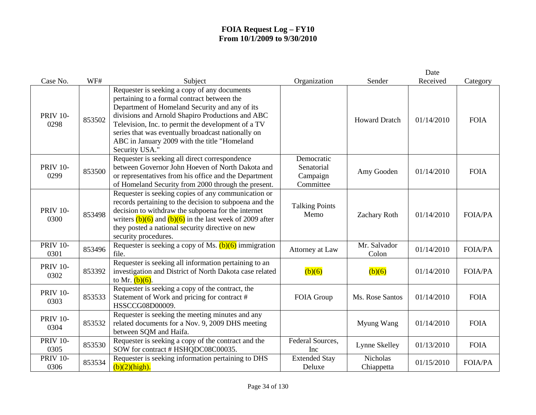|                         |        |                                                                                                                                                                                                                                                                                                                                                                                 |                                                   |                               | Date       |                |
|-------------------------|--------|---------------------------------------------------------------------------------------------------------------------------------------------------------------------------------------------------------------------------------------------------------------------------------------------------------------------------------------------------------------------------------|---------------------------------------------------|-------------------------------|------------|----------------|
| Case No.                | WF#    | Subject                                                                                                                                                                                                                                                                                                                                                                         | Organization                                      | Sender                        | Received   | Category       |
| <b>PRIV 10-</b><br>0298 | 853502 | Requester is seeking a copy of any documents<br>pertaining to a formal contract between the<br>Department of Homeland Security and any of its<br>divisions and Arnold Shapiro Productions and ABC<br>Television, Inc. to permit the development of a TV<br>series that was eventually broadcast nationally on<br>ABC in January 2009 with the title "Homeland<br>Security USA." |                                                   | <b>Howard Dratch</b>          | 01/14/2010 | <b>FOIA</b>    |
| <b>PRIV 10-</b><br>0299 | 853500 | Requester is seeking all direct correspondence<br>between Governor John Hoeven of North Dakota and<br>or representatives from his office and the Department<br>of Homeland Security from 2000 through the present.                                                                                                                                                              | Democratic<br>Senatorial<br>Campaign<br>Committee | Amy Gooden                    | 01/14/2010 | <b>FOIA</b>    |
| <b>PRIV 10-</b><br>0300 | 853498 | Requester is seeking copies of any communication or<br>records pertaining to the decision to subpoena and the<br>decision to withdraw the subpoena for the internet<br>writers $(b)(6)$ and $(b)(6)$ in the last week of 2009 after<br>they posted a national security directive on new<br>security procedures.                                                                 | <b>Talking Points</b><br>Memo                     | <b>Zachary Roth</b>           | 01/14/2010 | <b>FOIA/PA</b> |
| <b>PRIV 10-</b><br>0301 | 853496 | Requester is seeking a copy of Ms. $(b)(6)$ immigration<br>file.                                                                                                                                                                                                                                                                                                                | Attorney at Law                                   | Mr. Salvador<br>Colon         | 01/14/2010 | <b>FOIA/PA</b> |
| <b>PRIV 10-</b><br>0302 | 853392 | Requester is seeking all information pertaining to an<br>investigation and District of North Dakota case related<br>to Mr. $(b)(6)$ .                                                                                                                                                                                                                                           | (b)(6)                                            | (b)(6)                        | 01/14/2010 | <b>FOIA/PA</b> |
| <b>PRIV 10-</b><br>0303 | 853533 | Requester is seeking a copy of the contract, the<br>Statement of Work and pricing for contract #<br>HSSCCG08D00009.                                                                                                                                                                                                                                                             | FOIA Group                                        | Ms. Rose Santos               | 01/14/2010 | <b>FOIA</b>    |
| <b>PRIV 10-</b><br>0304 | 853532 | Requester is seeking the meeting minutes and any<br>related documents for a Nov. 9, 2009 DHS meeting<br>between SQM and Haifa.                                                                                                                                                                                                                                                  |                                                   | Myung Wang                    | 01/14/2010 | <b>FOIA</b>    |
| <b>PRIV 10-</b><br>0305 | 853530 | Requester is seeking a copy of the contract and the<br>SOW for contract # HSHQDC08C00035.                                                                                                                                                                                                                                                                                       | Federal Sources,<br>Inc                           | Lynne Skelley                 | 01/13/2010 | <b>FOIA</b>    |
| <b>PRIV 10-</b><br>0306 | 853534 | Requester is seeking information pertaining to DHS<br>(b)(2)(high).                                                                                                                                                                                                                                                                                                             | <b>Extended Stay</b><br>Deluxe                    | <b>Nicholas</b><br>Chiappetta | 01/15/2010 | <b>FOIA/PA</b> |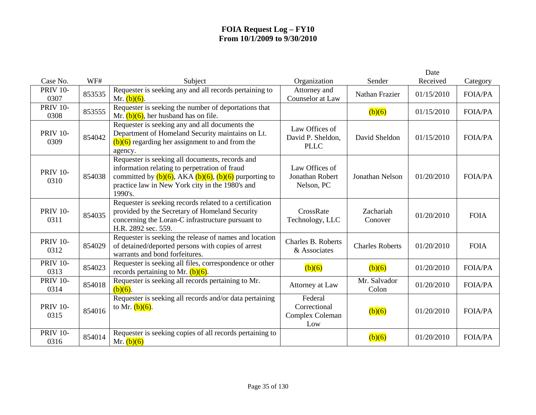|                         |        |                                                                                                                                                                                                                                 |                                                        |                        | Date       |                |
|-------------------------|--------|---------------------------------------------------------------------------------------------------------------------------------------------------------------------------------------------------------------------------------|--------------------------------------------------------|------------------------|------------|----------------|
| Case No.                | WF#    | Subject                                                                                                                                                                                                                         | Organization                                           | Sender                 | Received   | Category       |
| <b>PRIV 10-</b><br>0307 | 853535 | Requester is seeking any and all records pertaining to<br>Mr. $(b)(6)$ .                                                                                                                                                        | Attorney and<br>Counselor at Law                       | Nathan Frazier         | 01/15/2010 | <b>FOIA/PA</b> |
| <b>PRIV 10-</b><br>0308 | 853555 | Requester is seeking the number of deportations that<br>Mr. $(b)(6)$ , her husband has on file.                                                                                                                                 |                                                        | (b)(6)                 | 01/15/2010 | <b>FOIA/PA</b> |
| <b>PRIV 10-</b><br>0309 | 854042 | Requester is seeking any and all documents the<br>Department of Homeland Security maintains on Lt.<br>$(b)(6)$ regarding her assignment to and from the<br>agency.                                                              | Law Offices of<br>David P. Sheldon,<br><b>PLLC</b>     | David Sheldon          | 01/15/2010 | <b>FOIA/PA</b> |
| <b>PRIV 10-</b><br>0310 | 854038 | Requester is seeking all documents, records and<br>information relating to perpetration of fraud<br>committed by $(b)(6)$ , AKA $(b)(6)$ , $(b)(6)$ purporting to<br>practice law in New York city in the 1980's and<br>1990's. | Law Offices of<br><b>Jonathan Robert</b><br>Nelson, PC | <b>Jonathan Nelson</b> | 01/20/2010 | <b>FOIA/PA</b> |
| <b>PRIV 10-</b><br>0311 | 854035 | Requester is seeking records related to a certification<br>provided by the Secretary of Homeland Security<br>concerning the Loran-C infrastructure pursuant to<br>H.R. 2892 sec. 559.                                           | CrossRate<br>Technology, LLC                           | Zachariah<br>Conover   | 01/20/2010 | <b>FOIA</b>    |
| <b>PRIV 10-</b><br>0312 | 854029 | Requester is seeking the release of names and location<br>of detained/deported persons with copies of arrest<br>warrants and bond forfeitures.                                                                                  | Charles B. Roberts<br>& Associates                     | <b>Charles Roberts</b> | 01/20/2010 | <b>FOIA</b>    |
| <b>PRIV 10-</b><br>0313 | 854023 | Requester is seeking all files, correspondence or other<br>records pertaining to Mr. $(b)(6)$ .                                                                                                                                 | (b)(6)                                                 | (b)(6)                 | 01/20/2010 | <b>FOIA/PA</b> |
| <b>PRIV 10-</b><br>0314 | 854018 | Requester is seeking all records pertaining to Mr.<br>$(b)(6)$ .                                                                                                                                                                | Attorney at Law                                        | Mr. Salvador<br>Colon  | 01/20/2010 | <b>FOIA/PA</b> |
| <b>PRIV 10-</b><br>0315 | 854016 | Requester is seeking all records and/or data pertaining<br>to Mr. $(b)(6)$ .                                                                                                                                                    | Federal<br>Correctional<br>Complex Coleman<br>Low      | (b)(6)                 | 01/20/2010 | <b>FOIA/PA</b> |
| <b>PRIV 10-</b><br>0316 | 854014 | Requester is seeking copies of all records pertaining to<br>Mr. $(b)(6)$                                                                                                                                                        |                                                        | (b)(6)                 | 01/20/2010 | <b>FOIA/PA</b> |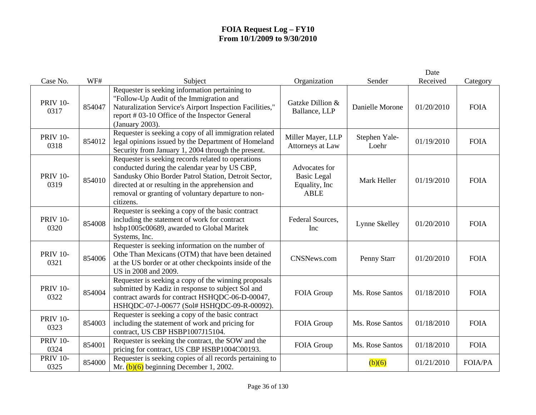|                         |        |                                                                                                                                                                                                                                                                                    |                                                                      |                        | Date       |                |
|-------------------------|--------|------------------------------------------------------------------------------------------------------------------------------------------------------------------------------------------------------------------------------------------------------------------------------------|----------------------------------------------------------------------|------------------------|------------|----------------|
| Case No.                | WF#    | Subject                                                                                                                                                                                                                                                                            | Organization                                                         | Sender                 | Received   | Category       |
| <b>PRIV 10-</b><br>0317 | 854047 | Requester is seeking information pertaining to<br>"Follow-Up Audit of the Immigration and<br>Naturalization Service's Airport Inspection Facilities,"<br>report # 03-10 Office of the Inspector General<br>(January 2003).                                                         | Gatzke Dillion &<br>Ballance, LLP                                    | Danielle Morone        | 01/20/2010 | <b>FOIA</b>    |
| <b>PRIV 10-</b><br>0318 | 854012 | Requester is seeking a copy of all immigration related<br>legal opinions issued by the Department of Homeland<br>Security from January 1, 2004 through the present.                                                                                                                | Miller Mayer, LLP<br>Attorneys at Law                                | Stephen Yale-<br>Loehr | 01/19/2010 | <b>FOIA</b>    |
| <b>PRIV 10-</b><br>0319 | 854010 | Requester is seeking records related to operations<br>conducted during the calendar year by US CBP,<br>Sandusky Ohio Border Patrol Station, Detroit Sector,<br>directed at or resulting in the apprehension and<br>removal or granting of voluntary departure to non-<br>citizens. | Advocates for<br><b>Basic Legal</b><br>Equality, Inc.<br><b>ABLE</b> | Mark Heller            | 01/19/2010 | <b>FOIA</b>    |
| <b>PRIV 10-</b><br>0320 | 854008 | Requester is seeking a copy of the basic contract<br>including the statement of work for contract<br>hsbp1005c00689, awarded to Global Maritek<br>Systems, Inc.                                                                                                                    | Federal Sources,<br>Inc                                              | Lynne Skelley          | 01/20/2010 | <b>FOIA</b>    |
| <b>PRIV 10-</b><br>0321 | 854006 | Requester is seeking information on the number of<br>Othe Than Mexicans (OTM) that have been detained<br>at the US border or at other checkpoints inside of the<br>US in 2008 and 2009.                                                                                            | CNSNews.com                                                          | Penny Starr            | 01/20/2010 | <b>FOIA</b>    |
| <b>PRIV 10-</b><br>0322 | 854004 | Requester is seeking a copy of the winning proposals<br>submitted by Kadiz in response to subject Sol and<br>contract awards for contract HSHQDC-06-D-00047,<br>HSHQDC-07-J-00677 (Sol# HSHQDC-09-R-00092).                                                                        | FOIA Group                                                           | Ms. Rose Santos        | 01/18/2010 | <b>FOIA</b>    |
| <b>PRIV 10-</b><br>0323 | 854003 | Requester is seeking a copy of the basic contract<br>including the statement of work and pricing for<br>contract, US CBP HSBP1007J15104.                                                                                                                                           | FOIA Group                                                           | Ms. Rose Santos        | 01/18/2010 | <b>FOIA</b>    |
| <b>PRIV 10-</b><br>0324 | 854001 | Requester is seeking the contract, the SOW and the<br>pricing for contract, US CBP HSBP1004C00193.                                                                                                                                                                                 | FOIA Group                                                           | Ms. Rose Santos        | 01/18/2010 | <b>FOIA</b>    |
| <b>PRIV 10-</b><br>0325 | 854000 | Requester is seeking copies of all records pertaining to<br>Mr. $(b)(6)$ beginning December 1, 2002.                                                                                                                                                                               |                                                                      | (b)(6)                 | 01/21/2010 | <b>FOIA/PA</b> |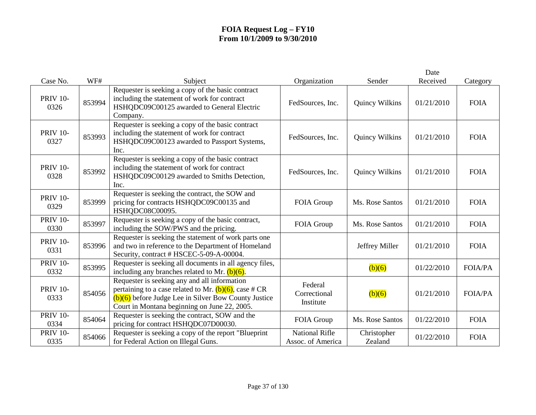|                         |        |                                                                                                                                                                                                                    |                                            |                        | Date       |                |
|-------------------------|--------|--------------------------------------------------------------------------------------------------------------------------------------------------------------------------------------------------------------------|--------------------------------------------|------------------------|------------|----------------|
| Case No.                | WF#    | Subject                                                                                                                                                                                                            | Organization                               | Sender                 | Received   | Category       |
| <b>PRIV 10-</b><br>0326 | 853994 | Requester is seeking a copy of the basic contract<br>including the statement of work for contract<br>HSHQDC09C00125 awarded to General Electric<br>Company.                                                        | FedSources, Inc.                           | Quincy Wilkins         | 01/21/2010 | <b>FOIA</b>    |
| <b>PRIV 10-</b><br>0327 | 853993 | Requester is seeking a copy of the basic contract<br>including the statement of work for contract<br>HSHQDC09C00123 awarded to Passport Systems,<br>Inc.                                                           | FedSources, Inc.                           | Quincy Wilkins         | 01/21/2010 | <b>FOIA</b>    |
| <b>PRIV 10-</b><br>0328 | 853992 | Requester is seeking a copy of the basic contract<br>including the statement of work for contract<br>HSHQDC09C00129 awarded to Smiths Detection,<br>Inc.                                                           | FedSources, Inc.                           | Quincy Wilkins         | 01/21/2010 | <b>FOIA</b>    |
| <b>PRIV 10-</b><br>0329 | 853999 | Requester is seeking the contract, the SOW and<br>pricing for contracts HSHQDC09C00135 and<br>HSHQDC08C00095.                                                                                                      | FOIA Group                                 | Ms. Rose Santos        | 01/21/2010 | <b>FOIA</b>    |
| <b>PRIV 10-</b><br>0330 | 853997 | Requester is seeking a copy of the basic contract,<br>including the SOW/PWS and the pricing.                                                                                                                       | FOIA Group                                 | Ms. Rose Santos        | 01/21/2010 | <b>FOIA</b>    |
| <b>PRIV 10-</b><br>0331 | 853996 | Requester is seeking the statement of work parts one<br>and two in reference to the Department of Homeland<br>Security, contract # HSCEC-5-09-A-00004.                                                             |                                            | Jeffrey Miller         | 01/21/2010 | <b>FOIA</b>    |
| <b>PRIV 10-</b><br>0332 | 853995 | Requester is seeking all documents in all agency files,<br>including any branches related to Mr. $(b)(6)$ .                                                                                                        |                                            | (b)(6)                 | 01/22/2010 | <b>FOIA/PA</b> |
| <b>PRIV 10-</b><br>0333 | 854056 | Requester is seeking any and all information<br>pertaining to a case related to Mr. $(b)(6)$ , case # CR<br>$(b)(6)$ before Judge Lee in Silver Bow County Justice<br>Court in Montana beginning on June 22, 2005. | Federal<br>Correctional<br>Institute       | (b)(6)                 | 01/21/2010 | <b>FOIA/PA</b> |
| <b>PRIV 10-</b><br>0334 | 854064 | Requester is seeking the contract, SOW and the<br>pricing for contract HSHQDC07D00030.                                                                                                                             | FOIA Group                                 | Ms. Rose Santos        | 01/22/2010 | <b>FOIA</b>    |
| <b>PRIV 10-</b><br>0335 | 854066 | Requester is seeking a copy of the report "Blueprint"<br>for Federal Action on Illegal Guns.                                                                                                                       | <b>National Rifle</b><br>Assoc. of America | Christopher<br>Zealand | 01/22/2010 | <b>FOIA</b>    |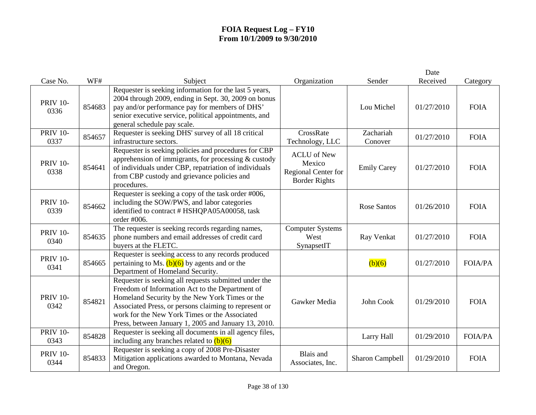| Case No.                | WF#    | Subject                                                                                                                                                                                                                                                                                                                      | Organization                                                                | Sender               | Date<br>Received | Category       |
|-------------------------|--------|------------------------------------------------------------------------------------------------------------------------------------------------------------------------------------------------------------------------------------------------------------------------------------------------------------------------------|-----------------------------------------------------------------------------|----------------------|------------------|----------------|
| <b>PRIV 10-</b><br>0336 | 854683 | Requester is seeking information for the last 5 years,<br>2004 through 2009, ending in Sept. 30, 2009 on bonus<br>pay and/or performance pay for members of DHS'<br>senior executive service, political appointments, and<br>general schedule pay scale.                                                                     |                                                                             | Lou Michel           | 01/27/2010       | <b>FOIA</b>    |
| <b>PRIV 10-</b><br>0337 | 854657 | Requester is seeking DHS' survey of all 18 critical<br>infrastructure sectors.                                                                                                                                                                                                                                               | CrossRate<br>Technology, LLC                                                | Zachariah<br>Conover | 01/27/2010       | <b>FOIA</b>    |
| <b>PRIV 10-</b><br>0338 | 854641 | Requester is seeking policies and procedures for CBP<br>apprehension of immigrants, for processing $&$ custody<br>of individuals under CBP, repatriation of individuals<br>from CBP custody and grievance policies and<br>procedures.                                                                                        | <b>ACLU</b> of New<br>Mexico<br>Regional Center for<br><b>Border Rights</b> | <b>Emily Carey</b>   | 01/27/2010       | <b>FOIA</b>    |
| <b>PRIV 10-</b><br>0339 | 854662 | Requester is seeking a copy of the task order #006,<br>including the SOW/PWS, and labor categories<br>identified to contract # HSHQPA05A00058, task<br>order #006.                                                                                                                                                           |                                                                             | <b>Rose Santos</b>   | 01/26/2010       | <b>FOIA</b>    |
| <b>PRIV 10-</b><br>0340 | 854635 | The requester is seeking records regarding names,<br>phone numbers and email addresses of credit card<br>buyers at the FLETC.                                                                                                                                                                                                | <b>Computer Systems</b><br>West<br>SynapsetIT                               | Ray Venkat           | 01/27/2010       | <b>FOIA</b>    |
| <b>PRIV 10-</b><br>0341 | 854665 | Requester is seeking access to any records produced<br>pertaining to Ms. $(b)(6)$ by agents and or the<br>Department of Homeland Security.                                                                                                                                                                                   |                                                                             | (b)(6)               | 01/27/2010       | FOIA/PA        |
| <b>PRIV 10-</b><br>0342 | 854821 | Requester is seeking all requests submitted under the<br>Freedom of Information Act to the Department of<br>Homeland Security by the New York Times or the<br>Associated Press, or persons claiming to represent or<br>work for the New York Times or the Associated<br>Press, between January 1, 2005 and January 13, 2010. | Gawker Media                                                                | John Cook            | 01/29/2010       | <b>FOIA</b>    |
| <b>PRIV 10-</b><br>0343 | 854828 | Requester is seeking all documents in all agency files,<br>including any branches related to $(b)(6)$                                                                                                                                                                                                                        |                                                                             | Larry Hall           | 01/29/2010       | <b>FOIA/PA</b> |
| <b>PRIV 10-</b><br>0344 | 854833 | Requester is seeking a copy of 2008 Pre-Disaster<br>Mitigation applications awarded to Montana, Nevada<br>and Oregon.                                                                                                                                                                                                        | Blais and<br>Associates, Inc.                                               | Sharon Campbell      | 01/29/2010       | <b>FOIA</b>    |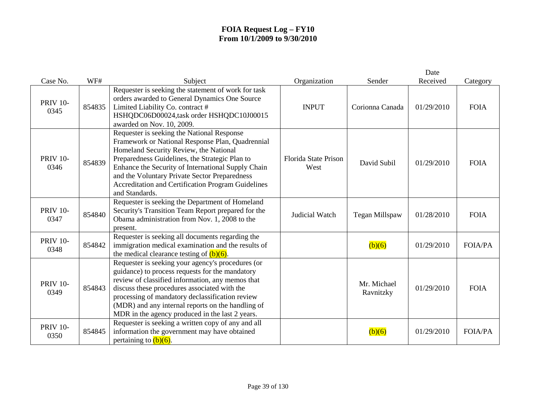|                         |        |                                                                                                                                                                                                                                                                                                                                                                           |                              |                          | Date       |                |
|-------------------------|--------|---------------------------------------------------------------------------------------------------------------------------------------------------------------------------------------------------------------------------------------------------------------------------------------------------------------------------------------------------------------------------|------------------------------|--------------------------|------------|----------------|
| Case No.                | WF#    | Subject                                                                                                                                                                                                                                                                                                                                                                   | Organization                 | Sender                   | Received   | Category       |
| <b>PRIV 10-</b><br>0345 | 854835 | Requester is seeking the statement of work for task<br>orders awarded to General Dynamics One Source<br>Limited Liability Co. contract #<br>HSHQDC06D00024,task order HSHQDC10J00015<br>awarded on Nov. 10, 2009.                                                                                                                                                         | <b>INPUT</b>                 | Corionna Canada          | 01/29/2010 | <b>FOIA</b>    |
| <b>PRIV 10-</b><br>0346 | 854839 | Requester is seeking the National Response<br>Framework or National Response Plan, Quadrennial<br>Homeland Security Review, the National<br>Preparedness Guidelines, the Strategic Plan to<br>Enhance the Security of International Supply Chain<br>and the Voluntary Private Sector Preparedness<br>Accreditation and Certification Program Guidelines<br>and Standards. | Florida State Prison<br>West | David Subil              | 01/29/2010 | <b>FOIA</b>    |
| <b>PRIV 10-</b><br>0347 | 854840 | Requester is seeking the Department of Homeland<br>Security's Transition Team Report prepared for the<br>Obama administration from Nov. 1, 2008 to the<br>present.                                                                                                                                                                                                        | Judicial Watch               | Tegan Millspaw           | 01/28/2010 | <b>FOIA</b>    |
| <b>PRIV 10-</b><br>0348 | 854842 | Requester is seeking all documents regarding the<br>immigration medical examination and the results of<br>the medical clearance testing of $(b)(6)$ .                                                                                                                                                                                                                     |                              | (b)(6)                   | 01/29/2010 | <b>FOIA/PA</b> |
| <b>PRIV 10-</b><br>0349 | 854843 | Requester is seeking your agency's procedures (or<br>guidance) to process requests for the mandatory<br>review of classified information, any memos that<br>discuss these procedures associated with the<br>processing of mandatory declassification review<br>(MDR) and any internal reports on the handling of<br>MDR in the agency produced in the last 2 years.       |                              | Mr. Michael<br>Ravnitzky | 01/29/2010 | <b>FOIA</b>    |
| <b>PRIV 10-</b><br>0350 | 854845 | Requester is seeking a written copy of any and all<br>information the government may have obtained<br>pertaining to $(b)(6)$ .                                                                                                                                                                                                                                            |                              | (b)(6)                   | 01/29/2010 | <b>FOIA/PA</b> |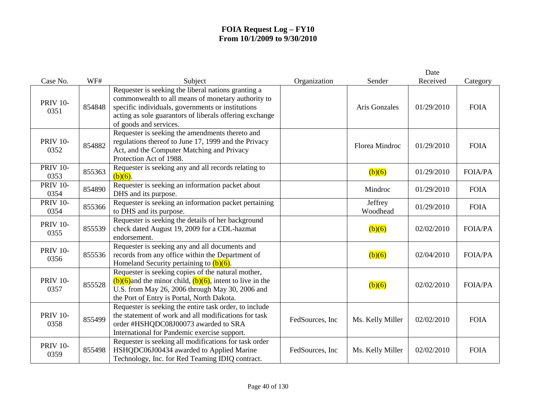| Case No.                | WF#    | Subject                                                                                                                                                                                                                                             | Organization    | Sender              | Date<br>Received | Category       |
|-------------------------|--------|-----------------------------------------------------------------------------------------------------------------------------------------------------------------------------------------------------------------------------------------------------|-----------------|---------------------|------------------|----------------|
| <b>PRIV 10-</b><br>0351 | 854848 | Requester is seeking the liberal nations granting a<br>commonwealth to all means of monetary authority to<br>specific individuals, governments or institutions<br>acting as sole guarantors of liberals offering exchange<br>of goods and services. |                 | Aris Gonzales       | 01/29/2010       | <b>FOIA</b>    |
| <b>PRIV 10-</b><br>0352 | 854882 | Requester is seeking the amendments thereto and<br>regulations thereof to June 17, 1999 and the Privacy<br>Act, and the Computer Matching and Privacy<br>Protection Act of 1988.                                                                    |                 | Florea Mindroc      | 01/29/2010       | <b>FOIA</b>    |
| <b>PRIV 10-</b><br>0353 | 855363 | Requester is seeking any and all records relating to<br>$(b)(6)$ .                                                                                                                                                                                  |                 | (b)(6)              | 01/29/2010       | <b>FOIA/PA</b> |
| <b>PRIV 10-</b><br>0354 | 854890 | Requester is seeking an information packet about<br>DHS and its purpose.                                                                                                                                                                            |                 | Mindroc             | 01/29/2010       | <b>FOIA</b>    |
| <b>PRIV 10-</b><br>0354 | 855366 | Requester is seeking an information packet pertaining<br>to DHS and its purpose.                                                                                                                                                                    |                 | Jeffrey<br>Woodhead | 01/29/2010       | <b>FOIA</b>    |
| <b>PRIV 10-</b><br>0355 | 855539 | Requester is seeking the details of her background<br>check dated August 19, 2009 for a CDL-hazmat<br>endorsement.                                                                                                                                  |                 | (b)(6)              | 02/02/2010       | <b>FOIA/PA</b> |
| <b>PRIV 10-</b><br>0356 | 855536 | Requester is seeking any and all documents and<br>records from any office within the Department of<br>Homeland Security pertaining to $(b)(6)$ .                                                                                                    |                 | (b)(6)              | 02/04/2010       | <b>FOIA/PA</b> |
| <b>PRIV 10-</b><br>0357 | 855528 | Requester is seeking copies of the natural mother,<br>$(b)(6)$ and the minor child, $(b)(6)$ , intent to live in the<br>U.S. from May 26, 2006 through May 30, 2006 and<br>the Port of Entry is Portal, North Dakota.                               |                 | (b)(6)              | 02/02/2010       | <b>FOIA/PA</b> |
| <b>PRIV 10-</b><br>0358 | 855499 | Requester is seeking the entire task order, to include<br>the statement of work and all modifications for task<br>order #HSHQDC08J00073 awarded to SRA<br>International for Pandemic exercise support.                                              | FedSources, Inc | Ms. Kelly Miller    | 02/02/2010       | <b>FOIA</b>    |
| <b>PRIV 10-</b><br>0359 | 855498 | Requester is seeking all modifications for task order<br>HSHQDC06J00434 awarded to Applied Marine<br>Technology, Inc. for Red Teaming IDIQ contract.                                                                                                | FedSources, Inc | Ms. Kelly Miller    | 02/02/2010       | <b>FOIA</b>    |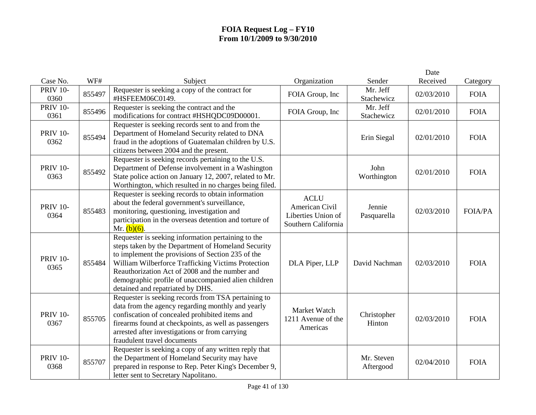|                         |        |                                                                                                                                                                                                                                                                                                                                                                  |                                                                            |                         | Date       |                |
|-------------------------|--------|------------------------------------------------------------------------------------------------------------------------------------------------------------------------------------------------------------------------------------------------------------------------------------------------------------------------------------------------------------------|----------------------------------------------------------------------------|-------------------------|------------|----------------|
| Case No.                | WF#    | Subject                                                                                                                                                                                                                                                                                                                                                          | Organization                                                               | Sender                  | Received   | Category       |
| <b>PRIV 10-</b><br>0360 | 855497 | Requester is seeking a copy of the contract for<br>#HSFEEM06C0149.                                                                                                                                                                                                                                                                                               | FOIA Group, Inc                                                            | Mr. Jeff<br>Stachewicz  | 02/03/2010 | <b>FOIA</b>    |
| <b>PRIV 10-</b><br>0361 | 855496 | Requester is seeking the contract and the<br>modifications for contract #HSHQDC09D00001.                                                                                                                                                                                                                                                                         | FOIA Group, Inc                                                            | Mr. Jeff<br>Stachewicz  | 02/01/2010 | <b>FOIA</b>    |
| <b>PRIV 10-</b><br>0362 | 855494 | Requester is seeking records sent to and from the<br>Department of Homeland Security related to DNA<br>fraud in the adoptions of Guatemalan children by U.S.<br>citizens between 2004 and the present.                                                                                                                                                           |                                                                            | Erin Siegal             | 02/01/2010 | <b>FOIA</b>    |
| <b>PRIV 10-</b><br>0363 | 855492 | Requester is seeking records pertaining to the U.S.<br>Department of Defense involvement in a Washington<br>State police action on January 12, 2007, related to Mr.<br>Worthington, which resulted in no charges being filed.                                                                                                                                    |                                                                            | John<br>Worthington     | 02/01/2010 | <b>FOIA</b>    |
| <b>PRIV 10-</b><br>0364 | 855483 | Requester is seeking records to obtain information<br>about the federal government's surveillance,<br>monitoring, questioning, investigation and<br>participation in the overseas detention and torture of<br>Mr. $(b)(6)$ .                                                                                                                                     | <b>ACLU</b><br>American Civil<br>Liberties Union of<br>Southern California | Jennie<br>Pasquarella   | 02/03/2010 | <b>FOIA/PA</b> |
| <b>PRIV 10-</b><br>0365 | 855484 | Requester is seeking information pertaining to the<br>steps taken by the Department of Homeland Security<br>to implement the provisions of Section 235 of the<br>William Wilberforce Trafficking Victims Protection<br>Reauthorization Act of 2008 and the number and<br>demographic profile of unaccompanied alien children<br>detained and repatriated by DHS. | DLA Piper, LLP                                                             | David Nachman           | 02/03/2010 | <b>FOIA</b>    |
| <b>PRIV 10-</b><br>0367 | 855705 | Requester is seeking records from TSA pertaining to<br>data from the agency regarding monthly and yearly<br>confiscation of concealed prohibited items and<br>firearms found at checkpoints, as well as passengers<br>arrested after investigations or from carrying<br>fraudulent travel documents                                                              | Market Watch<br>1211 Avenue of the<br>Americas                             | Christopher<br>Hinton   | 02/03/2010 | <b>FOIA</b>    |
| <b>PRIV 10-</b><br>0368 | 855707 | Requester is seeking a copy of any written reply that<br>the Department of Homeland Security may have<br>prepared in response to Rep. Peter King's December 9,<br>letter sent to Secretary Napolitano.                                                                                                                                                           |                                                                            | Mr. Steven<br>Aftergood | 02/04/2010 | <b>FOIA</b>    |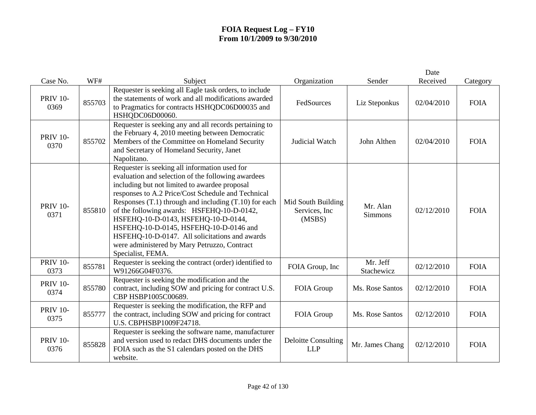|                         |        |                                                                                                                                                                                                                                                                                                                                                                                                                                                                                                                               |                                                |                        | Date       |             |
|-------------------------|--------|-------------------------------------------------------------------------------------------------------------------------------------------------------------------------------------------------------------------------------------------------------------------------------------------------------------------------------------------------------------------------------------------------------------------------------------------------------------------------------------------------------------------------------|------------------------------------------------|------------------------|------------|-------------|
| Case No.                | WF#    | Subject                                                                                                                                                                                                                                                                                                                                                                                                                                                                                                                       | Organization                                   | Sender                 | Received   | Category    |
| <b>PRIV 10-</b><br>0369 | 855703 | Requester is seeking all Eagle task orders, to include<br>the statements of work and all modifications awarded<br>to Pragmatics for contracts HSHQDC06D00035 and<br>HSHQDC06D00060.                                                                                                                                                                                                                                                                                                                                           | FedSources                                     | Liz Steponkus          | 02/04/2010 | <b>FOIA</b> |
| <b>PRIV 10-</b><br>0370 | 855702 | Requester is seeking any and all records pertaining to<br>the February 4, 2010 meeting between Democratic<br>Members of the Committee on Homeland Security<br>and Secretary of Homeland Security, Janet<br>Napolitano.                                                                                                                                                                                                                                                                                                        | Judicial Watch                                 | John Althen            | 02/04/2010 | <b>FOIA</b> |
| <b>PRIV 10-</b><br>0371 | 855810 | Requester is seeking all information used for<br>evaluation and selection of the following awardees<br>including but not limited to awardee proposal<br>responses to A.2 Price/Cost Schedule and Technical<br>Responses $(T.1)$ through and including $(T.10)$ for each<br>of the following awards: HSFEHQ-10-D-0142,<br>HSFEHQ-10-D-0143, HSFEHQ-10-D-0144,<br>HSFEHQ-10-D-0145, HSFEHQ-10-D-0146 and<br>HSFEHQ-10-D-0147. All solicitations and awards<br>were administered by Mary Petruzzo, Contract<br>Specialist, FEMA. | Mid South Building<br>Services, Inc.<br>(MSBS) | Mr. Alan<br>Simmons    | 02/12/2010 | <b>FOIA</b> |
| <b>PRIV 10-</b><br>0373 | 855781 | Requester is seeking the contract (order) identified to<br>W91266G04F0376.                                                                                                                                                                                                                                                                                                                                                                                                                                                    | FOIA Group, Inc                                | Mr. Jeff<br>Stachewicz | 02/12/2010 | <b>FOIA</b> |
| <b>PRIV 10-</b><br>0374 | 855780 | Requester is seeking the modification and the<br>contract, including SOW and pricing for contract U.S.<br>CBP HSBP1005C00689.                                                                                                                                                                                                                                                                                                                                                                                                 | FOIA Group                                     | Ms. Rose Santos        | 02/12/2010 | <b>FOIA</b> |
| <b>PRIV 10-</b><br>0375 | 855777 | Requester is seeking the modification, the RFP and<br>the contract, including SOW and pricing for contract<br>U.S. CBPHSBP1009F24718.                                                                                                                                                                                                                                                                                                                                                                                         | FOIA Group                                     | Ms. Rose Santos        | 02/12/2010 | <b>FOIA</b> |
| <b>PRIV 10-</b><br>0376 | 855828 | Requester is seeking the software name, manufacturer<br>and version used to redact DHS documents under the<br>FOIA such as the S1 calendars posted on the DHS<br>website.                                                                                                                                                                                                                                                                                                                                                     | <b>Deloitte Consulting</b><br><b>LLP</b>       | Mr. James Chang        | 02/12/2010 | <b>FOIA</b> |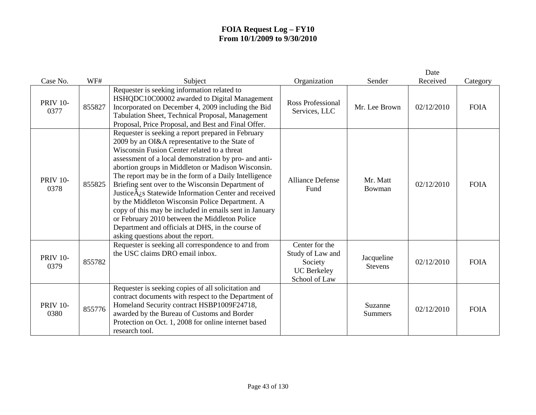|                         |        |                                                                                                                                                                                                                                                                                                                                                                                                                                                                                                                                                                                                                                                                                                                    |                                                                                      |                              | Date       |             |
|-------------------------|--------|--------------------------------------------------------------------------------------------------------------------------------------------------------------------------------------------------------------------------------------------------------------------------------------------------------------------------------------------------------------------------------------------------------------------------------------------------------------------------------------------------------------------------------------------------------------------------------------------------------------------------------------------------------------------------------------------------------------------|--------------------------------------------------------------------------------------|------------------------------|------------|-------------|
| Case No.                | WF#    | Subject                                                                                                                                                                                                                                                                                                                                                                                                                                                                                                                                                                                                                                                                                                            | Organization                                                                         | Sender                       | Received   | Category    |
| <b>PRIV 10-</b><br>0377 | 855827 | Requester is seeking information related to<br>HSHQDC10C00002 awarded to Digital Management<br>Incorporated on December 4, 2009 including the Bid<br>Tabulation Sheet, Technical Proposal, Management<br>Proposal, Price Proposal, and Best and Final Offer.                                                                                                                                                                                                                                                                                                                                                                                                                                                       | <b>Ross Professional</b><br>Services, LLC                                            | Mr. Lee Brown                | 02/12/2010 | <b>FOIA</b> |
| <b>PRIV 10-</b><br>0378 | 855825 | Requester is seeking a report prepared in February<br>2009 by an OI&A representative to the State of<br>Wisconsin Fusion Center related to a threat<br>assessment of a local demonstration by pro- and anti-<br>abortion groups in Middleton or Madison Wisconsin.<br>The report may be in the form of a Daily Intelligence<br>Briefing sent over to the Wisconsin Department of<br>Justice $\hat{A}_{\zeta}$ s Statewide Information Center and received<br>by the Middleton Wisconsin Police Department. A<br>copy of this may be included in emails sent in January<br>or February 2010 between the Middleton Police<br>Department and officials at DHS, in the course of<br>asking questions about the report. | <b>Alliance Defense</b><br>Fund                                                      | Mr. Matt<br>Bowman           | 02/12/2010 | <b>FOIA</b> |
| <b>PRIV 10-</b><br>0379 | 855782 | Requester is seeking all correspondence to and from<br>the USC claims DRO email inbox.                                                                                                                                                                                                                                                                                                                                                                                                                                                                                                                                                                                                                             | Center for the<br>Study of Law and<br>Society<br><b>UC</b> Berkeley<br>School of Law | Jacqueline<br><b>Stevens</b> | 02/12/2010 | <b>FOIA</b> |
| <b>PRIV 10-</b><br>0380 | 855776 | Requester is seeking copies of all solicitation and<br>contract documents with respect to the Department of<br>Homeland Security contract HSBP1009F24718,<br>awarded by the Bureau of Customs and Border<br>Protection on Oct. 1, 2008 for online internet based<br>research tool.                                                                                                                                                                                                                                                                                                                                                                                                                                 |                                                                                      | Suzanne<br><b>Summers</b>    | 02/12/2010 | <b>FOIA</b> |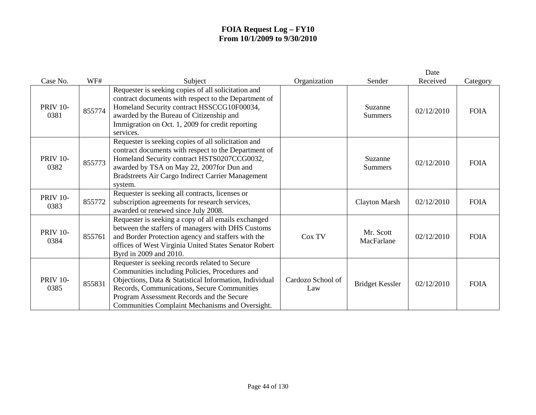| Case No.                | WF#    | Subject                                                                                                                                                                                                                                                                                                   | Organization             | Sender                    | Date<br>Received | Category    |
|-------------------------|--------|-----------------------------------------------------------------------------------------------------------------------------------------------------------------------------------------------------------------------------------------------------------------------------------------------------------|--------------------------|---------------------------|------------------|-------------|
| <b>PRIV 10-</b><br>0381 | 855774 | Requester is seeking copies of all solicitation and<br>contract documents with respect to the Department of<br>Homeland Security contract HSSCCG10F00034,<br>awarded by the Bureau of Citizenship and<br>Immigration on Oct. 1, 2009 for credit reporting<br>services.                                    |                          | Suzanne<br>Summers        | 02/12/2010       | <b>FOIA</b> |
| <b>PRIV 10-</b><br>0382 | 855773 | Requester is seeking copies of all solicitation and<br>contract documents with respect to the Department of<br>Homeland Security contract HSTS0207CCG0032,<br>awarded by TSA on May 22, 2007for Dun and<br>Bradstreets Air Cargo Indirect Carrier Management<br>system.                                   |                          | Suzanne<br><b>Summers</b> | 02/12/2010       | <b>FOIA</b> |
| <b>PRIV 10-</b><br>0383 | 855772 | Requester is seeking all contracts, licenses or<br>subscription agreements for research services,<br>awarded or renewed since July 2008.                                                                                                                                                                  |                          | <b>Clayton Marsh</b>      | 02/12/2010       | <b>FOIA</b> |
| <b>PRIV 10-</b><br>0384 | 855761 | Requester is seeking a copy of all emails exchanged<br>between the staffers of managers with DHS Customs<br>and Border Protection agency and staffers with the<br>offices of West Virginia United States Senator Robert<br>Byrd in 2009 and 2010.                                                         | Cox TV                   | Mr. Scott<br>MacFarlane   | 02/12/2010       | <b>FOIA</b> |
| <b>PRIV 10-</b><br>0385 | 855831 | Requester is seeking records related to Secure<br>Communities including Policies, Procedures and<br>Objections, Data & Statistical Information, Individual<br>Records, Communications, Secure Communities<br>Program Assessment Records and the Secure<br>Communities Complaint Mechanisms and Oversight. | Cardozo School of<br>Law | <b>Bridget Kessler</b>    | 02/12/2010       | <b>FOIA</b> |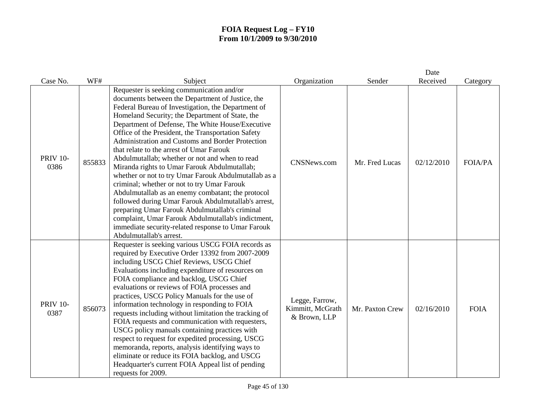|                         |        |                                                                                                                                                                                                                                                                                                                                                                                                                                                                                                                                                                                                                                                                                                                                                                                                                                                                                                                                |                                                    |                 | Date       |                |
|-------------------------|--------|--------------------------------------------------------------------------------------------------------------------------------------------------------------------------------------------------------------------------------------------------------------------------------------------------------------------------------------------------------------------------------------------------------------------------------------------------------------------------------------------------------------------------------------------------------------------------------------------------------------------------------------------------------------------------------------------------------------------------------------------------------------------------------------------------------------------------------------------------------------------------------------------------------------------------------|----------------------------------------------------|-----------------|------------|----------------|
| Case No.                | WF#    | Subject                                                                                                                                                                                                                                                                                                                                                                                                                                                                                                                                                                                                                                                                                                                                                                                                                                                                                                                        | Organization                                       | Sender          | Received   | Category       |
| <b>PRIV 10-</b><br>0386 | 855833 | Requester is seeking communication and/or<br>documents between the Department of Justice, the<br>Federal Bureau of Investigation, the Department of<br>Homeland Security; the Department of State, the<br>Department of Defense, The White House/Executive<br>Office of the President, the Transportation Safety<br>Administration and Customs and Border Protection<br>that relate to the arrest of Umar Farouk<br>Abdulmutallab; whether or not and when to read<br>Miranda rights to Umar Farouk Abdulmutallab;<br>whether or not to try Umar Farouk Abdulmutallab as a<br>criminal; whether or not to try Umar Farouk<br>Abdulmutallab as an enemy combatant; the protocol<br>followed during Umar Farouk Abdulmutallab's arrest,<br>preparing Umar Farouk Abdulmutallab's criminal<br>complaint, Umar Farouk Abdulmutallab's indictment,<br>immediate security-related response to Umar Farouk<br>Abdulmutallab's arrest. | <b>CNSNews.com</b>                                 | Mr. Fred Lucas  | 02/12/2010 | <b>FOIA/PA</b> |
| <b>PRIV 10-</b><br>0387 | 856073 | Requester is seeking various USCG FOIA records as<br>required by Executive Order 13392 from 2007-2009<br>including USCG Chief Reviews, USCG Chief<br>Evaluations including expenditure of resources on<br>FOIA compliance and backlog, USCG Chief<br>evaluations or reviews of FOIA processes and<br>practices, USCG Policy Manuals for the use of<br>information technology in responding to FOIA<br>requests including without limitation the tracking of<br>FOIA requests and communication with requesters,<br>USCG policy manuals containing practices with<br>respect to request for expedited processing, USCG<br>memoranda, reports, analysis identifying ways to<br>eliminate or reduce its FOIA backlog, and USCG<br>Headquarter's current FOIA Appeal list of pending<br>requests for 2009.                                                                                                                         | Legge, Farrow,<br>Kimmitt, McGrath<br>& Brown, LLP | Mr. Paxton Crew | 02/16/2010 | <b>FOIA</b>    |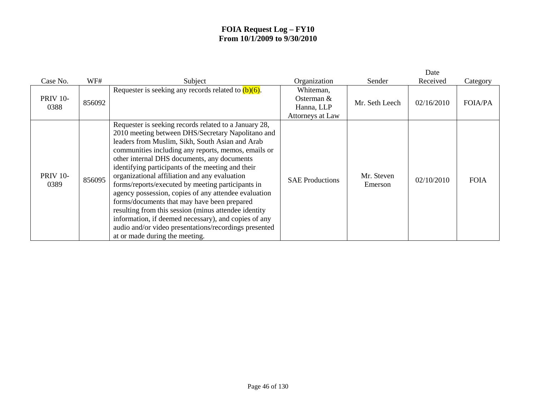|                         |        |                                                                                                                                                                                                                                                                                                                                                                                                                                                                                                                                                                                                                                                                                                                                                   |                                                             |                       | Date       |                |
|-------------------------|--------|---------------------------------------------------------------------------------------------------------------------------------------------------------------------------------------------------------------------------------------------------------------------------------------------------------------------------------------------------------------------------------------------------------------------------------------------------------------------------------------------------------------------------------------------------------------------------------------------------------------------------------------------------------------------------------------------------------------------------------------------------|-------------------------------------------------------------|-----------------------|------------|----------------|
| Case No.                | WF#    | Subject                                                                                                                                                                                                                                                                                                                                                                                                                                                                                                                                                                                                                                                                                                                                           | Organization                                                | Sender                | Received   | Category       |
| <b>PRIV 10-</b><br>0388 | 856092 | Requester is seeking any records related to $(b)(6)$ .                                                                                                                                                                                                                                                                                                                                                                                                                                                                                                                                                                                                                                                                                            | Whiteman,<br>Osterman $&$<br>Hanna, LLP<br>Attorneys at Law | Mr. Seth Leech        | 02/16/2010 | <b>FOIA/PA</b> |
| <b>PRIV 10-</b><br>0389 | 856095 | Requester is seeking records related to a January 28,<br>2010 meeting between DHS/Secretary Napolitano and<br>leaders from Muslim, Sikh, South Asian and Arab<br>communities including any reports, memos, emails or<br>other internal DHS documents, any documents<br>identifying participants of the meeting and their<br>organizational affiliation and any evaluation<br>forms/reports/executed by meeting participants in<br>agency possession, copies of any attendee evaluation<br>forms/documents that may have been prepared<br>resulting from this session (minus attendee identity)<br>information, if deemed necessary), and copies of any<br>audio and/or video presentations/recordings presented<br>at or made during the meeting. | <b>SAE Productions</b>                                      | Mr. Steven<br>Emerson | 02/10/2010 | <b>FOIA</b>    |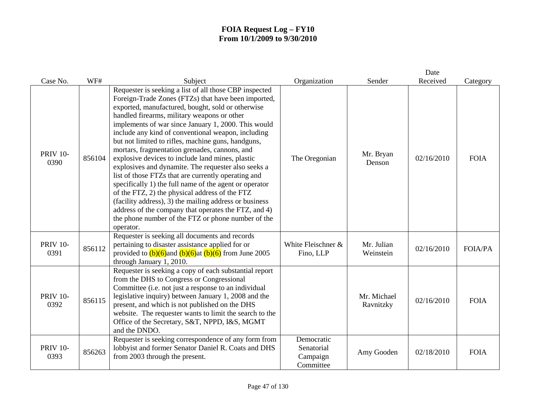|                         |        |                                                                                                                                                                                                                                                                                                                                                                                                                                                                                                                                                                                                                                                                                                                                                                                                                                                                                                          |                                                   |                          | Date       |                |
|-------------------------|--------|----------------------------------------------------------------------------------------------------------------------------------------------------------------------------------------------------------------------------------------------------------------------------------------------------------------------------------------------------------------------------------------------------------------------------------------------------------------------------------------------------------------------------------------------------------------------------------------------------------------------------------------------------------------------------------------------------------------------------------------------------------------------------------------------------------------------------------------------------------------------------------------------------------|---------------------------------------------------|--------------------------|------------|----------------|
| Case No.                | WF#    | Subject                                                                                                                                                                                                                                                                                                                                                                                                                                                                                                                                                                                                                                                                                                                                                                                                                                                                                                  | Organization                                      | Sender                   | Received   | Category       |
| <b>PRIV 10-</b><br>0390 | 856104 | Requester is seeking a list of all those CBP inspected<br>Foreign-Trade Zones (FTZs) that have been imported,<br>exported, manufactured, bought, sold or otherwise<br>handled firearms, military weapons or other<br>implements of war since January 1, 2000. This would<br>include any kind of conventional weapon, including<br>but not limited to rifles, machine guns, handguns,<br>mortars, fragmentation grenades, cannons, and<br>explosive devices to include land mines, plastic<br>explosives and dynamite. The requester also seeks a<br>list of those FTZs that are currently operating and<br>specifically 1) the full name of the agent or operator<br>of the FTZ, 2) the physical address of the FTZ<br>(facility address), 3) the mailing address or business<br>address of the company that operates the FTZ, and 4)<br>the phone number of the FTZ or phone number of the<br>operator. | The Oregonian                                     | Mr. Bryan<br>Denson      | 02/16/2010 | <b>FOIA</b>    |
| <b>PRIV 10-</b><br>0391 | 856112 | Requester is seeking all documents and records<br>pertaining to disaster assistance applied for or<br>provided to $(b)(6)$ and $(b)(6)$ at $(b)(6)$ from June 2005<br>through January 1, 2010.                                                                                                                                                                                                                                                                                                                                                                                                                                                                                                                                                                                                                                                                                                           | White Fleischner &<br>Fino, LLP                   | Mr. Julian<br>Weinstein  | 02/16/2010 | <b>FOIA/PA</b> |
| <b>PRIV 10-</b><br>0392 | 856115 | Requester is seeking a copy of each substantial report<br>from the DHS to Congress or Congressional<br>Committee (i.e. not just a response to an individual<br>legislative inquiry) between January 1, 2008 and the<br>present, and which is not published on the DHS<br>website. The requester wants to limit the search to the<br>Office of the Secretary, S&T, NPPD, I&S, MGMT<br>and the DNDO.                                                                                                                                                                                                                                                                                                                                                                                                                                                                                                       |                                                   | Mr. Michael<br>Ravnitzky | 02/16/2010 | <b>FOIA</b>    |
| <b>PRIV 10-</b><br>0393 | 856263 | Requester is seeking correspondence of any form from<br>lobbyist and former Senator Daniel R. Coats and DHS<br>from 2003 through the present.                                                                                                                                                                                                                                                                                                                                                                                                                                                                                                                                                                                                                                                                                                                                                            | Democratic<br>Senatorial<br>Campaign<br>Committee | Amy Gooden               | 02/18/2010 | <b>FOIA</b>    |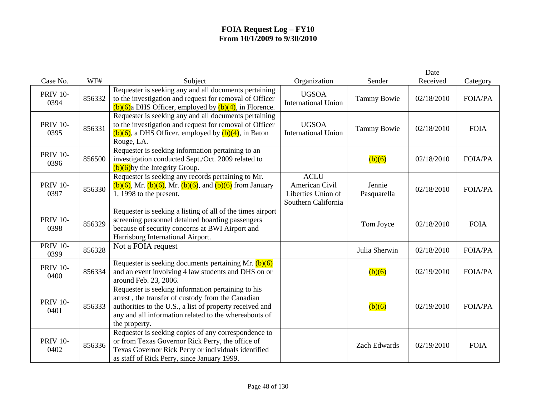|                         |        |                                                                                                                                                                                                                                               |                                                                            |                       | Date       |                |
|-------------------------|--------|-----------------------------------------------------------------------------------------------------------------------------------------------------------------------------------------------------------------------------------------------|----------------------------------------------------------------------------|-----------------------|------------|----------------|
| Case No.                | WF#    | Subject                                                                                                                                                                                                                                       | Organization                                                               | Sender                | Received   | Category       |
| <b>PRIV 10-</b><br>0394 | 856332 | Requester is seeking any and all documents pertaining<br>to the investigation and request for removal of Officer<br>$(b)(6)$ a DHS Officer, employed by $(b)(4)$ , in Florence.                                                               | <b>UGSOA</b><br><b>International Union</b>                                 | <b>Tammy Bowie</b>    | 02/18/2010 | <b>FOIA/PA</b> |
| <b>PRIV 10-</b><br>0395 | 856331 | Requester is seeking any and all documents pertaining<br>to the investigation and request for removal of Officer<br>$(b)(6)$ , a DHS Officer, employed by $(b)(4)$ , in Baton<br>Rouge, LA.                                                   | <b>UGSOA</b><br><b>International Union</b>                                 | <b>Tammy Bowie</b>    | 02/18/2010 | <b>FOIA</b>    |
| <b>PRIV 10-</b><br>0396 | 856500 | Requester is seeking information pertaining to an<br>investigation conducted Sept./Oct. 2009 related to<br>$(b)(6)$ by the Integrity Group.                                                                                                   |                                                                            | (b)(6)                | 02/18/2010 | <b>FOIA/PA</b> |
| <b>PRIV 10-</b><br>0397 | 856330 | Requester is seeking any records pertaining to Mr.<br>$(b)(6)$ , Mr. $(b)(6)$ , Mr. $(b)(6)$ , and $(b)(6)$ from January<br>$\overline{1, 1998}$ to the present.                                                                              | <b>ACLU</b><br>American Civil<br>Liberties Union of<br>Southern California | Jennie<br>Pasquarella | 02/18/2010 | <b>FOIA/PA</b> |
| <b>PRIV 10-</b><br>0398 | 856329 | Requester is seeking a listing of all of the times airport<br>screening personnel detained boarding passengers<br>because of security concerns at BWI Airport and<br>Harrisburg International Airport.                                        |                                                                            | Tom Joyce             | 02/18/2010 | <b>FOIA</b>    |
| <b>PRIV 10-</b><br>0399 | 856328 | Not a FOIA request                                                                                                                                                                                                                            |                                                                            | Julia Sherwin         | 02/18/2010 | <b>FOIA/PA</b> |
| <b>PRIV 10-</b><br>0400 | 856334 | Requester is seeking documents pertaining Mr. $(b)(6)$<br>and an event involving 4 law students and DHS on or<br>around Feb. 23, 2006.                                                                                                        |                                                                            | (b)(6)                | 02/19/2010 | <b>FOIA/PA</b> |
| <b>PRIV 10-</b><br>0401 | 856333 | Requester is seeking information pertaining to his<br>arrest, the transfer of custody from the Canadian<br>authorities to the U.S., a list of property received and<br>any and all information related to the whereabouts of<br>the property. |                                                                            | (b)(6)                | 02/19/2010 | <b>FOIA/PA</b> |
| <b>PRIV 10-</b><br>0402 | 856336 | Requester is seeking copies of any correspondence to<br>or from Texas Governor Rick Perry, the office of<br>Texas Governor Rick Perry or individuals identified<br>as staff of Rick Perry, since January 1999.                                |                                                                            | Zach Edwards          | 02/19/2010 | <b>FOIA</b>    |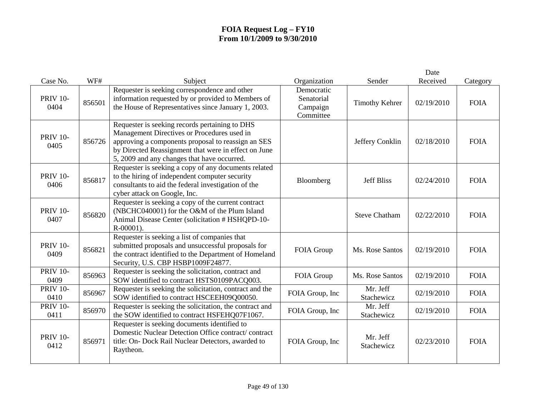|                         |        |                                                                                                                                                                                                                                                            |                                                   |                        | Date       |             |
|-------------------------|--------|------------------------------------------------------------------------------------------------------------------------------------------------------------------------------------------------------------------------------------------------------------|---------------------------------------------------|------------------------|------------|-------------|
| Case No.                | WF#    | Subject                                                                                                                                                                                                                                                    | Organization                                      | Sender                 | Received   | Category    |
| <b>PRIV 10-</b><br>0404 | 856501 | Requester is seeking correspondence and other<br>information requested by or provided to Members of<br>the House of Representatives since January 1, 2003.                                                                                                 | Democratic<br>Senatorial<br>Campaign<br>Committee | <b>Timothy Kehrer</b>  | 02/19/2010 | <b>FOIA</b> |
| <b>PRIV 10-</b><br>0405 | 856726 | Requester is seeking records pertaining to DHS<br>Management Directives or Procedures used in<br>approving a components proposal to reassign an SES<br>by Directed Reassignment that were in effect on June<br>5, 2009 and any changes that have occurred. |                                                   | Jeffery Conklin        | 02/18/2010 | <b>FOIA</b> |
| <b>PRIV 10-</b><br>0406 | 856817 | Requester is seeking a copy of any documents related<br>to the hiring of independent computer security<br>consultants to aid the federal investigation of the<br>cyber attack on Google, Inc.                                                              | Bloomberg                                         | <b>Jeff Bliss</b>      | 02/24/2010 | <b>FOIA</b> |
| <b>PRIV 10-</b><br>0407 | 856820 | Requester is seeking a copy of the current contract<br>(NBCHC040001) for the O&M of the Plum Island<br>Animal Disease Center (solicitation # HSHQPD-10-<br>$R - 00001$ ).                                                                                  |                                                   | <b>Steve Chatham</b>   | 02/22/2010 | <b>FOIA</b> |
| <b>PRIV 10-</b><br>0409 | 856821 | Requester is seeking a list of companies that<br>submitted proposals and unsuccessful proposals for<br>the contract identified to the Department of Homeland<br>Security, U.S. CBP HSBP1009F24877.                                                         | FOIA Group                                        | Ms. Rose Santos        | 02/19/2010 | <b>FOIA</b> |
| <b>PRIV 10-</b><br>0409 | 856963 | Requester is seeking the solicitation, contract and<br>SOW identified to contract HSTS0109PACQ003.                                                                                                                                                         | FOIA Group                                        | Ms. Rose Santos        | 02/19/2010 | <b>FOIA</b> |
| <b>PRIV 10-</b><br>0410 | 856967 | Requester is seeking the solicitation, contract and the<br>SOW identified to contract HSCEEH09Q00050.                                                                                                                                                      | FOIA Group, Inc                                   | Mr. Jeff<br>Stachewicz | 02/19/2010 | <b>FOIA</b> |
| <b>PRIV 10-</b><br>0411 | 856970 | Requester is seeking the solicitation, the contract and<br>the SOW identified to contract HSFEHQ07F1067.                                                                                                                                                   | FOIA Group, Inc                                   | Mr. Jeff<br>Stachewicz | 02/19/2010 | <b>FOIA</b> |
| <b>PRIV 10-</b><br>0412 | 856971 | Requester is seeking documents identified to<br>Domestic Nuclear Detection Office contract/contract<br>title: On- Dock Rail Nuclear Detectors, awarded to<br>Raytheon.                                                                                     | FOIA Group, Inc                                   | Mr. Jeff<br>Stachewicz | 02/23/2010 | <b>FOIA</b> |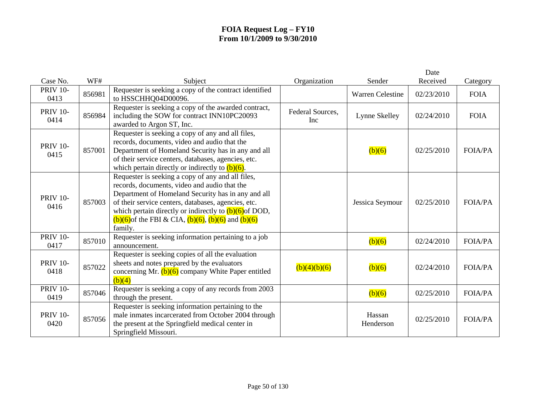|                         |        |                                                                                                                                                                                                                                                                                                                                                      |                         |                         | Date       |                |
|-------------------------|--------|------------------------------------------------------------------------------------------------------------------------------------------------------------------------------------------------------------------------------------------------------------------------------------------------------------------------------------------------------|-------------------------|-------------------------|------------|----------------|
| Case No.                | WF#    | Subject                                                                                                                                                                                                                                                                                                                                              | Organization            | Sender                  | Received   | Category       |
| <b>PRIV 10-</b><br>0413 | 856981 | Requester is seeking a copy of the contract identified<br>to HSSCHHQ04D00096.                                                                                                                                                                                                                                                                        |                         | <b>Warren Celestine</b> | 02/23/2010 | <b>FOIA</b>    |
| <b>PRIV 10-</b><br>0414 | 856984 | Requester is seeking a copy of the awarded contract,<br>including the SOW for contract INN10PC20093<br>awarded to Argon ST, Inc.                                                                                                                                                                                                                     | Federal Sources,<br>Inc | Lynne Skelley           | 02/24/2010 | <b>FOIA</b>    |
| <b>PRIV 10-</b><br>0415 | 857001 | Requester is seeking a copy of any and all files,<br>records, documents, video and audio that the<br>Department of Homeland Security has in any and all<br>of their service centers, databases, agencies, etc.<br>which pertain directly or indirectly to $(b)(6)$ .                                                                                 |                         | (b)(6)                  | 02/25/2010 | <b>FOIA/PA</b> |
| <b>PRIV 10-</b><br>0416 | 857003 | Requester is seeking a copy of any and all files,<br>records, documents, video and audio that the<br>Department of Homeland Security has in any and all<br>of their service centers, databases, agencies, etc.<br>which pertain directly or indirectly to $(b)(6)$ of DOD,<br>$(b)(6)$ of the FBI & CIA, $(b)(6)$ , $(b)(6)$ and $(b)(6)$<br>family. |                         | Jessica Seymour         | 02/25/2010 | <b>FOIA/PA</b> |
| <b>PRIV 10-</b><br>0417 | 857010 | Requester is seeking information pertaining to a job<br>announcement.                                                                                                                                                                                                                                                                                |                         | (b)(6)                  | 02/24/2010 | <b>FOIA/PA</b> |
| <b>PRIV 10-</b><br>0418 | 857022 | Requester is seeking copies of all the evaluation<br>sheets and notes prepared by the evaluators<br>concerning Mr. $(b)(6)$ company White Paper entitled<br>(b)(4)                                                                                                                                                                                   | (b)(4)(b)(6)            | (b)(6)                  | 02/24/2010 | <b>FOIA/PA</b> |
| <b>PRIV 10-</b><br>0419 | 857046 | Requester is seeking a copy of any records from 2003<br>through the present.                                                                                                                                                                                                                                                                         |                         | (b)(6)                  | 02/25/2010 | <b>FOIA/PA</b> |
| <b>PRIV 10-</b><br>0420 | 857056 | Requester is seeking information pertaining to the<br>male inmates incarcerated from October 2004 through<br>the present at the Springfield medical center in<br>Springfield Missouri.                                                                                                                                                               |                         | Hassan<br>Henderson     | 02/25/2010 | <b>FOIA/PA</b> |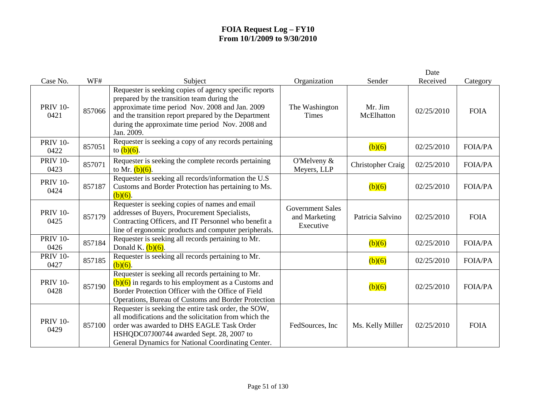|                         |        |                                                                                                                                                                                                                                                                                   |                                                       |                              | Date       |                |
|-------------------------|--------|-----------------------------------------------------------------------------------------------------------------------------------------------------------------------------------------------------------------------------------------------------------------------------------|-------------------------------------------------------|------------------------------|------------|----------------|
| Case No.                | WF#    | Subject                                                                                                                                                                                                                                                                           | Organization                                          | Sender                       | Received   | Category       |
| <b>PRIV 10-</b><br>0421 | 857066 | Requester is seeking copies of agency specific reports<br>prepared by the transition team during the<br>approximate time period Nov. 2008 and Jan. 2009<br>and the transition report prepared by the Department<br>during the approximate time period Nov. 2008 and<br>Jan. 2009. | The Washington<br>Times                               | Mr. Jim<br><b>McElhatton</b> | 02/25/2010 | <b>FOIA</b>    |
| <b>PRIV 10-</b><br>0422 | 857051 | Requester is seeking a copy of any records pertaining<br>to $(b)(6)$ .                                                                                                                                                                                                            |                                                       | (b)(6)                       | 02/25/2010 | <b>FOIA/PA</b> |
| <b>PRIV 10-</b><br>0423 | 857071 | Requester is seeking the complete records pertaining<br>to Mr. $(b)(6)$ .                                                                                                                                                                                                         | O'Melveny $&$<br>Meyers, LLP                          | Christopher Craig            | 02/25/2010 | <b>FOIA/PA</b> |
| <b>PRIV 10-</b><br>0424 | 857187 | Requester is seeking all records/information the U.S<br>Customs and Border Protection has pertaining to Ms.<br>$(b)(6)$ .                                                                                                                                                         |                                                       | (b)(6)                       | 02/25/2010 | <b>FOIA/PA</b> |
| <b>PRIV 10-</b><br>0425 | 857179 | Requester is seeking copies of names and email<br>addresses of Buyers, Procurement Specialists,<br>Contracting Officers, and IT Personnel who benefit a<br>line of ergonomic products and computer peripherals.                                                                   | <b>Government Sales</b><br>and Marketing<br>Executive | Patricia Salvino             | 02/25/2010 | <b>FOIA</b>    |
| <b>PRIV 10-</b><br>0426 | 857184 | Requester is seeking all records pertaining to Mr.<br>Donald K. $(b)(6)$ .                                                                                                                                                                                                        |                                                       | (b)(6)                       | 02/25/2010 | <b>FOIA/PA</b> |
| <b>PRIV 10-</b><br>0427 | 857185 | Requester is seeking all records pertaining to Mr.<br>$(b)(6)$ .                                                                                                                                                                                                                  |                                                       | (b)(6)                       | 02/25/2010 | <b>FOIA/PA</b> |
| <b>PRIV 10-</b><br>0428 | 857190 | Requester is seeking all records pertaining to Mr.<br>$(b)(6)$ in regards to his employment as a Customs and<br>Border Protection Officer with the Office of Field<br>Operations, Bureau of Customs and Border Protection                                                         |                                                       | (b)(6)                       | 02/25/2010 | <b>FOIA/PA</b> |
| <b>PRIV 10-</b><br>0429 | 857100 | Requester is seeking the entire task order, the SOW,<br>all modifications and the solicitation from which the<br>order was awarded to DHS EAGLE Task Order<br>HSHQDC07J00744 awarded Sept. 28, 2007 to<br>General Dynamics for National Coordinating Center.                      | FedSources, Inc.                                      | Ms. Kelly Miller             | 02/25/2010 | <b>FOIA</b>    |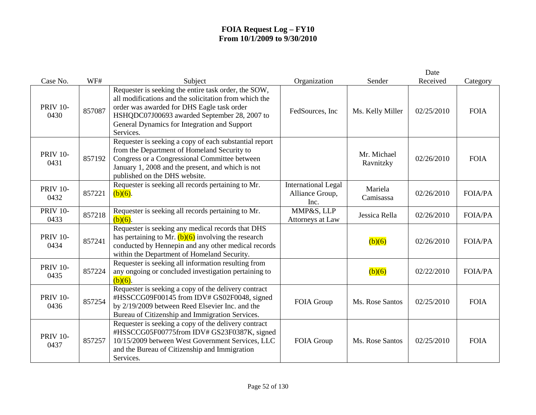|                         |        |                                                                                                                                                                                                                                                                          |                                                       |                          | Date       |                |
|-------------------------|--------|--------------------------------------------------------------------------------------------------------------------------------------------------------------------------------------------------------------------------------------------------------------------------|-------------------------------------------------------|--------------------------|------------|----------------|
| Case No.                | WF#    | Subject                                                                                                                                                                                                                                                                  | Organization                                          | Sender                   | Received   | Category       |
| <b>PRIV 10-</b><br>0430 | 857087 | Requester is seeking the entire task order, the SOW,<br>all modifications and the solicitation from which the<br>order was awarded for DHS Eagle task order<br>HSHQDC07J00693 awarded September 28, 2007 to<br>General Dynamics for Integration and Support<br>Services. | FedSources, Inc                                       | Ms. Kelly Miller         | 02/25/2010 | <b>FOIA</b>    |
| <b>PRIV 10-</b><br>0431 | 857192 | Requester is seeking a copy of each substantial report<br>from the Department of Homeland Security to<br>Congress or a Congressional Committee between<br>January 1, 2008 and the present, and which is not<br>published on the DHS website.                             |                                                       | Mr. Michael<br>Ravnitzky | 02/26/2010 | <b>FOIA</b>    |
| <b>PRIV 10-</b><br>0432 | 857221 | Requester is seeking all records pertaining to Mr.<br>$(b)(6)$ .                                                                                                                                                                                                         | <b>International Legal</b><br>Alliance Group,<br>Inc. | Mariela<br>Camisassa     | 02/26/2010 | <b>FOIA/PA</b> |
| <b>PRIV 10-</b><br>0433 | 857218 | Requester is seeking all records pertaining to Mr.<br>$(b)(6)$ .                                                                                                                                                                                                         | MMP&S, LLP<br>Attorneys at Law                        | Jessica Rella            | 02/26/2010 | <b>FOIA/PA</b> |
| <b>PRIV 10-</b><br>0434 | 857241 | Requester is seeking any medical records that DHS<br>has pertaining to Mr. $(b)(6)$ involving the research<br>conducted by Hennepin and any other medical records<br>within the Department of Homeland Security.                                                         |                                                       | (b)(6)                   | 02/26/2010 | <b>FOIA/PA</b> |
| <b>PRIV 10-</b><br>0435 | 857224 | Requester is seeking all information resulting from<br>any ongoing or concluded investigation pertaining to<br>$\overline{(b)}(6)$ .                                                                                                                                     |                                                       | (b)(6)                   | 02/22/2010 | <b>FOIA/PA</b> |
| <b>PRIV 10-</b><br>0436 | 857254 | Requester is seeking a copy of the delivery contract<br>#HSSCCG09F00145 from IDV# GS02F0048, signed<br>by 2/19/2009 between Reed Elsevier Inc. and the<br>Bureau of Citizenship and Immigration Services.                                                                | FOIA Group                                            | Ms. Rose Santos          | 02/25/2010 | <b>FOIA</b>    |
| <b>PRIV 10-</b><br>0437 | 857257 | Requester is seeking a copy of the delivery contract<br>#HSSCCG05F00775from IDV# GS23F0387K, signed<br>10/15/2009 between West Government Services, LLC<br>and the Bureau of Citizenship and Immigration<br>Services.                                                    | FOIA Group                                            | Ms. Rose Santos          | 02/25/2010 | <b>FOIA</b>    |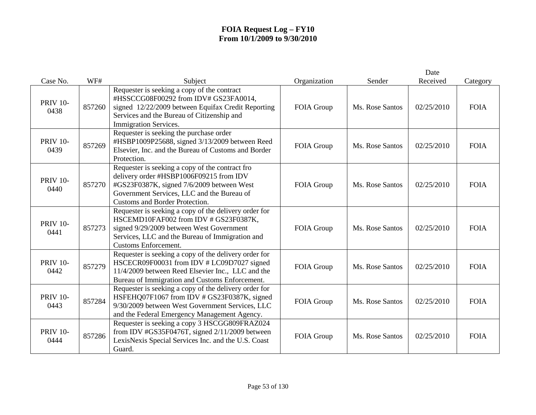|                         |        |                                                                                                                                                                                                                              |              |                 | Date       |             |
|-------------------------|--------|------------------------------------------------------------------------------------------------------------------------------------------------------------------------------------------------------------------------------|--------------|-----------------|------------|-------------|
| Case No.                | WF#    | Subject                                                                                                                                                                                                                      | Organization | Sender          | Received   | Category    |
| <b>PRIV 10-</b><br>0438 | 857260 | Requester is seeking a copy of the contract<br>#HSSCCG08F00292 from IDV# GS23FA0014,<br>signed 12/22/2009 between Equifax Credit Reporting<br>Services and the Bureau of Citizenship and<br><b>Immigration Services.</b>     | FOIA Group   | Ms. Rose Santos | 02/25/2010 | <b>FOIA</b> |
| <b>PRIV 10-</b><br>0439 | 857269 | Requester is seeking the purchase order<br>#HSBP1009P25688, signed 3/13/2009 between Reed<br>Elsevier, Inc. and the Bureau of Customs and Border<br>Protection.                                                              | FOIA Group   | Ms. Rose Santos | 02/25/2010 | <b>FOIA</b> |
| <b>PRIV 10-</b><br>0440 | 857270 | Requester is seeking a copy of the contract fro<br>delivery order #HSBP1006F09215 from IDV<br>#GS23F0387K, signed 7/6/2009 between West<br>Government Services, LLC and the Bureau of<br>Customs and Border Protection.      | FOIA Group   | Ms. Rose Santos | 02/25/2010 | <b>FOIA</b> |
| <b>PRIV 10-</b><br>0441 | 857273 | Requester is seeking a copy of the delivery order for<br>HSCEMD10FAF002 from IDV # GS23F0387K,<br>signed 9/29/2009 between West Government<br>Services, LLC and the Bureau of Immigration and<br><b>Customs Enforcement.</b> | FOIA Group   | Ms. Rose Santos | 02/25/2010 | <b>FOIA</b> |
| <b>PRIV 10-</b><br>0442 | 857279 | Requester is seeking a copy of the delivery order for<br>HSCECR09F00031 from IDV #LC09D7027 signed<br>11/4/2009 between Reed Elsevier Inc., LLC and the<br>Bureau of Immigration and Customs Enforcement.                    | FOIA Group   | Ms. Rose Santos | 02/25/2010 | <b>FOIA</b> |
| <b>PRIV 10-</b><br>0443 | 857284 | Requester is seeking a copy of the delivery order for<br>HSFEHQ07F1067 from IDV # GS23F0387K, signed<br>9/30/2009 between West Government Services, LLC<br>and the Federal Emergency Management Agency.                      | FOIA Group   | Ms. Rose Santos | 02/25/2010 | <b>FOIA</b> |
| <b>PRIV 10-</b><br>0444 | 857286 | Requester is seeking a copy 3 HSCGG809FRAZ024<br>from IDV #GS35F0476T, signed 2/11/2009 between<br>LexisNexis Special Services Inc. and the U.S. Coast<br>Guard.                                                             | FOIA Group   | Ms. Rose Santos | 02/25/2010 | <b>FOIA</b> |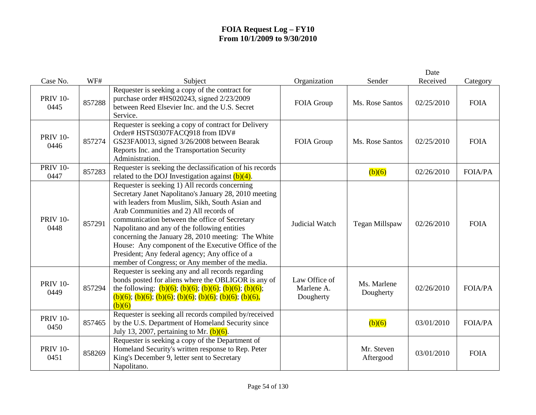|                         |        |                                                                                                                                                                                                                                                                                                                                                                                                                                                                                                                         |                                          |                          | Date       |                |
|-------------------------|--------|-------------------------------------------------------------------------------------------------------------------------------------------------------------------------------------------------------------------------------------------------------------------------------------------------------------------------------------------------------------------------------------------------------------------------------------------------------------------------------------------------------------------------|------------------------------------------|--------------------------|------------|----------------|
| Case No.                | WF#    | Subject                                                                                                                                                                                                                                                                                                                                                                                                                                                                                                                 | Organization                             | Sender                   | Received   | Category       |
| <b>PRIV 10-</b><br>0445 | 857288 | Requester is seeking a copy of the contract for<br>purchase order #HS020243, signed 2/23/2009<br>between Reed Elsevier Inc. and the U.S. Secret<br>Service.                                                                                                                                                                                                                                                                                                                                                             | FOIA Group                               | Ms. Rose Santos          | 02/25/2010 | <b>FOIA</b>    |
| <b>PRIV 10-</b><br>0446 | 857274 | Requester is seeking a copy of contract for Delivery<br>Order# HSTS0307FACQ918 from IDV#<br>GS23FA0013, signed 3/26/2008 between Bearak<br>Reports Inc. and the Transportation Security<br>Administration.                                                                                                                                                                                                                                                                                                              | FOIA Group                               | Ms. Rose Santos          | 02/25/2010 | <b>FOIA</b>    |
| <b>PRIV 10-</b><br>0447 | 857283 | Requester is seeking the declassification of his records<br>related to the DOJ Investigation against $(b)(4)$ .                                                                                                                                                                                                                                                                                                                                                                                                         |                                          | (b)(6)                   | 02/26/2010 | <b>FOIA/PA</b> |
| <b>PRIV 10-</b><br>0448 | 857291 | Requester is seeking 1) All records concerning<br>Secretary Janet Napolitano's January 28, 2010 meeting<br>with leaders from Muslim, Sikh, South Asian and<br>Arab Communities and 2) All records of<br>communication between the office of Secretary<br>Napolitano and any of the following entities<br>concerning the January 28, 2010 meeting: The White<br>House: Any component of the Executive Office of the<br>President; Any federal agency; Any office of a<br>member of Congress; or Any member of the media. | Judicial Watch                           | Tegan Millspaw           | 02/26/2010 | <b>FOIA</b>    |
| <b>PRIV 10-</b><br>0449 | 857294 | Requester is seeking any and all records regarding<br>bonds posted for aliens where the OBLIGOR is any of<br>the following: $(b)(6)$ ; $(b)(6)$ ; $(b)(6)$ ; $(b)(6)$ ; $(b)(6)$ ;<br>$(b)(6);$ $(b)(6);$ $(b)(6);$ $(b)(6);$ $(b)(6);$ $(b)(6);$ $(b)(6);$<br>(b)(6)                                                                                                                                                                                                                                                   | Law Office of<br>Marlene A.<br>Dougherty | Ms. Marlene<br>Dougherty | 02/26/2010 | <b>FOIA/PA</b> |
| <b>PRIV 10-</b><br>0450 | 857465 | Requester is seeking all records compiled by/received<br>by the U.S. Department of Homeland Security since<br>July 13, 2007, pertaining to Mr. $(b)(6)$ .                                                                                                                                                                                                                                                                                                                                                               |                                          | (b)(6)                   | 03/01/2010 | <b>FOIA/PA</b> |
| <b>PRIV 10-</b><br>0451 | 858269 | Requester is seeking a copy of the Department of<br>Homeland Security's written response to Rep. Peter<br>King's December 9, letter sent to Secretary<br>Napolitano.                                                                                                                                                                                                                                                                                                                                                    |                                          | Mr. Steven<br>Aftergood  | 03/01/2010 | <b>FOIA</b>    |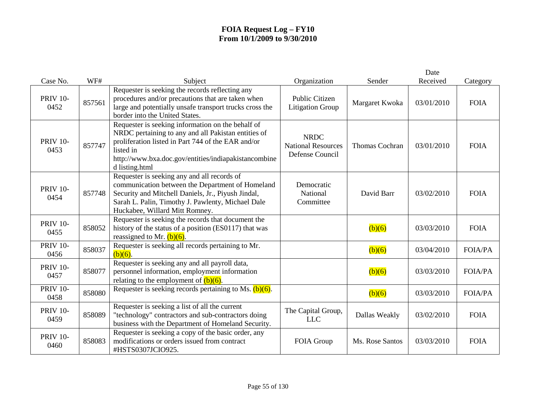|                         |        |                                                                                                                                                                                                                                                       |                                                             |                 | Date       |                |
|-------------------------|--------|-------------------------------------------------------------------------------------------------------------------------------------------------------------------------------------------------------------------------------------------------------|-------------------------------------------------------------|-----------------|------------|----------------|
| Case No.                | WF#    | Subject                                                                                                                                                                                                                                               | Organization                                                | Sender          | Received   | Category       |
| <b>PRIV 10-</b><br>0452 | 857561 | Requester is seeking the records reflecting any<br>procedures and/or precautions that are taken when<br>large and potentially unsafe transport trucks cross the<br>border into the United States.                                                     | Public Citizen<br><b>Litigation Group</b>                   | Margaret Kwoka  | 03/01/2010 | <b>FOIA</b>    |
| <b>PRIV 10-</b><br>0453 | 857747 | Requester is seeking information on the behalf of<br>NRDC pertaining to any and all Pakistan entities of<br>proliferation listed in Part 744 of the EAR and/or<br>listed in<br>http://www.bxa.doc.gov/entities/indiapakistancombine<br>d listing.html | <b>NRDC</b><br><b>National Resources</b><br>Defense Council | Thomas Cochran  | 03/01/2010 | <b>FOIA</b>    |
| <b>PRIV 10-</b><br>0454 | 857748 | Requester is seeking any and all records of<br>communication between the Department of Homeland<br>Security and Mitchell Daniels, Jr., Piyush Jindal,<br>Sarah L. Palin, Timothy J. Pawlenty, Michael Dale<br>Huckabee, Willard Mitt Romney.          | Democratic<br>National<br>Committee                         | David Barr      | 03/02/2010 | <b>FOIA</b>    |
| <b>PRIV 10-</b><br>0455 | 858052 | Requester is seeking the records that document the<br>history of the status of a position (ES0117) that was<br>reassigned to Mr. $(b)(6)$ .                                                                                                           |                                                             | (b)(6)          | 03/03/2010 | <b>FOIA</b>    |
| <b>PRIV 10-</b><br>0456 | 858037 | Requester is seeking all records pertaining to Mr.<br>$(b)(6)$ .                                                                                                                                                                                      |                                                             | (b)(6)          | 03/04/2010 | <b>FOIA/PA</b> |
| <b>PRIV 10-</b><br>0457 | 858077 | Requester is seeking any and all payroll data,<br>personnel information, employment information<br>relating to the employment of $(b)(6)$ .                                                                                                           |                                                             | (b)(6)          | 03/03/2010 | <b>FOIA/PA</b> |
| <b>PRIV 10-</b><br>0458 | 858080 | Requester is seeking records pertaining to Ms. $(b)(6)$ .                                                                                                                                                                                             |                                                             | (b)(6)          | 03/03/2010 | <b>FOIA/PA</b> |
| <b>PRIV 10-</b><br>0459 | 858089 | Requester is seeking a list of all the current<br>"technology" contractors and sub-contractors doing<br>business with the Department of Homeland Security.                                                                                            | The Capital Group,<br><b>LLC</b>                            | Dallas Weakly   | 03/02/2010 | <b>FOIA</b>    |
| <b>PRIV 10-</b><br>0460 | 858083 | Requester is seeking a copy of the basic order, any<br>modifications or orders issued from contract<br>#HSTS0307JCIO925.                                                                                                                              | FOIA Group                                                  | Ms. Rose Santos | 03/03/2010 | <b>FOIA</b>    |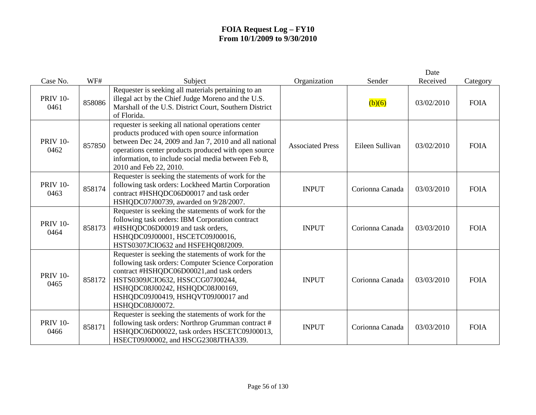| Case No.                | WF#    | Subject                                                                                                                                                                                                                                                                                                 | Organization            | Sender          | Date<br>Received | Category    |
|-------------------------|--------|---------------------------------------------------------------------------------------------------------------------------------------------------------------------------------------------------------------------------------------------------------------------------------------------------------|-------------------------|-----------------|------------------|-------------|
| <b>PRIV 10-</b><br>0461 | 858086 | Requester is seeking all materials pertaining to an<br>illegal act by the Chief Judge Moreno and the U.S.<br>Marshall of the U.S. District Court, Southern District<br>of Florida.                                                                                                                      |                         | (b)(6)          | 03/02/2010       | <b>FOIA</b> |
| <b>PRIV 10-</b><br>0462 | 857850 | requester is seeking all national operations center<br>products produced with open source information<br>between Dec 24, 2009 and Jan 7, 2010 and all national<br>operations center products produced with open source<br>information, to include social media between Feb 8,<br>2010 and Feb 22, 2010. | <b>Associated Press</b> | Eileen Sullivan | 03/02/2010       | <b>FOIA</b> |
| <b>PRIV 10-</b><br>0463 | 858174 | Requester is seeking the statements of work for the<br>following task orders: Lockheed Martin Corporation<br>contract #HSHQDC06D00017 and task order<br>HSHQDC07J00739, awarded on 9/28/2007.                                                                                                           | <b>INPUT</b>            | Corionna Canada | 03/03/2010       | <b>FOIA</b> |
| <b>PRIV 10-</b><br>0464 | 858173 | Requester is seeking the statements of work for the<br>following task orders: IBM Corporation contract<br>#HSHQDC06D00019 and task orders,<br>HSHQDC09J00001, HSCETC09J00016,<br>HSTS0307JCIO632 and HSFEHQ08J2009.                                                                                     | <b>INPUT</b>            | Corionna Canada | 03/03/2010       | <b>FOIA</b> |
| <b>PRIV 10-</b><br>0465 | 858172 | Requester is seeking the statements of work for the<br>following task orders: Computer Science Corporation<br>contract #HSHQDC06D00021, and task orders<br>HSTS0309JCIO632, HSSCCG07J00244,<br>HSHQDC08J00242, HSHQDC08J00169,<br>HSHQDC09J00419, HSHQVT09J00017 and<br>HSHQDC08J00072.                 | <b>INPUT</b>            | Corionna Canada | 03/03/2010       | <b>FOIA</b> |
| <b>PRIV 10-</b><br>0466 | 858171 | Requester is seeking the statements of work for the<br>following task orders: Northrop Grumman contract #<br>HSHQDC06D00022, task orders HSCETC09J00013,<br>HSECT09J00002, and HSCG2308JTHA339.                                                                                                         | <b>INPUT</b>            | Corionna Canada | 03/03/2010       | <b>FOIA</b> |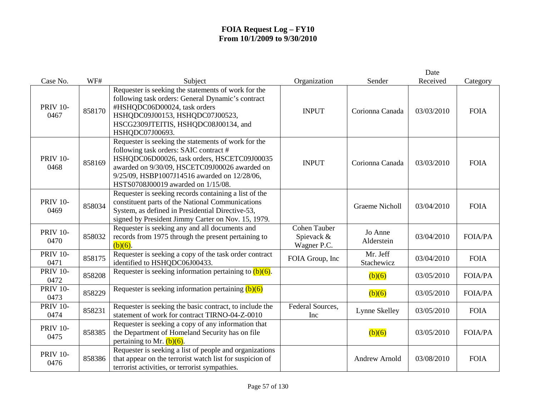|                         |        |                                                                                                                                                                                                                                                                                     |                                                  |                        | Date       |                |
|-------------------------|--------|-------------------------------------------------------------------------------------------------------------------------------------------------------------------------------------------------------------------------------------------------------------------------------------|--------------------------------------------------|------------------------|------------|----------------|
| Case No.                | WF#    | Subject                                                                                                                                                                                                                                                                             | Organization                                     | Sender                 | Received   | Category       |
| <b>PRIV 10-</b><br>0467 | 858170 | Requester is seeking the statements of work for the<br>following task orders: General Dynamic's contract<br>#HSHQDC06D00024, task orders<br>HSHQDC09J00153, HSHQDC07J00523,<br>HSCG2309JTEITIS, HSHQDC08J00134, and<br>HSHQDC07J00693.                                              | <b>INPUT</b>                                     | Corionna Canada        | 03/03/2010 | <b>FOIA</b>    |
| <b>PRIV 10-</b><br>0468 | 858169 | Requester is seeking the statements of work for the<br>following task orders: SAIC contract #<br>HSHQDC06D00026, task orders, HSCETC09J00035<br>awarded on 9/30/09, HSCETC09J00026 awarded on<br>9/25/09, HSBP1007J14516 awarded on 12/28/06,<br>HSTS0708J00019 awarded on 1/15/08. | <b>INPUT</b>                                     | Corionna Canada        | 03/03/2010 | <b>FOIA</b>    |
| <b>PRIV 10-</b><br>0469 | 858034 | Requester is seeking records containing a list of the<br>constituent parts of the National Communications<br>System, as defined in Presidential Directive-53,<br>signed by President Jimmy Carter on Nov. 15, 1979.                                                                 |                                                  | <b>Graeme Nicholl</b>  | 03/04/2010 | <b>FOIA</b>    |
| <b>PRIV 10-</b><br>0470 | 858032 | Requester is seeking any and all documents and<br>records from 1975 through the present pertaining to<br>$(b)(6)$ .                                                                                                                                                                 | <b>Cohen Tauber</b><br>Spievack &<br>Wagner P.C. | Jo Anne<br>Alderstein  | 03/04/2010 | <b>FOIA/PA</b> |
| <b>PRIV 10-</b><br>0471 | 858175 | Requester is seeking a copy of the task order contract<br>identified to HSHQDC06J00433.                                                                                                                                                                                             | FOIA Group, Inc                                  | Mr. Jeff<br>Stachewicz | 03/04/2010 | <b>FOIA</b>    |
| <b>PRIV 10-</b><br>0472 | 858208 | Requester is seeking information pertaining to $(b)(6)$ .                                                                                                                                                                                                                           |                                                  | (b)(6)                 | 03/05/2010 | <b>FOIA/PA</b> |
| <b>PRIV 10-</b><br>0473 | 858229 | Requester is seeking information pertaining $(b)(6)$                                                                                                                                                                                                                                |                                                  | (b)(6)                 | 03/05/2010 | <b>FOIA/PA</b> |
| <b>PRIV 10-</b><br>0474 | 858231 | Requester is seeking the basic contract, to include the<br>statement of work for contract TIRNO-04-Z-0010                                                                                                                                                                           | Federal Sources,<br>Inc                          | Lynne Skelley          | 03/05/2010 | <b>FOIA</b>    |
| <b>PRIV 10-</b><br>0475 | 858385 | Requester is seeking a copy of any information that<br>the Department of Homeland Security has on file<br>pertaining to Mr. $(b)(6)$ .                                                                                                                                              |                                                  | (b)(6)                 | 03/05/2010 | <b>FOIA/PA</b> |
| <b>PRIV 10-</b><br>0476 | 858386 | Requester is seeking a list of people and organizations<br>that appear on the terrorist watch list for suspicion of<br>terrorist activities, or terrorist sympathies.                                                                                                               |                                                  | <b>Andrew Arnold</b>   | 03/08/2010 | <b>FOIA</b>    |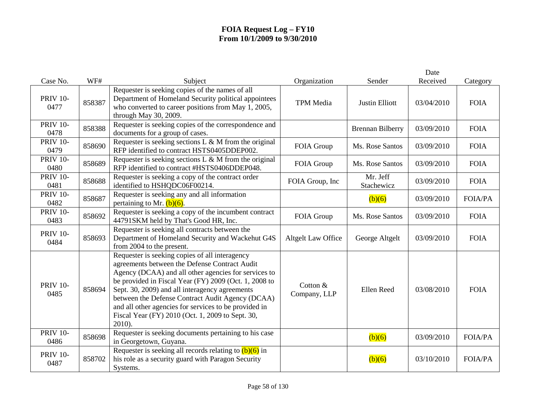|                         |        |                                                                                                                                                                                                                                                                                                                                                                                                                                               |                           |                         | Date       |                |
|-------------------------|--------|-----------------------------------------------------------------------------------------------------------------------------------------------------------------------------------------------------------------------------------------------------------------------------------------------------------------------------------------------------------------------------------------------------------------------------------------------|---------------------------|-------------------------|------------|----------------|
| Case No.                | WF#    | Subject                                                                                                                                                                                                                                                                                                                                                                                                                                       | Organization              | Sender                  | Received   | Category       |
| <b>PRIV 10-</b><br>0477 | 858387 | Requester is seeking copies of the names of all<br>Department of Homeland Security political appointees<br>who converted to career positions from May 1, 2005,<br>through May 30, 2009.                                                                                                                                                                                                                                                       | <b>TPM</b> Media          | <b>Justin Elliott</b>   | 03/04/2010 | <b>FOIA</b>    |
| <b>PRIV 10-</b><br>0478 | 858388 | Requester is seeking copies of the correspondence and<br>documents for a group of cases.                                                                                                                                                                                                                                                                                                                                                      |                           | <b>Brennan Bilberry</b> | 03/09/2010 | <b>FOIA</b>    |
| <b>PRIV 10-</b><br>0479 | 858690 | Requester is seeking sections L & M from the original<br>RFP identified to contract HSTS0405DDEP002.                                                                                                                                                                                                                                                                                                                                          | FOIA Group                | Ms. Rose Santos         | 03/09/2010 | <b>FOIA</b>    |
| <b>PRIV 10-</b><br>0480 | 858689 | Requester is seeking sections $L \& M$ from the original<br>RFP identified to contract #HSTS0406DDEP048.                                                                                                                                                                                                                                                                                                                                      | FOIA Group                | Ms. Rose Santos         | 03/09/2010 | <b>FOIA</b>    |
| <b>PRIV 10-</b><br>0481 | 858688 | Requester is seeking a copy of the contract order<br>identified to HSHQDC06F00214.                                                                                                                                                                                                                                                                                                                                                            | FOIA Group, Inc           | Mr. Jeff<br>Stachewicz  | 03/09/2010 | <b>FOIA</b>    |
| <b>PRIV 10-</b><br>0482 | 858687 | Requester is seeking any and all information<br>pertaining to Mr. $(b)(6)$ .                                                                                                                                                                                                                                                                                                                                                                  |                           | (b)(6)                  | 03/09/2010 | <b>FOIA/PA</b> |
| <b>PRIV 10-</b><br>0483 | 858692 | Requester is seeking a copy of the incumbent contract<br>44791SKM held by That's Good HR, Inc.                                                                                                                                                                                                                                                                                                                                                | FOIA Group                | Ms. Rose Santos         | 03/09/2010 | <b>FOIA</b>    |
| <b>PRIV 10-</b><br>0484 | 858693 | Requester is seeking all contracts between the<br>Department of Homeland Security and Wackehut G4S<br>from 2004 to the present.                                                                                                                                                                                                                                                                                                               | <b>Altgelt Law Office</b> | George Altgelt          | 03/09/2010 | <b>FOIA</b>    |
| <b>PRIV 10-</b><br>0485 | 858694 | Requester is seeking copies of all interagency<br>agreements between the Defense Contract Audit<br>Agency (DCAA) and all other agencies for services to<br>be provided in Fiscal Year (FY) 2009 (Oct. 1, 2008 to<br>Sept. 30, 2009) and all interagency agreements<br>between the Defense Contract Audit Agency (DCAA)<br>and all other agencies for services to be provided in<br>Fiscal Year (FY) 2010 (Oct. 1, 2009 to Sept. 30,<br>2010). | Cotton &<br>Company, LLP  | Ellen Reed              | 03/08/2010 | <b>FOIA</b>    |
| <b>PRIV 10-</b><br>0486 | 858698 | Requester is seeking documents pertaining to his case<br>in Georgetown, Guyana.                                                                                                                                                                                                                                                                                                                                                               |                           | (b)(6)                  | 03/09/2010 | <b>FOIA/PA</b> |
| <b>PRIV 10-</b><br>0487 | 858702 | Requester is seeking all records relating to $(b)(6)$ in<br>his role as a security guard with Paragon Security<br>Systems.                                                                                                                                                                                                                                                                                                                    |                           | (b)(6)                  | 03/10/2010 | <b>FOIA/PA</b> |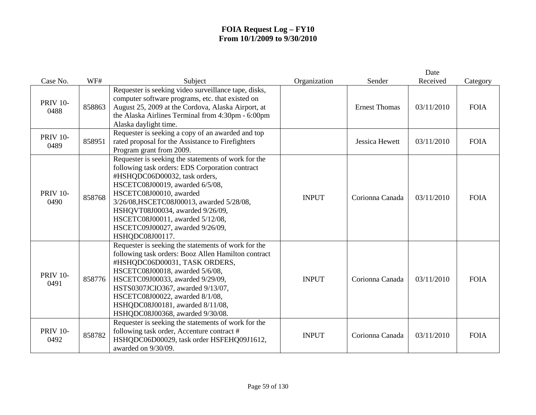| Case No.                | WF#    | Subject                                                                                                                                                                                                                                                                                                                                                                           | Organization | Sender               | Date<br>Received | Category    |
|-------------------------|--------|-----------------------------------------------------------------------------------------------------------------------------------------------------------------------------------------------------------------------------------------------------------------------------------------------------------------------------------------------------------------------------------|--------------|----------------------|------------------|-------------|
| <b>PRIV 10-</b><br>0488 | 858863 | Requester is seeking video surveillance tape, disks,<br>computer software programs, etc. that existed on<br>August 25, 2009 at the Cordova, Alaska Airport, at<br>the Alaska Airlines Terminal from 4:30pm - 6:00pm<br>Alaska daylight time.                                                                                                                                      |              | <b>Ernest Thomas</b> | 03/11/2010       | <b>FOIA</b> |
| <b>PRIV 10-</b><br>0489 | 858951 | Requester is seeking a copy of an awarded and top<br>rated proposal for the Assistance to Firefighters<br>Program grant from 2009.                                                                                                                                                                                                                                                |              | Jessica Hewett       | 03/11/2010       | <b>FOIA</b> |
| <b>PRIV 10-</b><br>0490 | 858768 | Requester is seeking the statements of work for the<br>following task orders: EDS Corporation contract<br>#HSHQDC06D00032, task orders,<br>HSCETC08J00019, awarded 6/5/08,<br>HSCETC08J00010, awarded<br>3/26/08, HSCETC08J00013, awarded 5/28/08,<br>HSHQVT08J00034, awarded 9/26/09,<br>HSCETC08J00011, awarded 5/12/08,<br>HSCETC09J00027, awarded 9/26/09,<br>HSHQDC08J00117. | <b>INPUT</b> | Corionna Canada      | 03/11/2010       | <b>FOIA</b> |
| <b>PRIV 10-</b><br>0491 | 858776 | Requester is seeking the statements of work for the<br>following task orders: Booz Allen Hamilton contract<br>#HSHQDC06D00031, TASK ORDERS,<br>HSCETC08J00018, awarded 5/6/08,<br>HSCETC09J00033, awarded 9/29/09,<br>HSTS0307JCIO367, awarded 9/13/07,<br>HSCETC08J00022, awarded 8/1/08,<br>HSHQDC08J00181, awarded 8/11/08,<br>HSHQDC08J00368, awarded 9/30/08.                | <b>INPUT</b> | Corionna Canada      | 03/11/2010       | <b>FOIA</b> |
| <b>PRIV 10-</b><br>0492 | 858782 | Requester is seeking the statements of work for the<br>following task order, Accenture contract #<br>HSHQDC06D00029, task order HSFEHQ09J1612,<br>awarded on 9/30/09.                                                                                                                                                                                                             | <b>INPUT</b> | Corionna Canada      | 03/11/2010       | <b>FOIA</b> |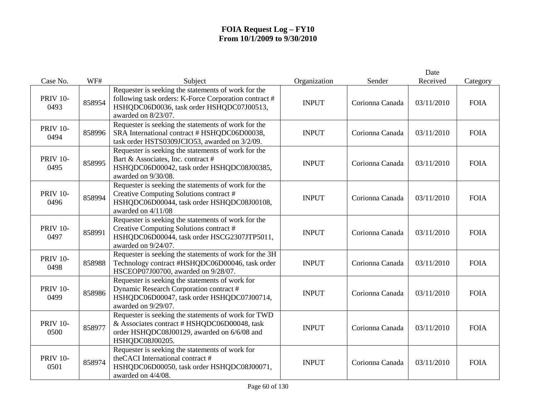|                         |        |                                                                                                                                                                                  |              |                 | Date       |             |
|-------------------------|--------|----------------------------------------------------------------------------------------------------------------------------------------------------------------------------------|--------------|-----------------|------------|-------------|
| Case No.                | WF#    | Subject                                                                                                                                                                          | Organization | Sender          | Received   | Category    |
| <b>PRIV 10-</b><br>0493 | 858954 | Requester is seeking the statements of work for the<br>following task orders: K-Force Corporation contract #<br>HSHQDC06D0036, task order HSHQDC07J00513,<br>awarded on 8/23/07. | <b>INPUT</b> | Corionna Canada | 03/11/2010 | <b>FOIA</b> |
| <b>PRIV 10-</b><br>0494 | 858996 | Requester is seeking the statements of work for the<br>SRA International contract # HSHQDC06D00038,<br>task order HSTS0309JCIO53, awarded on 3/2/09.                             | <b>INPUT</b> | Corionna Canada | 03/11/2010 | <b>FOIA</b> |
| <b>PRIV 10-</b><br>0495 | 858995 | Requester is seeking the statements of work for the<br>Bart & Associates, Inc. contract #<br>HSHQDC06D00042, task order HSHQDC08J00385,<br>awarded on 9/30/08.                   | <b>INPUT</b> | Corionna Canada | 03/11/2010 | <b>FOIA</b> |
| <b>PRIV 10-</b><br>0496 | 858994 | Requester is seeking the statements of work for the<br>Creative Computing Solutions contract #<br>HSHQDC06D00044, task order HSHQDC08J00108,<br>awarded on 4/11/08               | <b>INPUT</b> | Corionna Canada | 03/11/2010 | <b>FOIA</b> |
| <b>PRIV 10-</b><br>0497 | 858991 | Requester is seeking the statements of work for the<br>Creative Computing Solutions contract #<br>HSHQDC06D00044, task order HSCG2307JTP5011,<br>awarded on 9/24/07.             | <b>INPUT</b> | Corionna Canada | 03/11/2010 | <b>FOIA</b> |
| <b>PRIV 10-</b><br>0498 | 858988 | Requester is seeking the statements of work for the 3H<br>Technology contract #HSHQDC06D00046, task order<br>HSCEOP07J00700, awarded on 9/28/07.                                 | <b>INPUT</b> | Corionna Canada | 03/11/2010 | <b>FOIA</b> |
| <b>PRIV 10-</b><br>0499 | 858986 | Requester is seeking the statements of work for<br>Dynamic Research Corporation contract #<br>HSHQDC06D00047, task order HSHQDC07J00714,<br>awarded on 9/29/07.                  | <b>INPUT</b> | Corionna Canada | 03/11/2010 | <b>FOIA</b> |
| <b>PRIV 10-</b><br>0500 | 858977 | Requester is seeking the statements of work for TWD<br>& Associates contract # HSHQDC06D00048, task<br>order HSHQDC08J00129, awarded on 6/6/08 and<br>HSHQDC08J00205.            | <b>INPUT</b> | Corionna Canada | 03/11/2010 | <b>FOIA</b> |
| <b>PRIV 10-</b><br>0501 | 858974 | Requester is seeking the statements of work for<br>the CACI International contract #<br>HSHQDC06D00050, task order HSHQDC08J00071,<br>awarded on 4/4/08.                         | <b>INPUT</b> | Corionna Canada | 03/11/2010 | <b>FOIA</b> |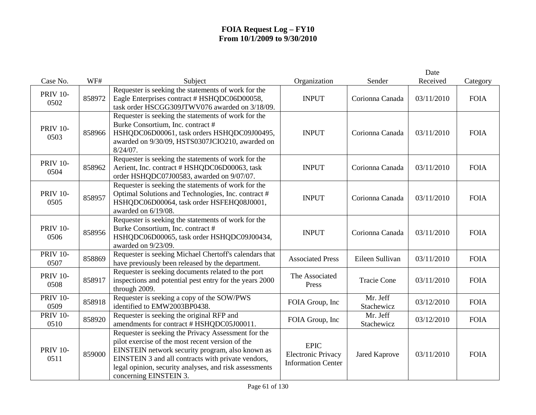|                         |        |                                                                                                                                                                                                                                                                                                       |                                                                       |                        | Date       |             |
|-------------------------|--------|-------------------------------------------------------------------------------------------------------------------------------------------------------------------------------------------------------------------------------------------------------------------------------------------------------|-----------------------------------------------------------------------|------------------------|------------|-------------|
| Case No.                | WF#    | Subject                                                                                                                                                                                                                                                                                               | Organization                                                          | Sender                 | Received   | Category    |
| <b>PRIV 10-</b><br>0502 | 858972 | Requester is seeking the statements of work for the<br>Eagle Enterprises contract # HSHQDC06D00058,<br>task order HSCGG309JTWV076 awarded on 3/18/09.                                                                                                                                                 | <b>INPUT</b>                                                          | Corionna Canada        | 03/11/2010 | <b>FOIA</b> |
| <b>PRIV 10-</b><br>0503 | 858966 | Requester is seeking the statements of work for the<br>Burke Consortium, Inc. contract #<br>HSHQDC06D00061, task orders HSHQDC09J00495,<br>awarded on 9/30/09, HSTS0307JCIO210, awarded on<br>$8/24/07$ .                                                                                             | <b>INPUT</b>                                                          | Corionna Canada        | 03/11/2010 | <b>FOIA</b> |
| <b>PRIV 10-</b><br>0504 | 858962 | Requester is seeking the statements of work for the<br>Aerient, Inc. contract # HSHQDC06D00063, task<br>order HSHQDC07J00583, awarded on 9/07/07.                                                                                                                                                     | <b>INPUT</b>                                                          | Corionna Canada        | 03/11/2010 | <b>FOIA</b> |
| <b>PRIV 10-</b><br>0505 | 858957 | Requester is seeking the statements of work for the<br>Optimal Solutions and Technologies, Inc. contract #<br>HSHQDC06D00064, task order HSFEHQ08J0001,<br>awarded on 6/19/08.                                                                                                                        | <b>INPUT</b>                                                          | Corionna Canada        | 03/11/2010 | <b>FOIA</b> |
| <b>PRIV 10-</b><br>0506 | 858956 | Requester is seeking the statements of work for the<br>Burke Consortium, Inc. contract #<br>HSHQDC06D00065, task order HSHQDC09J00434,<br>awarded on 9/23/09.                                                                                                                                         | <b>INPUT</b>                                                          | Corionna Canada        | 03/11/2010 | <b>FOIA</b> |
| <b>PRIV 10-</b><br>0507 | 858869 | Requester is seeking Michael Chertoff's calendars that<br>have previously been released by the department.                                                                                                                                                                                            | <b>Associated Press</b>                                               | Eileen Sullivan        | 03/11/2010 | <b>FOIA</b> |
| <b>PRIV 10-</b><br>0508 | 858917 | Requester is seeking documents related to the port<br>inspections and potential pest entry for the years 2000<br>through 2009.                                                                                                                                                                        | The Associated<br>Press                                               | <b>Tracie Cone</b>     | 03/11/2010 | <b>FOIA</b> |
| <b>PRIV 10-</b><br>0509 | 858918 | Requester is seeking a copy of the SOW/PWS<br>identified to EMW2003BP0438.                                                                                                                                                                                                                            | FOIA Group, Inc                                                       | Mr. Jeff<br>Stachewicz | 03/12/2010 | <b>FOIA</b> |
| <b>PRIV 10-</b><br>0510 | 858920 | Requester is seeking the original RFP and<br>amendments for contract # HSHQDC05J00011.                                                                                                                                                                                                                | FOIA Group, Inc                                                       | Mr. Jeff<br>Stachewicz | 03/12/2010 | <b>FOIA</b> |
| <b>PRIV 10-</b><br>0511 | 859000 | Requester is seeking the Privacy Assessment for the<br>pilot exercise of the most recent version of the<br>EINSTEIN network security program, also known as<br>EINSTEIN 3 and all contracts with private vendors,<br>legal opinion, security analyses, and risk assessments<br>concerning EINSTEIN 3. | <b>EPIC</b><br><b>Electronic Privacy</b><br><b>Information Center</b> | <b>Jared Kaprove</b>   | 03/11/2010 | <b>FOIA</b> |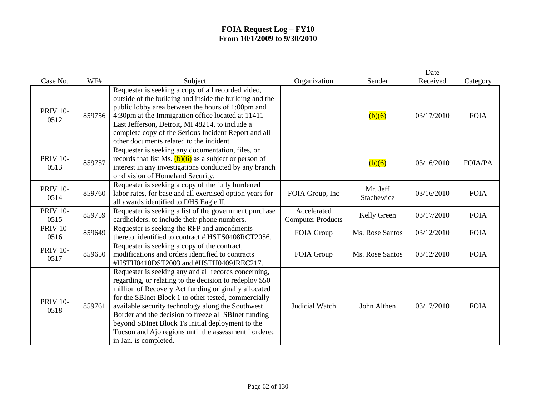|                         |        |                                                                                                                                                                                                                                                                                                                                                                                                                                                                                     |                                         |                        | Date       |                |
|-------------------------|--------|-------------------------------------------------------------------------------------------------------------------------------------------------------------------------------------------------------------------------------------------------------------------------------------------------------------------------------------------------------------------------------------------------------------------------------------------------------------------------------------|-----------------------------------------|------------------------|------------|----------------|
| Case No.                | WF#    | Subject                                                                                                                                                                                                                                                                                                                                                                                                                                                                             | Organization                            | Sender                 | Received   | Category       |
| <b>PRIV 10-</b><br>0512 | 859756 | Requester is seeking a copy of all recorded video,<br>outside of the building and inside the building and the<br>public lobby area between the hours of 1:00pm and<br>4:30pm at the Immigration office located at 11411<br>East Jefferson, Detroit, MI 48214, to include a<br>complete copy of the Serious Incident Report and all<br>other documents related to the incident.                                                                                                      |                                         | (b)(6)                 | 03/17/2010 | <b>FOIA</b>    |
| <b>PRIV 10-</b><br>0513 | 859757 | Requester is seeking any documentation, files, or<br>records that list Ms. $(b)(6)$ as a subject or person of<br>interest in any investigations conducted by any branch<br>or division of Homeland Security.                                                                                                                                                                                                                                                                        |                                         | (b)(6)                 | 03/16/2010 | <b>FOIA/PA</b> |
| <b>PRIV 10-</b><br>0514 | 859760 | Requester is seeking a copy of the fully burdened<br>labor rates, for base and all exercised option years for<br>all awards identified to DHS Eagle II.                                                                                                                                                                                                                                                                                                                             | FOIA Group, Inc                         | Mr. Jeff<br>Stachewicz | 03/16/2010 | <b>FOIA</b>    |
| <b>PRIV 10-</b><br>0515 | 859759 | Requester is seeking a list of the government purchase<br>cardholders, to include their phone numbers.                                                                                                                                                                                                                                                                                                                                                                              | Accelerated<br><b>Computer Products</b> | Kelly Green            | 03/17/2010 | <b>FOIA</b>    |
| <b>PRIV 10-</b><br>0516 | 859649 | Requester is seeking the RFP and amendments<br>thereto, identified to contract # HSTS0408RCT2056.                                                                                                                                                                                                                                                                                                                                                                                   | FOIA Group                              | Ms. Rose Santos        | 03/12/2010 | <b>FOIA</b>    |
| <b>PRIV 10-</b><br>0517 | 859650 | Requester is seeking a copy of the contract,<br>modifications and orders identified to contracts<br>#HSTH0410DST2003 and #HSTH0409JREC217.                                                                                                                                                                                                                                                                                                                                          | FOIA Group                              | Ms. Rose Santos        | 03/12/2010 | <b>FOIA</b>    |
| <b>PRIV 10-</b><br>0518 | 859761 | Requester is seeking any and all records concerning,<br>regarding, or relating to the decision to redeploy \$50<br>million of Recovery Act funding originally allocated<br>for the SBInet Block 1 to other tested, commercially<br>available security technology along the Southwest<br>Border and the decision to freeze all SBInet funding<br>beyond SBInet Block 1's initial deployment to the<br>Tucson and Ajo regions until the assessment I ordered<br>in Jan. is completed. | <b>Judicial Watch</b>                   | John Althen            | 03/17/2010 | <b>FOIA</b>    |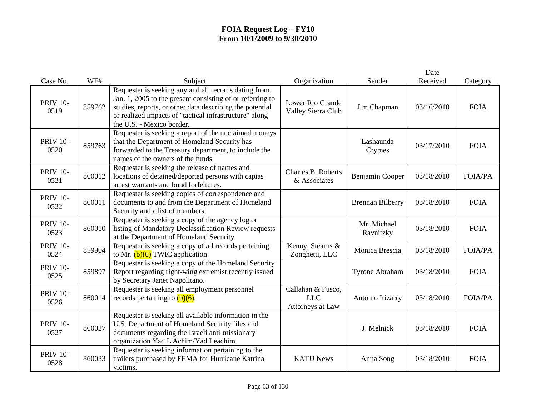|                         |        |                                                                                                                                                                                                                                                                      |                                                     |                          | Date       |                |
|-------------------------|--------|----------------------------------------------------------------------------------------------------------------------------------------------------------------------------------------------------------------------------------------------------------------------|-----------------------------------------------------|--------------------------|------------|----------------|
| Case No.                | WF#    | Subject                                                                                                                                                                                                                                                              | Organization                                        | Sender                   | Received   | Category       |
| <b>PRIV 10-</b><br>0519 | 859762 | Requester is seeking any and all records dating from<br>Jan. 1, 2005 to the present consisting of or referring to<br>studies, reports, or other data describing the potential<br>or realized impacts of "tactical infrastructure" along<br>the U.S. - Mexico border. | Lower Rio Grande<br>Valley Sierra Club              | Jim Chapman              | 03/16/2010 | <b>FOIA</b>    |
| <b>PRIV 10-</b><br>0520 | 859763 | Requester is seeking a report of the unclaimed moneys<br>that the Department of Homeland Security has<br>forwarded to the Treasury department, to include the<br>names of the owners of the funds                                                                    |                                                     | Lashaunda<br>Crymes      | 03/17/2010 | <b>FOIA</b>    |
| <b>PRIV 10-</b><br>0521 | 860012 | Requester is seeking the release of names and<br>locations of detained/deported persons with capias<br>arrest warrants and bond forfeitures.                                                                                                                         | Charles B. Roberts<br>& Associates                  | Benjamin Cooper          | 03/18/2010 | <b>FOIA/PA</b> |
| <b>PRIV 10-</b><br>0522 | 860011 | Requester is seeking copies of correspondence and<br>documents to and from the Department of Homeland<br>Security and a list of members.                                                                                                                             |                                                     | <b>Brennan Bilberry</b>  | 03/18/2010 | <b>FOIA</b>    |
| <b>PRIV 10-</b><br>0523 | 860010 | Requester is seeking a copy of the agency log or<br>listing of Mandatory Declassification Review requests<br>at the Department of Homeland Security.                                                                                                                 |                                                     | Mr. Michael<br>Ravnitzky | 03/18/2010 | <b>FOIA</b>    |
| <b>PRIV 10-</b><br>0524 | 859904 | Requester is seeking a copy of all records pertaining<br>to Mr. $(b)(6)$ TWIC application.                                                                                                                                                                           | Kenny, Stearns &<br>Zonghetti, LLC                  | Monica Brescia           | 03/18/2010 | <b>FOIA/PA</b> |
| <b>PRIV 10-</b><br>0525 | 859897 | Requester is seeking a copy of the Homeland Security<br>Report regarding right-wing extremist recently issued<br>by Secretary Janet Napolitano.                                                                                                                      |                                                     | Tyrone Abraham           | 03/18/2010 | <b>FOIA</b>    |
| <b>PRIV 10-</b><br>0526 | 860014 | Requester is seeking all employment personnel<br>records pertaining to $(b)(6)$ .                                                                                                                                                                                    | Callahan & Fusco,<br><b>LLC</b><br>Attorneys at Law | Antonio Irizarry         | 03/18/2010 | <b>FOIA/PA</b> |
| <b>PRIV 10-</b><br>0527 | 860027 | Requester is seeking all available information in the<br>U.S. Department of Homeland Security files and<br>documents regarding the Israeli anti-missionary<br>organization Yad L'Achim/Yad Leachim.                                                                  |                                                     | J. Melnick               | 03/18/2010 | <b>FOIA</b>    |
| <b>PRIV 10-</b><br>0528 | 860033 | Requester is seeking information pertaining to the<br>trailers purchased by FEMA for Hurricane Katrina<br>victims.                                                                                                                                                   | <b>KATU News</b>                                    | Anna Song                | 03/18/2010 | <b>FOIA</b>    |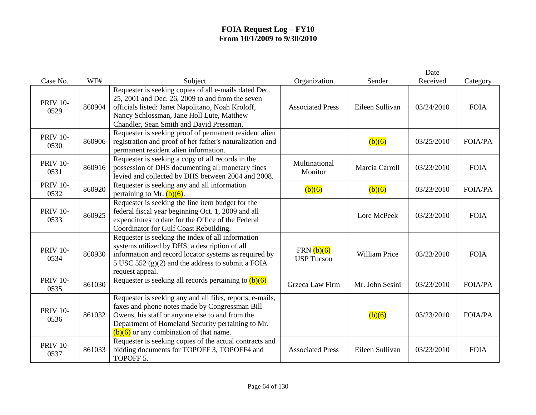| Case No.                | WF#    | Subject                                                                                                                                                                                                                                                          | Organization                      | Sender               | Date<br>Received | Category       |
|-------------------------|--------|------------------------------------------------------------------------------------------------------------------------------------------------------------------------------------------------------------------------------------------------------------------|-----------------------------------|----------------------|------------------|----------------|
| <b>PRIV 10-</b><br>0529 | 860904 | Requester is seeking copies of all e-mails dated Dec.<br>25, 2001 and Dec. 26, 2009 to and from the seven<br>officials listed: Janet Napolitano, Noah Kroloff,<br>Nancy Schlossman, Jane Holl Lute, Matthew<br>Chandler, Sean Smith and David Pressman.          | <b>Associated Press</b>           | Eileen Sullivan      | 03/24/2010       | <b>FOIA</b>    |
| <b>PRIV 10-</b><br>0530 | 860906 | Requester is seeking proof of permanent resident alien<br>registration and proof of her father's naturalization and<br>permanent resident alien information.                                                                                                     |                                   | (b)(6)               | 03/25/2010       | <b>FOIA/PA</b> |
| <b>PRIV 10-</b><br>0531 | 860916 | Requester is seeking a copy of all records in the<br>possession of DHS documenting all monetary fines<br>levied and collected by DHS between 2004 and 2008.                                                                                                      | Multinational<br>Monitor          | Marcia Carroll       | 03/23/2010       | <b>FOIA</b>    |
| <b>PRIV 10-</b><br>0532 | 860920 | Requester is seeking any and all information<br>pertaining to Mr. $(b)(6)$ .                                                                                                                                                                                     | (b)(6)                            | (b)(6)               | 03/23/2010       | <b>FOIA/PA</b> |
| <b>PRIV 10-</b><br>0533 | 860925 | Requester is seeking the line item budget for the<br>federal fiscal year beginning Oct. 1, 2009 and all<br>expenditures to date for the Office of the Federal<br>Coordinator for Gulf Coast Rebuilding.                                                          |                                   | Lore McPeek          | 03/23/2010       | <b>FOIA</b>    |
| <b>PRIV 10-</b><br>0534 | 860930 | Requester is seeking the index of all information<br>systems utilized by DHS, a description of all<br>information and record locator systems as required by<br>5 USC 552 $(g)(2)$ and the address to submit a FOIA<br>request appeal.                            | FRN $(b)(6)$<br><b>USP Tucson</b> | <b>William Price</b> | 03/23/2010       | <b>FOIA</b>    |
| <b>PRIV 10-</b><br>0535 | 861030 | Requester is seeking all records pertaining to $(b)(6)$                                                                                                                                                                                                          | Grzeca Law Firm                   | Mr. John Sesini      | 03/23/2010       | <b>FOIA/PA</b> |
| <b>PRIV 10-</b><br>0536 | 861032 | Requester is seeking any and all files, reports, e-mails,<br>faxes and phone notes made by Congressman Bill<br>Owens, his staff or anyone else to and from the<br>Department of Homeland Security pertaining to Mr.<br>$(b)(6)$ or any combination of that name. |                                   | (b)(6)               | 03/23/2010       | <b>FOIA/PA</b> |
| <b>PRIV 10-</b><br>0537 | 861033 | Requester is seeking copies of the actual contracts and<br>bidding documents for TOPOFF 3, TOPOFF4 and<br>TOPOFF 5.                                                                                                                                              | <b>Associated Press</b>           | Eileen Sullivan      | 03/23/2010       | <b>FOIA</b>    |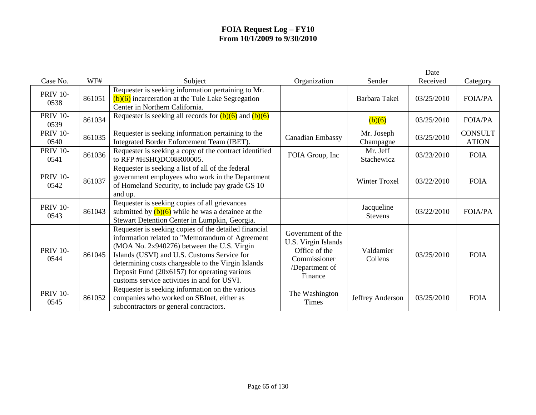|                         |        |                                                                                                                                                                                                                                                                                                                                                            |                                                                                                        |                              | Date       |                                |
|-------------------------|--------|------------------------------------------------------------------------------------------------------------------------------------------------------------------------------------------------------------------------------------------------------------------------------------------------------------------------------------------------------------|--------------------------------------------------------------------------------------------------------|------------------------------|------------|--------------------------------|
| Case No.                | WF#    | Subject                                                                                                                                                                                                                                                                                                                                                    | Organization                                                                                           | Sender                       | Received   | Category                       |
| <b>PRIV 10-</b><br>0538 | 861051 | Requester is seeking information pertaining to Mr.<br>$(b)(6)$ incarceration at the Tule Lake Segregation<br>Center in Northern California.                                                                                                                                                                                                                |                                                                                                        | Barbara Takei                | 03/25/2010 | <b>FOIA/PA</b>                 |
| <b>PRIV 10-</b><br>0539 | 861034 | Requester is seeking all records for $(b)(6)$ and $(b)(6)$                                                                                                                                                                                                                                                                                                 |                                                                                                        | (b)(6)                       | 03/25/2010 | <b>FOIA/PA</b>                 |
| <b>PRIV 10-</b><br>0540 | 861035 | Requester is seeking information pertaining to the<br>Integrated Border Enforcement Team (IBET).                                                                                                                                                                                                                                                           | <b>Canadian Embassy</b>                                                                                | Mr. Joseph<br>Champagne      | 03/25/2010 | <b>CONSULT</b><br><b>ATION</b> |
| <b>PRIV 10-</b><br>0541 | 861036 | Requester is seeking a copy of the contract identified<br>to RFP #HSHQDC08R00005.                                                                                                                                                                                                                                                                          | FOIA Group, Inc                                                                                        | Mr. Jeff<br>Stachewicz       | 03/23/2010 | <b>FOIA</b>                    |
| <b>PRIV 10-</b><br>0542 | 861037 | Requester is seeking a list of all of the federal<br>government employees who work in the Department<br>of Homeland Security, to include pay grade GS 10<br>and up.                                                                                                                                                                                        |                                                                                                        | <b>Winter Troxel</b>         | 03/22/2010 | <b>FOIA</b>                    |
| <b>PRIV 10-</b><br>0543 | 861043 | Requester is seeking copies of all grievances<br>submitted by $(b)(6)$ while he was a detainee at the<br>Stewart Detention Center in Lumpkin, Georgia.                                                                                                                                                                                                     |                                                                                                        | Jacqueline<br><b>Stevens</b> | 03/22/2010 | <b>FOIA/PA</b>                 |
| <b>PRIV 10-</b><br>0544 | 861045 | Requester is seeking copies of the detailed financial<br>information related to "Memorandum of Agreement<br>(MOA No. 2x940276) between the U.S. Virgin<br>Islands (USVI) and U.S. Customs Service for<br>determining costs chargeable to the Virgin Islands<br>Deposit Fund (20x6157) for operating various<br>customs service activities in and for USVI. | Government of the<br>U.S. Virgin Islands<br>Office of the<br>Commissioner<br>/Department of<br>Finance | Valdamier<br>Collens         | 03/25/2010 | <b>FOIA</b>                    |
| <b>PRIV 10-</b><br>0545 | 861052 | Requester is seeking information on the various<br>companies who worked on SBInet, either as<br>subcontractors or general contractors.                                                                                                                                                                                                                     | The Washington<br><b>Times</b>                                                                         | Jeffrey Anderson             | 03/25/2010 | <b>FOIA</b>                    |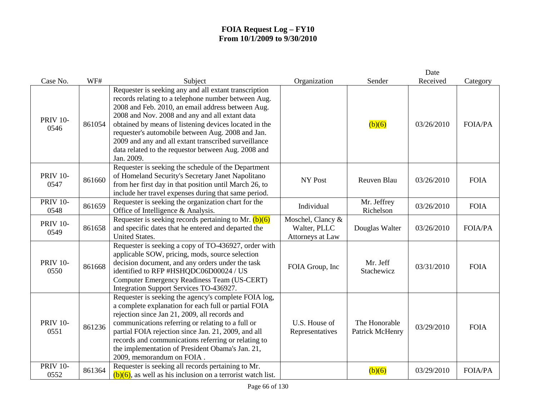|                         |        |                                                                                                                                                                                                                                                                                                                                                                                                                                                                |                                                       |                                  | Date       |                |
|-------------------------|--------|----------------------------------------------------------------------------------------------------------------------------------------------------------------------------------------------------------------------------------------------------------------------------------------------------------------------------------------------------------------------------------------------------------------------------------------------------------------|-------------------------------------------------------|----------------------------------|------------|----------------|
| Case No.                | WF#    | Subject                                                                                                                                                                                                                                                                                                                                                                                                                                                        | Organization                                          | Sender                           | Received   | Category       |
| <b>PRIV 10-</b><br>0546 | 861054 | Requester is seeking any and all extant transcription<br>records relating to a telephone number between Aug.<br>2008 and Feb. 2010, an email address between Aug.<br>2008 and Nov. 2008 and any and all extant data<br>obtained by means of listening devices located in the<br>requester's automobile between Aug. 2008 and Jan.<br>2009 and any and all extant transcribed surveillance<br>data related to the requestor between Aug. 2008 and<br>Jan. 2009. |                                                       | (b)(6)                           | 03/26/2010 | <b>FOIA/PA</b> |
| <b>PRIV 10-</b><br>0547 | 861660 | Requester is seeking the schedule of the Department<br>of Homeland Security's Secretary Janet Napolitano<br>from her first day in that position until March 26, to<br>include her travel expenses during that same period.                                                                                                                                                                                                                                     | NY Post                                               | Reuven Blau                      | 03/26/2010 | <b>FOIA</b>    |
| <b>PRIV 10-</b><br>0548 | 861659 | Requester is seeking the organization chart for the<br>Office of Intelligence & Analysis.                                                                                                                                                                                                                                                                                                                                                                      | Individual                                            | Mr. Jeffrey<br>Richelson         | 03/26/2010 | <b>FOIA</b>    |
| <b>PRIV 10-</b><br>0549 | 861658 | Requester is seeking records pertaining to Mr. $(b)(6)$<br>and specific dates that he entered and departed the<br><b>United States.</b>                                                                                                                                                                                                                                                                                                                        | Moschel, Clancy &<br>Walter, PLLC<br>Attorneys at Law | Douglas Walter                   | 03/26/2010 | <b>FOIA/PA</b> |
| <b>PRIV 10-</b><br>0550 | 861668 | Requester is seeking a copy of TO-436927, order with<br>applicable SOW, pricing, mods, source selection<br>decision document, and any orders under the task<br>identified to RFP #HSHQDC06D00024 / US<br>Computer Emergency Readiness Team (US-CERT)<br>Integration Support Services TO-436927.                                                                                                                                                                | FOIA Group, Inc                                       | Mr. Jeff<br>Stachewicz           | 03/31/2010 | <b>FOIA</b>    |
| <b>PRIV 10-</b><br>0551 | 861236 | Requester is seeking the agency's complete FOIA log,<br>a complete explanation for each full or partial FOIA<br>rejection since Jan 21, 2009, all records and<br>communications referring or relating to a full or<br>partial FOIA rejection since Jan. 21, 2009, and all<br>records and communications referring or relating to<br>the implementation of President Obama's Jan. 21,<br>2009, memorandum on FOIA.                                              | U.S. House of<br>Representatives                      | The Honorable<br>Patrick McHenry | 03/29/2010 | <b>FOIA</b>    |
| <b>PRIV 10-</b><br>0552 | 861364 | Requester is seeking all records pertaining to Mr.<br>$(b)(6)$ , as well as his inclusion on a terrorist watch list.                                                                                                                                                                                                                                                                                                                                           |                                                       | (b)(6)                           | 03/29/2010 | <b>FOIA/PA</b> |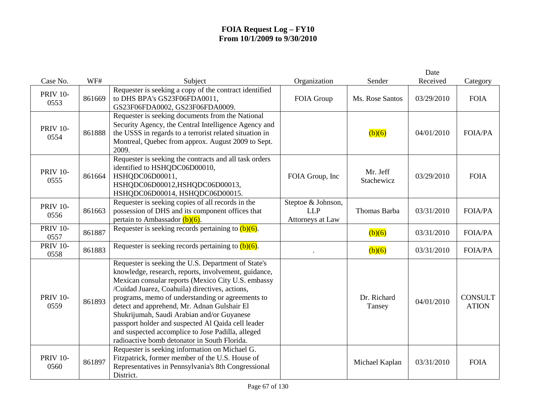|                         |        |                                                                                                                                                                                                                                                                                                                                                                                                                                                                                                                                 |                                                      |                        | Date       |                                |
|-------------------------|--------|---------------------------------------------------------------------------------------------------------------------------------------------------------------------------------------------------------------------------------------------------------------------------------------------------------------------------------------------------------------------------------------------------------------------------------------------------------------------------------------------------------------------------------|------------------------------------------------------|------------------------|------------|--------------------------------|
| Case No.                | WF#    | Subject                                                                                                                                                                                                                                                                                                                                                                                                                                                                                                                         | Organization                                         | Sender                 | Received   | Category                       |
| <b>PRIV 10-</b><br>0553 | 861669 | Requester is seeking a copy of the contract identified<br>to DHS BPA's GS23F06FDA0011,<br>GS23F06FDA0002, GS23F06FDA0009.                                                                                                                                                                                                                                                                                                                                                                                                       | FOIA Group                                           | Ms. Rose Santos        | 03/29/2010 | <b>FOIA</b>                    |
| <b>PRIV 10-</b><br>0554 | 861888 | Requester is seeking documents from the National<br>Security Agency, the Central Intelligence Agency and<br>the USSS in regards to a terrorist related situation in<br>Montreal, Quebec from approx. August 2009 to Sept.<br>2009.                                                                                                                                                                                                                                                                                              |                                                      | (b)(6)                 | 04/01/2010 | <b>FOIA/PA</b>                 |
| <b>PRIV 10-</b><br>0555 | 861664 | Requester is seeking the contracts and all task orders<br>identified to HSHQDC06D00010,<br>HSHQDC06D00011,<br>HSHQDC06D00012,HSHQDC06D00013,<br>HSHQDC06D00014, HSHQDC06D00015.                                                                                                                                                                                                                                                                                                                                                 | FOIA Group, Inc                                      | Mr. Jeff<br>Stachewicz | 03/29/2010 | <b>FOIA</b>                    |
| <b>PRIV 10-</b><br>0556 | 861663 | Requester is seeking copies of all records in the<br>possession of DHS and its component offices that<br>pertain to Ambassador $(b)(6)$ .                                                                                                                                                                                                                                                                                                                                                                                       | Steptoe & Johnson,<br><b>LLP</b><br>Attorneys at Law | Thomas Barba           | 03/31/2010 | <b>FOIA/PA</b>                 |
| <b>PRIV 10-</b><br>0557 | 861887 | Requester is seeking records pertaining to $(b)(6)$ .                                                                                                                                                                                                                                                                                                                                                                                                                                                                           |                                                      | (b)(6)                 | 03/31/2010 | <b>FOIA/PA</b>                 |
| <b>PRIV 10-</b><br>0558 | 861883 | Requester is seeking records pertaining to $(b)(6)$ .                                                                                                                                                                                                                                                                                                                                                                                                                                                                           |                                                      | (b)(6)                 | 03/31/2010 | <b>FOIA/PA</b>                 |
| <b>PRIV 10-</b><br>0559 | 861893 | Requester is seeking the U.S. Department of State's<br>knowledge, research, reports, involvement, guidance,<br>Mexican consular reports (Mexico City U.S. embassy<br>/Cuidad Juarez, Coahuila) directives, actions,<br>programs, memo of understanding or agreements to<br>detect and apprehend, Mr. Adnan Gulshair El<br>Shukrijumah, Saudi Arabian and/or Guyanese<br>passport holder and suspected Al Qaida cell leader<br>and suspected accomplice to Jose Padilla, alleged<br>radioactive bomb detonator in South Florida. |                                                      | Dr. Richard<br>Tansey  | 04/01/2010 | <b>CONSULT</b><br><b>ATION</b> |
| <b>PRIV 10-</b><br>0560 | 861897 | Requester is seeking information on Michael G.<br>Fitzpatrick, former member of the U.S. House of<br>Representatives in Pennsylvania's 8th Congressional<br>District.                                                                                                                                                                                                                                                                                                                                                           |                                                      | Michael Kaplan         | 03/31/2010 | <b>FOIA</b>                    |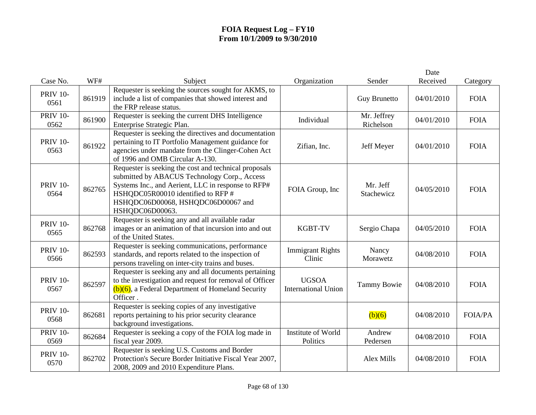|                         |        |                                                                                                                                                                                                                                                            |                                            |                          | Date       |                |
|-------------------------|--------|------------------------------------------------------------------------------------------------------------------------------------------------------------------------------------------------------------------------------------------------------------|--------------------------------------------|--------------------------|------------|----------------|
| Case No.                | WF#    | Subject                                                                                                                                                                                                                                                    | Organization                               | Sender                   | Received   | Category       |
| <b>PRIV 10-</b><br>0561 | 861919 | Requester is seeking the sources sought for AKMS, to<br>include a list of companies that showed interest and<br>the FRP release status.                                                                                                                    |                                            | <b>Guy Brunetto</b>      | 04/01/2010 | <b>FOIA</b>    |
| <b>PRIV 10-</b><br>0562 | 861900 | Requester is seeking the current DHS Intelligence<br>Enterprise Strategic Plan.                                                                                                                                                                            | Individual                                 | Mr. Jeffrey<br>Richelson | 04/01/2010 | <b>FOIA</b>    |
| <b>PRIV 10-</b><br>0563 | 861922 | Requester is seeking the directives and documentation<br>pertaining to IT Portfolio Management guidance for<br>agencies under mandate from the Clinger-Cohen Act<br>of 1996 and OMB Circular A-130.                                                        | Zifian, Inc.                               | Jeff Meyer               | 04/01/2010 | <b>FOIA</b>    |
| <b>PRIV 10-</b><br>0564 | 862765 | Requester is seeking the cost and technical proposals<br>submitted by ABACUS Technology Corp., Access<br>Systems Inc., and Aerient, LLC in response to RFP#<br>HSHQDC05R00010 identified to RFP #<br>HSHQDC06D00068, HSHQDC06D00067 and<br>HSHQDC06D00063. | FOIA Group, Inc                            | Mr. Jeff<br>Stachewicz   | 04/05/2010 | <b>FOIA</b>    |
| <b>PRIV 10-</b><br>0565 | 862768 | Requester is seeking any and all available radar<br>images or an animation of that incursion into and out<br>of the United States.                                                                                                                         | <b>KGBT-TV</b>                             | Sergio Chapa             | 04/05/2010 | <b>FOIA</b>    |
| <b>PRIV 10-</b><br>0566 | 862593 | Requester is seeking communications, performance<br>standards, and reports related to the inspection of<br>persons traveling on inter-city trains and buses.                                                                                               | <b>Immigrant Rights</b><br>Clinic          | Nancy<br>Morawetz        | 04/08/2010 | <b>FOIA</b>    |
| <b>PRIV 10-</b><br>0567 | 862597 | Requester is seeking any and all documents pertaining<br>to the investigation and request for removal of Officer<br>$(b)(6)$ , a Federal Department of Homeland Security<br>Officer.                                                                       | <b>UGSOA</b><br><b>International Union</b> | <b>Tammy Bowie</b>       | 04/08/2010 | <b>FOIA</b>    |
| <b>PRIV 10-</b><br>0568 | 862681 | Requester is seeking copies of any investigative<br>reports pertaining to his prior security clearance<br>background investigations.                                                                                                                       |                                            | (b)(6)                   | 04/08/2010 | <b>FOIA/PA</b> |
| <b>PRIV 10-</b><br>0569 | 862684 | Requester is seeking a copy of the FOIA log made in<br>fiscal year 2009.                                                                                                                                                                                   | Institute of World<br>Politics             | Andrew<br>Pedersen       | 04/08/2010 | <b>FOIA</b>    |
| <b>PRIV 10-</b><br>0570 | 862702 | Requester is seeking U.S. Customs and Border<br>Protection's Secure Border Initiative Fiscal Year 2007,<br>2008, 2009 and 2010 Expenditure Plans.                                                                                                          |                                            | Alex Mills               | 04/08/2010 | <b>FOIA</b>    |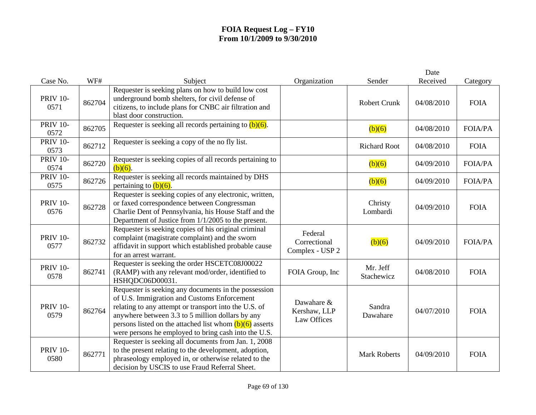| Case No.                | WF#    | Subject                                                                                                                                                                                                                                                                                                                               | Organization                               | Sender                 | Date<br>Received | Category       |
|-------------------------|--------|---------------------------------------------------------------------------------------------------------------------------------------------------------------------------------------------------------------------------------------------------------------------------------------------------------------------------------------|--------------------------------------------|------------------------|------------------|----------------|
| <b>PRIV 10-</b><br>0571 | 862704 | Requester is seeking plans on how to build low cost<br>underground bomb shelters, for civil defense of<br>citizens, to include plans for CNBC air filtration and<br>blast door construction.                                                                                                                                          |                                            | <b>Robert Crunk</b>    | 04/08/2010       | <b>FOIA</b>    |
| <b>PRIV 10-</b><br>0572 | 862705 | Requester is seeking all records pertaining to $(b)(6)$ .                                                                                                                                                                                                                                                                             |                                            | (b)(6)                 | 04/08/2010       | <b>FOIA/PA</b> |
| <b>PRIV 10-</b><br>0573 | 862712 | Requester is seeking a copy of the no fly list.                                                                                                                                                                                                                                                                                       |                                            | <b>Richard Root</b>    | 04/08/2010       | <b>FOIA</b>    |
| <b>PRIV 10-</b><br>0574 | 862720 | Requester is seeking copies of all records pertaining to<br>$(b)(6)$ .                                                                                                                                                                                                                                                                |                                            | (b)(6)                 | 04/09/2010       | <b>FOIA/PA</b> |
| <b>PRIV 10-</b><br>0575 | 862726 | Requester is seeking all records maintained by DHS<br>pertaining to $(b)(6)$ .                                                                                                                                                                                                                                                        |                                            | (b)(6)                 | 04/09/2010       | <b>FOIA/PA</b> |
| <b>PRIV 10-</b><br>0576 | 862728 | Requester is seeking copies of any electronic, written,<br>or faxed correspondence between Congressman<br>Charlie Dent of Pennsylvania, his House Staff and the<br>Department of Justice from 1/1/2005 to the present.                                                                                                                |                                            | Christy<br>Lombardi    | 04/09/2010       | <b>FOIA</b>    |
| <b>PRIV 10-</b><br>0577 | 862732 | Requester is seeking copies of his original criminal<br>complaint (magistrate complaint) and the sworn<br>affidavit in support which established probable cause<br>for an arrest warrant.                                                                                                                                             | Federal<br>Correctional<br>Complex - USP 2 | (b)(6)                 | 04/09/2010       | <b>FOIA/PA</b> |
| <b>PRIV 10-</b><br>0578 | 862741 | Requester is seeking the order HSCETC08J00022<br>(RAMP) with any relevant mod/order, identified to<br>HSHQDC06D00031.                                                                                                                                                                                                                 | FOIA Group, Inc                            | Mr. Jeff<br>Stachewicz | 04/08/2010       | <b>FOIA</b>    |
| <b>PRIV 10-</b><br>0579 | 862764 | Requester is seeking any documents in the possession<br>of U.S. Immigration and Customs Enforcement<br>relating to any attempt or transport into the U.S. of<br>anywhere between 3.3 to 5 million dollars by any<br>persons listed on the attached list whom $(b)(6)$ asserts<br>were persons he employed to bring cash into the U.S. | Dawahare &<br>Kershaw, LLP<br>Law Offices  | Sandra<br>Dawahare     | 04/07/2010       | <b>FOIA</b>    |
| <b>PRIV 10-</b><br>0580 | 862771 | Requester is seeking all documents from Jan. 1, 2008<br>to the present relating to the development, adoption,<br>phraseology employed in, or otherwise related to the<br>decision by USCIS to use Fraud Referral Sheet.                                                                                                               |                                            | <b>Mark Roberts</b>    | 04/09/2010       | <b>FOIA</b>    |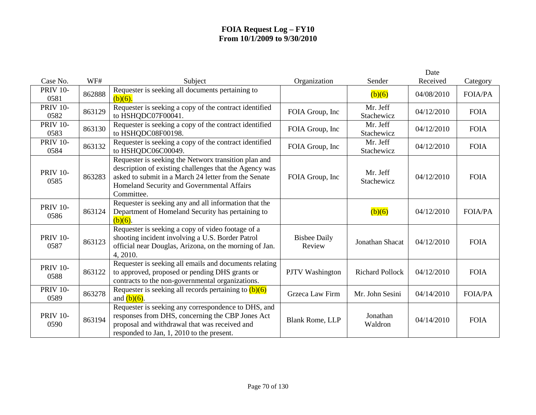|                         |        |                                                                                                                                                                                                                                    |                               |                        | Date       |                |
|-------------------------|--------|------------------------------------------------------------------------------------------------------------------------------------------------------------------------------------------------------------------------------------|-------------------------------|------------------------|------------|----------------|
| Case No.                | WF#    | Subject                                                                                                                                                                                                                            | Organization                  | Sender                 | Received   | Category       |
| <b>PRIV 10-</b><br>0581 | 862888 | Requester is seeking all documents pertaining to<br>$(b)(6)$ .                                                                                                                                                                     |                               | (b)(6)                 | 04/08/2010 | <b>FOIA/PA</b> |
| <b>PRIV 10-</b><br>0582 | 863129 | Requester is seeking a copy of the contract identified<br>to HSHQDC07F00041.                                                                                                                                                       | FOIA Group, Inc               | Mr. Jeff<br>Stachewicz | 04/12/2010 | <b>FOIA</b>    |
| <b>PRIV 10-</b><br>0583 | 863130 | Requester is seeking a copy of the contract identified<br>to HSHQDC08F00198.                                                                                                                                                       | FOIA Group, Inc               | Mr. Jeff<br>Stachewicz | 04/12/2010 | <b>FOIA</b>    |
| <b>PRIV 10-</b><br>0584 | 863132 | Requester is seeking a copy of the contract identified<br>to HSHQDC06C00049.                                                                                                                                                       | FOIA Group, Inc               | Mr. Jeff<br>Stachewicz | 04/12/2010 | <b>FOIA</b>    |
| <b>PRIV 10-</b><br>0585 | 863283 | Requester is seeking the Networx transition plan and<br>description of existing challenges that the Agency was<br>asked to submit in a March 24 letter from the Senate<br>Homeland Security and Governmental Affairs<br>Committee. | FOIA Group, Inc               | Mr. Jeff<br>Stachewicz | 04/12/2010 | <b>FOIA</b>    |
| <b>PRIV 10-</b><br>0586 | 863124 | Requester is seeking any and all information that the<br>Department of Homeland Security has pertaining to<br>$(b)(6)$ .                                                                                                           |                               | (b)(6)                 | 04/12/2010 | <b>FOIA/PA</b> |
| <b>PRIV 10-</b><br>0587 | 863123 | Requester is seeking a copy of video footage of a<br>shooting incident involving a U.S. Border Patrol<br>official near Douglas, Arizona, on the morning of Jan.<br>4, 2010.                                                        | <b>Bisbee Daily</b><br>Review | Jonathan Shacat        | 04/12/2010 | <b>FOIA</b>    |
| <b>PRIV 10-</b><br>0588 | 863122 | Requester is seeking all emails and documents relating<br>to approved, proposed or pending DHS grants or<br>contracts to the non-governmental organizations.                                                                       | <b>PJTV</b> Washington        | <b>Richard Pollock</b> | 04/12/2010 | <b>FOIA</b>    |
| <b>PRIV 10-</b><br>0589 | 863278 | Requester is seeking all records pertaining to $(b)(6)$<br>and $(b)(6)$ .                                                                                                                                                          | Grzeca Law Firm               | Mr. John Sesini        | 04/14/2010 | <b>FOIA/PA</b> |
| <b>PRIV 10-</b><br>0590 | 863194 | Requester is seeking any correspondence to DHS, and<br>responses from DHS, concerning the CBP Jones Act<br>proposal and withdrawal that was received and<br>responded to Jan, 1, 2010 to the present.                              | Blank Rome, LLP               | Jonathan<br>Waldron    | 04/14/2010 | <b>FOIA</b>    |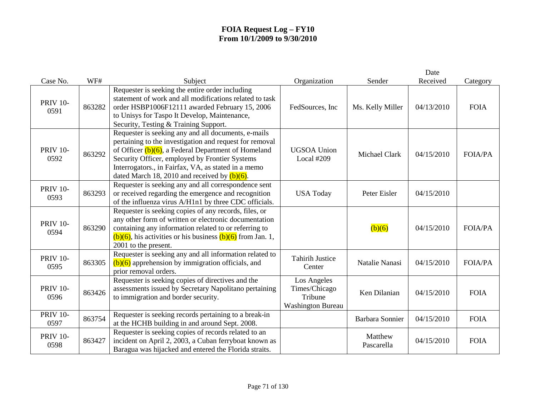|                         |        |                                                                                                                                                                                                                                                                                                                                      |                                                                     |                        | Date       |                |
|-------------------------|--------|--------------------------------------------------------------------------------------------------------------------------------------------------------------------------------------------------------------------------------------------------------------------------------------------------------------------------------------|---------------------------------------------------------------------|------------------------|------------|----------------|
| Case No.                | WF#    | Subject                                                                                                                                                                                                                                                                                                                              | Organization                                                        | Sender                 | Received   | Category       |
| <b>PRIV 10-</b><br>0591 | 863282 | Requester is seeking the entire order including<br>statement of work and all modifications related to task<br>order HSBP1006F12111 awarded February 15, 2006<br>to Unisys for Taspo It Develop, Maintenance,<br>Security, Testing & Training Support.                                                                                | FedSources, Inc.                                                    | Ms. Kelly Miller       | 04/13/2010 | <b>FOIA</b>    |
| <b>PRIV 10-</b><br>0592 | 863292 | Requester is seeking any and all documents, e-mails<br>pertaining to the investigation and request for removal<br>of Officer $(b)(6)$ , a Federal Department of Homeland<br>Security Officer, employed by Frontier Systems<br>Interrogators., in Fairfax, VA, as stated in a memo<br>dated March 18, 2010 and received by $(b)(6)$ . | <b>UGSOA Union</b><br>Local #209                                    | Michael Clark          | 04/15/2010 | <b>FOIA/PA</b> |
| <b>PRIV 10-</b><br>0593 | 863293 | Requester is seeking any and all correspondence sent<br>or received regarding the emergence and recognition<br>of the influenza virus A/H1n1 by three CDC officials.                                                                                                                                                                 | <b>USA Today</b>                                                    | Peter Eisler           | 04/15/2010 |                |
| <b>PRIV 10-</b><br>0594 | 863290 | Requester is seeking copies of any records, files, or<br>any other form of written or electronic documentation<br>containing any information related to or referring to<br>$(b)(6)$ , his activities or his business $(b)(6)$ from Jan. 1,<br>2001 to the present.                                                                   |                                                                     | (b)(6)                 | 04/15/2010 | <b>FOIA/PA</b> |
| <b>PRIV 10-</b><br>0595 | 863305 | Requester is seeking any and all information related to<br>$(b)(6)$ apprehension by immigration officials, and<br>prior removal orders.                                                                                                                                                                                              | <b>Tahirih Justice</b><br>Center                                    | Natalie Nanasi         | 04/15/2010 | <b>FOIA/PA</b> |
| <b>PRIV 10-</b><br>0596 | 863426 | Requester is seeking copies of directives and the<br>assessments issued by Secretary Napolitano pertaining<br>to immigration and border security.                                                                                                                                                                                    | Los Angeles<br>Times/Chicago<br>Tribune<br><b>Washington Bureau</b> | Ken Dilanian           | 04/15/2010 | <b>FOIA</b>    |
| <b>PRIV 10-</b><br>0597 | 863754 | Requester is seeking records pertaining to a break-in<br>at the HCHB building in and around Sept. 2008.                                                                                                                                                                                                                              |                                                                     | <b>Barbara Sonnier</b> | 04/15/2010 | <b>FOIA</b>    |
| <b>PRIV 10-</b><br>0598 | 863427 | Requester is seeking copies of records related to an<br>incident on April 2, 2003, a Cuban ferryboat known as<br>Baragua was hijacked and entered the Florida straits.                                                                                                                                                               |                                                                     | Matthew<br>Pascarella  | 04/15/2010 | <b>FOIA</b>    |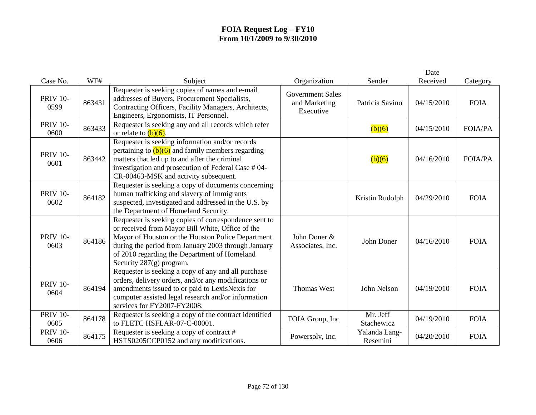|                         |        |                                                                                                                                                                                                                                                                                                     |                                                       |                           | Date       |                |
|-------------------------|--------|-----------------------------------------------------------------------------------------------------------------------------------------------------------------------------------------------------------------------------------------------------------------------------------------------------|-------------------------------------------------------|---------------------------|------------|----------------|
| Case No.                | WF#    | Subject                                                                                                                                                                                                                                                                                             | Organization                                          | Sender                    | Received   | Category       |
| <b>PRIV 10-</b><br>0599 | 863431 | Requester is seeking copies of names and e-mail<br>addresses of Buyers, Procurement Specialists,<br>Contracting Officers, Facility Managers, Architects,<br>Engineers, Ergonomists, IT Personnel.                                                                                                   | <b>Government Sales</b><br>and Marketing<br>Executive | Patricia Savino           | 04/15/2010 | <b>FOIA</b>    |
| <b>PRIV 10-</b><br>0600 | 863433 | Requester is seeking any and all records which refer<br>or relate to $(b)(6)$ .                                                                                                                                                                                                                     |                                                       | (b)(6)                    | 04/15/2010 | <b>FOIA/PA</b> |
| <b>PRIV 10-</b><br>0601 | 863442 | Requester is seeking information and/or records<br>pertaining to $(b)(6)$ and family members regarding<br>matters that led up to and after the criminal<br>investigation and prosecution of Federal Case #04-<br>CR-00463-MSK and activity subsequent.                                              |                                                       | (b)(6)                    | 04/16/2010 | <b>FOIA/PA</b> |
| <b>PRIV 10-</b><br>0602 | 864182 | Requester is seeking a copy of documents concerning<br>human trafficking and slavery of immigrants<br>suspected, investigated and addressed in the U.S. by<br>the Department of Homeland Security.                                                                                                  |                                                       | Kristin Rudolph           | 04/29/2010 | <b>FOIA</b>    |
| <b>PRIV 10-</b><br>0603 | 864186 | Requester is seeking copies of correspondence sent to<br>or received from Mayor Bill White, Office of the<br>Mayor of Houston or the Houston Police Department<br>during the period from January 2003 through January<br>of 2010 regarding the Department of Homeland<br>Security $287(g)$ program. | John Doner &<br>Associates, Inc.                      | John Doner                | 04/16/2010 | <b>FOIA</b>    |
| <b>PRIV 10-</b><br>0604 | 864194 | Requester is seeking a copy of any and all purchase<br>orders, delivery orders, and/or any modifications or<br>amendments issued to or paid to LexisNexis for<br>computer assisted legal research and/or information<br>services for FY2007-FY2008.                                                 | <b>Thomas West</b>                                    | John Nelson               | 04/19/2010 | <b>FOIA</b>    |
| <b>PRIV 10-</b><br>0605 | 864178 | Requester is seeking a copy of the contract identified<br>to FLETC HSFLAR-07-C-00001.                                                                                                                                                                                                               | FOIA Group, Inc                                       | Mr. Jeff<br>Stachewicz    | 04/19/2010 | <b>FOIA</b>    |
| <b>PRIV 10-</b><br>0606 | 864175 | Requester is seeking a copy of contract #<br>HSTS0205CCP0152 and any modifications.                                                                                                                                                                                                                 | Powersolv, Inc.                                       | Yalanda Lang-<br>Resemini | 04/20/2010 | <b>FOIA</b>    |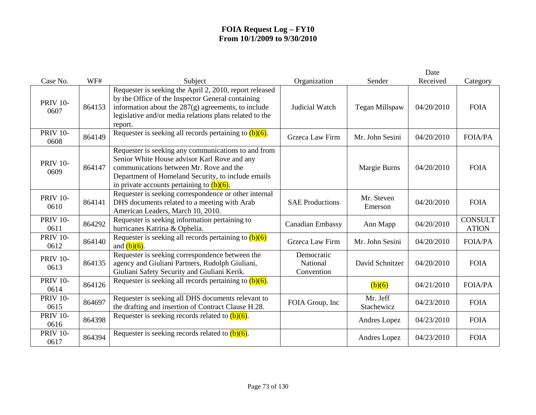|                         |        |                                                                                                                                                                                                                                                      |                                             |                        | Date       |                                |
|-------------------------|--------|------------------------------------------------------------------------------------------------------------------------------------------------------------------------------------------------------------------------------------------------------|---------------------------------------------|------------------------|------------|--------------------------------|
| Case No.                | WF#    | Subject                                                                                                                                                                                                                                              | Organization                                | Sender                 | Received   | Category                       |
| <b>PRIV 10-</b><br>0607 | 864153 | Requester is seeking the April 2, 2010, report released<br>by the Office of the Inspector General containing<br>information about the $287(g)$ agreements, to include<br>legislative and/or media relations plans related to the<br>report.          | Judicial Watch                              | Tegan Millspaw         | 04/20/2010 | <b>FOIA</b>                    |
| <b>PRIV 10-</b><br>0608 | 864149 | Requester is seeking all records pertaining to $(b)(6)$ .                                                                                                                                                                                            | Grzeca Law Firm                             | Mr. John Sesini        | 04/20/2010 | <b>FOIA/PA</b>                 |
| <b>PRIV 10-</b><br>0609 | 864147 | Requester is seeking any communications to and from<br>Senior White House advisor Karl Rove and any<br>communications between Mr. Rove and the<br>Department of Homeland Security, to include emails<br>in private accounts pertaining to $(b)(6)$ . |                                             | Margie Burns           | 04/20/2010 | <b>FOIA</b>                    |
| <b>PRIV 10-</b><br>0610 | 864141 | Requester is seeking correspondence or other internal<br>DHS documents related to a meeting with Arab<br>American Leaders, March 10, 2010.                                                                                                           | <b>SAE Productions</b>                      | Mr. Steven<br>Emerson  | 04/20/2010 | <b>FOIA</b>                    |
| <b>PRIV 10-</b><br>0611 | 864292 | Requester is seeking information pertaining to<br>hurricanes Katrina & Ophelia.                                                                                                                                                                      | Canadian Embassy                            | Ann Mapp               | 04/20/2010 | <b>CONSULT</b><br><b>ATION</b> |
| <b>PRIV 10-</b><br>0612 | 864140 | Requester is seeking all records pertaining to $(b)(6)$<br>and $(b)(6)$ .                                                                                                                                                                            | Grzeca Law Firm                             | Mr. John Sesini        | 04/20/2010 | <b>FOIA/PA</b>                 |
| <b>PRIV 10-</b><br>0613 | 864135 | Requester is seeking correspondence between the<br>agency and Giuliani Partners, Rudolph Giuliani,<br>Giuliani Safety Security and Giuliani Kerik.                                                                                                   | Democratic<br><b>National</b><br>Convention | David Schnitzer        | 04/20/2010 | <b>FOIA</b>                    |
| <b>PRIV 10-</b><br>0614 | 864126 | Requester is seeking all records pertaining to $(b)(6)$ .                                                                                                                                                                                            |                                             | (b)(6)                 | 04/21/2010 | <b>FOIA/PA</b>                 |
| <b>PRIV 10-</b><br>0615 | 864697 | Requester is seeking all DHS documents relevant to<br>the drafting and insertion of Contract Clause H.28.                                                                                                                                            | FOIA Group, Inc.                            | Mr. Jeff<br>Stachewicz | 04/23/2010 | <b>FOIA</b>                    |
| <b>PRIV 10-</b><br>0616 | 864398 | Requester is seeking records related to $(b)(6)$ .                                                                                                                                                                                                   |                                             | Andres Lopez           | 04/23/2010 | <b>FOIA</b>                    |
| <b>PRIV 10-</b><br>0617 | 864394 | Requester is seeking records related to $(b)(6)$ .                                                                                                                                                                                                   |                                             | Andres Lopez           | 04/23/2010 | <b>FOIA</b>                    |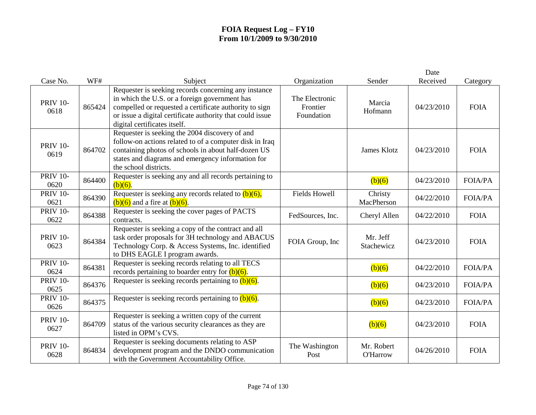|                         |        |                                                                                                                                                                                                                                                              |                                          |                               | Date       |                |
|-------------------------|--------|--------------------------------------------------------------------------------------------------------------------------------------------------------------------------------------------------------------------------------------------------------------|------------------------------------------|-------------------------------|------------|----------------|
| Case No.                | WF#    | Subject                                                                                                                                                                                                                                                      | Organization                             | Sender                        | Received   | Category       |
| <b>PRIV 10-</b><br>0618 | 865424 | Requester is seeking records concerning any instance<br>in which the U.S. or a foreign government has<br>compelled or requested a certificate authority to sign<br>or issue a digital certificate authority that could issue<br>digital certificates itself. | The Electronic<br>Frontier<br>Foundation | Marcia<br>Hofmann             | 04/23/2010 | <b>FOIA</b>    |
| <b>PRIV 10-</b><br>0619 | 864702 | Requester is seeking the 2004 discovery of and<br>follow-on actions related to of a computer disk in Iraq<br>containing photos of schools in about half-dozen US<br>states and diagrams and emergency information for<br>the school districts.               |                                          | <b>James Klotz</b>            | 04/23/2010 | <b>FOIA</b>    |
| <b>PRIV 10-</b><br>0620 | 864400 | Requester is seeking any and all records pertaining to<br>$(b)(6)$ .                                                                                                                                                                                         |                                          | (b)(6)                        | 04/23/2010 | <b>FOIA/PA</b> |
| <b>PRIV 10-</b><br>0621 | 864390 | Requester is seeking any records related to $(b)(6)$ ,<br>$(b)(6)$ and a fire at $(b)(6)$ .                                                                                                                                                                  | <b>Fields Howell</b>                     | Christy<br>MacPherson         | 04/22/2010 | <b>FOIA/PA</b> |
| <b>PRIV 10-</b><br>0622 | 864388 | Requester is seeking the cover pages of PACTS<br>contracts.                                                                                                                                                                                                  | FedSources, Inc.                         | Cheryl Allen                  | 04/22/2010 | <b>FOIA</b>    |
| <b>PRIV 10-</b><br>0623 | 864384 | Requester is seeking a copy of the contract and all<br>task order proposals for 3H technology and ABACUS<br>Technology Corp. & Access Systems, Inc. identified<br>to DHS EAGLE I program awards.                                                             | FOIA Group, Inc                          | Mr. Jeff<br>Stachewicz        | 04/23/2010 | <b>FOIA</b>    |
| <b>PRIV 10-</b><br>0624 | 864381 | Requester is seeking records relating to all TECS<br>records pertaining to boarder entry for $(b)(6)$ .                                                                                                                                                      |                                          | (b)(6)                        | 04/22/2010 | <b>FOIA/PA</b> |
| <b>PRIV 10-</b><br>0625 | 864376 | Requester is seeking records pertaining to $(b)(6)$ .                                                                                                                                                                                                        |                                          | $\overline{(b)(6)}$           | 04/23/2010 | <b>FOIA/PA</b> |
| <b>PRIV 10-</b><br>0626 | 864375 | Requester is seeking records pertaining to $(b)(6)$ .                                                                                                                                                                                                        |                                          | (b)(6)                        | 04/23/2010 | <b>FOIA/PA</b> |
| <b>PRIV 10-</b><br>0627 | 864709 | Requester is seeking a written copy of the current<br>status of the various security clearances as they are<br>listed in OPM's CVS.                                                                                                                          |                                          | (b)(6)                        | 04/23/2010 | <b>FOIA</b>    |
| <b>PRIV 10-</b><br>0628 | 864834 | Requester is seeking documents relating to ASP<br>development program and the DNDO communication<br>with the Government Accountability Office.                                                                                                               | The Washington<br>Post                   | Mr. Robert<br><b>O'Harrow</b> | 04/26/2010 | <b>FOIA</b>    |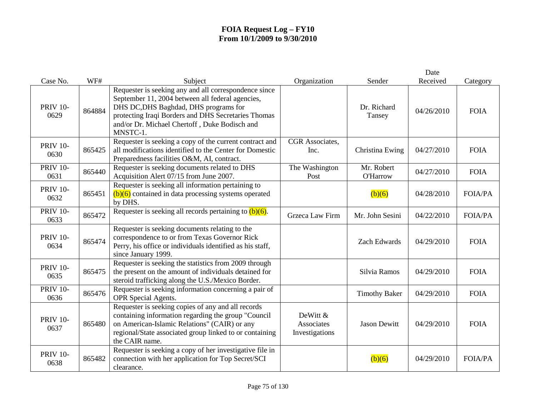| Case No.                | WF#    | Subject                                                                                                                                                                                                                                 | Organization                             | Sender                        | Date<br>Received | Category       |
|-------------------------|--------|-----------------------------------------------------------------------------------------------------------------------------------------------------------------------------------------------------------------------------------------|------------------------------------------|-------------------------------|------------------|----------------|
|                         |        | Requester is seeking any and all correspondence since                                                                                                                                                                                   |                                          |                               |                  |                |
| <b>PRIV 10-</b><br>0629 | 864884 | September 11, 2004 between all federal agencies,<br>DHS DC, DHS Baghdad, DHS programs for<br>protecting Iraqi Borders and DHS Secretaries Thomas<br>and/or Dr. Michael Chertoff, Duke Bodisch and<br>MNSTC-1.                           |                                          | Dr. Richard<br>Tansey         | 04/26/2010       | <b>FOIA</b>    |
| <b>PRIV 10-</b><br>0630 | 865425 | Requester is seeking a copy of the current contract and<br>all modifications identified to the Center for Domestic<br>Preparedness facilities O&M, AI, contract.                                                                        | CGR Associates,<br>Inc.                  | Christina Ewing               | 04/27/2010       | <b>FOIA</b>    |
| <b>PRIV 10-</b><br>0631 | 865440 | Requester is seeking documents related to DHS<br>Acquisition Alert 07/15 from June 2007.                                                                                                                                                | The Washington<br>Post                   | Mr. Robert<br><b>O'Harrow</b> | 04/27/2010       | <b>FOIA</b>    |
| <b>PRIV 10-</b><br>0632 | 865451 | Requester is seeking all information pertaining to<br>$(b)(6)$ contained in data processing systems operated<br>by DHS.                                                                                                                 |                                          | (b)(6)                        | 04/28/2010       | <b>FOIA/PA</b> |
| <b>PRIV 10-</b><br>0633 | 865472 | Requester is seeking all records pertaining to $(b)(6)$ .                                                                                                                                                                               | Grzeca Law Firm                          | Mr. John Sesini               | 04/22/2010       | <b>FOIA/PA</b> |
| <b>PRIV 10-</b><br>0634 | 865474 | Requester is seeking documents relating to the<br>correspondence to or from Texas Governor Rick<br>Perry, his office or individuals identified as his staff,<br>since January 1999.                                                     |                                          | <b>Zach Edwards</b>           | 04/29/2010       | <b>FOIA</b>    |
| <b>PRIV 10-</b><br>0635 | 865475 | Requester is seeking the statistics from 2009 through<br>the present on the amount of individuals detained for<br>steroid trafficking along the U.S./Mexico Border.                                                                     |                                          | Silvia Ramos                  | 04/29/2010       | <b>FOIA</b>    |
| <b>PRIV 10-</b><br>0636 | 865476 | Requester is seeking information concerning a pair of<br>OPR Special Agents.                                                                                                                                                            |                                          | <b>Timothy Baker</b>          | 04/29/2010       | <b>FOIA</b>    |
| <b>PRIV 10-</b><br>0637 | 865480 | Requester is seeking copies of any and all records<br>containing information regarding the group "Council"<br>on American-Islamic Relations" (CAIR) or any<br>regional/State associated group linked to or containing<br>the CAIR name. | DeWitt &<br>Associates<br>Investigations | <b>Jason Dewitt</b>           | 04/29/2010       | <b>FOIA</b>    |
| <b>PRIV 10-</b><br>0638 | 865482 | Requester is seeking a copy of her investigative file in<br>connection with her application for Top Secret/SCI<br>clearance.                                                                                                            |                                          | (b)(6)                        | 04/29/2010       | <b>FOIA/PA</b> |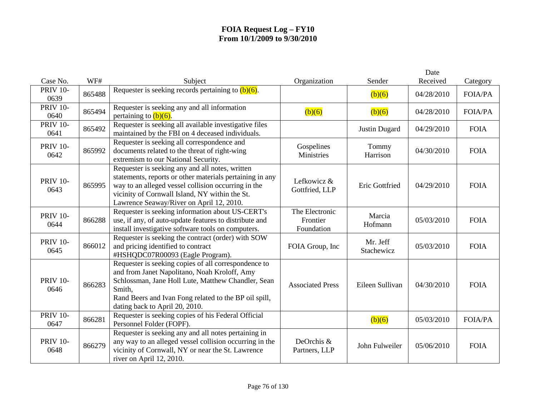| Case No.                | WF#    | Subject                                                                                                                                                                                                                                                          | Organization                             | Sender                 | Date<br>Received | Category       |
|-------------------------|--------|------------------------------------------------------------------------------------------------------------------------------------------------------------------------------------------------------------------------------------------------------------------|------------------------------------------|------------------------|------------------|----------------|
| <b>PRIV 10-</b><br>0639 | 865488 | Requester is seeking records pertaining to $(b)(6)$ .                                                                                                                                                                                                            |                                          | (b)(6)                 | 04/28/2010       | <b>FOIA/PA</b> |
| <b>PRIV 10-</b><br>0640 | 865494 | Requester is seeking any and all information<br>pertaining to $(b)(6)$ .                                                                                                                                                                                         | (b)(6)                                   | (b)(6)                 | 04/28/2010       | <b>FOIA/PA</b> |
| <b>PRIV 10-</b><br>0641 | 865492 | Requester is seeking all available investigative files<br>maintained by the FBI on 4 deceased individuals.                                                                                                                                                       |                                          | <b>Justin Dugard</b>   | 04/29/2010       | <b>FOIA</b>    |
| <b>PRIV 10-</b><br>0642 | 865992 | Requester is seeking all correspondence and<br>documents related to the threat of right-wing<br>extremism to our National Security.                                                                                                                              | Gospelines<br>Ministries                 | Tommy<br>Harrison      | 04/30/2010       | <b>FOIA</b>    |
| <b>PRIV 10-</b><br>0643 | 865995 | Requester is seeking any and all notes, written<br>statements, reports or other materials pertaining in any<br>way to an alleged vessel collision occurring in the<br>vicinity of Cornwall Island, NY within the St.<br>Lawrence Seaway/River on April 12, 2010. | Lefkowicz &<br>Gottfried, LLP            | Eric Gottfried         | 04/29/2010       | <b>FOIA</b>    |
| <b>PRIV 10-</b><br>0644 | 866288 | Requester is seeking information about US-CERT's<br>use, if any, of auto-update features to distribute and<br>install investigative software tools on computers.                                                                                                 | The Electronic<br>Frontier<br>Foundation | Marcia<br>Hofmann      | 05/03/2010       | <b>FOIA</b>    |
| <b>PRIV 10-</b><br>0645 | 866012 | Requester is seeking the contract (order) with SOW<br>and pricing identified to contract<br>#HSHQDC07R00093 (Eagle Program).                                                                                                                                     | FOIA Group, Inc                          | Mr. Jeff<br>Stachewicz | 05/03/2010       | <b>FOIA</b>    |
| <b>PRIV 10-</b><br>0646 | 866283 | Requester is seeking copies of all correspondence to<br>and from Janet Napolitano, Noah Kroloff, Amy<br>Schlossman, Jane Holl Lute, Matthew Chandler, Sean<br>Smith,<br>Rand Beers and Ivan Fong related to the BP oil spill,<br>dating back to April 20, 2010.  | <b>Associated Press</b>                  | Eileen Sullivan        | 04/30/2010       | <b>FOIA</b>    |
| <b>PRIV 10-</b><br>0647 | 866281 | Requester is seeking copies of his Federal Official<br>Personnel Folder (FOPF).                                                                                                                                                                                  |                                          | (b)(6)                 | 05/03/2010       | <b>FOIA/PA</b> |
| <b>PRIV 10-</b><br>0648 | 866279 | Requester is seeking any and all notes pertaining in<br>any way to an alleged vessel collision occurring in the<br>vicinity of Cornwall, NY or near the St. Lawrence<br>river on April 12, 2010.                                                                 | DeOrchis &<br>Partners, LLP              | John Fulweiler         | 05/06/2010       | <b>FOIA</b>    |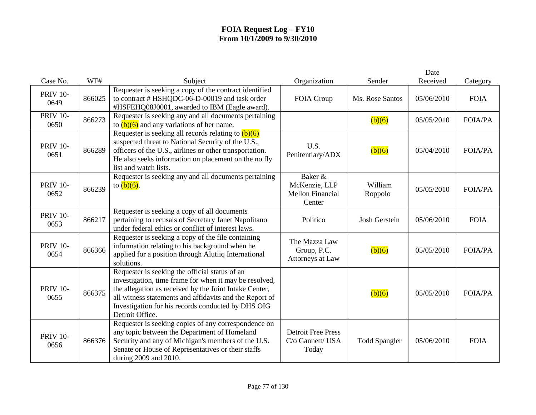|                         |        |                                                                                                                                                                                                                                                                                                        |                                                               |                      | Date       |                |
|-------------------------|--------|--------------------------------------------------------------------------------------------------------------------------------------------------------------------------------------------------------------------------------------------------------------------------------------------------------|---------------------------------------------------------------|----------------------|------------|----------------|
| Case No.                | WF#    | Subject                                                                                                                                                                                                                                                                                                | Organization                                                  | Sender               | Received   | Category       |
| <b>PRIV 10-</b><br>0649 | 866025 | Requester is seeking a copy of the contract identified<br>to contract # HSHQDC-06-D-00019 and task order<br>#HSFEHQ08J0001, awarded to IBM (Eagle award).                                                                                                                                              | FOIA Group                                                    | Ms. Rose Santos      | 05/06/2010 | <b>FOIA</b>    |
| <b>PRIV 10-</b><br>0650 | 866273 | Requester is seeking any and all documents pertaining<br>to $(b)(6)$ and any variations of her name.                                                                                                                                                                                                   |                                                               | (b)(6)               | 05/05/2010 | <b>FOIA/PA</b> |
| <b>PRIV 10-</b><br>0651 | 866289 | Requester is seeking all records relating to $(b)(6)$<br>suspected threat to National Security of the U.S.,<br>officers of the U.S., airlines or other transportation.<br>He also seeks information on placement on the no fly<br>list and watch lists.                                                | U.S.<br>Penitentiary/ADX                                      | (b)(6)               | 05/04/2010 | <b>FOIA/PA</b> |
| <b>PRIV 10-</b><br>0652 | 866239 | Requester is seeking any and all documents pertaining<br>to $(b)(6)$ .                                                                                                                                                                                                                                 | Baker &<br>McKenzie, LLP<br><b>Mellon Financial</b><br>Center | William<br>Roppolo   | 05/05/2010 | <b>FOIA/PA</b> |
| <b>PRIV 10-</b><br>0653 | 866217 | Requester is seeking a copy of all documents<br>pertaining to recusals of Secretary Janet Napolitano<br>under federal ethics or conflict of interest laws.                                                                                                                                             | Politico                                                      | Josh Gerstein        | 05/06/2010 | <b>FOIA</b>    |
| <b>PRIV 10-</b><br>0654 | 866366 | Requester is seeking a copy of the file containing<br>information relating to his background when he<br>applied for a position through Alutiiq International<br>solutions.                                                                                                                             | The Mazza Law<br>Group, P.C.<br>Attorneys at Law              | (b)(6)               | 05/05/2010 | <b>FOIA/PA</b> |
| <b>PRIV 10-</b><br>0655 | 866375 | Requester is seeking the official status of an<br>investigation, time frame for when it may be resolved,<br>the allegation as received by the Joint Intake Center,<br>all witness statements and affidavits and the Report of<br>Investigation for his records conducted by DHS OIG<br>Detroit Office. |                                                               | (b)(6)               | 05/05/2010 | <b>FOIA/PA</b> |
| <b>PRIV 10-</b><br>0656 | 866376 | Requester is seeking copies of any correspondence on<br>any topic between the Department of Homeland<br>Security and any of Michigan's members of the U.S.<br>Senate or House of Representatives or their staffs<br>during 2009 and 2010.                                                              | <b>Detroit Free Press</b><br>C/o Gannett/ USA<br>Today        | <b>Todd Spangler</b> | 05/06/2010 | <b>FOIA</b>    |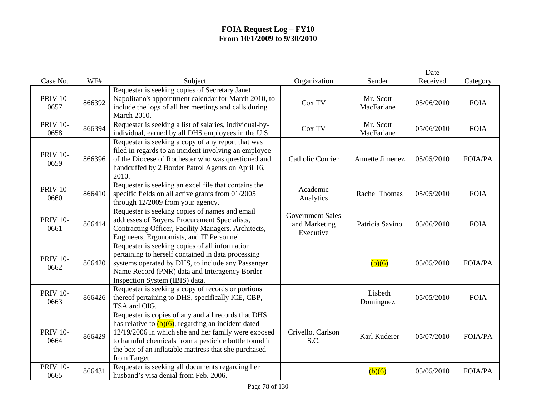|                         |        |                                                                                                                                                                                                                                                                                                       |                                                       |                         | Date       |                |
|-------------------------|--------|-------------------------------------------------------------------------------------------------------------------------------------------------------------------------------------------------------------------------------------------------------------------------------------------------------|-------------------------------------------------------|-------------------------|------------|----------------|
| Case No.                | WF#    | Subject                                                                                                                                                                                                                                                                                               | Organization                                          | Sender                  | Received   | Category       |
| <b>PRIV 10-</b><br>0657 | 866392 | Requester is seeking copies of Secretary Janet<br>Napolitano's appointment calendar for March 2010, to<br>include the logs of all her meetings and calls during<br><b>March 2010.</b>                                                                                                                 | Cox TV                                                | Mr. Scott<br>MacFarlane | 05/06/2010 | <b>FOIA</b>    |
| <b>PRIV 10-</b><br>0658 | 866394 | Requester is seeking a list of salaries, individual-by-<br>individual, earned by all DHS employees in the U.S.                                                                                                                                                                                        | Cox TV                                                | Mr. Scott<br>MacFarlane | 05/06/2010 | <b>FOIA</b>    |
| <b>PRIV 10-</b><br>0659 | 866396 | Requester is seeking a copy of any report that was<br>filed in regards to an incident involving an employee<br>of the Diocese of Rochester who was questioned and<br>handcuffed by 2 Border Patrol Agents on April 16,<br>2010.                                                                       | <b>Catholic Courier</b>                               | Annette Jimenez         | 05/05/2010 | <b>FOIA/PA</b> |
| <b>PRIV 10-</b><br>0660 | 866410 | Requester is seeking an excel file that contains the<br>specific fields on all active grants from 01/2005<br>through 12/2009 from your agency.                                                                                                                                                        | Academic<br>Analytics                                 | <b>Rachel Thomas</b>    | 05/05/2010 | <b>FOIA</b>    |
| <b>PRIV 10-</b><br>0661 | 866414 | Requester is seeking copies of names and email<br>addresses of Buyers, Procurement Specialists,<br>Contracting Officer, Facility Managers, Architects,<br>Engineers, Ergonomists, and IT Personnel.                                                                                                   | <b>Government Sales</b><br>and Marketing<br>Executive | Patricia Savino         | 05/06/2010 | <b>FOIA</b>    |
| <b>PRIV 10-</b><br>0662 | 866420 | Requester is seeking copies of all information<br>pertaining to herself contained in data processing<br>systems operated by DHS, to include any Passenger<br>Name Record (PNR) data and Interagency Border<br>Inspection System (IBIS) data.                                                          |                                                       | (b)(6)                  | 05/05/2010 | <b>FOIA/PA</b> |
| <b>PRIV 10-</b><br>0663 | 866426 | Requester is seeking a copy of records or portions<br>thereof pertaining to DHS, specifically ICE, CBP,<br>TSA and OIG.                                                                                                                                                                               |                                                       | Lisbeth<br>Dominguez    | 05/05/2010 | <b>FOIA</b>    |
| <b>PRIV 10-</b><br>0664 | 866429 | Requester is copies of any and all records that DHS<br>has relative to $(b)(6)$ , regarding an incident dated<br>12/19/2006 in which she and her family were exposed<br>to harmful chemicals from a pesticide bottle found in<br>the box of an inflatable mattress that she purchased<br>from Target. | Crivello, Carlson<br>S.C.                             | Karl Kuderer            | 05/07/2010 | <b>FOIA/PA</b> |
| <b>PRIV 10-</b><br>0665 | 866431 | Requester is seeking all documents regarding her<br>husband's visa denial from Feb. 2006.                                                                                                                                                                                                             |                                                       | (b)(6)                  | 05/05/2010 | <b>FOIA/PA</b> |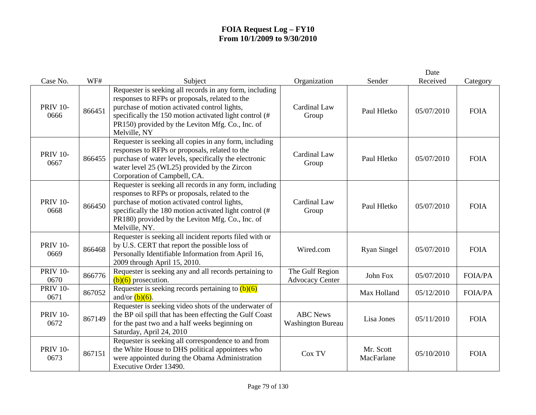| Case No.                | WF#    | Subject                                                                                                                                                                                                                                                                                  | Organization                                | Sender                  | Date<br>Received | Category       |
|-------------------------|--------|------------------------------------------------------------------------------------------------------------------------------------------------------------------------------------------------------------------------------------------------------------------------------------------|---------------------------------------------|-------------------------|------------------|----------------|
| <b>PRIV 10-</b><br>0666 | 866451 | Requester is seeking all records in any form, including<br>responses to RFPs or proposals, related to the<br>purchase of motion activated control lights,<br>specifically the 150 motion activated light control (#<br>PR150) provided by the Leviton Mfg. Co., Inc. of<br>Melville, NY  | Cardinal Law<br>Group                       | Paul Hletko             | 05/07/2010       | <b>FOIA</b>    |
| <b>PRIV 10-</b><br>0667 | 866455 | Requester is seeking all copies in any form, including<br>responses to RFPs or proposals, related to the<br>purchase of water levels, specifically the electronic<br>water level 25 (WL25) provided by the Zircon<br>Corporation of Campbell, CA.                                        | Cardinal Law<br>Group                       | Paul Hletko             | 05/07/2010       | <b>FOIA</b>    |
| <b>PRIV 10-</b><br>0668 | 866450 | Requester is seeking all records in any form, including<br>responses to RFPs or proposals, related to the<br>purchase of motion activated control lights,<br>specifically the 180 motion activated light control (#<br>PR180) provided by the Leviton Mfg. Co., Inc. of<br>Melville, NY. | Cardinal Law<br>Group                       | Paul Hletko             | 05/07/2010       | <b>FOIA</b>    |
| <b>PRIV 10-</b><br>0669 | 866468 | Requester is seeking all incident reports filed with or<br>by U.S. CERT that report the possible loss of<br>Personally Identifiable Information from April 16,<br>2009 through April 15, 2010.                                                                                           | Wired.com                                   | <b>Ryan Singel</b>      | 05/07/2010       | <b>FOIA</b>    |
| <b>PRIV 10-</b><br>0670 | 866776 | Requester is seeking any and all records pertaining to<br>$(b)(6)$ prosecution.                                                                                                                                                                                                          | The Gulf Region<br><b>Advocacy Center</b>   | John Fox                | 05/07/2010       | <b>FOIA/PA</b> |
| <b>PRIV 10-</b><br>0671 | 867052 | Requester is seeking records pertaining to $(b)(6)$<br>and/or $(b)(6)$ .                                                                                                                                                                                                                 |                                             | Max Holland             | 05/12/2010       | <b>FOIA/PA</b> |
| <b>PRIV 10-</b><br>0672 | 867149 | Requester is seeking video shots of the underwater of<br>the BP oil spill that has been effecting the Gulf Coast<br>for the past two and a half weeks beginning on<br>Saturday, April 24, 2010                                                                                           | <b>ABC</b> News<br><b>Washington Bureau</b> | Lisa Jones              | 05/11/2010       | <b>FOIA</b>    |
| <b>PRIV 10-</b><br>0673 | 867151 | Requester is seeking all correspondence to and from<br>the White House to DHS political appointees who<br>were appointed during the Obama Administration<br>Executive Order 13490.                                                                                                       | Cox TV                                      | Mr. Scott<br>MacFarlane | 05/10/2010       | <b>FOIA</b>    |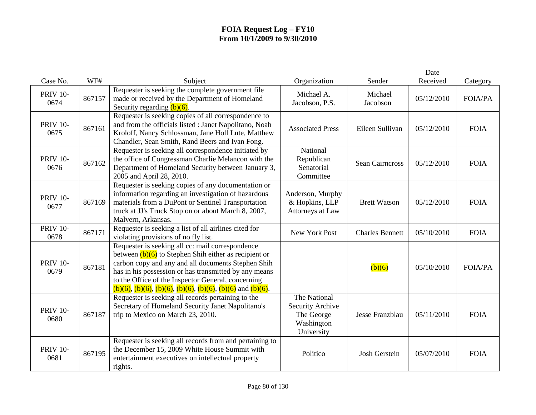| Case No.                | WF#    | Subject                                                                                                                                                                                                                                                                                                                                                            | Organization                                                               | Sender                 | Date<br>Received | Category       |
|-------------------------|--------|--------------------------------------------------------------------------------------------------------------------------------------------------------------------------------------------------------------------------------------------------------------------------------------------------------------------------------------------------------------------|----------------------------------------------------------------------------|------------------------|------------------|----------------|
| <b>PRIV 10-</b><br>0674 | 867157 | Requester is seeking the complete government file<br>made or received by the Department of Homeland<br>Security regarding $(b)(6)$ .                                                                                                                                                                                                                               | Michael A.<br>Jacobson, P.S.                                               | Michael<br>Jacobson    | 05/12/2010       | <b>FOIA/PA</b> |
| <b>PRIV 10-</b><br>0675 | 867161 | Requester is seeking copies of all correspondence to<br>and from the officials listed : Janet Napolitano, Noah<br>Kroloff, Nancy Schlossman, Jane Holl Lute, Matthew<br>Chandler, Sean Smith, Rand Beers and Ivan Fong.                                                                                                                                            | <b>Associated Press</b>                                                    | Eileen Sullivan        | 05/12/2010       | <b>FOIA</b>    |
| <b>PRIV 10-</b><br>0676 | 867162 | Requester is seeking all correspondence initiated by<br>the office of Congressman Charlie Melancon with the<br>Department of Homeland Security between January 3,<br>2005 and April 28, 2010.                                                                                                                                                                      | National<br>Republican<br>Senatorial<br>Committee                          | <b>Sean Cairneross</b> | 05/12/2010       | <b>FOIA</b>    |
| <b>PRIV 10-</b><br>0677 | 867169 | Requester is seeking copies of any documentation or<br>information regarding an investigation of hazardous<br>materials from a DuPont or Sentinel Transportation<br>truck at JJ's Truck Stop on or about March 8, 2007,<br>Malvern, Arkansas.                                                                                                                      | Anderson, Murphy<br>& Hopkins, LLP<br>Attorneys at Law                     | <b>Brett Watson</b>    | 05/12/2010       | <b>FOIA</b>    |
| <b>PRIV 10-</b><br>0678 | 867171 | Requester is seeking a list of all airlines cited for<br>violating provisions of no fly list.                                                                                                                                                                                                                                                                      | New York Post                                                              | <b>Charles Bennett</b> | 05/10/2010       | <b>FOIA</b>    |
| <b>PRIV 10-</b><br>0679 | 867181 | Requester is seeking all cc: mail correspondence<br>between $(b)(6)$ to Stephen Shih either as recipient or<br>carbon copy and any and all documents Stephen Shih<br>has in his possession or has transmitted by any means<br>to the Office of the Inspector General, concerning<br>$(b)(6)$ , $(b)(6)$ , $(b)(6)$ , $(b)(6)$ , $(b)(6)$ , $(b)(6)$ and $(b)(6)$ . |                                                                            | (b)(6)                 | 05/10/2010       | <b>FOIA/PA</b> |
| <b>PRIV 10-</b><br>0680 | 867187 | Requester is seeking all records pertaining to the<br>Secretary of Homeland Security Janet Napolitano's<br>trip to Mexico on March 23, 2010.                                                                                                                                                                                                                       | The National<br>Security Archive<br>The George<br>Washington<br>University | Jesse Franzblau        | 05/11/2010       | <b>FOIA</b>    |
| <b>PRIV 10-</b><br>0681 | 867195 | Requester is seeking all records from and pertaining to<br>the December 15, 2009 White House Summit with<br>entertainment executives on intellectual property<br>rights.                                                                                                                                                                                           | Politico                                                                   | <b>Josh Gerstein</b>   | 05/07/2010       | <b>FOIA</b>    |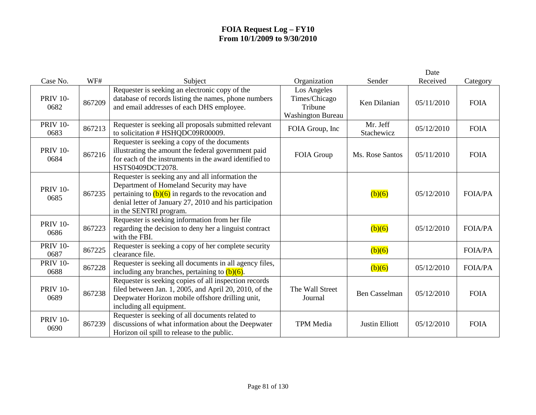|                         |        |                                                                                                                                                                                                                                              |                                                                     |                        | Date       |                |
|-------------------------|--------|----------------------------------------------------------------------------------------------------------------------------------------------------------------------------------------------------------------------------------------------|---------------------------------------------------------------------|------------------------|------------|----------------|
| Case No.                | WF#    | Subject                                                                                                                                                                                                                                      | Organization                                                        | Sender                 | Received   | Category       |
| <b>PRIV 10-</b><br>0682 | 867209 | Requester is seeking an electronic copy of the<br>database of records listing the names, phone numbers<br>and email addresses of each DHS employee.                                                                                          | Los Angeles<br>Times/Chicago<br>Tribune<br><b>Washington Bureau</b> | Ken Dilanian           | 05/11/2010 | <b>FOIA</b>    |
| <b>PRIV 10-</b><br>0683 | 867213 | Requester is seeking all proposals submitted relevant<br>to solicitation # HSHQDC09R00009.                                                                                                                                                   | FOIA Group, Inc                                                     | Mr. Jeff<br>Stachewicz | 05/12/2010 | <b>FOIA</b>    |
| <b>PRIV 10-</b><br>0684 | 867216 | Requester is seeking a copy of the documents<br>illustrating the amount the federal government paid<br>for each of the instruments in the award identified to<br>HSTS0409DCT2078.                                                            | FOIA Group                                                          | Ms. Rose Santos        | 05/11/2010 | <b>FOIA</b>    |
| <b>PRIV 10-</b><br>0685 | 867235 | Requester is seeking any and all information the<br>Department of Homeland Security may have<br>pertaining to $(b)(6)$ in regards to the revocation and<br>denial letter of January 27, 2010 and his participation<br>in the SENTRI program. |                                                                     | (b)(6)                 | 05/12/2010 | <b>FOIA/PA</b> |
| <b>PRIV 10-</b><br>0686 | 867223 | Requester is seeking information from her file<br>regarding the decision to deny her a linguist contract<br>with the FBI.                                                                                                                    |                                                                     | (b)(6)                 | 05/12/2010 | <b>FOIA/PA</b> |
| <b>PRIV 10-</b><br>0687 | 867225 | Requester is seeking a copy of her complete security<br>clearance file.                                                                                                                                                                      |                                                                     | (b)(6)                 |            | <b>FOIA/PA</b> |
| <b>PRIV 10-</b><br>0688 | 867228 | Requester is seeking all documents in all agency files,<br>including any branches, pertaining to $(b)(6)$ .                                                                                                                                  |                                                                     | (b)(6)                 | 05/12/2010 | <b>FOIA/PA</b> |
| <b>PRIV 10-</b><br>0689 | 867238 | Requester is seeking copies of all inspection records<br>filed between Jan. 1, 2005, and April 20, 2010, of the<br>Deepwater Horizon mobile offshore drilling unit,<br>including all equipment.                                              | The Wall Street<br>Journal                                          | <b>Ben Casselman</b>   | 05/12/2010 | <b>FOIA</b>    |
| <b>PRIV 10-</b><br>0690 | 867239 | Requester is seeking of all documents related to<br>discussions of what information about the Deepwater<br>Horizon oil spill to release to the public.                                                                                       | <b>TPM</b> Media                                                    | <b>Justin Elliott</b>  | 05/12/2010 | <b>FOIA</b>    |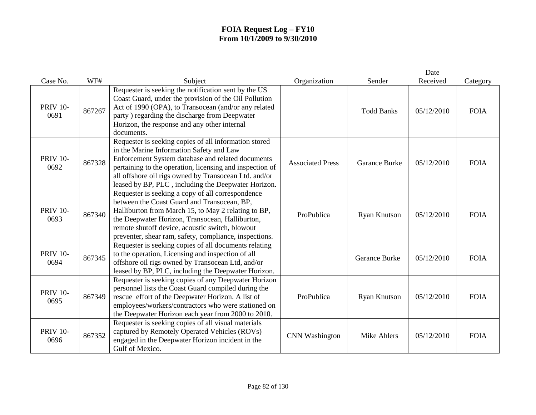| Case No.                | WF#    | Subject                                                                                                                                                                                                                                                                                                                            | Organization            | Sender               | Date<br>Received | Category    |
|-------------------------|--------|------------------------------------------------------------------------------------------------------------------------------------------------------------------------------------------------------------------------------------------------------------------------------------------------------------------------------------|-------------------------|----------------------|------------------|-------------|
|                         |        |                                                                                                                                                                                                                                                                                                                                    |                         |                      |                  |             |
| <b>PRIV 10-</b><br>0691 | 867267 | Requester is seeking the notification sent by the US<br>Coast Guard, under the provision of the Oil Pollution<br>Act of 1990 (OPA), to Transocean (and/or any related<br>party ) regarding the discharge from Deepwater<br>Horizon, the response and any other internal<br>documents.                                              |                         | <b>Todd Banks</b>    | 05/12/2010       | <b>FOIA</b> |
| <b>PRIV 10-</b><br>0692 | 867328 | Requester is seeking copies of all information stored<br>in the Marine Information Safety and Law<br>Enforcement System database and related documents<br>pertaining to the operation, licensing and inspection of<br>all offshore oil rigs owned by Transocean Ltd. and/or<br>leased by BP, PLC, including the Deepwater Horizon. | <b>Associated Press</b> | <b>Garance Burke</b> | 05/12/2010       | <b>FOIA</b> |
| <b>PRIV 10-</b><br>0693 | 867340 | Requester is seeking a copy of all correspondence<br>between the Coast Guard and Transocean, BP,<br>Halliburton from March 15, to May 2 relating to BP,<br>the Deepwater Horizon, Transocean, Halliburton,<br>remote shutoff device, acoustic switch, blowout<br>preventer, shear ram, safety, compliance, inspections.            | ProPublica              | <b>Ryan Knutson</b>  | 05/12/2010       | <b>FOIA</b> |
| <b>PRIV 10-</b><br>0694 | 867345 | Requester is seeking copies of all documents relating<br>to the operation, Licensing and inspection of all<br>offshore oil rigs owned by Transocean Ltd, and/or<br>leased by BP, PLC, including the Deepwater Horizon.                                                                                                             |                         | Garance Burke        | 05/12/2010       | <b>FOIA</b> |
| <b>PRIV 10-</b><br>0695 | 867349 | Requester is seeking copies of any Deepwater Horizon<br>personnel lists the Coast Guard compiled during the<br>rescue effort of the Deepwater Horizon. A list of<br>employees/workers/contractors who were stationed on<br>the Deepwater Horizon each year from 2000 to 2010.                                                      | ProPublica              | <b>Ryan Knutson</b>  | 05/12/2010       | <b>FOIA</b> |
| <b>PRIV 10-</b><br>0696 | 867352 | Requester is seeking copies of all visual materials<br>captured by Remotely Operated Vehicles (ROVs)<br>engaged in the Deepwater Horizon incident in the<br>Gulf of Mexico.                                                                                                                                                        | <b>CNN</b> Washington   | <b>Mike Ahlers</b>   | 05/12/2010       | <b>FOIA</b> |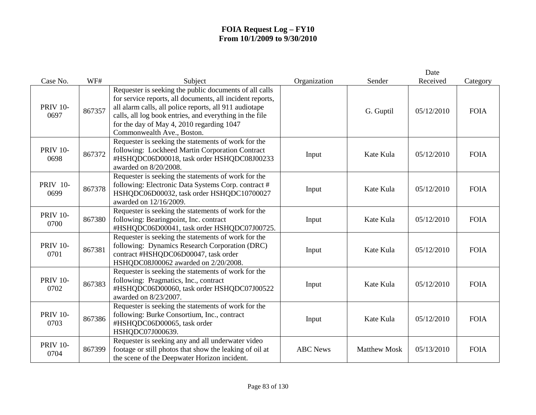| Case No.                | WF#    | Subject                                                                                                                                                                                                                                                                                                             | Organization    | Sender              | Date<br>Received | Category    |
|-------------------------|--------|---------------------------------------------------------------------------------------------------------------------------------------------------------------------------------------------------------------------------------------------------------------------------------------------------------------------|-----------------|---------------------|------------------|-------------|
| <b>PRIV 10-</b><br>0697 | 867357 | Requester is seeking the public documents of all calls<br>for service reports, all documents, all incident reports,<br>all alarm calls, all police reports, all 911 audiotape<br>calls, all log book entries, and everything in the file<br>for the day of May 4, 2010 regarding 1047<br>Commonwealth Ave., Boston. |                 | G. Guptil           | 05/12/2010       | <b>FOIA</b> |
| <b>PRIV 10-</b><br>0698 | 867372 | Requester is seeking the statements of work for the<br>following: Lockheed Martin Corporation Contract<br>#HSHQDC06D00018, task order HSHQDC08J00233<br>awarded on 8/20/2008.                                                                                                                                       | Input           | Kate Kula           | 05/12/2010       | <b>FOIA</b> |
| <b>PRIV 10-</b><br>0699 | 867378 | Requester is seeking the statements of work for the<br>following: Electronic Data Systems Corp. contract #<br>HSHQDC06D00032, task order HSHQDC10700027<br>awarded on 12/16/2009.                                                                                                                                   | Input           | Kate Kula           | 05/12/2010       | <b>FOIA</b> |
| <b>PRIV 10-</b><br>0700 | 867380 | Requester is seeking the statements of work for the<br>following: Bearingpoint, Inc. contract<br>#HSHQDC06D00041, task order HSHQDC07J00725.                                                                                                                                                                        | Input           | Kate Kula           | 05/12/2010       | <b>FOIA</b> |
| <b>PRIV 10-</b><br>0701 | 867381 | Requester is seeking the statements of work for the<br>following: Dynamics Research Corporation (DRC)<br>contract #HSHQDC06D00047, task order<br>HSHQDC08J00062 awarded on 2/20/2008.                                                                                                                               | Input           | Kate Kula           | 05/12/2010       | <b>FOIA</b> |
| <b>PRIV 10-</b><br>0702 | 867383 | Requester is seeking the statements of work for the<br>following: Pragmatics, Inc., contract<br>#HSHQDC06D00060, task order HSHQDC07J00522<br>awarded on 8/23/2007.                                                                                                                                                 | Input           | Kate Kula           | 05/12/2010       | <b>FOIA</b> |
| <b>PRIV 10-</b><br>0703 | 867386 | Requester is seeking the statements of work for the<br>following: Burke Consortium, Inc., contract<br>#HSHQDC06D00065, task order<br>HSHQDC07J000639.                                                                                                                                                               | Input           | Kate Kula           | 05/12/2010       | <b>FOIA</b> |
| <b>PRIV 10-</b><br>0704 | 867399 | Requester is seeking any and all underwater video<br>footage or still photos that show the leaking of oil at<br>the scene of the Deepwater Horizon incident.                                                                                                                                                        | <b>ABC</b> News | <b>Matthew Mosk</b> | 05/13/2010       | <b>FOIA</b> |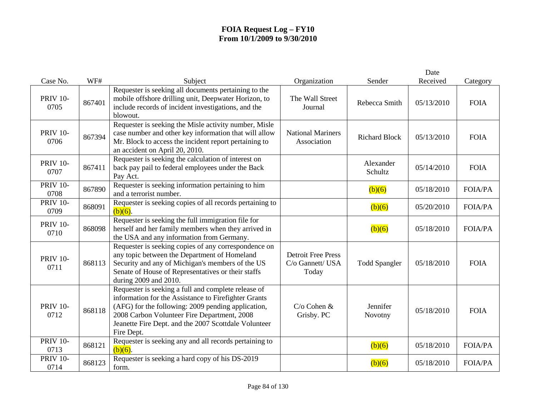|                         |        |                                                                                                                                                                                                                                                                                        |                                                        |                      | Date       |                |
|-------------------------|--------|----------------------------------------------------------------------------------------------------------------------------------------------------------------------------------------------------------------------------------------------------------------------------------------|--------------------------------------------------------|----------------------|------------|----------------|
| Case No.                | WF#    | Subject                                                                                                                                                                                                                                                                                | Organization                                           | Sender               | Received   | Category       |
| <b>PRIV 10-</b><br>0705 | 867401 | Requester is seeking all documents pertaining to the<br>mobile offshore drilling unit, Deepwater Horizon, to<br>include records of incident investigations, and the<br>blowout.                                                                                                        | The Wall Street<br>Journal                             | Rebecca Smith        | 05/13/2010 | <b>FOIA</b>    |
| <b>PRIV 10-</b><br>0706 | 867394 | Requester is seeking the Misle activity number, Misle<br>case number and other key information that will allow<br>Mr. Block to access the incident report pertaining to<br>an accident on April 20, 2010.                                                                              | <b>National Mariners</b><br>Association                | <b>Richard Block</b> | 05/13/2010 | <b>FOIA</b>    |
| <b>PRIV 10-</b><br>0707 | 867411 | Requester is seeking the calculation of interest on<br>back pay pail to federal employees under the Back<br>Pay Act.                                                                                                                                                                   |                                                        | Alexander<br>Schultz | 05/14/2010 | <b>FOIA</b>    |
| <b>PRIV 10-</b><br>0708 | 867890 | Requester is seeking information pertaining to him<br>and a terrorist number.                                                                                                                                                                                                          |                                                        | (b)(6)               | 05/18/2010 | <b>FOIA/PA</b> |
| <b>PRIV 10-</b><br>0709 | 868091 | Requester is seeking copies of all records pertaining to<br>$(b)(6)$ .                                                                                                                                                                                                                 |                                                        | (b)(6)               | 05/20/2010 | <b>FOIA/PA</b> |
| <b>PRIV 10-</b><br>0710 | 868098 | Requester is seeking the full immigration file for<br>herself and her family members when they arrived in<br>the USA and any information from Germany.                                                                                                                                 |                                                        | (b)(6)               | 05/18/2010 | <b>FOIA/PA</b> |
| <b>PRIV 10-</b><br>0711 | 868113 | Requester is seeking copies of any correspondence on<br>any topic between the Department of Homeland<br>Security and any of Michigan's members of the US<br>Senate of House of Representatives or their staffs<br>during 2009 and 2010.                                                | <b>Detroit Free Press</b><br>C/o Gannett/ USA<br>Today | <b>Todd Spangler</b> | 05/18/2010 | <b>FOIA</b>    |
| <b>PRIV 10-</b><br>0712 | 868118 | Requester is seeking a full and complete release of<br>information for the Assistance to Firefighter Grants<br>(AFG) for the following: 2009 pending application,<br>2008 Carbon Volunteer Fire Department, 2008<br>Jeanette Fire Dept. and the 2007 Scottdale Volunteer<br>Fire Dept. | $C$ /o Cohen $\&$<br>Grisby. PC                        | Jennifer<br>Novotny  | 05/18/2010 | <b>FOIA</b>    |
| <b>PRIV 10-</b><br>0713 | 868121 | Requester is seeking any and all records pertaining to<br>$(b)(6)$ .                                                                                                                                                                                                                   |                                                        | (b)(6)               | 05/18/2010 | <b>FOIA/PA</b> |
| <b>PRIV 10-</b><br>0714 | 868123 | Requester is seeking a hard copy of his DS-2019<br>form.                                                                                                                                                                                                                               |                                                        | (b)(6)               | 05/18/2010 | <b>FOIA/PA</b> |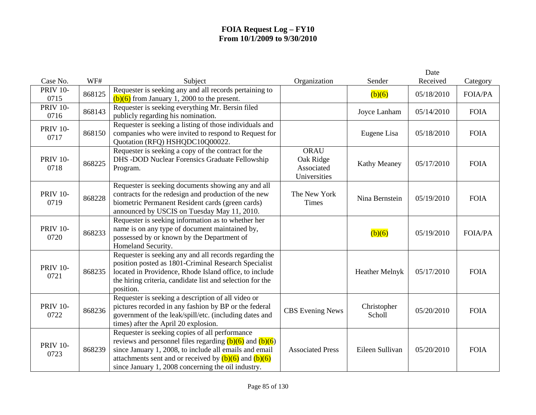|                         |        |                                                                                                                                                                                                                                                                                            |                                                        |                       | Date       |                |
|-------------------------|--------|--------------------------------------------------------------------------------------------------------------------------------------------------------------------------------------------------------------------------------------------------------------------------------------------|--------------------------------------------------------|-----------------------|------------|----------------|
| Case No.                | WF#    | Subject                                                                                                                                                                                                                                                                                    | Organization                                           | Sender                | Received   | Category       |
| <b>PRIV 10-</b><br>0715 | 868125 | Requester is seeking any and all records pertaining to<br>$(b)(6)$ from January 1, 2000 to the present.                                                                                                                                                                                    |                                                        | (b)(6)                | 05/18/2010 | FOIA/PA        |
| <b>PRIV 10-</b><br>0716 | 868143 | Requester is seeking everything Mr. Bersin filed<br>publicly regarding his nomination.                                                                                                                                                                                                     |                                                        | Joyce Lanham          | 05/14/2010 | <b>FOIA</b>    |
| <b>PRIV 10-</b><br>0717 | 868150 | Requester is seeking a listing of those individuals and<br>companies who were invited to respond to Request for<br>Quotation (RFQ) HSHQDC10Q00022.                                                                                                                                         |                                                        | Eugene Lisa           | 05/18/2010 | <b>FOIA</b>    |
| <b>PRIV 10-</b><br>0718 | 868225 | Requester is seeking a copy of the contract for the<br>DHS -DOD Nuclear Forensics Graduate Fellowship<br>Program.                                                                                                                                                                          | <b>ORAU</b><br>Oak Ridge<br>Associated<br>Universities | <b>Kathy Meaney</b>   | 05/17/2010 | <b>FOIA</b>    |
| <b>PRIV 10-</b><br>0719 | 868228 | Requester is seeking documents showing any and all<br>contracts for the redesign and production of the new<br>biometric Permanent Resident cards (green cards)<br>announced by USCIS on Tuesday May 11, 2010.                                                                              | The New York<br><b>Times</b>                           | Nina Bernstein        | 05/19/2010 | <b>FOIA</b>    |
| <b>PRIV 10-</b><br>0720 | 868233 | Requester is seeking information as to whether her<br>name is on any type of document maintained by,<br>possessed by or known by the Department of<br>Homeland Security.                                                                                                                   |                                                        | (b)(6)                | 05/19/2010 | <b>FOIA/PA</b> |
| <b>PRIV 10-</b><br>0721 | 868235 | Requester is seeking any and all records regarding the<br>position posted as 1801-Criminal Research Specialist<br>located in Providence, Rhode Island office, to include<br>the hiring criteria, candidate list and selection for the<br>position.                                         |                                                        | Heather Melnyk        | 05/17/2010 | <b>FOIA</b>    |
| <b>PRIV 10-</b><br>0722 | 868236 | Requester is seeking a description of all video or<br>pictures recorded in any fashion by BP or the federal<br>government of the leak/spill/etc. (including dates and<br>times) after the April 20 explosion.                                                                              | <b>CBS</b> Evening News                                | Christopher<br>Scholl | 05/20/2010 | <b>FOIA</b>    |
| <b>PRIV 10-</b><br>0723 | 868239 | Requester is seeking copies of all performance<br>reviews and personnel files regarding $(b)(6)$ and $(b)(6)$<br>since January 1, 2008, to include all emails and email<br>attachments sent and or received by $(b)(6)$ and $(b)(6)$<br>since January 1, 2008 concerning the oil industry. | <b>Associated Press</b>                                | Eileen Sullivan       | 05/20/2010 | <b>FOIA</b>    |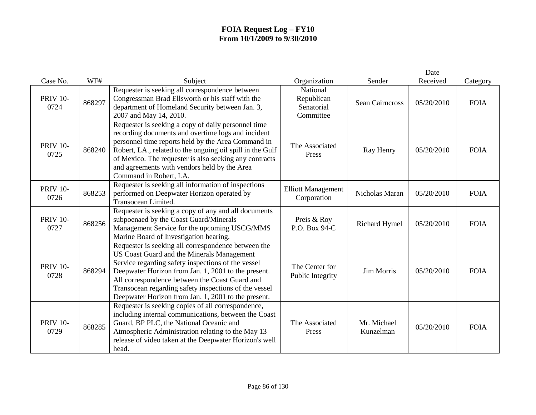|                         |        |                                                                                                                                                                                                                                                                                                                                                                                  |                                                   |                          | Date<br>Received |             |
|-------------------------|--------|----------------------------------------------------------------------------------------------------------------------------------------------------------------------------------------------------------------------------------------------------------------------------------------------------------------------------------------------------------------------------------|---------------------------------------------------|--------------------------|------------------|-------------|
| Case No.                | WF#    | Subject                                                                                                                                                                                                                                                                                                                                                                          | Organization                                      | Sender                   |                  | Category    |
| <b>PRIV 10-</b><br>0724 | 868297 | Requester is seeking all correspondence between<br>Congressman Brad Ellsworth or his staff with the<br>department of Homeland Security between Jan. 3,<br>2007 and May 14, 2010.                                                                                                                                                                                                 | National<br>Republican<br>Senatorial<br>Committee | <b>Sean Cairncross</b>   | 05/20/2010       | <b>FOIA</b> |
| <b>PRIV 10-</b><br>0725 | 868240 | Requester is seeking a copy of daily personnel time<br>recording documents and overtime logs and incident<br>personnel time reports held by the Area Command in<br>Robert, LA., related to the ongoing oil spill in the Gulf<br>of Mexico. The requester is also seeking any contracts<br>and agreements with vendors held by the Area<br>Command in Robert, LA.                 | The Associated<br>Press                           | Ray Henry                | 05/20/2010       | <b>FOIA</b> |
| <b>PRIV 10-</b><br>0726 | 868253 | Requester is seeking all information of inspections<br>performed on Deepwater Horizon operated by<br>Transocean Limited.                                                                                                                                                                                                                                                         | <b>Elliott Management</b><br>Corporation          | Nicholas Maran           | 05/20/2010       | <b>FOIA</b> |
| <b>PRIV 10-</b><br>0727 | 868256 | Requester is seeking a copy of any and all documents<br>subpoenaed by the Coast Guard/Minerals<br>Management Service for the upcoming USCG/MMS<br>Marine Board of Investigation hearing.                                                                                                                                                                                         | Preis & Roy<br>P.O. Box 94-C                      | Richard Hymel            | 05/20/2010       | <b>FOIA</b> |
| <b>PRIV 10-</b><br>0728 | 868294 | Requester is seeking all correspondence between the<br>US Coast Guard and the Minerals Management<br>Service regarding safety inspections of the vessel<br>Deepwater Horizon from Jan. 1, 2001 to the present.<br>All correspondence between the Coast Guard and<br>Transocean regarding safety inspections of the vessel<br>Deepwater Horizon from Jan. 1, 2001 to the present. | The Center for<br>Public Integrity                | Jim Morris               | 05/20/2010       | <b>FOIA</b> |
| <b>PRIV 10-</b><br>0729 | 868285 | Requester is seeking copies of all correspondence,<br>including internal communications, between the Coast<br>Guard, BP PLC, the National Oceanic and<br>Atmospheric Administration relating to the May 13<br>release of video taken at the Deepwater Horizon's well<br>head.                                                                                                    | The Associated<br>Press                           | Mr. Michael<br>Kunzelman | 05/20/2010       | <b>FOIA</b> |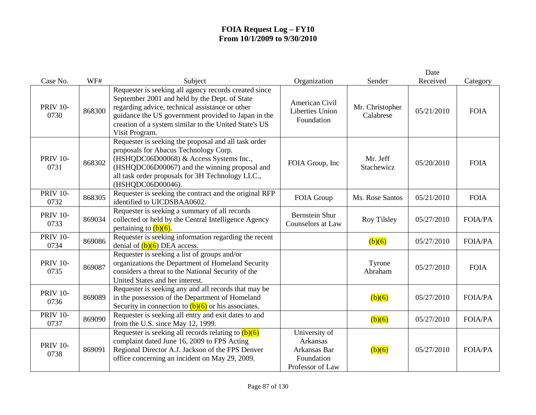| Case No.                | WF#    | Subject                                                                                                                                                                                                                                                                                     | Organization                                                                       | Sender                       | Date<br>Received | Category       |
|-------------------------|--------|---------------------------------------------------------------------------------------------------------------------------------------------------------------------------------------------------------------------------------------------------------------------------------------------|------------------------------------------------------------------------------------|------------------------------|------------------|----------------|
| <b>PRIV 10-</b><br>0730 | 868300 | Requester is seeking all agency records created since<br>September 2001 and held by the Dept. of State<br>regarding advice, technical assistance or other<br>guidance the US government provided to Japan in the<br>creation of a system similar to the United State's US<br>Visit Program. | American Civil<br><b>Liberties Union</b><br>Foundation                             | Mr. Christopher<br>Calabrese | 05/21/2010       | <b>FOIA</b>    |
| <b>PRIV 10-</b><br>0731 | 868302 | Requester is seeking the proposal and all task order<br>proposals for Abacus Technology Corp.<br>(HSHQDC06D00068) & Access Systems Inc.,<br>(HSHQDC06D00067) and the winning proposal and<br>all task order proposals for 3H Technology LLC.,<br>(HSHQDC06D00046).                          | FOIA Group, Inc                                                                    | Mr. Jeff<br>Stachewicz       | 05/20/2010       | <b>FOIA</b>    |
| <b>PRIV 10-</b><br>0732 | 868305 | Requester is seeking the contract and the original RFP<br>identified to UICDSBAA0602.                                                                                                                                                                                                       | FOIA Group                                                                         | Ms. Rose Santos              | 05/21/2010       | <b>FOIA</b>    |
| <b>PRIV 10-</b><br>0733 | 869034 | Requester is seeking a summary of all records<br>collected or held by the Central Intelligence Agency<br>pertaining to $(b)(6)$ .                                                                                                                                                           | <b>Bernstein Shur</b><br>Counselors at Law                                         | Roy Tilsley                  | 05/27/2010       | <b>FOIA/PA</b> |
| <b>PRIV 10-</b><br>0734 | 869086 | Requester is seeking information regarding the recent<br>denial of $(b)(6)$ DEA access.                                                                                                                                                                                                     |                                                                                    | (b)(6)                       | 05/27/2010       | <b>FOIA/PA</b> |
| <b>PRIV 10-</b><br>0735 | 869087 | Requester is seeking a list of groups and/or<br>organizations the Department of Homeland Security<br>considers a threat to the National Security of the<br>United States and her interest.                                                                                                  |                                                                                    | Tyrone<br>Abraham            | 05/27/2010       | <b>FOIA</b>    |
| <b>PRIV 10-</b><br>0736 | 869089 | Requester is seeking any and all records that may be<br>in the possession of the Department of Homeland<br>Security in connection to $(b)(6)$ or his associates.                                                                                                                            |                                                                                    | (b)(6)                       | 05/27/2010       | <b>FOIA/PA</b> |
| <b>PRIV 10-</b><br>0737 | 869090 | Requester is seeking all entry and exit dates to and<br>from the U.S. since May 12, 1999.                                                                                                                                                                                                   |                                                                                    | (b)(6)                       | 05/27/2010       | <b>FOIA/PA</b> |
| <b>PRIV 10-</b><br>0738 | 869091 | Requester is seeking all records relating to $(b)(6)$<br>complaint dated June 16, 2009 to FPS Acting<br>Regional Director A.J. Jackson of the FPS Denver<br>office concerning an incident on May 29, 2009.                                                                                  | University of<br><b>Arkansas</b><br>Arkansas Bar<br>Foundation<br>Professor of Law | (b)(6)                       | 05/27/2010       | <b>FOIA/PA</b> |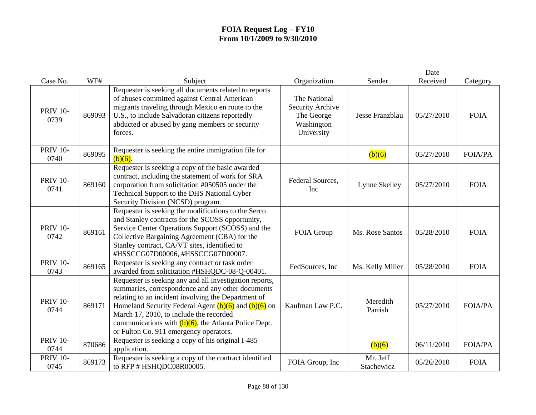| Case No.                | WF#    | Subject                                                                                                                                                                                                                                                                                                                                                                         | Organization                                                               | Sender                 | Date<br>Received | Category       |
|-------------------------|--------|---------------------------------------------------------------------------------------------------------------------------------------------------------------------------------------------------------------------------------------------------------------------------------------------------------------------------------------------------------------------------------|----------------------------------------------------------------------------|------------------------|------------------|----------------|
| <b>PRIV 10-</b><br>0739 | 869093 | Requester is seeking all documents related to reports<br>of abuses committed against Central American<br>migrants traveling through Mexico en route to the<br>U.S., to include Salvadoran citizens reportedly<br>abducted or abused by gang members or security<br>forces.                                                                                                      | The National<br>Security Archive<br>The George<br>Washington<br>University | Jesse Franzblau        | 05/27/2010       | <b>FOIA</b>    |
| <b>PRIV 10-</b><br>0740 | 869095 | Requester is seeking the entire immigration file for<br>$(b)(6)$ .                                                                                                                                                                                                                                                                                                              |                                                                            | (b)(6)                 | 05/27/2010       | <b>FOIA/PA</b> |
| <b>PRIV 10-</b><br>0741 | 869160 | Requester is seeking a copy of the basic awarded<br>contract, including the statement of work for SRA<br>corporation from solicitation #050505 under the<br>Technical Support to the DHS National Cyber<br>Security Division (NCSD) program.                                                                                                                                    | Federal Sources,<br>Inc                                                    | Lynne Skelley          | 05/27/2010       | <b>FOIA</b>    |
| <b>PRIV 10-</b><br>0742 | 869161 | Requester is seeking the modifications to the Serco<br>and Stanley contracts for the SCOSS opportunity,<br>Service Center Operations Support (SCOSS) and the<br>Collective Bargaining Agreement (CBA) for the<br>Stanley contract, CA/VT sites, identified to<br>#HSSCCG07D00006, #HSSCCG07D00007.                                                                              | FOIA Group                                                                 | Ms. Rose Santos        | 05/28/2010       | <b>FOIA</b>    |
| <b>PRIV 10-</b><br>0743 | 869165 | Requester is seeking any contract or task order<br>awarded from solicitation #HSHQDC-08-Q-00401.                                                                                                                                                                                                                                                                                | FedSources, Inc.                                                           | Ms. Kelly Miller       | 05/28/2010       | <b>FOIA</b>    |
| <b>PRIV 10-</b><br>0744 | 869171 | Requester is seeking any and all investigation reports,<br>summaries, correspondence and any other documents<br>relating to an incident involving the Department of<br>Homeland Security Federal Agent $(b)(6)$ and $(b)(6)$ on<br>March 17, 2010, to include the recorded<br>communications with $(b)(6)$ , the Atlanta Police Dept.<br>or Fulton Co. 911 emergency operators. | Kaufman Law P.C.                                                           | Meredith<br>Parrish    | 05/27/2010       | <b>FOIA/PA</b> |
| <b>PRIV 10-</b><br>0744 | 870686 | Requester is seeking a copy of his original I-485<br>application.                                                                                                                                                                                                                                                                                                               |                                                                            | (b)(6)                 | 06/11/2010       | <b>FOIA/PA</b> |
| <b>PRIV 10-</b><br>0745 | 869173 | Requester is seeking a copy of the contract identified<br>to RFP # HSHQDC08R00005.                                                                                                                                                                                                                                                                                              | FOIA Group, Inc                                                            | Mr. Jeff<br>Stachewicz | 05/26/2010       | <b>FOIA</b>    |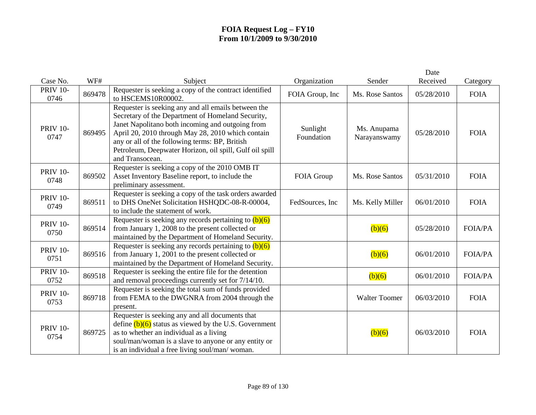|                         |        |                                                                                                                                                                                                                                                                                                                                                   |                        |                             | Date       |                |
|-------------------------|--------|---------------------------------------------------------------------------------------------------------------------------------------------------------------------------------------------------------------------------------------------------------------------------------------------------------------------------------------------------|------------------------|-----------------------------|------------|----------------|
| Case No.                | WF#    | Subject                                                                                                                                                                                                                                                                                                                                           | Organization           | Sender                      | Received   | Category       |
| <b>PRIV 10-</b><br>0746 | 869478 | Requester is seeking a copy of the contract identified<br>to HSCEMS10R00002.                                                                                                                                                                                                                                                                      | FOIA Group, Inc        | Ms. Rose Santos             | 05/28/2010 | <b>FOIA</b>    |
| <b>PRIV 10-</b><br>0747 | 869495 | Requester is seeking any and all emails between the<br>Secretary of the Department of Homeland Security,<br>Janet Napolitano both incoming and outgoing from<br>April 20, 2010 through May 28, 2010 which contain<br>any or all of the following terms: BP, British<br>Petroleum, Deepwater Horizon, oil spill, Gulf oil spill<br>and Transocean. | Sunlight<br>Foundation | Ms. Anupama<br>Narayanswamy | 05/28/2010 | <b>FOIA</b>    |
| <b>PRIV 10-</b><br>0748 | 869502 | Requester is seeking a copy of the 2010 OMB IT<br>Asset Inventory Baseline report, to include the<br>preliminary assessment.                                                                                                                                                                                                                      | FOIA Group             | Ms. Rose Santos             | 05/31/2010 | <b>FOIA</b>    |
| <b>PRIV 10-</b><br>0749 | 869511 | Requester is seeking a copy of the task orders awarded<br>to DHS OneNet Solicitation HSHQDC-08-R-00004,<br>to include the statement of work.                                                                                                                                                                                                      | FedSources, Inc        | Ms. Kelly Miller            | 06/01/2010 | <b>FOIA</b>    |
| <b>PRIV 10-</b><br>0750 | 869514 | Requester is seeking any records pertaining to $(b)(6)$<br>from January 1, 2008 to the present collected or<br>maintained by the Department of Homeland Security.                                                                                                                                                                                 |                        | (b)(6)                      | 05/28/2010 | <b>FOIA/PA</b> |
| <b>PRIV 10-</b><br>0751 | 869516 | Requester is seeking any records pertaining to $(b)(6)$<br>from January 1, 2001 to the present collected or<br>maintained by the Department of Homeland Security.                                                                                                                                                                                 |                        | (b)(6)                      | 06/01/2010 | <b>FOIA/PA</b> |
| <b>PRIV 10-</b><br>0752 | 869518 | Requester is seeking the entire file for the detention<br>and removal proceedings currently set for 7/14/10.                                                                                                                                                                                                                                      |                        | (b)(6)                      | 06/01/2010 | <b>FOIA/PA</b> |
| <b>PRIV 10-</b><br>0753 | 869718 | Requester is seeking the total sum of funds provided<br>from FEMA to the DWGNRA from 2004 through the<br>present.                                                                                                                                                                                                                                 |                        | <b>Walter Toomer</b>        | 06/03/2010 | <b>FOIA</b>    |
| <b>PRIV 10-</b><br>0754 | 869725 | Requester is seeking any and all documents that<br>define $(b)(6)$ status as viewed by the U.S. Government<br>as to whether an individual as a living<br>soul/man/woman is a slave to anyone or any entity or<br>is an individual a free living soul/man/ woman.                                                                                  |                        | (b)(6)                      | 06/03/2010 | <b>FOIA</b>    |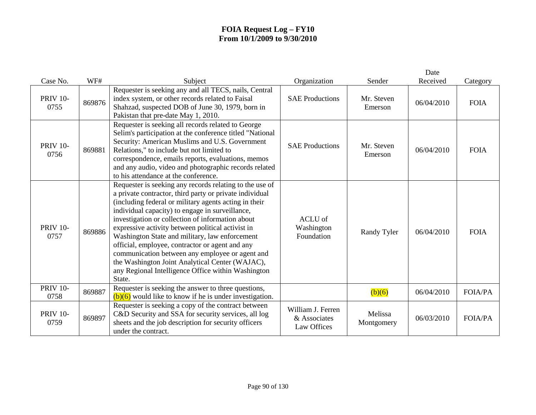| Case No.                | WF#    | Subject                                                                                                                                                                                                                                                                                                                                                                                                                                                                                                                                                                                                            | Organization                                     | Sender                | Date<br>Received | Category       |
|-------------------------|--------|--------------------------------------------------------------------------------------------------------------------------------------------------------------------------------------------------------------------------------------------------------------------------------------------------------------------------------------------------------------------------------------------------------------------------------------------------------------------------------------------------------------------------------------------------------------------------------------------------------------------|--------------------------------------------------|-----------------------|------------------|----------------|
| <b>PRIV 10-</b><br>0755 | 869876 | Requester is seeking any and all TECS, nails, Central<br>index system, or other records related to Faisal<br>Shahzad, suspected DOB of June 30, 1979, born in<br>Pakistan that pre-date May 1, 2010.                                                                                                                                                                                                                                                                                                                                                                                                               | <b>SAE Productions</b>                           | Mr. Steven<br>Emerson | 06/04/2010       | <b>FOIA</b>    |
| <b>PRIV 10-</b><br>0756 | 869881 | Requester is seeking all records related to George<br>Selim's participation at the conference titled "National<br>Security: American Muslims and U.S. Government<br>Relations," to include but not limited to<br>correspondence, emails reports, evaluations, memos<br>and any audio, video and photographic records related<br>to his attendance at the conference.                                                                                                                                                                                                                                               | <b>SAE Productions</b>                           | Mr. Steven<br>Emerson | 06/04/2010       | <b>FOIA</b>    |
| <b>PRIV 10-</b><br>0757 | 869886 | Requester is seeking any records relating to the use of<br>a private contractor, third party or private individual<br>(including federal or military agents acting in their<br>individual capacity) to engage in surveillance,<br>investigation or collection of information about<br>expressive activity between political activist in<br>Washington State and military, law enforcement<br>official, employee, contractor or agent and any<br>communication between any employee or agent and<br>the Washington Joint Analytical Center (WAJAC),<br>any Regional Intelligence Office within Washington<br>State. | ACLU of<br>Washington<br>Foundation              | Randy Tyler           | 06/04/2010       | <b>FOIA</b>    |
| <b>PRIV 10-</b><br>0758 | 869887 | Requester is seeking the answer to three questions,<br>$(b)(6)$ would like to know if he is under investigation.                                                                                                                                                                                                                                                                                                                                                                                                                                                                                                   |                                                  | (b)(6)                | 06/04/2010       | <b>FOIA/PA</b> |
| <b>PRIV 10-</b><br>0759 | 869897 | Requester is seeking a copy of the contract between<br>C&D Security and SSA for security services, all log<br>sheets and the job description for security officers<br>under the contract.                                                                                                                                                                                                                                                                                                                                                                                                                          | William J. Ferren<br>& Associates<br>Law Offices | Melissa<br>Montgomery | 06/03/2010       | <b>FOIA/PA</b> |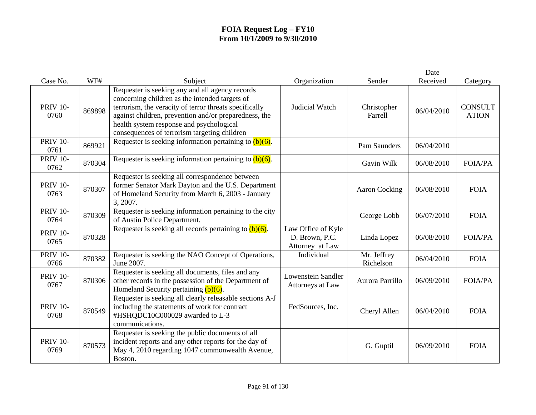|                         |        |                                                                                                                                                                                                                                                                                                                  |                                                         |                          | Date       |                                |
|-------------------------|--------|------------------------------------------------------------------------------------------------------------------------------------------------------------------------------------------------------------------------------------------------------------------------------------------------------------------|---------------------------------------------------------|--------------------------|------------|--------------------------------|
| Case No.                | WF#    | Subject                                                                                                                                                                                                                                                                                                          | Organization                                            | Sender                   | Received   | Category                       |
| <b>PRIV 10-</b><br>0760 | 869898 | Requester is seeking any and all agency records<br>concerning children as the intended targets of<br>terrorism, the veracity of terror threats specifically<br>against children, prevention and/or preparedness, the<br>health system response and psychological<br>consequences of terrorism targeting children | Judicial Watch                                          | Christopher<br>Farrell   | 06/04/2010 | <b>CONSULT</b><br><b>ATION</b> |
| <b>PRIV 10-</b><br>0761 | 869921 | Requester is seeking information pertaining to $(b)(6)$ .                                                                                                                                                                                                                                                        |                                                         | Pam Saunders             | 06/04/2010 |                                |
| <b>PRIV 10-</b><br>0762 | 870304 | Requester is seeking information pertaining to $(b)(6)$ .                                                                                                                                                                                                                                                        |                                                         | Gavin Wilk               | 06/08/2010 | <b>FOIA/PA</b>                 |
| <b>PRIV 10-</b><br>0763 | 870307 | Requester is seeking all correspondence between<br>former Senator Mark Dayton and the U.S. Department<br>of Homeland Security from March 6, 2003 - January<br>3, 2007.                                                                                                                                           |                                                         | Aaron Cocking            | 06/08/2010 | <b>FOIA</b>                    |
| <b>PRIV 10-</b><br>0764 | 870309 | Requester is seeking information pertaining to the city<br>of Austin Police Department.                                                                                                                                                                                                                          |                                                         | George Lobb              | 06/07/2010 | <b>FOIA</b>                    |
| <b>PRIV 10-</b><br>0765 | 870328 | Requester is seeking all records pertaining to $(b)(6)$ .                                                                                                                                                                                                                                                        | Law Office of Kyle<br>D. Brown, P.C.<br>Attorney at Law | Linda Lopez              | 06/08/2010 | <b>FOIA/PA</b>                 |
| <b>PRIV 10-</b><br>0766 | 870382 | Requester is seeking the NAO Concept of Operations,<br>June 2007.                                                                                                                                                                                                                                                | Individual                                              | Mr. Jeffrey<br>Richelson | 06/04/2010 | <b>FOIA</b>                    |
| <b>PRIV 10-</b><br>0767 | 870306 | Requester is seeking all documents, files and any<br>other records in the possession of the Department of<br>Homeland Security pertaining $(b)(6)$ .                                                                                                                                                             | Lowenstein Sandler<br>Attorneys at Law                  | Aurora Parrillo          | 06/09/2010 | <b>FOIA/PA</b>                 |
| <b>PRIV 10-</b><br>0768 | 870549 | Requester is seeking all clearly releasable sections A-J<br>including the statements of work for contract<br>#HSHQDC10C000029 awarded to L-3<br>communications.                                                                                                                                                  | FedSources, Inc.                                        | Cheryl Allen             | 06/04/2010 | <b>FOIA</b>                    |
| <b>PRIV 10-</b><br>0769 | 870573 | Requester is seeking the public documents of all<br>incident reports and any other reports for the day of<br>May 4, 2010 regarding 1047 commonwealth Avenue,<br>Boston.                                                                                                                                          |                                                         | G. Guptil                | 06/09/2010 | <b>FOIA</b>                    |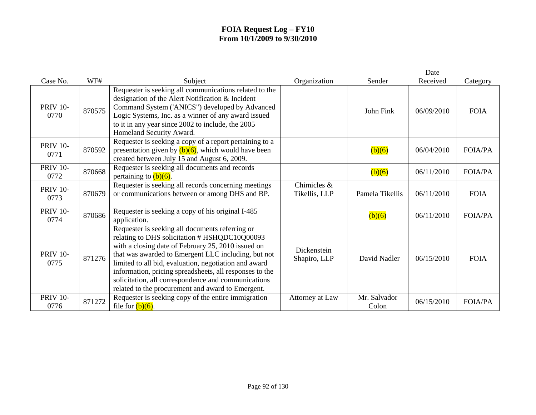| Case No.                | WF#    | Subject                                                                                                                                                                                                                                                                                                                                                                                                                                       | Organization                 | Sender                | Date<br>Received | Category       |
|-------------------------|--------|-----------------------------------------------------------------------------------------------------------------------------------------------------------------------------------------------------------------------------------------------------------------------------------------------------------------------------------------------------------------------------------------------------------------------------------------------|------------------------------|-----------------------|------------------|----------------|
| <b>PRIV 10-</b><br>0770 | 870575 | Requester is seeking all communications related to the<br>designation of the Alert Notification & Incident<br>Command System ('ANICS") developed by Advanced<br>Logic Systems, Inc. as a winner of any award issued<br>to it in any year since 2002 to include, the 2005<br>Homeland Security Award.                                                                                                                                          |                              | John Fink             | 06/09/2010       | <b>FOIA</b>    |
| <b>PRIV 10-</b><br>0771 | 870592 | Requester is seeking a copy of a report pertaining to a<br>presentation given by $(b)(6)$ , which would have been<br>created between July 15 and August 6, 2009.                                                                                                                                                                                                                                                                              |                              | (b)(6)                | 06/04/2010       | <b>FOIA/PA</b> |
| <b>PRIV 10-</b><br>0772 | 870668 | Requester is seeking all documents and records<br>pertaining to $(b)(6)$ .                                                                                                                                                                                                                                                                                                                                                                    |                              | (b)(6)                | 06/11/2010       | <b>FOIA/PA</b> |
| <b>PRIV 10-</b><br>0773 | 870679 | Requester is seeking all records concerning meetings<br>or communications between or among DHS and BP.                                                                                                                                                                                                                                                                                                                                        | Chimicles &<br>Tikellis, LLP | Pamela Tikellis       | 06/11/2010       | <b>FOIA</b>    |
| <b>PRIV 10-</b><br>0774 | 870686 | Requester is seeking a copy of his original I-485<br>application.                                                                                                                                                                                                                                                                                                                                                                             |                              | (b)(6)                | 06/11/2010       | <b>FOIA/PA</b> |
| <b>PRIV 10-</b><br>0775 | 871276 | Requester is seeking all documents referring or<br>relating to DHS solicitation # HSHQDC10Q00093<br>with a closing date of February 25, 2010 issued on<br>that was awarded to Emergent LLC including, but not<br>limited to all bid, evaluation, negotiation and award<br>information, pricing spreadsheets, all responses to the<br>solicitation, all correspondence and communications<br>related to the procurement and award to Emergent. | Dickenstein<br>Shapiro, LLP  | David Nadler          | 06/15/2010       | <b>FOIA</b>    |
| <b>PRIV 10-</b><br>0776 | 871272 | Requester is seeking copy of the entire immigration<br>file for $(b)(6)$ .                                                                                                                                                                                                                                                                                                                                                                    | Attorney at Law              | Mr. Salvador<br>Colon | 06/15/2010       | <b>FOIA/PA</b> |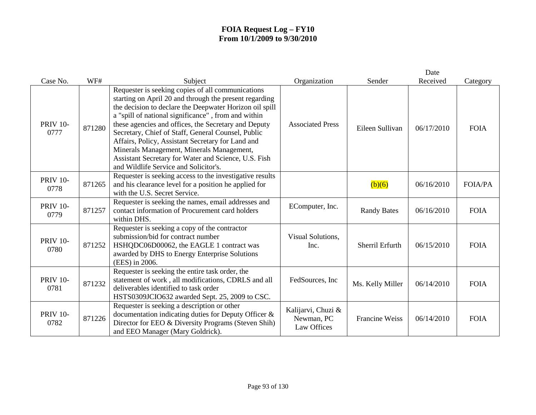|                         |        |                                                                                                                                                                                                                                                                                                                                                                                                                                                                                                                                                |                                                 |                       | Date       |                |
|-------------------------|--------|------------------------------------------------------------------------------------------------------------------------------------------------------------------------------------------------------------------------------------------------------------------------------------------------------------------------------------------------------------------------------------------------------------------------------------------------------------------------------------------------------------------------------------------------|-------------------------------------------------|-----------------------|------------|----------------|
| Case No.                | WF#    | Subject                                                                                                                                                                                                                                                                                                                                                                                                                                                                                                                                        | Organization                                    | Sender                | Received   | Category       |
| <b>PRIV 10-</b><br>0777 | 871280 | Requester is seeking copies of all communications<br>starting on April 20 and through the present regarding<br>the decision to declare the Deepwater Horizon oil spill<br>a "spill of national significance", from and within<br>these agencies and offices, the Secretary and Deputy<br>Secretary, Chief of Staff, General Counsel, Public<br>Affairs, Policy, Assistant Secretary for Land and<br>Minerals Management, Minerals Management,<br>Assistant Secretary for Water and Science, U.S. Fish<br>and Wildlife Service and Solicitor's. | <b>Associated Press</b>                         | Eileen Sullivan       | 06/17/2010 | <b>FOIA</b>    |
| <b>PRIV 10-</b><br>0778 | 871265 | Requester is seeking access to the investigative results<br>and his clearance level for a position he applied for<br>with the U.S. Secret Service.                                                                                                                                                                                                                                                                                                                                                                                             |                                                 | (b)(6)                | 06/16/2010 | <b>FOIA/PA</b> |
| <b>PRIV 10-</b><br>0779 | 871257 | Requester is seeking the names, email addresses and<br>contact information of Procurement card holders<br>within DHS.                                                                                                                                                                                                                                                                                                                                                                                                                          | EComputer, Inc.                                 | <b>Randy Bates</b>    | 06/16/2010 | <b>FOIA</b>    |
| <b>PRIV 10-</b><br>0780 | 871252 | Requester is seeking a copy of the contractor<br>submission/bid for contract number<br>HSHQDC06D00062, the EAGLE 1 contract was<br>awarded by DHS to Energy Enterprise Solutions<br>(EES) in 2006.                                                                                                                                                                                                                                                                                                                                             | Visual Solutions,<br>Inc.                       | Sherril Erfurth       | 06/15/2010 | <b>FOIA</b>    |
| <b>PRIV 10-</b><br>0781 | 871232 | Requester is seeking the entire task order, the<br>statement of work, all modifications, CDRLS and all<br>deliverables identified to task order<br>HSTS0309JCIO632 awarded Sept. 25, 2009 to CSC.                                                                                                                                                                                                                                                                                                                                              | FedSources, Inc.                                | Ms. Kelly Miller      | 06/14/2010 | <b>FOIA</b>    |
| <b>PRIV 10-</b><br>0782 | 871226 | Requester is seeking a description or other<br>documentation indicating duties for Deputy Officer &<br>Director for EEO & Diversity Programs (Steven Shih)<br>and EEO Manager (Mary Goldrick).                                                                                                                                                                                                                                                                                                                                                 | Kalijarvi, Chuzi &<br>Newman, PC<br>Law Offices | <b>Francine Weiss</b> | 06/14/2010 | <b>FOIA</b>    |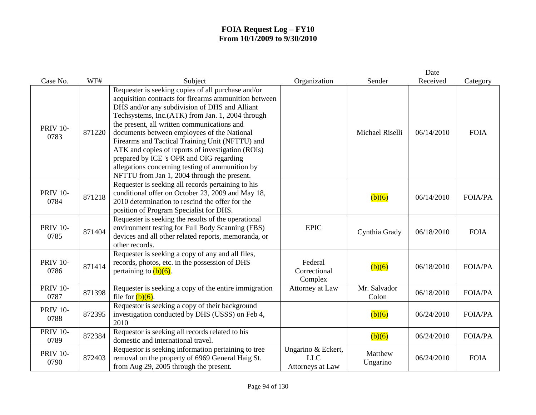|                         |        |                                                                                                                                                                                                                                                                                                                                                                                                                                                                                                                                                                      |                                                      |                       | Date       |                |
|-------------------------|--------|----------------------------------------------------------------------------------------------------------------------------------------------------------------------------------------------------------------------------------------------------------------------------------------------------------------------------------------------------------------------------------------------------------------------------------------------------------------------------------------------------------------------------------------------------------------------|------------------------------------------------------|-----------------------|------------|----------------|
| Case No.                | WF#    | Subject                                                                                                                                                                                                                                                                                                                                                                                                                                                                                                                                                              | Organization                                         | Sender                | Received   | Category       |
| <b>PRIV 10-</b><br>0783 | 871220 | Requester is seeking copies of all purchase and/or<br>acquisition contracts for firearms ammunition between<br>DHS and/or any subdivision of DHS and Alliant<br>Techsystems, Inc.(ATK) from Jan. 1, 2004 through<br>the present, all written communications and<br>documents between employees of the National<br>Firearms and Tactical Training Unit (NFTTU) and<br>ATK and copies of reports of investigation (ROIs)<br>prepared by ICE 's OPR and OIG regarding<br>allegations concerning testing of ammunition by<br>NFTTU from Jan 1, 2004 through the present. |                                                      | Michael Riselli       | 06/14/2010 | <b>FOIA</b>    |
| <b>PRIV 10-</b><br>0784 | 871218 | Requester is seeking all records pertaining to his<br>conditional offer on October 23, 2009 and May 18,<br>2010 determination to rescind the offer for the<br>position of Program Specialist for DHS.                                                                                                                                                                                                                                                                                                                                                                |                                                      | (b)(6)                | 06/14/2010 | <b>FOIA/PA</b> |
| <b>PRIV 10-</b><br>0785 | 871404 | Requester is seeking the results of the operational<br>environment testing for Full Body Scanning (FBS)<br>devices and all other related reports, memoranda, or<br>other records.                                                                                                                                                                                                                                                                                                                                                                                    | <b>EPIC</b>                                          | Cynthia Grady         | 06/18/2010 | <b>FOIA</b>    |
| <b>PRIV 10-</b><br>0786 | 871414 | Requester is seeking a copy of any and all files,<br>records, photos, etc. in the possession of DHS<br>pertaining to $(b)(6)$ .                                                                                                                                                                                                                                                                                                                                                                                                                                      | Federal<br>Correctional<br>Complex                   | (b)(6)                | 06/18/2010 | <b>FOIA/PA</b> |
| <b>PRIV 10-</b><br>0787 | 871398 | Requester is seeking a copy of the entire immigration<br>file for $(b)(6)$ .                                                                                                                                                                                                                                                                                                                                                                                                                                                                                         | Attorney at Law                                      | Mr. Salvador<br>Colon | 06/18/2010 | <b>FOIA/PA</b> |
| <b>PRIV 10-</b><br>0788 | 872395 | Requestor is seeking a copy of their background<br>investigation conducted by DHS (USSS) on Feb 4,<br>2010                                                                                                                                                                                                                                                                                                                                                                                                                                                           |                                                      | (b)(6)                | 06/24/2010 | <b>FOIA/PA</b> |
| <b>PRIV 10-</b><br>0789 | 872384 | Requestor is seeking all records related to his<br>domestic and international travel.                                                                                                                                                                                                                                                                                                                                                                                                                                                                                |                                                      | (b)(6)                | 06/24/2010 | <b>FOIA/PA</b> |
| <b>PRIV 10-</b><br>0790 | 872403 | Requestor is seeking information pertaining to tree<br>removal on the property of 6969 General Haig St.<br>from Aug 29, 2005 through the present.                                                                                                                                                                                                                                                                                                                                                                                                                    | Ungarino & Eckert,<br><b>LLC</b><br>Attorneys at Law | Matthew<br>Ungarino   | 06/24/2010 | <b>FOIA</b>    |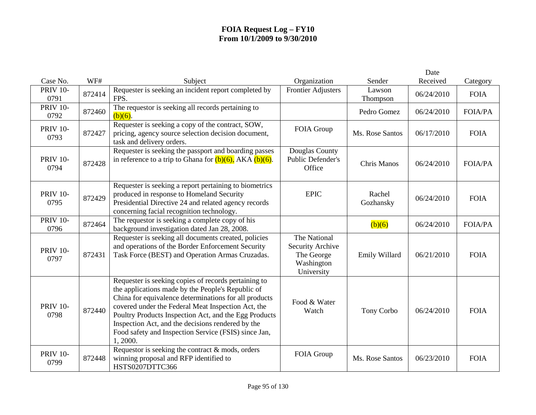|                         |        |                                                                                                                                                                                                                                                                                                                                                                                                            |                                                                            |                     | Date       |                |
|-------------------------|--------|------------------------------------------------------------------------------------------------------------------------------------------------------------------------------------------------------------------------------------------------------------------------------------------------------------------------------------------------------------------------------------------------------------|----------------------------------------------------------------------------|---------------------|------------|----------------|
| Case No.                | WF#    | Subject                                                                                                                                                                                                                                                                                                                                                                                                    | Organization                                                               | Sender              | Received   | Category       |
| <b>PRIV 10-</b><br>0791 | 872414 | Requester is seeking an incident report completed by<br>FPS.                                                                                                                                                                                                                                                                                                                                               | <b>Frontier Adjusters</b>                                                  | Lawson<br>Thompson  | 06/24/2010 | <b>FOIA</b>    |
| <b>PRIV 10-</b><br>0792 | 872460 | The requestor is seeking all records pertaining to<br>$(b)(6)$ .                                                                                                                                                                                                                                                                                                                                           |                                                                            | Pedro Gomez         | 06/24/2010 | <b>FOIA/PA</b> |
| <b>PRIV 10-</b><br>0793 | 872427 | Requester is seeking a copy of the contract, SOW,<br>pricing, agency source selection decision document,<br>task and delivery orders.                                                                                                                                                                                                                                                                      | FOIA Group                                                                 | Ms. Rose Santos     | 06/17/2010 | <b>FOIA</b>    |
| <b>PRIV 10-</b><br>0794 | 872428 | Requester is seeking the passport and boarding passes<br>in reference to a trip to Ghana for $(b)(6)$ , AKA $(b)(6)$ .                                                                                                                                                                                                                                                                                     | Douglas County<br>Public Defender's<br>Office                              | Chris Manos         | 06/24/2010 | <b>FOIA/PA</b> |
| <b>PRIV 10-</b><br>0795 | 872429 | Requester is seeking a report pertaining to biometrics<br>produced in response to Homeland Security<br>Presidential Directive 24 and related agency records<br>concerning facial recognition technology.                                                                                                                                                                                                   | <b>EPIC</b>                                                                | Rachel<br>Gozhansky | 06/24/2010 | <b>FOIA</b>    |
| <b>PRIV 10-</b><br>0796 | 872464 | The requestor is seeking a complete copy of his<br>background investigation dated Jan 28, 2008.                                                                                                                                                                                                                                                                                                            |                                                                            | (b)(6)              | 06/24/2010 | <b>FOIA/PA</b> |
| <b>PRIV 10-</b><br>0797 | 872431 | Requester is seeking all documents created, policies<br>and operations of the Border Enforcement Security<br>Task Force (BEST) and Operation Armas Cruzadas.                                                                                                                                                                                                                                               | The National<br>Security Archive<br>The George<br>Washington<br>University | Emily Willard       | 06/21/2010 | <b>FOIA</b>    |
| <b>PRIV 10-</b><br>0798 | 872440 | Requester is seeking copies of records pertaining to<br>the applications made by the People's Republic of<br>China for equivalence determinations for all products<br>covered under the Federal Meat Inspection Act, the<br>Poultry Products Inspection Act, and the Egg Products<br>Inspection Act, and the decisions rendered by the<br>Food safety and Inspection Service (FSIS) since Jan,<br>1, 2000. | Food & Water<br>Watch                                                      | Tony Corbo          | 06/24/2010 | <b>FOIA</b>    |
| <b>PRIV 10-</b><br>0799 | 872448 | Requestor is seeking the contract $&$ mods, orders<br>winning proposal and RFP identified to<br>HSTS0207DTTC366                                                                                                                                                                                                                                                                                            | FOIA Group                                                                 | Ms. Rose Santos     | 06/23/2010 | <b>FOIA</b>    |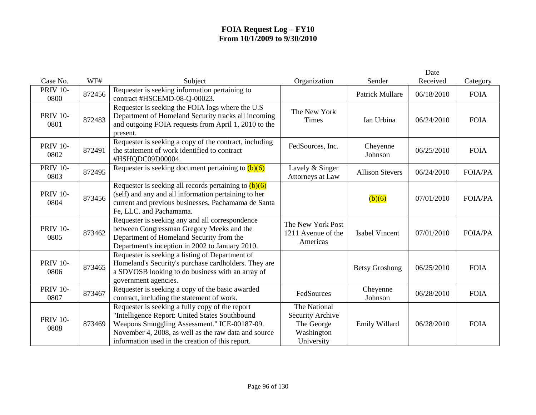|                         |        |                                                                                                                                                                                                                                                               |                                                                            |                        | Date       |                |
|-------------------------|--------|---------------------------------------------------------------------------------------------------------------------------------------------------------------------------------------------------------------------------------------------------------------|----------------------------------------------------------------------------|------------------------|------------|----------------|
| Case No.                | WF#    | Subject                                                                                                                                                                                                                                                       | Organization                                                               | Sender                 | Received   | Category       |
| <b>PRIV 10-</b><br>0800 | 872456 | Requester is seeking information pertaining to<br>contract #HSCEMD-08-Q-00023.                                                                                                                                                                                |                                                                            | <b>Patrick Mullare</b> | 06/18/2010 | <b>FOIA</b>    |
| <b>PRIV 10-</b><br>0801 | 872483 | Requester is seeking the FOIA logs where the U.S<br>Department of Homeland Security tracks all incoming<br>and outgoing FOIA requests from April 1, 2010 to the<br>present.                                                                                   | The New York<br><b>Times</b>                                               | Ian Urbina             | 06/24/2010 | <b>FOIA</b>    |
| <b>PRIV 10-</b><br>0802 | 872491 | Requester is seeking a copy of the contract, including<br>the statement of work identified to contract<br>#HSHQDC09D00004.                                                                                                                                    | FedSources, Inc.                                                           | Cheyenne<br>Johnson    | 06/25/2010 | <b>FOIA</b>    |
| <b>PRIV 10-</b><br>0803 | 872495 | Requester is seeking document pertaining to $(b)(6)$                                                                                                                                                                                                          | Lavely & Singer<br>Attorneys at Law                                        | <b>Allison Sievers</b> | 06/24/2010 | <b>FOIA/PA</b> |
| <b>PRIV 10-</b><br>0804 | 873456 | Requester is seeking all records pertaining to $(b)(6)$<br>(self) and any and all information pertaining to her<br>current and previous businesses, Pachamama de Santa<br>Fe, LLC. and Pachamama.                                                             |                                                                            | (b)(6)                 | 07/01/2010 | <b>FOIA/PA</b> |
| <b>PRIV 10-</b><br>0805 | 873462 | Requester is seeking any and all correspondence<br>between Congressman Gregory Meeks and the<br>Department of Homeland Security from the<br>Department's inception in 2002 to January 2010.                                                                   | The New York Post<br>1211 Avenue of the<br>Americas                        | <b>Isabel Vincent</b>  | 07/01/2010 | <b>FOIA/PA</b> |
| <b>PRIV 10-</b><br>0806 | 873465 | Requester is seeking a listing of Department of<br>Homeland's Security's purchase cardholders. They are<br>a SDVOSB looking to do business with an array of<br>government agencies.                                                                           |                                                                            | <b>Betsy Groshong</b>  | 06/25/2010 | <b>FOIA</b>    |
| <b>PRIV 10-</b><br>0807 | 873467 | Requester is seeking a copy of the basic awarded<br>contract, including the statement of work.                                                                                                                                                                | FedSources                                                                 | Cheyenne<br>Johnson    | 06/28/2010 | <b>FOIA</b>    |
| <b>PRIV 10-</b><br>0808 | 873469 | Requester is seeking a fully copy of the report<br>"Intelligence Report: United States Southbound<br>Weapons Smuggling Assessment." ICE-00187-09.<br>November 4, 2008, as well as the raw data and source<br>information used in the creation of this report. | The National<br>Security Archive<br>The George<br>Washington<br>University | Emily Willard          | 06/28/2010 | <b>FOIA</b>    |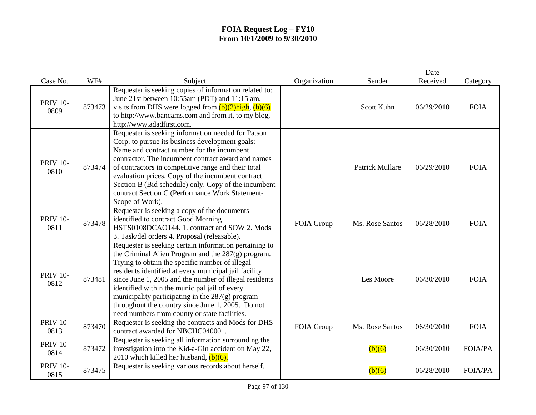|                         |        |                                                                                                                                                                                                                                                                                                                                                                                                                                                                                               |              |                        | Date       |                |
|-------------------------|--------|-----------------------------------------------------------------------------------------------------------------------------------------------------------------------------------------------------------------------------------------------------------------------------------------------------------------------------------------------------------------------------------------------------------------------------------------------------------------------------------------------|--------------|------------------------|------------|----------------|
| Case No.                | WF#    | Subject                                                                                                                                                                                                                                                                                                                                                                                                                                                                                       | Organization | Sender                 | Received   | Category       |
| <b>PRIV 10-</b><br>0809 | 873473 | Requester is seeking copies of information related to:<br>June 21st between 10:55am (PDT) and 11:15 am,<br>visits from DHS were logged from $(b)(2)$ high, $(b)(6)$<br>to http://www.bancams.com and from it, to my blog,<br>http://www.adadfirst.com.                                                                                                                                                                                                                                        |              | Scott Kuhn             | 06/29/2010 | <b>FOIA</b>    |
| <b>PRIV 10-</b><br>0810 | 873474 | Requester is seeking information needed for Patson<br>Corp. to pursue its business development goals:<br>Name and contract number for the incumbent<br>contractor. The incumbent contract award and names<br>of contractors in competitive range and their total<br>evaluation prices. Copy of the incumbent contract<br>Section B (Bid schedule) only. Copy of the incumbent<br>contract Section C (Performance Work Statement-<br>Scope of Work).                                           |              | <b>Patrick Mullare</b> | 06/29/2010 | <b>FOIA</b>    |
| <b>PRIV 10-</b><br>0811 | 873478 | Requester is seeking a copy of the documents<br>identified to contract Good Morning<br>HSTS0108DCAO144. 1. contract and SOW 2. Mods<br>3. Task/del orders 4. Proposal (releasable).                                                                                                                                                                                                                                                                                                           | FOIA Group   | Ms. Rose Santos        | 06/28/2010 | <b>FOIA</b>    |
| <b>PRIV 10-</b><br>0812 | 873481 | Requester is seeking certain information pertaining to<br>the Criminal Alien Program and the 287(g) program.<br>Trying to obtain the specific number of illegal<br>residents identified at every municipal jail facility<br>since June 1, 2005 and the number of illegal residents<br>identified within the municipal jail of every<br>municipality participating in the 287(g) program<br>throughout the country since June 1, 2005. Do not<br>need numbers from county or state facilities. |              | Les Moore              | 06/30/2010 | <b>FOIA</b>    |
| <b>PRIV 10-</b><br>0813 | 873470 | Requester is seeking the contracts and Mods for DHS<br>contract awarded for NBCHC040001.                                                                                                                                                                                                                                                                                                                                                                                                      | FOIA Group   | Ms. Rose Santos        | 06/30/2010 | <b>FOIA</b>    |
| <b>PRIV 10-</b><br>0814 | 873472 | Requester is seeking all information surrounding the<br>investigation into the Kid-a-Gin accident on May 22,<br>2010 which killed her husband, $(b)(6)$ .                                                                                                                                                                                                                                                                                                                                     |              | (b)(6)                 | 06/30/2010 | <b>FOIA/PA</b> |
| <b>PRIV 10-</b><br>0815 | 873475 | Requester is seeking various records about herself.                                                                                                                                                                                                                                                                                                                                                                                                                                           |              | (b)(6)                 | 06/28/2010 | <b>FOIA/PA</b> |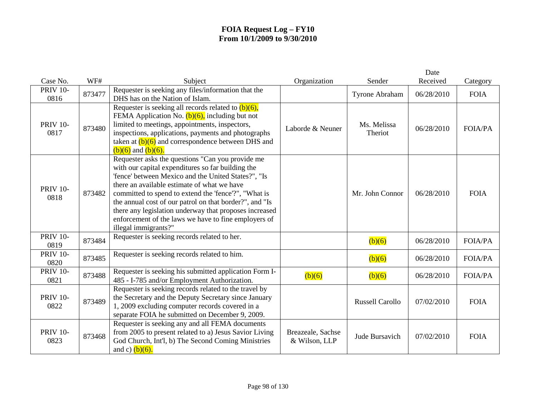|                         |        |                                                                                                                                                                                                                                                                                                                                                                                                                                                                          |                                    |                        | Date       |                |
|-------------------------|--------|--------------------------------------------------------------------------------------------------------------------------------------------------------------------------------------------------------------------------------------------------------------------------------------------------------------------------------------------------------------------------------------------------------------------------------------------------------------------------|------------------------------------|------------------------|------------|----------------|
| Case No.                | WF#    | Subject                                                                                                                                                                                                                                                                                                                                                                                                                                                                  | Organization                       | Sender                 | Received   | Category       |
| <b>PRIV 10-</b><br>0816 | 873477 | Requester is seeking any files/information that the<br>DHS has on the Nation of Islam.                                                                                                                                                                                                                                                                                                                                                                                   |                                    | <b>Tyrone Abraham</b>  | 06/28/2010 | <b>FOIA</b>    |
| <b>PRIV 10-</b><br>0817 | 873480 | Requester is seeking all records related to $(b)(6)$ ,<br>FEMA Application No. $(b)(6)$ , including but not<br>limited to meetings, appointments, inspectors,<br>inspections, applications, payments and photographs<br>taken at $(b)(6)$ and correspondence between DHS and<br>$(b)(6)$ and $(b)(6)$ .                                                                                                                                                                  | Laborde & Neuner                   | Ms. Melissa<br>Theriot | 06/28/2010 | <b>FOIA/PA</b> |
| <b>PRIV 10-</b><br>0818 | 873482 | Requester asks the questions "Can you provide me<br>with our capital expenditures so far building the<br>'fence' between Mexico and the United States?", "Is<br>there an available estimate of what we have<br>committed to spend to extend the 'fence'?", "What is<br>the annual cost of our patrol on that border?", and "Is<br>there any legislation underway that proposes increased<br>enforcement of the laws we have to fine employers of<br>illegal immigrants?" |                                    | Mr. John Connor        | 06/28/2010 | <b>FOIA</b>    |
| <b>PRIV 10-</b><br>0819 | 873484 | Requester is seeking records related to her.                                                                                                                                                                                                                                                                                                                                                                                                                             |                                    | (b)(6)                 | 06/28/2010 | <b>FOIA/PA</b> |
| <b>PRIV 10-</b><br>0820 | 873485 | Requester is seeking records related to him.                                                                                                                                                                                                                                                                                                                                                                                                                             |                                    | (b)(6)                 | 06/28/2010 | <b>FOIA/PA</b> |
| <b>PRIV 10-</b><br>0821 | 873488 | Requester is seeking his submitted application Form I-<br>485 - I-785 and/or Employment Authorization.                                                                                                                                                                                                                                                                                                                                                                   | (b)(6)                             | (b)(6)                 | 06/28/2010 | <b>FOIA/PA</b> |
| <b>PRIV 10-</b><br>0822 | 873489 | Requester is seeking records related to the travel by<br>the Secretary and the Deputy Secretary since January<br>1, 2009 excluding computer records covered in a<br>separate FOIA he submitted on December 9, 2009.                                                                                                                                                                                                                                                      |                                    | <b>Russell Carollo</b> | 07/02/2010 | <b>FOIA</b>    |
| <b>PRIV 10-</b><br>0823 | 873468 | Requester is seeking any and all FEMA documents<br>from 2005 to present related to a) Jesus Savior Living<br>God Church, Int'l, b) The Second Coming Ministries<br>and c) $(b)(6)$ .                                                                                                                                                                                                                                                                                     | Breazeale, Sachse<br>& Wilson, LLP | Jude Bursavich         | 07/02/2010 | <b>FOIA</b>    |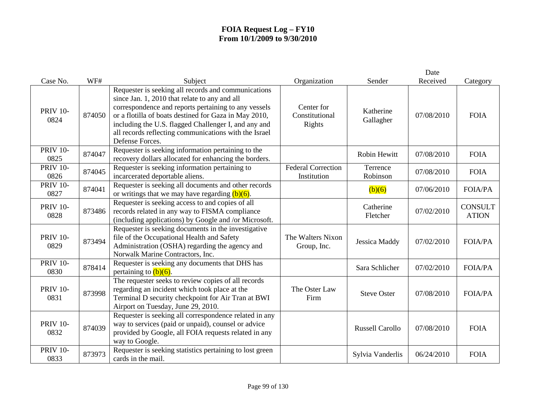|                         |        |                                                                                                                                                                                                                                                                                                                                                           |                                          |                        | Date       |                                |
|-------------------------|--------|-----------------------------------------------------------------------------------------------------------------------------------------------------------------------------------------------------------------------------------------------------------------------------------------------------------------------------------------------------------|------------------------------------------|------------------------|------------|--------------------------------|
| Case No.                | WF#    | Subject                                                                                                                                                                                                                                                                                                                                                   | Organization                             | Sender                 | Received   | Category                       |
| <b>PRIV 10-</b><br>0824 | 874050 | Requester is seeking all records and communications<br>since Jan. 1, 2010 that relate to any and all<br>correspondence and reports pertaining to any vessels<br>or a flotilla of boats destined for Gaza in May 2010,<br>including the U.S. flagged Challenger I, and any and<br>all records reflecting communications with the Israel<br>Defense Forces. | Center for<br>Constitutional<br>Rights   | Katherine<br>Gallagher | 07/08/2010 | <b>FOIA</b>                    |
| <b>PRIV 10-</b><br>0825 | 874047 | Requester is seeking information pertaining to the<br>recovery dollars allocated for enhancing the borders.                                                                                                                                                                                                                                               |                                          | <b>Robin Hewitt</b>    | 07/08/2010 | <b>FOIA</b>                    |
| <b>PRIV 10-</b><br>0826 | 874045 | Requester is seeking information pertaining to<br>incarcerated deportable aliens.                                                                                                                                                                                                                                                                         | <b>Federal Correction</b><br>Institution | Terrence<br>Robinson   | 07/08/2010 | <b>FOIA</b>                    |
| <b>PRIV 10-</b><br>0827 | 874041 | Requester is seeking all documents and other records<br>or writings that we may have regarding $(b)(6)$ .                                                                                                                                                                                                                                                 |                                          | (b)(6)                 | 07/06/2010 | <b>FOIA/PA</b>                 |
| <b>PRIV 10-</b><br>0828 | 873486 | Requester is seeking access to and copies of all<br>records related in any way to FISMA compliance<br>(including applications) by Google and /or Microsoft.                                                                                                                                                                                               |                                          | Catherine<br>Fletcher  | 07/02/2010 | <b>CONSULT</b><br><b>ATION</b> |
| <b>PRIV 10-</b><br>0829 | 873494 | Requester is seeking documents in the investigative<br>file of the Occupational Health and Safety<br>Administration (OSHA) regarding the agency and<br>Norwalk Marine Contractors, Inc.                                                                                                                                                                   | The Walters Nixon<br>Group, Inc.         | Jessica Maddy          | 07/02/2010 | <b>FOIA/PA</b>                 |
| <b>PRIV 10-</b><br>0830 | 878414 | Requester is seeking any documents that DHS has<br>pertaining to $(b)(6)$ .                                                                                                                                                                                                                                                                               |                                          | Sara Schlicher         | 07/02/2010 | <b>FOIA/PA</b>                 |
| <b>PRIV 10-</b><br>0831 | 873998 | The requester seeks to review copies of all records<br>regarding an incident which took place at the<br>Terminal D security checkpoint for Air Tran at BWI<br>Airport on Tuesday, June 29, 2010.                                                                                                                                                          | The Oster Law<br>Firm                    | <b>Steve Oster</b>     | 07/08/2010 | <b>FOIA/PA</b>                 |
| <b>PRIV 10-</b><br>0832 | 874039 | Requester is seeking all correspondence related in any<br>way to services (paid or unpaid), counsel or advice<br>provided by Google, all FOIA requests related in any<br>way to Google.                                                                                                                                                                   |                                          | <b>Russell Carollo</b> | 07/08/2010 | <b>FOIA</b>                    |
| <b>PRIV 10-</b><br>0833 | 873973 | Requester is seeking statistics pertaining to lost green<br>cards in the mail.                                                                                                                                                                                                                                                                            |                                          | Sylvia Vanderlis       | 06/24/2010 | <b>FOIA</b>                    |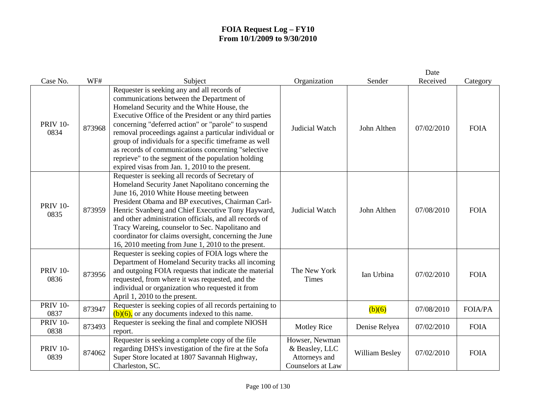|                         |        |                                                                                                                                                                                                                                                                                                                                                                                                                                                                                                                                          |                                                                        |                | Date       |                |
|-------------------------|--------|------------------------------------------------------------------------------------------------------------------------------------------------------------------------------------------------------------------------------------------------------------------------------------------------------------------------------------------------------------------------------------------------------------------------------------------------------------------------------------------------------------------------------------------|------------------------------------------------------------------------|----------------|------------|----------------|
| Case No.                | WF#    | Subject                                                                                                                                                                                                                                                                                                                                                                                                                                                                                                                                  | Organization                                                           | Sender         | Received   | Category       |
| <b>PRIV 10-</b><br>0834 | 873968 | Requester is seeking any and all records of<br>communications between the Department of<br>Homeland Security and the White House, the<br>Executive Office of the President or any third parties<br>concerning "deferred action" or "parole" to suspend<br>removal proceedings against a particular individual or<br>group of individuals for a specific timeframe as well<br>as records of communications concerning "selective<br>reprieve" to the segment of the population holding<br>expired visas from Jan. 1, 2010 to the present. | Judicial Watch                                                         | John Althen    | 07/02/2010 | <b>FOIA</b>    |
| <b>PRIV 10-</b><br>0835 | 873959 | Requester is seeking all records of Secretary of<br>Homeland Security Janet Napolitano concerning the<br>June 16, 2010 White House meeting between<br>President Obama and BP executives, Chairman Carl-<br>Henric Svanberg and Chief Executive Tony Hayward,<br>and other administration officials, and all records of<br>Tracy Wareing, counselor to Sec. Napolitano and<br>coordinator for claims oversight, concerning the June<br>16, 2010 meeting from June 1, 2010 to the present.                                                 | Judicial Watch                                                         | John Althen    | 07/08/2010 | <b>FOIA</b>    |
| <b>PRIV 10-</b><br>0836 | 873956 | Requester is seeking copies of FOIA logs where the<br>Department of Homeland Security tracks all incoming<br>and outgoing FOIA requests that indicate the material<br>requested, from where it was requested, and the<br>individual or organization who requested it from<br>April 1, 2010 to the present.                                                                                                                                                                                                                               | The New York<br><b>Times</b>                                           | Ian Urbina     | 07/02/2010 | <b>FOIA</b>    |
| <b>PRIV 10-</b><br>0837 | 873947 | Requester is seeking copies of all records pertaining to<br>$(b)(6)$ , or any documents indexed to this name.                                                                                                                                                                                                                                                                                                                                                                                                                            |                                                                        | (b)(6)         | 07/08/2010 | <b>FOIA/PA</b> |
| <b>PRIV 10-</b><br>0838 | 873493 | Requester is seeking the final and complete NIOSH<br>report.                                                                                                                                                                                                                                                                                                                                                                                                                                                                             | <b>Motley Rice</b>                                                     | Denise Relyea  | 07/02/2010 | <b>FOIA</b>    |
| <b>PRIV 10-</b><br>0839 | 874062 | Requester is seeking a complete copy of the file<br>regarding DHS's investigation of the fire at the Sofa<br>Super Store located at 1807 Savannah Highway,<br>Charleston, SC.                                                                                                                                                                                                                                                                                                                                                            | Howser, Newman<br>& Beasley, LLC<br>Attorneys and<br>Counselors at Law | William Besley | 07/02/2010 | <b>FOIA</b>    |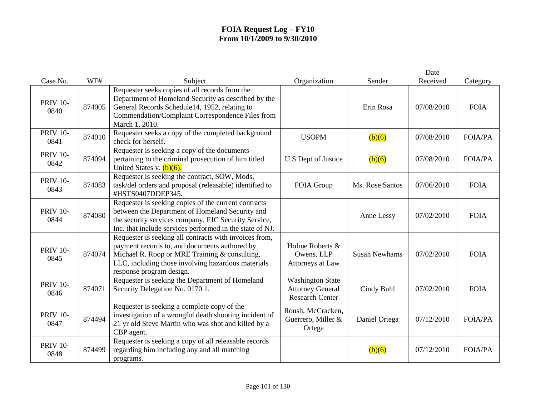|                         |        |                                                                                                                                                                                                                                            |                                                                              |                      | Date       |                |
|-------------------------|--------|--------------------------------------------------------------------------------------------------------------------------------------------------------------------------------------------------------------------------------------------|------------------------------------------------------------------------------|----------------------|------------|----------------|
| Case No.                | WF#    | Subject                                                                                                                                                                                                                                    | Organization                                                                 | Sender               | Received   | Category       |
| <b>PRIV 10-</b><br>0840 | 874005 | Requester seeks copies of all records from the<br>Department of Homeland Security as described by the<br>General Records Schedule14, 1952, relating to<br>Commendation/Complaint Correspondence Files from<br>March 1, 2010.               |                                                                              | Erin Rosa            | 07/08/2010 | <b>FOIA</b>    |
| <b>PRIV 10-</b><br>0841 | 874010 | Requester seeks a copy of the completed background<br>check for herself.                                                                                                                                                                   | <b>USOPM</b>                                                                 | (b)(6)               | 07/08/2010 | <b>FOIA/PA</b> |
| <b>PRIV 10-</b><br>0842 | 874094 | Requester is seeking a copy of the documents<br>pertaining to the criminal prosecution of him titled<br>United States v. $(b)(6)$ .                                                                                                        | U.S Dept of Justice                                                          | (b)(6)               | 07/08/2010 | <b>FOIA/PA</b> |
| <b>PRIV 10-</b><br>0843 | 874083 | Requester is seeking the contract, SOW, Mods,<br>task/del orders and proposal (releasable) identified to<br>#HSTS0407DDEP345.                                                                                                              | FOIA Group                                                                   | Ms. Rose Santos      | 07/06/2010 | <b>FOIA</b>    |
| <b>PRIV 10-</b><br>0844 | 874080 | Requester is seeking copies of the current contracts<br>between the Department of Homeland Security and<br>the security services company, FJC Security Service,<br>Inc. that include services performed in the state of NJ.                |                                                                              | Anne Lessy           | 07/02/2010 | <b>FOIA</b>    |
| <b>PRIV 10-</b><br>0845 | 874074 | Requester is seeking all contracts with invoices from,<br>payment records to, and documents authored by<br>Michael R. Roop or MRE Training & consulting,<br>LLC, including those involving hazardous materials<br>response program design. | Holme Roberts &<br>Owens, LLP<br>Attorneys at Law                            | <b>Susan Newhams</b> | 07/02/2010 | <b>FOIA</b>    |
| <b>PRIV 10-</b><br>0846 | 874071 | Requester is seeking the Department of Homeland<br>Security Delegation No. 0170.1.                                                                                                                                                         | <b>Washington State</b><br><b>Attorney General</b><br><b>Research Center</b> | Cindy Buhl           | 07/02/2010 | <b>FOIA</b>    |
| <b>PRIV 10-</b><br>0847 | 874494 | Requester is seeking a complete copy of the<br>investigation of a wrongful death shooting incident of<br>21 yr old Steve Martin who was shot and killed by a<br>CBP agent.                                                                 | Roush, McCracken,<br>Guerrero, Miller &<br>Ortega                            | Daniel Ortega        | 07/12/2010 | <b>FOIA/PA</b> |
| <b>PRIV 10-</b><br>0848 | 874499 | Requester is seeking a copy of all releasable records<br>regarding him including any and all matching<br>programs.                                                                                                                         |                                                                              | (b)(6)               | 07/12/2010 | <b>FOIA/PA</b> |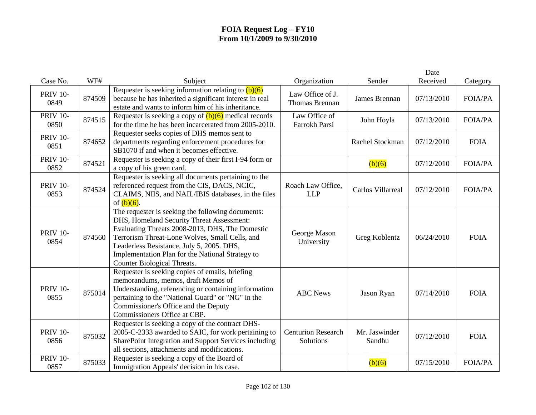|                         |        |                                                                                                                                                                                                                                                                                                                                     |                                           |                         | Date       |                |
|-------------------------|--------|-------------------------------------------------------------------------------------------------------------------------------------------------------------------------------------------------------------------------------------------------------------------------------------------------------------------------------------|-------------------------------------------|-------------------------|------------|----------------|
| Case No.                | WF#    | Subject                                                                                                                                                                                                                                                                                                                             | Organization                              | Sender                  | Received   | Category       |
| <b>PRIV 10-</b><br>0849 | 874509 | Requester is seeking information relating to $(b)(6)$<br>because he has inherited a significant interest in real<br>estate and wants to inform him of his inheritance.                                                                                                                                                              | Law Office of J.<br><b>Thomas Brennan</b> | James Brennan           | 07/13/2010 | <b>FOIA/PA</b> |
| <b>PRIV 10-</b><br>0850 | 874515 | Requester is seeking a copy of $(b)(6)$ medical records<br>for the time he has been incarcerated from 2005-2010.                                                                                                                                                                                                                    | Law Office of<br>Farrokh Parsi            | John Hoyla              | 07/13/2010 | <b>FOIA/PA</b> |
| <b>PRIV 10-</b><br>0851 | 874652 | Requester seeks copies of DHS memos sent to<br>departments regarding enforcement procedures for<br>SB1070 if and when it becomes effective.                                                                                                                                                                                         |                                           | Rachel Stockman         | 07/12/2010 | <b>FOIA</b>    |
| <b>PRIV 10-</b><br>0852 | 874521 | Requester is seeking a copy of their first I-94 form or<br>a copy of his green card.                                                                                                                                                                                                                                                |                                           | (b)(6)                  | 07/12/2010 | <b>FOIA/PA</b> |
| <b>PRIV 10-</b><br>0853 | 874524 | Requester is seeking all documents pertaining to the<br>referenced request from the CIS, DACS, NCIC,<br>CLAIMS, NIIS, and NAIL/IBIS databases, in the files<br>of $(b)(6)$ .                                                                                                                                                        | Roach Law Office,<br><b>LLP</b>           | Carlos Villarreal       | 07/12/2010 | <b>FOIA/PA</b> |
| <b>PRIV 10-</b><br>0854 | 874560 | The requester is seeking the following documents:<br>DHS, Homeland Security Threat Assessment:<br>Evaluating Threats 2008-2013, DHS, The Domestic<br>Terrorism Threat-Lone Wolves, Small Cells, and<br>Leaderless Resistance, July 5, 2005. DHS,<br>Implementation Plan for the National Strategy to<br>Counter Biological Threats. | George Mason<br>University                | Greg Koblentz           | 06/24/2010 | <b>FOIA</b>    |
| <b>PRIV 10-</b><br>0855 | 875014 | Requester is seeking copies of emails, briefing<br>memorandums, memos, draft Memos of<br>Understanding, referencing or containing information<br>pertaining to the "National Guard" or "NG" in the<br>Commissioner's Office and the Deputy<br>Commissioners Office at CBP.                                                          | <b>ABC</b> News                           | Jason Ryan              | 07/14/2010 | <b>FOIA</b>    |
| <b>PRIV 10-</b><br>0856 | 875032 | Requester is seeking a copy of the contract DHS-<br>2005-C-2333 awarded to SAIC, for work pertaining to<br>SharePoint Integration and Support Services including<br>all sections, attachments and modifications.                                                                                                                    | <b>Centurion Research</b><br>Solutions    | Mr. Jaswinder<br>Sandhu | 07/12/2010 | <b>FOIA</b>    |
| <b>PRIV 10-</b><br>0857 | 875033 | Requester is seeking a copy of the Board of<br>Immigration Appeals' decision in his case.                                                                                                                                                                                                                                           |                                           | (b)(6)                  | 07/15/2010 | <b>FOIA/PA</b> |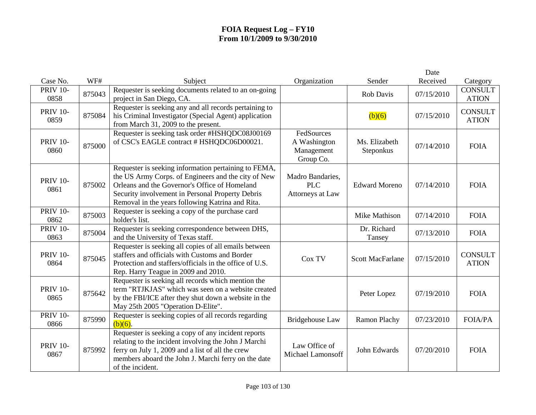|                         |        |                                                                                                                                                                                                                                                                      |                                                       |                            | Date       |                                |
|-------------------------|--------|----------------------------------------------------------------------------------------------------------------------------------------------------------------------------------------------------------------------------------------------------------------------|-------------------------------------------------------|----------------------------|------------|--------------------------------|
| Case No.                | WF#    | Subject                                                                                                                                                                                                                                                              | Organization                                          | Sender                     | Received   | Category                       |
| <b>PRIV 10-</b><br>0858 | 875043 | Requester is seeking documents related to an on-going<br>project in San Diego, CA.                                                                                                                                                                                   |                                                       | <b>Rob Davis</b>           | 07/15/2010 | <b>CONSULT</b><br><b>ATION</b> |
| <b>PRIV 10-</b><br>0859 | 875084 | Requester is seeking any and all records pertaining to<br>his Criminal Investigator (Special Agent) application<br>from March 31, 2009 to the present.                                                                                                               |                                                       | (b)(6)                     | 07/15/2010 | <b>CONSULT</b><br><b>ATION</b> |
| <b>PRIV 10-</b><br>0860 | 875000 | Requester is seeking task order #HSHQDC08J00169<br>of CSC's EAGLE contract # HSHQDC06D00021.                                                                                                                                                                         | FedSources<br>A Washington<br>Management<br>Group Co. | Ms. Elizabeth<br>Steponkus | 07/14/2010 | <b>FOIA</b>                    |
| <b>PRIV 10-</b><br>0861 | 875002 | Requester is seeking information pertaining to FEMA,<br>the US Army Corps. of Engineers and the city of New<br>Orleans and the Governor's Office of Homeland<br>Security involvement in Personal Property Debris<br>Removal in the years following Katrina and Rita. | Madro Bandaries,<br><b>PLC</b><br>Attorneys at Law    | <b>Edward Moreno</b>       | 07/14/2010 | <b>FOIA</b>                    |
| <b>PRIV 10-</b><br>0862 | 875003 | Requester is seeking a copy of the purchase card<br>holder's list.                                                                                                                                                                                                   |                                                       | Mike Mathison              | 07/14/2010 | <b>FOIA</b>                    |
| <b>PRIV 10-</b><br>0863 | 875004 | Requester is seeking correspondence between DHS,<br>and the University of Texas staff.                                                                                                                                                                               |                                                       | Dr. Richard<br>Tansey      | 07/13/2010 | <b>FOIA</b>                    |
| <b>PRIV 10-</b><br>0864 | 875045 | Requester is seeking all copies of all emails between<br>staffers and officials with Customs and Border<br>Protection and staffers/officials in the office of U.S.<br>Rep. Harry Teague in 2009 and 2010.                                                            | Cox TV                                                | <b>Scott MacFarlane</b>    | 07/15/2010 | <b>CONSULT</b><br><b>ATION</b> |
| <b>PRIV 10-</b><br>0865 | 875642 | Requester is seeking all records which mention the<br>term "RTJKJAS" which was seen on a website created<br>by the FBI/ICE after they shut down a website in the<br>May 25th 2005 "Operation D-Elite".                                                               |                                                       | Peter Lopez                | 07/19/2010 | <b>FOIA</b>                    |
| <b>PRIV 10-</b><br>0866 | 875990 | Requester is seeking copies of all records regarding<br>$(b)(6)$ .                                                                                                                                                                                                   | <b>Bridgehouse Law</b>                                | Ramon Plachy               | 07/23/2010 | FOIA/PA                        |
| <b>PRIV 10-</b><br>0867 | 875992 | Requester is seeking a copy of any incident reports<br>relating to the incident involving the John J Marchi<br>ferry on July 1, 2009 and a list of all the crew<br>members aboard the John J. Marchi ferry on the date<br>of the incident.                           | Law Office of<br>Michael Lamonsoff                    | John Edwards               | 07/20/2010 | <b>FOIA</b>                    |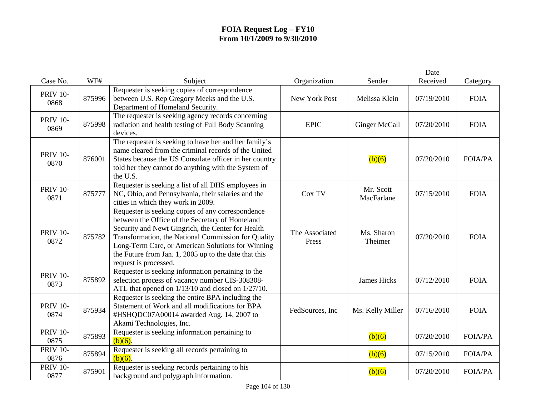|                         |        |                                                                                                                                                                                                                                                                                                                                                         |                         |                         | Date       |                |
|-------------------------|--------|---------------------------------------------------------------------------------------------------------------------------------------------------------------------------------------------------------------------------------------------------------------------------------------------------------------------------------------------------------|-------------------------|-------------------------|------------|----------------|
| Case No.                | WF#    | Subject                                                                                                                                                                                                                                                                                                                                                 | Organization            | Sender                  | Received   | Category       |
| <b>PRIV 10-</b><br>0868 | 875996 | Requester is seeking copies of correspondence<br>between U.S. Rep Gregory Meeks and the U.S.<br>Department of Homeland Security.                                                                                                                                                                                                                        | New York Post           | Melissa Klein           | 07/19/2010 | <b>FOIA</b>    |
| <b>PRIV 10-</b><br>0869 | 875998 | The requester is seeking agency records concerning<br>radiation and health testing of Full Body Scanning<br>devices.                                                                                                                                                                                                                                    | <b>EPIC</b>             | Ginger McCall           | 07/20/2010 | <b>FOIA</b>    |
| <b>PRIV 10-</b><br>0870 | 876001 | The requester is seeking to have her and her family's<br>name cleared from the criminal records of the United<br>States because the US Consulate officer in her country<br>told her they cannot do anything with the System of<br>the U.S.                                                                                                              |                         | (b)(6)                  | 07/20/2010 | <b>FOIA/PA</b> |
| <b>PRIV 10-</b><br>0871 | 875777 | Requester is seeking a list of all DHS employees in<br>NC, Ohio, and Pennsylvania, their salaries and the<br>cities in which they work in 2009.                                                                                                                                                                                                         | Cox TV                  | Mr. Scott<br>MacFarlane | 07/15/2010 | <b>FOIA</b>    |
| <b>PRIV 10-</b><br>0872 | 875782 | Requester is seeking copies of any correspondence<br>between the Office of the Secretary of Homeland<br>Security and Newt Gingrich, the Center for Health<br>Transformation, the National Commission for Quality<br>Long-Term Care, or American Solutions for Winning<br>the Future from Jan. 1, 2005 up to the date that this<br>request is processed. | The Associated<br>Press | Ms. Sharon<br>Theimer   | 07/20/2010 | <b>FOIA</b>    |
| <b>PRIV 10-</b><br>0873 | 875892 | Requester is seeking information pertaining to the<br>selection process of vacancy number CIS-308308-<br>ATL that opened on 1/13/10 and closed on 1/27/10.                                                                                                                                                                                              |                         | <b>James Hicks</b>      | 07/12/2010 | <b>FOIA</b>    |
| <b>PRIV 10-</b><br>0874 | 875934 | Requester is seeking the entire BPA including the<br>Statement of Work and all modifications for BPA<br>#HSHQDC07A00014 awarded Aug. 14, 2007 to<br>Akami Technologies, Inc.                                                                                                                                                                            | FedSources, Inc         | Ms. Kelly Miller        | 07/16/2010 | <b>FOIA</b>    |
| <b>PRIV 10-</b><br>0875 | 875893 | Requester is seeking information pertaining to<br>$(b)(6)$ .                                                                                                                                                                                                                                                                                            |                         | (b)(6)                  | 07/20/2010 | <b>FOIA/PA</b> |
| <b>PRIV 10-</b><br>0876 | 875894 | Requester is seeking all records pertaining to<br>$(b)(6)$ .                                                                                                                                                                                                                                                                                            |                         | (b)(6)                  | 07/15/2010 | <b>FOIA/PA</b> |
| <b>PRIV 10-</b><br>0877 | 875901 | Requester is seeking records pertaining to his<br>background and polygraph information.                                                                                                                                                                                                                                                                 |                         | (b)(6)                  | 07/20/2010 | <b>FOIA/PA</b> |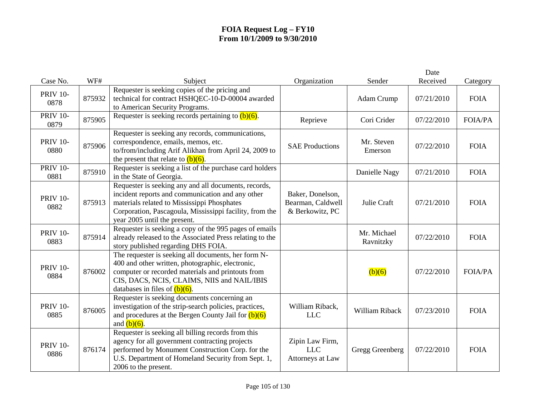|                         |        |                                                                                                                                                                                                                                                    |                                                          |                          | Date       |                |
|-------------------------|--------|----------------------------------------------------------------------------------------------------------------------------------------------------------------------------------------------------------------------------------------------------|----------------------------------------------------------|--------------------------|------------|----------------|
| Case No.                | WF#    | Subject                                                                                                                                                                                                                                            | Organization                                             | Sender                   | Received   | Category       |
| <b>PRIV 10-</b><br>0878 | 875932 | Requester is seeking copies of the pricing and<br>technical for contract HSHQEC-10-D-00004 awarded<br>to American Security Programs.                                                                                                               |                                                          | Adam Crump               | 07/21/2010 | <b>FOIA</b>    |
| <b>PRIV 10-</b><br>0879 | 875905 | Requester is seeking records pertaining to $(b)(6)$ .                                                                                                                                                                                              | Reprieve                                                 | Cori Crider              | 07/22/2010 | <b>FOIA/PA</b> |
| <b>PRIV 10-</b><br>0880 | 875906 | Requester is seeking any records, communications,<br>correspondence, emails, memos, etc.<br>to/from/including Arif Alikhan from April 24, 2009 to<br>the present that relate to $(b)(6)$ .                                                         | <b>SAE Productions</b>                                   | Mr. Steven<br>Emerson    | 07/22/2010 | <b>FOIA</b>    |
| <b>PRIV 10-</b><br>0881 | 875910 | Requester is seeking a list of the purchase card holders<br>in the State of Georgia.                                                                                                                                                               |                                                          | Danielle Nagy            | 07/21/2010 | <b>FOIA</b>    |
| <b>PRIV 10-</b><br>0882 | 875913 | Requester is seeking any and all documents, records,<br>incident reports and communication and any other<br>materials related to Mississippi Phosphates<br>Corporation, Pascagoula, Mississippi facility, from the<br>year 2005 until the present. | Baker, Donelson,<br>Bearman, Caldwell<br>& Berkowitz, PC | Julie Craft              | 07/21/2010 | <b>FOIA</b>    |
| <b>PRIV 10-</b><br>0883 | 875914 | Requester is seeking a copy of the 995 pages of emails<br>already released to the Associated Press relating to the<br>story published regarding DHS FOIA.                                                                                          |                                                          | Mr. Michael<br>Ravnitzky | 07/22/2010 | <b>FOIA</b>    |
| <b>PRIV 10-</b><br>0884 | 876002 | The requester is seeking all documents, her form N-<br>400 and other written, photographic, electronic,<br>computer or recorded materials and printouts from<br>CIS, DACS, NCIS, CLAIMS, NIIS and NAIL/IBIS<br>databases in files of $(b)(6)$ .    |                                                          | (b)(6)                   | 07/22/2010 | <b>FOIA/PA</b> |
| <b>PRIV 10-</b><br>0885 | 876005 | Requester is seeking documents concerning an<br>investigation of the strip-search policies, practices,<br>and procedures at the Bergen County Jail for $(b)(6)$<br>and $(b)(6)$ .                                                                  | William Riback,<br><b>LLC</b>                            | William Riback           | 07/23/2010 | <b>FOIA</b>    |
| <b>PRIV 10-</b><br>0886 | 876174 | Requester is seeking all billing records from this<br>agency for all government contracting projects<br>performed by Monument Construction Corp. for the<br>U.S. Department of Homeland Security from Sept. 1,<br>2006 to the present.             | Zipin Law Firm,<br><b>LLC</b><br>Attorneys at Law        | Gregg Greenberg          | 07/22/2010 | <b>FOIA</b>    |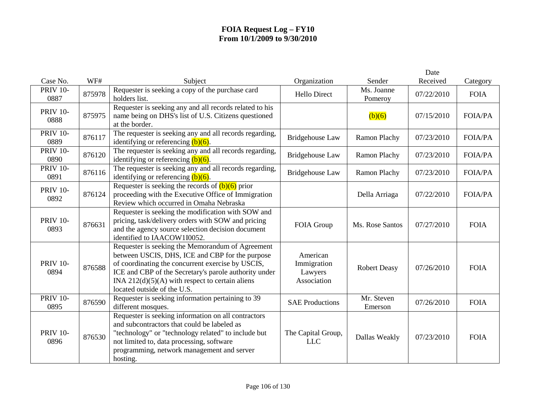|                         |        |                                                                                                                                                                                                                                                                                                       |                                                   |                       | Date       |                |
|-------------------------|--------|-------------------------------------------------------------------------------------------------------------------------------------------------------------------------------------------------------------------------------------------------------------------------------------------------------|---------------------------------------------------|-----------------------|------------|----------------|
| Case No.                | WF#    | Subject                                                                                                                                                                                                                                                                                               | Organization                                      | Sender                | Received   | Category       |
| <b>PRIV 10-</b><br>0887 | 875978 | Requester is seeking a copy of the purchase card<br>holders list.                                                                                                                                                                                                                                     | <b>Hello Direct</b>                               | Ms. Joanne<br>Pomeroy | 07/22/2010 | <b>FOIA</b>    |
| <b>PRIV 10-</b><br>0888 | 875975 | Requester is seeking any and all records related to his<br>name being on DHS's list of U.S. Citizens questioned<br>at the border.                                                                                                                                                                     |                                                   | (b)(6)                | 07/15/2010 | <b>FOIA/PA</b> |
| <b>PRIV 10-</b><br>0889 | 876117 | The requester is seeking any and all records regarding,<br>identifying or referencing $(b)(6)$ .                                                                                                                                                                                                      | Bridgehouse Law                                   | Ramon Plachy          | 07/23/2010 | <b>FOIA/PA</b> |
| <b>PRIV 10-</b><br>0890 | 876120 | The requester is seeking any and all records regarding,<br>identifying or referencing $(b)(6)$ .                                                                                                                                                                                                      | <b>Bridgehouse Law</b>                            | Ramon Plachy          | 07/23/2010 | <b>FOIA/PA</b> |
| <b>PRIV 10-</b><br>0891 | 876116 | The requester is seeking any and all records regarding,<br>identifying or referencing $(b)(6)$ .                                                                                                                                                                                                      | <b>Bridgehouse Law</b>                            | Ramon Plachy          | 07/23/2010 | <b>FOIA/PA</b> |
| <b>PRIV 10-</b><br>0892 | 876124 | Requester is seeking the records of $(b)(6)$ prior<br>proceeding with the Executive Office of Immigration<br>Review which occurred in Omaha Nebraska                                                                                                                                                  |                                                   | Della Arriaga         | 07/22/2010 | <b>FOIA/PA</b> |
| <b>PRIV 10-</b><br>0893 | 876631 | Requester is seeking the modification with SOW and<br>pricing, task/delivery orders with SOW and pricing<br>and the agency source selection decision document<br>identified to IAACOW1I0052.                                                                                                          | <b>FOIA Group</b>                                 | Ms. Rose Santos       | 07/27/2010 | <b>FOIA</b>    |
| <b>PRIV 10-</b><br>0894 | 876588 | Requester is seeking the Memorandum of Agreement<br>between USCIS, DHS, ICE and CBP for the purpose<br>of coordinating the concurrent exercise by USCIS,<br>ICE and CBP of the Secretary's parole authority under<br>INA $212(d)(5)(A)$ with respect to certain aliens<br>located outside of the U.S. | American<br>Immigration<br>Lawyers<br>Association | <b>Robert Deasy</b>   | 07/26/2010 | <b>FOIA</b>    |
| <b>PRIV 10-</b><br>0895 | 876590 | Requester is seeking information pertaining to 39<br>different mosques.                                                                                                                                                                                                                               | <b>SAE Productions</b>                            | Mr. Steven<br>Emerson | 07/26/2010 | <b>FOIA</b>    |
| <b>PRIV 10-</b><br>0896 | 876530 | Requester is seeking information on all contractors<br>and subcontractors that could be labeled as<br>"technology" or "technology related" to include but<br>not limited to, data processing, software<br>programming, network management and server<br>hosting.                                      | The Capital Group,<br><b>LLC</b>                  | Dallas Weakly         | 07/23/2010 | <b>FOIA</b>    |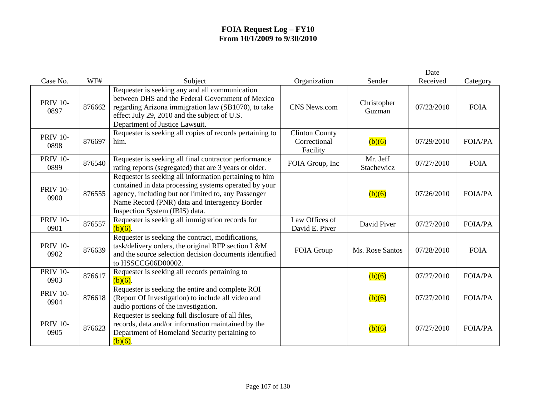| Case No.                | WF#    | Subject                                                                                                                                                                                                                                                   | Organization                                      | Sender                 | Date<br>Received | Category       |
|-------------------------|--------|-----------------------------------------------------------------------------------------------------------------------------------------------------------------------------------------------------------------------------------------------------------|---------------------------------------------------|------------------------|------------------|----------------|
| <b>PRIV 10-</b><br>0897 | 876662 | Requester is seeking any and all communication<br>between DHS and the Federal Government of Mexico<br>regarding Arizona immigration law (SB1070), to take<br>effect July 29, 2010 and the subject of U.S.<br>Department of Justice Lawsuit.               | CNS News.com                                      | Christopher<br>Guzman  | 07/23/2010       | <b>FOIA</b>    |
| <b>PRIV 10-</b><br>0898 | 876697 | Requester is seeking all copies of records pertaining to<br>him.                                                                                                                                                                                          | <b>Clinton County</b><br>Correctional<br>Facility | (b)(6)                 | 07/29/2010       | <b>FOIA/PA</b> |
| <b>PRIV 10-</b><br>0899 | 876540 | Requester is seeking all final contractor performance<br>rating reports (segregated) that are 3 years or older.                                                                                                                                           | FOIA Group, Inc                                   | Mr. Jeff<br>Stachewicz | 07/27/2010       | <b>FOIA</b>    |
| <b>PRIV 10-</b><br>0900 | 876555 | Requester is seeking all information pertaining to him<br>contained in data processing systems operated by your<br>agency, including but not limited to, any Passenger<br>Name Record (PNR) data and Interagency Border<br>Inspection System (IBIS) data. |                                                   | (b)(6)                 | 07/26/2010       | <b>FOIA/PA</b> |
| <b>PRIV 10-</b><br>0901 | 876557 | Requester is seeking all immigration records for<br>$(b)(6)$ .                                                                                                                                                                                            | Law Offices of<br>David E. Piver                  | David Piver            | 07/27/2010       | <b>FOIA/PA</b> |
| <b>PRIV 10-</b><br>0902 | 876639 | Requester is seeking the contract, modifications,<br>task/delivery orders, the original RFP section L&M<br>and the source selection decision documents identified<br>to HSSCCG06D00002.                                                                   | FOIA Group                                        | Ms. Rose Santos        | 07/28/2010       | <b>FOIA</b>    |
| <b>PRIV 10-</b><br>0903 | 876617 | Requester is seeking all records pertaining to<br>$(b)(6)$ .                                                                                                                                                                                              |                                                   | (b)(6)                 | 07/27/2010       | <b>FOIA/PA</b> |
| <b>PRIV 10-</b><br>0904 | 876618 | Requester is seeking the entire and complete ROI<br>(Report Of Investigation) to include all video and<br>audio portions of the investigation.                                                                                                            |                                                   | (b)(6)                 | 07/27/2010       | <b>FOIA/PA</b> |
| <b>PRIV 10-</b><br>0905 | 876623 | Requester is seeking full disclosure of all files,<br>records, data and/or information maintained by the<br>Department of Homeland Security pertaining to<br>$(b)(6)$ .                                                                                   |                                                   | (b)(6)                 | 07/27/2010       | <b>FOIA/PA</b> |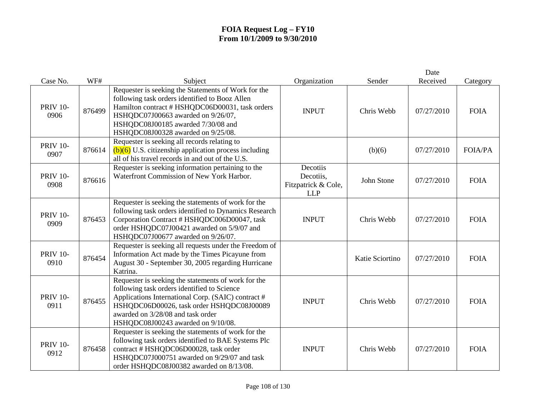| Case No.                | WF#    | Subject                                                                                                                                                                                                                                                                          | Organization                                               | Sender          | Date<br>Received | Category       |
|-------------------------|--------|----------------------------------------------------------------------------------------------------------------------------------------------------------------------------------------------------------------------------------------------------------------------------------|------------------------------------------------------------|-----------------|------------------|----------------|
| <b>PRIV 10-</b><br>0906 | 876499 | Requester is seeking the Statements of Work for the<br>following task orders identified to Booz Allen<br>Hamilton contract # HSHQDC06D00031, task orders<br>HSHQDC07J00663 awarded on 9/26/07,<br>HSHQDC08J00185 awarded 7/30/08 and<br>HSHQDC08J00328 awarded on 9/25/08.       | <b>INPUT</b>                                               | Chris Webb      | 07/27/2010       | <b>FOIA</b>    |
| <b>PRIV 10-</b><br>0907 | 876614 | Requester is seeking all records relating to<br>$(b)(6)$ U.S. citizenship application process including<br>all of his travel records in and out of the U.S.                                                                                                                      |                                                            | (b)(6)          | 07/27/2010       | <b>FOIA/PA</b> |
| <b>PRIV 10-</b><br>0908 | 876616 | Requester is seeking information pertaining to the<br>Waterfront Commission of New York Harbor.                                                                                                                                                                                  | Decotiis<br>Decotiis,<br>Fitzpatrick & Cole,<br><b>LLP</b> | John Stone      | 07/27/2010       | <b>FOIA</b>    |
| <b>PRIV 10-</b><br>0909 | 876453 | Requester is seeking the statements of work for the<br>following task orders identified to Dynamics Research<br>Corporation Contract # HSHQDC006D00047, task<br>order HSHQDC07J00421 awarded on 5/9/07 and<br>HSHQDC07J00677 awarded on 9/26/07.                                 | <b>INPUT</b>                                               | Chris Webb      | 07/27/2010       | <b>FOIA</b>    |
| <b>PRIV 10-</b><br>0910 | 876454 | Requester is seeking all requests under the Freedom of<br>Information Act made by the Times Picayune from<br>August 30 - September 30, 2005 regarding Hurricane<br>Katrina.                                                                                                      |                                                            | Katie Sciortino | 07/27/2010       | <b>FOIA</b>    |
| <b>PRIV 10-</b><br>0911 | 876455 | Requester is seeking the statements of work for the<br>following task orders identified to Science<br>Applications International Corp. (SAIC) contract #<br>HSHQDC06D00026, task order HSHQDC08J00089<br>awarded on 3/28/08 and task order<br>HSHQDC08J00243 awarded on 9/10/08. | <b>INPUT</b>                                               | Chris Webb      | 07/27/2010       | <b>FOIA</b>    |
| <b>PRIV 10-</b><br>0912 | 876458 | Requester is seeking the statements of work for the<br>following task orders identified to BAE Systems Plc<br>contract # HSHQDC06D00028, task order<br>HSHQDC07J000751 awarded on 9/29/07 and task<br>order HSHQDC08J00382 awarded on 8/13/08.                                   | <b>INPUT</b>                                               | Chris Webb      | 07/27/2010       | <b>FOIA</b>    |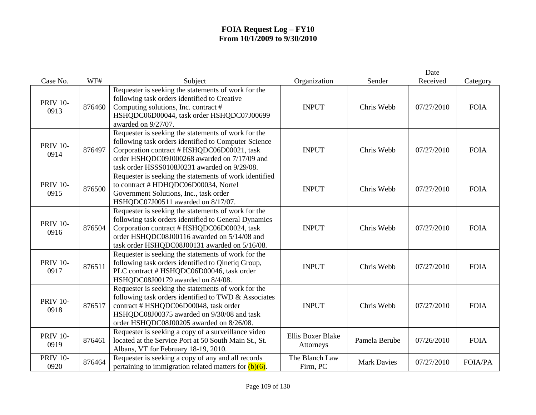| Case No.                | WF#    | Subject                                                                                                                                                                                                                                                    | Organization                          | Sender             | Date<br>Received | Category       |
|-------------------------|--------|------------------------------------------------------------------------------------------------------------------------------------------------------------------------------------------------------------------------------------------------------------|---------------------------------------|--------------------|------------------|----------------|
| <b>PRIV 10-</b><br>0913 | 876460 | Requester is seeking the statements of work for the<br>following task orders identified to Creative<br>Computing solutions, Inc. contract #<br>HSHQDC06D00044, task order HSHQDC07J00699<br>awarded on 9/27/07.                                            | <b>INPUT</b>                          | Chris Webb         | 07/27/2010       | <b>FOIA</b>    |
| <b>PRIV 10-</b><br>0914 | 876497 | Requester is seeking the statements of work for the<br>following task orders identified to Computer Science<br>Corporation contract # HSHQDC06D00021, task<br>order HSHQDC09J000268 awarded on 7/17/09 and<br>task order HSSS0108J0231 awarded on 9/29/08. | <b>INPUT</b>                          | Chris Webb         | 07/27/2010       | <b>FOIA</b>    |
| <b>PRIV 10-</b><br>0915 | 876500 | Requester is seeking the statements of work identified<br>to contract # HDHQDC06D00034, Nortel<br>Government Solutions, Inc., task order<br>HSHQDC07J00511 awarded on 8/17/07.                                                                             | <b>INPUT</b>                          | Chris Webb         | 07/27/2010       | <b>FOIA</b>    |
| <b>PRIV 10-</b><br>0916 | 876504 | Requester is seeking the statements of work for the<br>following task orders identified to General Dynamics<br>Corporation contract # HSHQDC06D00024, task<br>order HSHQDC08J00116 awarded on 5/14/08 and<br>task order HSHQDC08J00131 awarded on 5/16/08. | <b>INPUT</b>                          | Chris Webb         | 07/27/2010       | <b>FOIA</b>    |
| <b>PRIV 10-</b><br>0917 | 876511 | Requester is seeking the statements of work for the<br>following task orders identified to Qinetiq Group,<br>PLC contract # HSHQDC06D00046, task order<br>HSHQDC08J00179 awarded on 8/4/08.                                                                | <b>INPUT</b>                          | Chris Webb         | 07/27/2010       | <b>FOIA</b>    |
| <b>PRIV 10-</b><br>0918 | 876517 | Requester is seeking the statements of work for the<br>following task orders identified to TWD & Associates<br>contract # HSHQDC06D00048, task order<br>HSHQDC08J00375 awarded on 9/30/08 and task<br>order HSHQDC08J00205 awarded on 8/26/08.             | <b>INPUT</b>                          | Chris Webb         | 07/27/2010       | <b>FOIA</b>    |
| <b>PRIV 10-</b><br>0919 | 876461 | Requester is seeking a copy of a surveillance video<br>located at the Service Port at 50 South Main St., St.<br>Albans, VT for February 18-19, 2010.                                                                                                       | <b>Ellis Boxer Blake</b><br>Attorneys | Pamela Berube      | 07/26/2010       | <b>FOIA</b>    |
| <b>PRIV 10-</b><br>0920 | 876464 | Requester is seeking a copy of any and all records<br>pertaining to immigration related matters for $(b)(6)$ .                                                                                                                                             | The Blanch Law<br>Firm, PC            | <b>Mark Davies</b> | 07/27/2010       | <b>FOIA/PA</b> |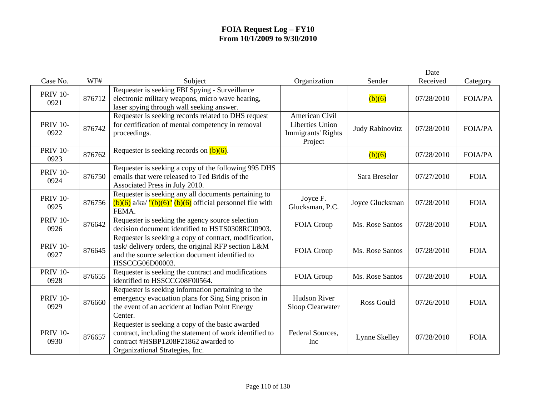|                         |        |                                                                                                                                                                                       |                                                                           |                 | Date       |                |
|-------------------------|--------|---------------------------------------------------------------------------------------------------------------------------------------------------------------------------------------|---------------------------------------------------------------------------|-----------------|------------|----------------|
| Case No.                | WF#    | Subject                                                                                                                                                                               | Organization                                                              | Sender          | Received   | Category       |
| <b>PRIV 10-</b><br>0921 | 876712 | Requester is seeking FBI Spying - Surveillance<br>electronic military weapons, micro wave hearing,<br>laser spying through wall seeking answer.                                       |                                                                           | (b)(6)          | 07/28/2010 | <b>FOIA/PA</b> |
| <b>PRIV 10-</b><br>0922 | 876742 | Requester is seeking records related to DHS request<br>for certification of mental competency in removal<br>proceedings.                                                              | American Civil<br><b>Liberties Union</b><br>Immigrants' Rights<br>Project | Judy Rabinovitz | 07/28/2010 | <b>FOIA/PA</b> |
| <b>PRIV 10-</b><br>0923 | 876762 | Requester is seeking records on $(b)(6)$ .                                                                                                                                            |                                                                           | (b)(6)          | 07/28/2010 | <b>FOIA/PA</b> |
| <b>PRIV 10-</b><br>0924 | 876750 | Requester is seeking a copy of the following 995 DHS<br>emails that were released to Ted Bridis of the<br>Associated Press in July 2010.                                              |                                                                           | Sara Breselor   | 07/27/2010 | <b>FOIA</b>    |
| <b>PRIV 10-</b><br>0925 | 876756 | Requester is seeking any all documents pertaining to<br>$(b)(6)$ a/ka/ "(b)(6)" (b)(6) official personnel file with<br>FEMA.                                                          | Joyce F.<br>Glucksman, P.C.                                               | Joyce Glucksman | 07/28/2010 | <b>FOIA</b>    |
| <b>PRIV 10-</b><br>0926 | 876642 | Requester is seeking the agency source selection<br>decision document identified to HSTS0308RCI0903.                                                                                  | FOIA Group                                                                | Ms. Rose Santos | 07/28/2010 | <b>FOIA</b>    |
| <b>PRIV 10-</b><br>0927 | 876645 | Requester is seeking a copy of contract, modification,<br>task/delivery orders, the original RFP section L&M<br>and the source selection document identified to<br>HSSCCG06D00003.    | FOIA Group                                                                | Ms. Rose Santos | 07/28/2010 | <b>FOIA</b>    |
| <b>PRIV 10-</b><br>0928 | 876655 | Requester is seeking the contract and modifications<br>identified to HSSCCG08F00564.                                                                                                  | FOIA Group                                                                | Ms. Rose Santos | 07/28/2010 | <b>FOIA</b>    |
| <b>PRIV 10-</b><br>0929 | 876660 | Requester is seeking information pertaining to the<br>emergency evacuation plans for Sing Sing prison in<br>the event of an accident at Indian Point Energy<br>Center.                | <b>Hudson River</b><br>Sloop Clearwater                                   | Ross Gould      | 07/26/2010 | <b>FOIA</b>    |
| <b>PRIV 10-</b><br>0930 | 876657 | Requester is seeking a copy of the basic awarded<br>contract, including the statement of work identified to<br>contract #HSBP1208F21862 awarded to<br>Organizational Strategies, Inc. | Federal Sources,<br>Inc                                                   | Lynne Skelley   | 07/28/2010 | <b>FOIA</b>    |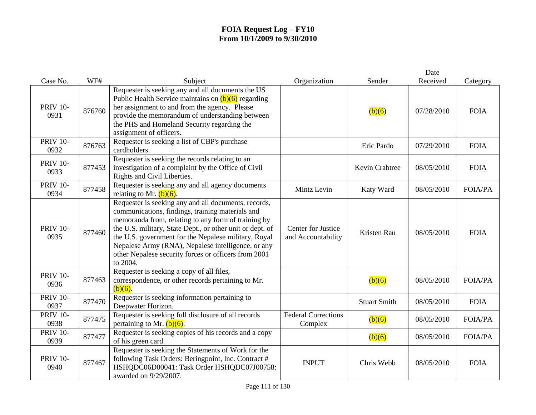|                         |        |                                                                                                                                                                                                                                                                                                                                                                                                                |                                          |                     | Date       |                |
|-------------------------|--------|----------------------------------------------------------------------------------------------------------------------------------------------------------------------------------------------------------------------------------------------------------------------------------------------------------------------------------------------------------------------------------------------------------------|------------------------------------------|---------------------|------------|----------------|
| Case No.                | WF#    | Subject                                                                                                                                                                                                                                                                                                                                                                                                        | Organization                             | Sender              | Received   | Category       |
| <b>PRIV 10-</b><br>0931 | 876760 | Requester is seeking any and all documents the US<br>Public Health Service maintains on $(b)(6)$ regarding<br>her assignment to and from the agency. Please<br>provide the memorandum of understanding between<br>the PHS and Homeland Security regarding the<br>assignment of officers.                                                                                                                       |                                          | (b)(6)              | 07/28/2010 | <b>FOIA</b>    |
| <b>PRIV 10-</b><br>0932 | 876763 | Requester is seeking a list of CBP's purchase<br>cardholders.                                                                                                                                                                                                                                                                                                                                                  |                                          | Eric Pardo          | 07/29/2010 | <b>FOIA</b>    |
| <b>PRIV 10-</b><br>0933 | 877453 | Requester is seeking the records relating to an<br>investigation of a complaint by the Office of Civil<br>Rights and Civil Liberties.                                                                                                                                                                                                                                                                          |                                          | Kevin Crabtree      | 08/05/2010 | <b>FOIA</b>    |
| <b>PRIV 10-</b><br>0934 | 877458 | Requester is seeking any and all agency documents<br>relating to Mr. $(b)(6)$ .                                                                                                                                                                                                                                                                                                                                | Mintz Levin                              | Katy Ward           | 08/05/2010 | <b>FOIA/PA</b> |
| <b>PRIV 10-</b><br>0935 | 877460 | Requester is seeking any and all documents, records,<br>communications, findings, training materials and<br>memoranda from, relating to any form of training by<br>the U.S. military, State Dept., or other unit or dept. of<br>the U.S. government for the Nepalese military, Royal<br>Nepalese Army (RNA), Nepalese intelligence, or any<br>other Nepalese security forces or officers from 2001<br>to 2004. | Center for Justice<br>and Accountability | Kristen Rau         | 08/05/2010 | <b>FOIA</b>    |
| <b>PRIV 10-</b><br>0936 | 877463 | Requester is seeking a copy of all files,<br>correspondence, or other records pertaining to Mr.<br>$(b)(6)$ .                                                                                                                                                                                                                                                                                                  |                                          | (b)(6)              | 08/05/2010 | <b>FOIA/PA</b> |
| <b>PRIV 10-</b><br>0937 | 877470 | Requester is seeking information pertaining to<br>Deepwater Horizon.                                                                                                                                                                                                                                                                                                                                           |                                          | <b>Stuart Smith</b> | 08/05/2010 | <b>FOIA</b>    |
| <b>PRIV 10-</b><br>0938 | 877475 | Requester is seeking full disclosure of all records<br>pertaining to Mr. $(b)(6)$ .                                                                                                                                                                                                                                                                                                                            | <b>Federal Corrections</b><br>Complex    | (b)(6)              | 08/05/2010 | <b>FOIA/PA</b> |
| <b>PRIV 10-</b><br>0939 | 877477 | Requester is seeking copies of his records and a copy<br>of his green card.                                                                                                                                                                                                                                                                                                                                    |                                          | (b)(6)              | 08/05/2010 | <b>FOIA/PA</b> |
| <b>PRIV 10-</b><br>0940 | 877467 | Requester is seeking the Statements of Work for the<br>following Task Orders: Beringpoint, Inc. Contract #<br>HSHQDC06D00041: Task Order HSHQDC07J00758:<br>awarded on 9/29/2007.                                                                                                                                                                                                                              | <b>INPUT</b>                             | Chris Webb          | 08/05/2010 | <b>FOIA</b>    |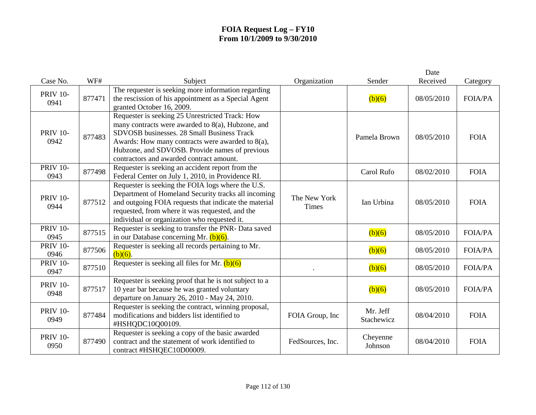| Case No.                | WF#    | Subject                                                                                                                                                                                                                                                                                                 | Organization                 | Sender                 | Date<br>Received | Category       |
|-------------------------|--------|---------------------------------------------------------------------------------------------------------------------------------------------------------------------------------------------------------------------------------------------------------------------------------------------------------|------------------------------|------------------------|------------------|----------------|
| <b>PRIV 10-</b><br>0941 | 877471 | The requester is seeking more information regarding<br>the rescission of his appointment as a Special Agent<br>granted October 16, 2009.                                                                                                                                                                |                              | (b)(6)                 | 08/05/2010       | <b>FOIA/PA</b> |
| <b>PRIV 10-</b><br>0942 | 877483 | Requester is seeking 25 Unrestricted Track: How<br>many contracts were awarded to 8(a), Hubzone, and<br>SDVOSB businesses. 28 Small Business Track<br>Awards: How many contracts were awarded to $8(a)$ ,<br>Hubzone, and SDVOSB. Provide names of previous<br>contractors and awarded contract amount. |                              | Pamela Brown           | 08/05/2010       | <b>FOIA</b>    |
| <b>PRIV 10-</b><br>0943 | 877498 | Requester is seeking an accident report from the<br>Federal Center on July 1, 2010, in Providence RI.                                                                                                                                                                                                   |                              | Carol Rufo             | 08/02/2010       | <b>FOIA</b>    |
| <b>PRIV 10-</b><br>0944 | 877512 | Requester is seeking the FOIA logs where the U.S.<br>Department of Homeland Security tracks all incoming<br>and outgoing FOIA requests that indicate the material<br>requested, from where it was requested, and the<br>individual or organization who requested it.                                    | The New York<br><b>Times</b> | Ian Urbina             | 08/05/2010       | <b>FOIA</b>    |
| <b>PRIV 10-</b><br>0945 | 877515 | Requester is seeking to transfer the PNR-Data saved<br>in our Database concerning Mr. $(b)(6)$ .                                                                                                                                                                                                        |                              | (b)(6)                 | 08/05/2010       | <b>FOIA/PA</b> |
| <b>PRIV 10-</b><br>0946 | 877506 | Requester is seeking all records pertaining to Mr.<br>$(b)(6)$ .                                                                                                                                                                                                                                        |                              | (b)(6)                 | 08/05/2010       | <b>FOIA/PA</b> |
| <b>PRIV 10-</b><br>0947 | 877510 | Requester is seeking all files for Mr. $(b)(6)$                                                                                                                                                                                                                                                         |                              | (b)(6)                 | 08/05/2010       | <b>FOIA/PA</b> |
| <b>PRIV 10-</b><br>0948 | 877517 | Requester is seeking proof that he is not subject to a<br>10 year bar because he was granted voluntary<br>departure on January 26, 2010 - May 24, 2010.                                                                                                                                                 |                              | (b)(6)                 | 08/05/2010       | <b>FOIA/PA</b> |
| <b>PRIV 10-</b><br>0949 | 877484 | Requester is seeking the contract, winning proposal,<br>modifications and bidders list identified to<br>#HSHQDC10Q00109.                                                                                                                                                                                | FOIA Group, Inc              | Mr. Jeff<br>Stachewicz | 08/04/2010       | <b>FOIA</b>    |
| <b>PRIV 10-</b><br>0950 | 877490 | Requester is seeking a copy of the basic awarded<br>contract and the statement of work identified to<br>contract #HSHQEC10D00009.                                                                                                                                                                       | FedSources, Inc.             | Cheyenne<br>Johnson    | 08/04/2010       | <b>FOIA</b>    |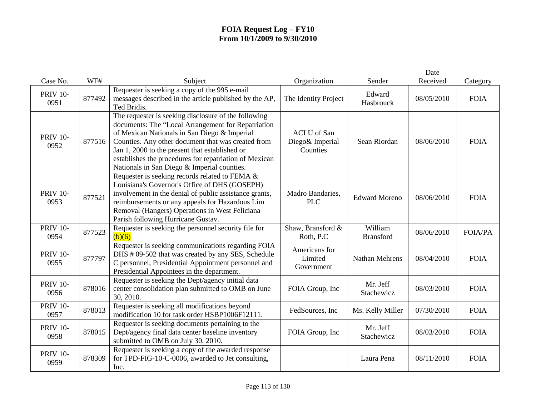|                         |        |                                                                                                                                                                                                                                                                                                                                                                             |                                                   |                             | Date       |                |
|-------------------------|--------|-----------------------------------------------------------------------------------------------------------------------------------------------------------------------------------------------------------------------------------------------------------------------------------------------------------------------------------------------------------------------------|---------------------------------------------------|-----------------------------|------------|----------------|
| Case No.                | WF#    | Subject                                                                                                                                                                                                                                                                                                                                                                     | Organization                                      | Sender                      | Received   | Category       |
| <b>PRIV 10-</b><br>0951 | 877492 | Requester is seeking a copy of the 995 e-mail<br>messages described in the article published by the AP,<br>Ted Bridis.                                                                                                                                                                                                                                                      | The Identity Project                              | Edward<br>Hasbrouck         | 08/05/2010 | <b>FOIA</b>    |
| <b>PRIV 10-</b><br>0952 | 877516 | The requester is seeking disclosure of the following<br>documents: The "Local Arrangement for Repatriation<br>of Mexican Nationals in San Diego & Imperial<br>Counties. Any other document that was created from<br>Jan 1, 2000 to the present that established or<br>establishes the procedures for repatriation of Mexican<br>Nationals in San Diego & Imperial counties. | <b>ACLU</b> of San<br>Diego& Imperial<br>Counties | Sean Riordan                | 08/06/2010 | <b>FOIA</b>    |
| <b>PRIV 10-</b><br>0953 | 877521 | Requester is seeking records related to FEMA &<br>Louisiana's Governor's Office of DHS (GOSEPH)<br>involvement in the denial of public assistance grants,<br>reimbursements or any appeals for Hazardous Lim<br>Removal (Hangers) Operations in West Feliciana<br>Parish following Hurricane Gustav.                                                                        | Madro Bandaries,<br><b>PLC</b>                    | <b>Edward Moreno</b>        | 08/06/2010 | <b>FOIA</b>    |
| <b>PRIV 10-</b><br>0954 | 877523 | Requester is seeking the personnel security file for<br>(b)(6)                                                                                                                                                                                                                                                                                                              | Shaw, Bransford &<br>Roth, P.C                    | William<br><b>Bransford</b> | 08/06/2010 | <b>FOIA/PA</b> |
| <b>PRIV 10-</b><br>0955 | 877797 | Requester is seeking communications regarding FOIA<br>DHS # 09-502 that was created by any SES, Schedule<br>C personnel, Presidential Appointment personnel and<br>Presidential Appointees in the department.                                                                                                                                                               | Americans for<br>Limited<br>Government            | Nathan Mehrens              | 08/04/2010 | <b>FOIA</b>    |
| <b>PRIV 10-</b><br>0956 | 878016 | Requester is seeking the Dept/agency initial data<br>center consolidation plan submitted to OMB on June<br>30, 2010.                                                                                                                                                                                                                                                        | FOIA Group, Inc                                   | Mr. Jeff<br>Stachewicz      | 08/03/2010 | <b>FOIA</b>    |
| <b>PRIV 10-</b><br>0957 | 878013 | Requester is seeking all modifications beyond<br>modification 10 for task order HSBP1006F12111.                                                                                                                                                                                                                                                                             | FedSources, Inc                                   | Ms. Kelly Miller            | 07/30/2010 | <b>FOIA</b>    |
| <b>PRIV 10-</b><br>0958 | 878015 | Requester is seeking documents pertaining to the<br>Dept/agency final data center baseline inventory<br>submitted to OMB on July 30, 2010.                                                                                                                                                                                                                                  | FOIA Group, Inc                                   | Mr. Jeff<br>Stachewicz      | 08/03/2010 | <b>FOIA</b>    |
| <b>PRIV 10-</b><br>0959 | 878309 | Requester is seeking a copy of the awarded response<br>for TPD-FIG-10-C-0006, awarded to Jet consulting,<br>Inc.                                                                                                                                                                                                                                                            |                                                   | Laura Pena                  | 08/11/2010 | <b>FOIA</b>    |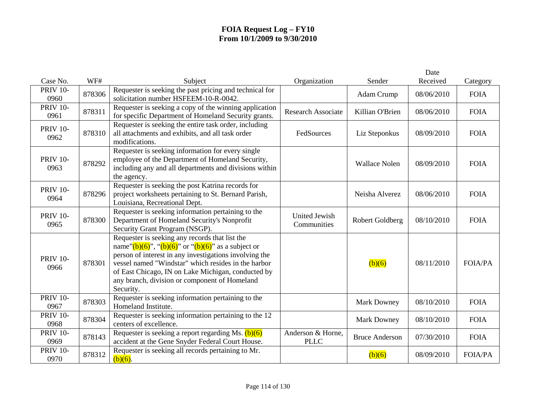|                         |        |                                                                                                                                                                                                                                                                                                                                                       |                                     |                       | Date       |                |
|-------------------------|--------|-------------------------------------------------------------------------------------------------------------------------------------------------------------------------------------------------------------------------------------------------------------------------------------------------------------------------------------------------------|-------------------------------------|-----------------------|------------|----------------|
| Case No.                | WF#    | Subject                                                                                                                                                                                                                                                                                                                                               | Organization                        | Sender                | Received   | Category       |
| <b>PRIV 10-</b><br>0960 | 878306 | Requester is seeking the past pricing and technical for<br>solicitation number HSFEEM-10-R-0042.                                                                                                                                                                                                                                                      |                                     | Adam Crump            | 08/06/2010 | <b>FOIA</b>    |
| <b>PRIV 10-</b><br>0961 | 878311 | Requester is seeking a copy of the winning application<br>for specific Department of Homeland Security grants.                                                                                                                                                                                                                                        | <b>Research Associate</b>           | Killian O'Brien       | 08/06/2010 | <b>FOIA</b>    |
| <b>PRIV 10-</b><br>0962 | 878310 | Requester is seeking the entire task order, including<br>all attachments and exhibits, and all task order<br>modifications.                                                                                                                                                                                                                           | FedSources                          | Liz Steponkus         | 08/09/2010 | <b>FOIA</b>    |
| <b>PRIV 10-</b><br>0963 | 878292 | Requester is seeking information for every single<br>employee of the Department of Homeland Security,<br>including any and all departments and divisions within<br>the agency.                                                                                                                                                                        |                                     | <b>Wallace Nolen</b>  | 08/09/2010 | <b>FOIA</b>    |
| <b>PRIV 10-</b><br>0964 | 878296 | Requester is seeking the post Katrina records for<br>project worksheets pertaining to St. Bernard Parish,<br>Louisiana, Recreational Dept.                                                                                                                                                                                                            |                                     | Neisha Alverez        | 08/06/2010 | <b>FOIA</b>    |
| <b>PRIV 10-</b><br>0965 | 878300 | Requester is seeking information pertaining to the<br>Department of Homeland Security's Nonprofit<br>Security Grant Program (NSGP).                                                                                                                                                                                                                   | <b>United Jewish</b><br>Communities | Robert Goldberg       | 08/10/2010 | <b>FOIA</b>    |
| <b>PRIV 10-</b><br>0966 | 878301 | Requester is seeking any records that list the<br>name" $(b)(6)$ ", " $(b)(6)$ " or " $(b)(6)$ " as a subject or<br>person of interest in any investigations involving the<br>vessel named "Windstar" which resides in the harbor<br>of East Chicago, IN on Lake Michigan, conducted by<br>any branch, division or component of Homeland<br>Security. |                                     | (b)(6)                | 08/11/2010 | <b>FOIA/PA</b> |
| <b>PRIV 10-</b><br>0967 | 878303 | Requester is seeking information pertaining to the<br>Homeland Institute.                                                                                                                                                                                                                                                                             |                                     | <b>Mark Downey</b>    | 08/10/2010 | <b>FOIA</b>    |
| <b>PRIV 10-</b><br>0968 | 878304 | Requester is seeking information pertaining to the 12<br>centers of excellence.                                                                                                                                                                                                                                                                       |                                     | <b>Mark Downey</b>    | 08/10/2010 | <b>FOIA</b>    |
| <b>PRIV 10-</b><br>0969 | 878143 | Requester is seeking a report regarding Ms. $(b)(6)$<br>accident at the Gene Snyder Federal Court House.                                                                                                                                                                                                                                              | Anderson & Horne,<br><b>PLLC</b>    | <b>Bruce Anderson</b> | 07/30/2010 | <b>FOIA</b>    |
| <b>PRIV 10-</b><br>0970 | 878312 | Requester is seeking all records pertaining to Mr.<br>$(b)(6)$ .                                                                                                                                                                                                                                                                                      |                                     | (b)(6)                | 08/09/2010 | <b>FOIA/PA</b> |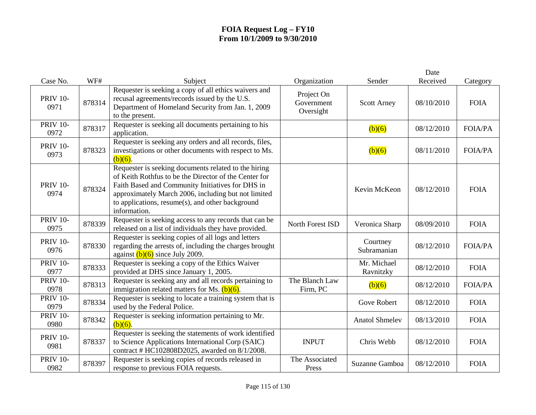|                         |        |                                                                                                                                                                                                                                                                                              |                                       |                          | Date       |                |
|-------------------------|--------|----------------------------------------------------------------------------------------------------------------------------------------------------------------------------------------------------------------------------------------------------------------------------------------------|---------------------------------------|--------------------------|------------|----------------|
| Case No.                | WF#    | Subject                                                                                                                                                                                                                                                                                      | Organization                          | Sender                   | Received   | Category       |
| <b>PRIV 10-</b><br>0971 | 878314 | Requester is seeking a copy of all ethics waivers and<br>recusal agreements/records issued by the U.S.<br>Department of Homeland Security from Jan. 1, 2009<br>to the present.                                                                                                               | Project On<br>Government<br>Oversight | <b>Scott Arney</b>       | 08/10/2010 | <b>FOIA</b>    |
| <b>PRIV 10-</b><br>0972 | 878317 | Requester is seeking all documents pertaining to his<br>application.                                                                                                                                                                                                                         |                                       | (b)(6)                   | 08/12/2010 | <b>FOIA/PA</b> |
| <b>PRIV 10-</b><br>0973 | 878323 | Requester is seeking any orders and all records, files,<br>investigations or other documents with respect to Ms.<br>$(b)(6)$ .                                                                                                                                                               |                                       | (b)(6)                   | 08/11/2010 | <b>FOIA/PA</b> |
| <b>PRIV 10-</b><br>0974 | 878324 | Requester is seeking documents related to the hiring<br>of Keith Rothfus to be the Director of the Center for<br>Faith Based and Community Initiatives for DHS in<br>approximately March 2006, including but not limited<br>to applications, resume(s), and other background<br>information. |                                       | Kevin McKeon             | 08/12/2010 | <b>FOIA</b>    |
| <b>PRIV 10-</b><br>0975 | 878339 | Requester is seeking access to any records that can be<br>released on a list of individuals they have provided.                                                                                                                                                                              | North Forest ISD                      | Veronica Sharp           | 08/09/2010 | <b>FOIA</b>    |
| <b>PRIV 10-</b><br>0976 | 878330 | Requester is seeking copies of all logs and letters<br>regarding the arrests of, including the charges brought<br>against $(b)(6)$ since July 2009.                                                                                                                                          |                                       | Courtney<br>Subramanian  | 08/12/2010 | <b>FOIA/PA</b> |
| <b>PRIV 10-</b><br>0977 | 878333 | Requester is seeking a copy of the Ethics Waiver<br>provided at DHS since January 1, 2005.                                                                                                                                                                                                   |                                       | Mr. Michael<br>Ravnitzky | 08/12/2010 | <b>FOIA</b>    |
| <b>PRIV 10-</b><br>0978 | 878313 | Requester is seeking any and all records pertaining to<br>immigration related matters for Ms. $(b)(6)$ .                                                                                                                                                                                     | The Blanch Law<br>Firm, PC            | (b)(6)                   | 08/12/2010 | <b>FOIA/PA</b> |
| <b>PRIV 10-</b><br>0979 | 878334 | Requester is seeking to locate a training system that is<br>used by the Federal Police.                                                                                                                                                                                                      |                                       | <b>Gove Robert</b>       | 08/12/2010 | <b>FOIA</b>    |
| <b>PRIV 10-</b><br>0980 | 878342 | Requester is seeking information pertaining to Mr.<br>$\overline{(b)}(6)$ .                                                                                                                                                                                                                  |                                       | <b>Anatol Shmelev</b>    | 08/13/2010 | <b>FOIA</b>    |
| <b>PRIV 10-</b><br>0981 | 878337 | Requester is seeking the statements of work identified<br>to Science Applications International Corp (SAIC)<br>contract # HC102808D2025, awarded on 8/1/2008.                                                                                                                                | <b>INPUT</b>                          | Chris Webb               | 08/12/2010 | <b>FOIA</b>    |
| <b>PRIV 10-</b><br>0982 | 878397 | Requester is seeking copies of records released in<br>response to previous FOIA requests.                                                                                                                                                                                                    | The Associated<br>Press               | Suzanne Gamboa           | 08/12/2010 | <b>FOIA</b>    |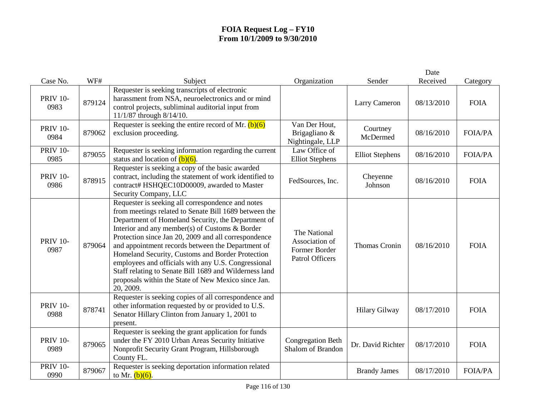|                                     |               |                                                                                                                                                                                                                                                                                                                                                                                                                                                                                                                                                                          |                                                                           |                         | Date                   |                         |
|-------------------------------------|---------------|--------------------------------------------------------------------------------------------------------------------------------------------------------------------------------------------------------------------------------------------------------------------------------------------------------------------------------------------------------------------------------------------------------------------------------------------------------------------------------------------------------------------------------------------------------------------------|---------------------------------------------------------------------------|-------------------------|------------------------|-------------------------|
| Case No.<br><b>PRIV 10-</b><br>0983 | WF#<br>879124 | Subject<br>Requester is seeking transcripts of electronic<br>harassment from NSA, neuroelectronics and or mind<br>control projects, subliminal auditorial input from<br>11/1/87 through 8/14/10.                                                                                                                                                                                                                                                                                                                                                                         | Organization                                                              | Sender<br>Larry Cameron | Received<br>08/13/2010 | Category<br><b>FOIA</b> |
| <b>PRIV 10-</b><br>0984             | 879062        | Requester is seeking the entire record of Mr. $(b)(6)$<br>exclusion proceeding.                                                                                                                                                                                                                                                                                                                                                                                                                                                                                          | Van Der Hout,<br>Brigagliano &<br>Nightingale, LLP                        | Courtney<br>McDermed    | 08/16/2010             | <b>FOIA/PA</b>          |
| <b>PRIV 10-</b><br>0985             | 879055        | Requester is seeking information regarding the current<br>status and location of $(b)(6)$ .                                                                                                                                                                                                                                                                                                                                                                                                                                                                              | Law Office of<br><b>Elliot Stephens</b>                                   | <b>Elliot Stephens</b>  | 08/16/2010             | <b>FOIA/PA</b>          |
| <b>PRIV 10-</b><br>0986             | 878915        | Requester is seeking a copy of the basic awarded<br>contract, including the statement of work identified to<br>contract# HSHQEC10D00009, awarded to Master<br>Security Company, LLC                                                                                                                                                                                                                                                                                                                                                                                      | FedSources, Inc.                                                          | Cheyenne<br>Johnson     | 08/16/2010             | <b>FOIA</b>             |
| <b>PRIV 10-</b><br>0987             | 879064        | Requester is seeking all correspondence and notes<br>from meetings related to Senate Bill 1689 between the<br>Department of Homeland Security, the Department of<br>Interior and any member(s) of Customs & Border<br>Protection since Jan 20, 2009 and all correspondence<br>and appointment records between the Department of<br>Homeland Security, Customs and Border Protection<br>employees and officials with any U.S. Congressional<br>Staff relating to Senate Bill 1689 and Wilderness land<br>proposals within the State of New Mexico since Jan.<br>20, 2009. | The National<br>Association of<br>Former Border<br><b>Patrol Officers</b> | Thomas Cronin           | 08/16/2010             | <b>FOIA</b>             |
| <b>PRIV 10-</b><br>0988             | 878741        | Requester is seeking copies of all correspondence and<br>other information requested by or provided to U.S.<br>Senator Hillary Clinton from January 1, 2001 to<br>present.                                                                                                                                                                                                                                                                                                                                                                                               |                                                                           | <b>Hilary Gilway</b>    | 08/17/2010             | <b>FOIA</b>             |
| <b>PRIV 10-</b><br>0989             | 879065        | Requester is seeking the grant application for funds<br>under the FY 2010 Urban Areas Security Initiative<br>Nonprofit Security Grant Program, Hillsborough<br>County FL.                                                                                                                                                                                                                                                                                                                                                                                                | <b>Congregation Beth</b><br>Shalom of Brandon                             | Dr. David Richter       | 08/17/2010             | <b>FOIA</b>             |
| <b>PRIV 10-</b><br>0990             | 879067        | Requester is seeking deportation information related<br>to Mr. $(b)(6)$ .                                                                                                                                                                                                                                                                                                                                                                                                                                                                                                |                                                                           | <b>Brandy James</b>     | 08/17/2010             | <b>FOIA/PA</b>          |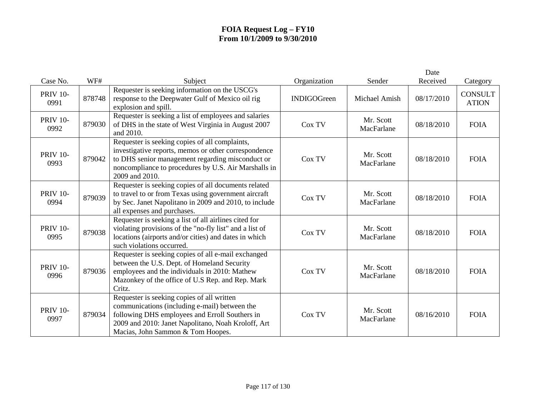|                         |        |                                                                                                                                                                                                                                          |                    |                         | Date       |                                |
|-------------------------|--------|------------------------------------------------------------------------------------------------------------------------------------------------------------------------------------------------------------------------------------------|--------------------|-------------------------|------------|--------------------------------|
| Case No.                | WF#    | Subject                                                                                                                                                                                                                                  | Organization       | Sender                  | Received   | Category                       |
| <b>PRIV 10-</b><br>0991 | 878748 | Requester is seeking information on the USCG's<br>response to the Deepwater Gulf of Mexico oil rig<br>explosion and spill.                                                                                                               | <b>INDIGOGreen</b> | Michael Amish           | 08/17/2010 | <b>CONSULT</b><br><b>ATION</b> |
| <b>PRIV 10-</b><br>0992 | 879030 | Requester is seeking a list of employees and salaries<br>of DHS in the state of West Virginia in August 2007<br>and 2010.                                                                                                                | Cox TV             | Mr. Scott<br>MacFarlane | 08/18/2010 | <b>FOIA</b>                    |
| <b>PRIV 10-</b><br>0993 | 879042 | Requester is seeking copies of all complaints,<br>investigative reports, memos or other correspondence<br>to DHS senior management regarding misconduct or<br>noncompliance to procedures by U.S. Air Marshalls in<br>2009 and 2010.     | Cox TV             | Mr. Scott<br>MacFarlane | 08/18/2010 | <b>FOIA</b>                    |
| <b>PRIV 10-</b><br>0994 | 879039 | Requester is seeking copies of all documents related<br>to travel to or from Texas using government aircraft<br>by Sec. Janet Napolitano in 2009 and 2010, to include<br>all expenses and purchases.                                     | Cox TV             | Mr. Scott<br>MacFarlane | 08/18/2010 | <b>FOIA</b>                    |
| <b>PRIV 10-</b><br>0995 | 879038 | Requester is seeking a list of all airlines cited for<br>violating provisions of the "no-fly list" and a list of<br>locations (airports and/or cities) and dates in which<br>such violations occurred.                                   | Cox TV             | Mr. Scott<br>MacFarlane | 08/18/2010 | <b>FOIA</b>                    |
| <b>PRIV 10-</b><br>0996 | 879036 | Requester is seeking copies of all e-mail exchanged<br>between the U.S. Dept. of Homeland Security<br>employees and the individuals in 2010: Mathew<br>Mazonkey of the office of U.S Rep. and Rep. Mark<br>Critz.                        | Cox TV             | Mr. Scott<br>MacFarlane | 08/18/2010 | <b>FOIA</b>                    |
| <b>PRIV 10-</b><br>0997 | 879034 | Requester is seeking copies of all written<br>communications (including e-mail) between the<br>following DHS employees and Erroll Southers in<br>2009 and 2010: Janet Napolitano, Noah Kroloff, Art<br>Macias, John Sammon & Tom Hoopes. | Cox TV             | Mr. Scott<br>MacFarlane | 08/16/2010 | <b>FOIA</b>                    |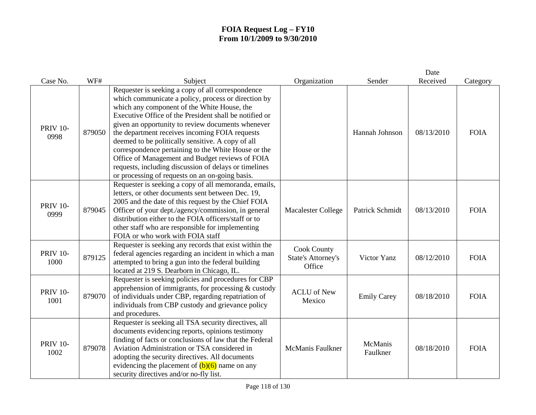|                         |        |                                                                                                                                                                                                                                                                                                                                                                                                                                                                                                                                                                                                     |                                                           |                     | Date       |             |
|-------------------------|--------|-----------------------------------------------------------------------------------------------------------------------------------------------------------------------------------------------------------------------------------------------------------------------------------------------------------------------------------------------------------------------------------------------------------------------------------------------------------------------------------------------------------------------------------------------------------------------------------------------------|-----------------------------------------------------------|---------------------|------------|-------------|
| Case No.                | WF#    | Subject                                                                                                                                                                                                                                                                                                                                                                                                                                                                                                                                                                                             | Organization                                              | Sender              | Received   | Category    |
| <b>PRIV 10-</b><br>0998 | 879050 | Requester is seeking a copy of all correspondence<br>which communicate a policy, process or direction by<br>which any component of the White House, the<br>Executive Office of the President shall be notified or<br>given an opportunity to review documents whenever<br>the department receives incoming FOIA requests<br>deemed to be politically sensitive. A copy of all<br>correspondence pertaining to the White House or the<br>Office of Management and Budget reviews of FOIA<br>requests, including discussion of delays or timelines<br>or processing of requests on an on-going basis. |                                                           | Hannah Johnson      | 08/13/2010 | <b>FOIA</b> |
| <b>PRIV 10-</b><br>0999 | 879045 | Requester is seeking a copy of all memoranda, emails,<br>letters, or other documents sent between Dec. 19,<br>2005 and the date of this request by the Chief FOIA<br>Officer of your dept./agency/commission, in general<br>distribution either to the FOIA officers/staff or to<br>other staff who are responsible for implementing<br>FOIA or who work with FOIA staff                                                                                                                                                                                                                            | Macalester College                                        | Patrick Schmidt     | 08/13/2010 | <b>FOIA</b> |
| <b>PRIV 10-</b><br>1000 | 879125 | Requester is seeking any records that exist within the<br>federal agencies regarding an incident in which a man<br>attempted to bring a gun into the federal building<br>located at 219 S. Dearborn in Chicago, IL.                                                                                                                                                                                                                                                                                                                                                                                 | <b>Cook County</b><br><b>State's Attorney's</b><br>Office | Victor Yanz         | 08/12/2010 | <b>FOIA</b> |
| <b>PRIV 10-</b><br>1001 | 879070 | Requester is seeking policies and procedures for CBP<br>apprehension of immigrants, for processing $&$ custody<br>of individuals under CBP, regarding repatriation of<br>individuals from CBP custody and grievance policy<br>and procedures.                                                                                                                                                                                                                                                                                                                                                       | <b>ACLU</b> of New<br>Mexico                              | <b>Emily Carey</b>  | 08/18/2010 | <b>FOIA</b> |
| <b>PRIV 10-</b><br>1002 | 879078 | Requester is seeking all TSA security directives, all<br>documents evidencing reports, opinions testimony<br>finding of facts or conclusions of law that the Federal<br>Aviation Administration or TSA considered in<br>adopting the security directives. All documents<br>evidencing the placement of $(b)(6)$ name on any<br>security directives and/or no-fly list.                                                                                                                                                                                                                              | <b>McManis Faulkner</b>                                   | McManis<br>Faulkner | 08/18/2010 | <b>FOIA</b> |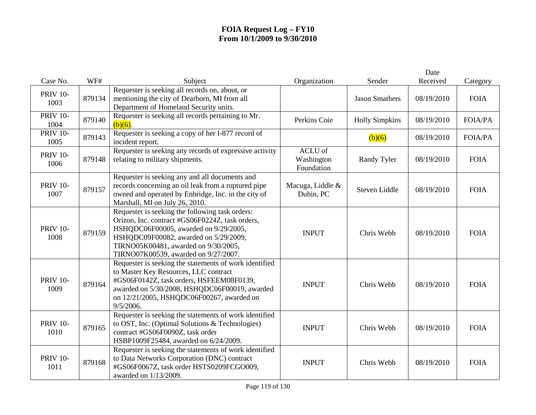|                         |        |                                                                                                                                                                                                                                                                      |                                     |                       | Date       |                |
|-------------------------|--------|----------------------------------------------------------------------------------------------------------------------------------------------------------------------------------------------------------------------------------------------------------------------|-------------------------------------|-----------------------|------------|----------------|
| Case No.                | WF#    | Subject                                                                                                                                                                                                                                                              | Organization                        | Sender                | Received   | Category       |
| <b>PRIV 10-</b><br>1003 | 879134 | Requester is seeking all records on, about, or<br>mentioning the city of Dearborn, MI from all<br>Department of Homeland Security units.                                                                                                                             |                                     | <b>Jason Smathers</b> | 08/19/2010 | <b>FOIA</b>    |
| <b>PRIV 10-</b><br>1004 | 879140 | Requester is seeking all records pertaining to Mr.<br>$(b)(6)$ .                                                                                                                                                                                                     | Perkins Coie                        | <b>Holly Simpkins</b> | 08/19/2010 | <b>FOIA/PA</b> |
| <b>PRIV 10-</b><br>1005 | 879143 | Requester is seeking a copy of her I-877 record of<br>incident report.                                                                                                                                                                                               |                                     | (b)(6)                | 08/19/2010 | <b>FOIA/PA</b> |
| <b>PRIV 10-</b><br>1006 | 879148 | Requester is seeking any records of expressive activity<br>relating to military shipments.                                                                                                                                                                           | ACLU of<br>Washington<br>Foundation | Randy Tyler           | 08/19/2010 | <b>FOIA</b>    |
| <b>PRIV 10-</b><br>1007 | 879157 | Requester is seeking any and all documents and<br>records concerning an oil leak from a ruptured pipe<br>owned and operated by Enbridge, Inc. in the city of<br>Marshall, MI on July 26, 2010.                                                                       | Macuga, Liddle &<br>Dubin, PC       | Steven Liddle         | 08/19/2010 | <b>FOIA</b>    |
| <b>PRIV 10-</b><br>1008 | 879159 | Requester is seeking the following task orders:<br>Orizon, Inc. contract #GS06F0224Z, task orders,<br>HSHQDC06F00005, awarded on 9/29/2005,<br>HSHQDC09F00082, awarded on 5/29/2009,<br>TIRNO05K00481, awarded on 9/30/2005,<br>TIRNO07K00539, awarded on 9/27/2007. | <b>INPUT</b>                        | Chris Webb            | 08/19/2010 | <b>FOIA</b>    |
| <b>PRIV 10-</b><br>1009 | 879164 | Requester is seeking the statements of work identified<br>to Master Key Resources, LLC contract<br>#GS06F0142Z, task orders, HSFEEM08F0139,<br>awarded on 5/30/2008, HSHQDC06F00019, awarded<br>on 12/21/2005, HSHQDC06F00267, awarded on<br>9/5/2006.               | <b>INPUT</b>                        | Chris Webb            | 08/19/2010 | <b>FOIA</b>    |
| <b>PRIV 10-</b><br>1010 | 879165 | Requester is seeking the statements of work identified<br>to OST, Inc. (Optimal Solutions & Technologies)<br>contract #GS06F0090Z, task order<br>HSBP1009F25484, awarded on 6/24/2009.                                                                               | <b>INPUT</b>                        | Chris Webb            | 08/19/2010 | <b>FOIA</b>    |
| <b>PRIV 10-</b><br>1011 | 879168 | Requester is seeking the statements of work identified<br>to Data Networks Corporation (DNC) contract<br>#GS06F0067Z, task order HSTS0209FCGO009,<br>awarded on 1/13/2009.                                                                                           | <b>INPUT</b>                        | Chris Webb            | 08/19/2010 | <b>FOIA</b>    |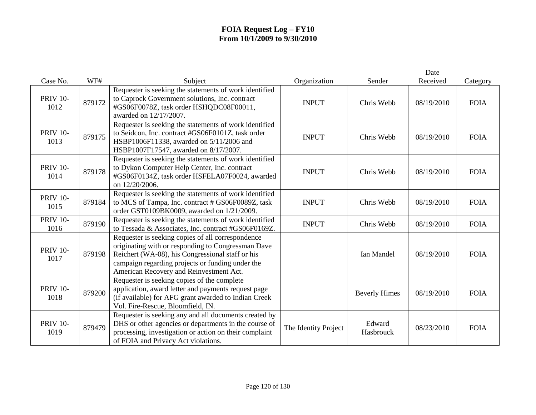| Case No.                | WF#    | Subject                                                                                                                                                                                                                                                    | Organization         | Sender               | Date<br>Received | Category    |
|-------------------------|--------|------------------------------------------------------------------------------------------------------------------------------------------------------------------------------------------------------------------------------------------------------------|----------------------|----------------------|------------------|-------------|
| <b>PRIV 10-</b><br>1012 | 879172 | Requester is seeking the statements of work identified<br>to Caprock Government solutions, Inc. contract<br>#GS06F0078Z, task order HSHQDC08F00011,<br>awarded on 12/17/2007.                                                                              | <b>INPUT</b>         | Chris Webb           | 08/19/2010       | <b>FOIA</b> |
| <b>PRIV 10-</b><br>1013 | 879175 | Requester is seeking the statements of work identified<br>to Seidcon, Inc. contract #GS06F0101Z, task order<br>HSBP1006F11338, awarded on 5/11/2006 and<br>HSBP1007F17547, awarded on 8/17/2007.                                                           | <b>INPUT</b>         | Chris Webb           | 08/19/2010       | <b>FOIA</b> |
| <b>PRIV 10-</b><br>1014 | 879178 | Requester is seeking the statements of work identified<br>to Dykon Computer Help Center, Inc. contract<br>#GS06F0134Z, task order HSFELA07F0024, awarded<br>on 12/20/2006.                                                                                 | <b>INPUT</b>         | Chris Webb           | 08/19/2010       | <b>FOIA</b> |
| <b>PRIV 10-</b><br>1015 | 879184 | Requester is seeking the statements of work identified<br>to MCS of Tampa, Inc. contract # GS06F0089Z, task<br>order GST0109BK0009, awarded on 1/21/2009.                                                                                                  | <b>INPUT</b>         | Chris Webb           | 08/19/2010       | <b>FOIA</b> |
| <b>PRIV 10-</b><br>1016 | 879190 | Requester is seeking the statements of work identified<br>to Tessada & Associates, Inc. contract #GS06F0169Z.                                                                                                                                              | <b>INPUT</b>         | Chris Webb           | 08/19/2010       | <b>FOIA</b> |
| <b>PRIV 10-</b><br>1017 | 879198 | Requester is seeking copies of all correspondence<br>originating with or responding to Congressman Dave<br>Reichert (WA-08), his Congressional staff or his<br>campaign regarding projects or funding under the<br>American Recovery and Reinvestment Act. |                      | Ian Mandel           | 08/19/2010       | <b>FOIA</b> |
| <b>PRIV 10-</b><br>1018 | 879200 | Requester is seeking copies of the complete<br>application, award letter and payments request page<br>(if available) for AFG grant awarded to Indian Creek<br>Vol. Fire-Rescue, Bloomfield, IN.                                                            |                      | <b>Beverly Himes</b> | 08/19/2010       | <b>FOIA</b> |
| <b>PRIV 10-</b><br>1019 | 879479 | Requester is seeking any and all documents created by<br>DHS or other agencies or departments in the course of<br>processing, investigation or action on their complaint<br>of FOIA and Privacy Act violations.                                            | The Identity Project | Edward<br>Hasbrouck  | 08/23/2010       | <b>FOIA</b> |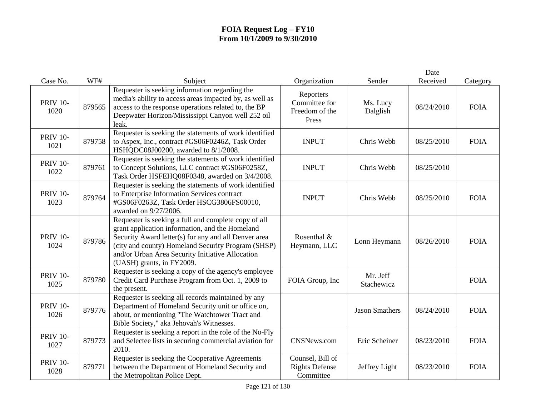|                         |        |                                                                                                                                                                                                                                                                                                        |                                                        |                        | Date       |             |
|-------------------------|--------|--------------------------------------------------------------------------------------------------------------------------------------------------------------------------------------------------------------------------------------------------------------------------------------------------------|--------------------------------------------------------|------------------------|------------|-------------|
| Case No.                | WF#    | Subject                                                                                                                                                                                                                                                                                                | Organization                                           | Sender                 | Received   | Category    |
| <b>PRIV 10-</b><br>1020 | 879565 | Requester is seeking information regarding the<br>media's ability to access areas impacted by, as well as<br>access to the response operations related to, the BP<br>Deepwater Horizon/Mississippi Canyon well 252 oil<br>leak.                                                                        | Reporters<br>Committee for<br>Freedom of the<br>Press  | Ms. Lucy<br>Dalglish   | 08/24/2010 | <b>FOIA</b> |
| <b>PRIV 10-</b><br>1021 | 879758 | Requester is seeking the statements of work identified<br>to Aspex, Inc., contract #GS06F0246Z, Task Order<br>HSHQDC08J00200, awarded to 8/1/2008.                                                                                                                                                     | <b>INPUT</b>                                           | Chris Webb             | 08/25/2010 | <b>FOIA</b> |
| <b>PRIV 10-</b><br>1022 | 879761 | Requester is seeking the statements of work identified<br>to Concept Solutions, LLC contract #GS06F0258Z,<br>Task Order HSFEHQ08F0348, awarded on 3/4/2008.                                                                                                                                            | <b>INPUT</b>                                           | Chris Webb             | 08/25/2010 |             |
| <b>PRIV 10-</b><br>1023 | 879764 | Requester is seeking the statements of work identified<br>to Enterprise Information Services contract<br>#GS06F0263Z, Task Order HSCG3806FS00010,<br>awarded on 9/27/2006.                                                                                                                             | <b>INPUT</b>                                           | Chris Webb             | 08/25/2010 | <b>FOIA</b> |
| <b>PRIV 10-</b><br>1024 | 879786 | Requester is seeking a full and complete copy of all<br>grant application information, and the Homeland<br>Security Award letter(s) for any and all Denver area<br>(city and county) Homeland Security Program (SHSP)<br>and/or Urban Area Security Initiative Allocation<br>(UASH) grants, in FY2009. | Rosenthal &<br>Heymann, LLC                            | Lonn Heymann           | 08/26/2010 | <b>FOIA</b> |
| <b>PRIV 10-</b><br>1025 | 879780 | Requester is seeking a copy of the agency's employee<br>Credit Card Purchase Program from Oct. 1, 2009 to<br>the present.                                                                                                                                                                              | FOIA Group, Inc                                        | Mr. Jeff<br>Stachewicz |            | <b>FOIA</b> |
| <b>PRIV 10-</b><br>1026 | 879776 | Requester is seeking all records maintained by any<br>Department of Homeland Security unit or office on,<br>about, or mentioning "The Watchtower Tract and<br>Bible Society," aka Jehovah's Witnesses.                                                                                                 |                                                        | <b>Jason Smathers</b>  | 08/24/2010 | <b>FOIA</b> |
| <b>PRIV 10-</b><br>1027 | 879773 | Requester is seeking a report in the role of the No-Fly<br>and Selectee lists in securing commercial aviation for<br>2010.                                                                                                                                                                             | CNSNews.com                                            | Eric Scheiner          | 08/23/2010 | <b>FOIA</b> |
| <b>PRIV 10-</b><br>1028 | 879771 | Requester is seeking the Cooperative Agreements<br>between the Department of Homeland Security and<br>the Metropolitan Police Dept.                                                                                                                                                                    | Counsel, Bill of<br><b>Rights Defense</b><br>Committee | Jeffrey Light          | 08/23/2010 | <b>FOIA</b> |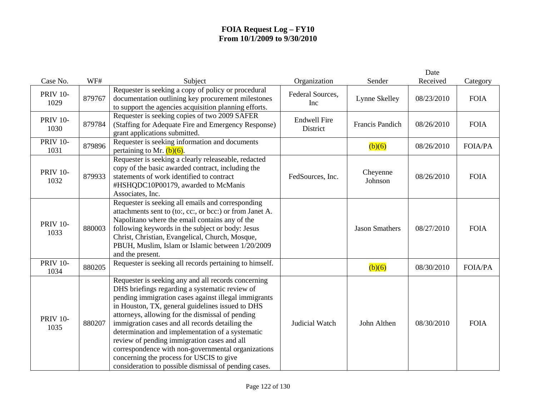|                         |        |                                                                                                                                                                                                                                                                                                                                                                                                                                                                                                                                                                                        |                                 |                       | Date       |                |
|-------------------------|--------|----------------------------------------------------------------------------------------------------------------------------------------------------------------------------------------------------------------------------------------------------------------------------------------------------------------------------------------------------------------------------------------------------------------------------------------------------------------------------------------------------------------------------------------------------------------------------------------|---------------------------------|-----------------------|------------|----------------|
| Case No.                | WF#    | Subject                                                                                                                                                                                                                                                                                                                                                                                                                                                                                                                                                                                | Organization                    | Sender                | Received   | Category       |
| <b>PRIV 10-</b><br>1029 | 879767 | Requester is seeking a copy of policy or procedural<br>documentation outlining key procurement milestones<br>to support the agencies acquisition planning efforts.                                                                                                                                                                                                                                                                                                                                                                                                                     | Federal Sources,<br>Inc         | Lynne Skelley         | 08/23/2010 | <b>FOIA</b>    |
| <b>PRIV 10-</b><br>1030 | 879784 | Requester is seeking copies of two 2009 SAFER<br>(Staffing for Adequate Fire and Emergency Response)<br>grant applications submitted.                                                                                                                                                                                                                                                                                                                                                                                                                                                  | <b>Endwell Fire</b><br>District | Francis Pandich       | 08/26/2010 | <b>FOIA</b>    |
| <b>PRIV 10-</b><br>1031 | 879896 | Requester is seeking information and documents<br>pertaining to Mr. $(b)(6)$ .                                                                                                                                                                                                                                                                                                                                                                                                                                                                                                         |                                 | (b)(6)                | 08/26/2010 | <b>FOIA/PA</b> |
| <b>PRIV 10-</b><br>1032 | 879933 | Requester is seeking a clearly releaseable, redacted<br>copy of the basic awarded contract, including the<br>statements of work identified to contract<br>#HSHQDC10P00179, awarded to McManis<br>Associates, Inc.                                                                                                                                                                                                                                                                                                                                                                      | FedSources, Inc.                | Cheyenne<br>Johnson   | 08/26/2010 | <b>FOIA</b>    |
| <b>PRIV 10-</b><br>1033 | 880003 | Requester is seeking all emails and corresponding<br>attachments sent to (to:, cc:, or bcc:) or from Janet A.<br>Napolitano where the email contains any of the<br>following keywords in the subject or body: Jesus<br>Christ, Christian, Evangelical, Church, Mosque,<br>PBUH, Muslim, Islam or Islamic between 1/20/2009<br>and the present.                                                                                                                                                                                                                                         |                                 | <b>Jason Smathers</b> | 08/27/2010 | <b>FOIA</b>    |
| <b>PRIV 10-</b><br>1034 | 880205 | Requester is seeking all records pertaining to himself.                                                                                                                                                                                                                                                                                                                                                                                                                                                                                                                                |                                 | (b)(6)                | 08/30/2010 | <b>FOIA/PA</b> |
| <b>PRIV 10-</b><br>1035 | 880207 | Requester is seeking any and all records concerning<br>DHS briefings regarding a systematic review of<br>pending immigration cases against illegal immigrants<br>in Houston, TX, general guidelines issued to DHS<br>attorneys, allowing for the dismissal of pending<br>immigration cases and all records detailing the<br>determination and implementation of a systematic<br>review of pending immigration cases and all<br>correspondence with non-governmental organizations<br>concerning the process for USCIS to give<br>consideration to possible dismissal of pending cases. | Judicial Watch                  | John Althen           | 08/30/2010 | <b>FOIA</b>    |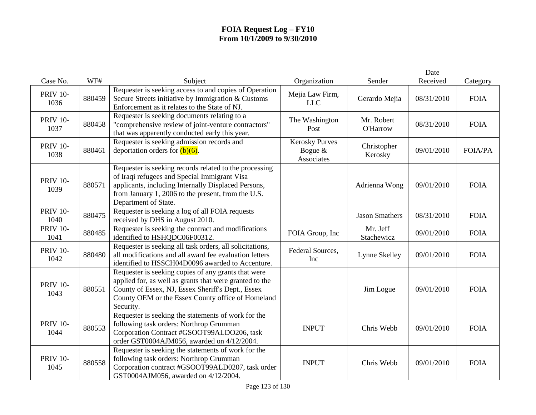|                         |        |                                                                                                                                                                                                                                             |                                                  |                               | Date       |                |
|-------------------------|--------|---------------------------------------------------------------------------------------------------------------------------------------------------------------------------------------------------------------------------------------------|--------------------------------------------------|-------------------------------|------------|----------------|
| Case No.                | WF#    | Subject                                                                                                                                                                                                                                     | Organization                                     | Sender                        | Received   | Category       |
| <b>PRIV 10-</b><br>1036 | 880459 | Requester is seeking access to and copies of Operation<br>Secure Streets initiative by Immigration & Customs<br>Enforcement as it relates to the State of NJ.                                                                               | Mejia Law Firm,<br><b>LLC</b>                    | Gerardo Mejia                 | 08/31/2010 | <b>FOIA</b>    |
| <b>PRIV 10-</b><br>1037 | 880458 | Requester is seeking documents relating to a<br>"comprehensive review of joint-venture contractors"<br>that was apparently conducted early this year.                                                                                       | The Washington<br>Post                           | Mr. Robert<br><b>O'Harrow</b> | 08/31/2010 | <b>FOIA</b>    |
| <b>PRIV 10-</b><br>1038 | 880461 | Requester is seeking admission records and<br>deportation orders for $(b)(6)$ .                                                                                                                                                             | <b>Kerosky Purves</b><br>Bogue $&$<br>Associates | Christopher<br>Kerosky        | 09/01/2010 | <b>FOIA/PA</b> |
| <b>PRIV 10-</b><br>1039 | 880571 | Requester is seeking records related to the processing<br>of Iraqi refugees and Special Immigrant Visa<br>applicants, including Internally Displaced Persons,<br>from January 1, 2006 to the present, from the U.S.<br>Department of State. |                                                  | Adrienna Wong                 | 09/01/2010 | <b>FOIA</b>    |
| <b>PRIV 10-</b><br>1040 | 880475 | Requester is seeking a log of all FOIA requests<br>received by DHS in August 2010.                                                                                                                                                          |                                                  | <b>Jason Smathers</b>         | 08/31/2010 | <b>FOIA</b>    |
| <b>PRIV 10-</b><br>1041 | 880485 | Requester is seeking the contract and modifications<br>identified to HSHQDC06F00312.                                                                                                                                                        | FOIA Group, Inc                                  | Mr. Jeff<br>Stachewicz        | 09/01/2010 | <b>FOIA</b>    |
| <b>PRIV 10-</b><br>1042 | 880480 | Requester is seeking all task orders, all solicitations,<br>all modifications and all award fee evaluation letters<br>identified to HSSCH04D0096 awarded to Accenture.                                                                      | Federal Sources,<br>Inc                          | Lynne Skelley                 | 09/01/2010 | <b>FOIA</b>    |
| <b>PRIV 10-</b><br>1043 | 880551 | Requester is seeking copies of any grants that were<br>applied for, as well as grants that were granted to the<br>County of Essex, NJ, Essex Sheriff's Dept., Essex<br>County OEM or the Essex County office of Homeland<br>Security.       |                                                  | Jim Logue                     | 09/01/2010 | <b>FOIA</b>    |
| <b>PRIV 10-</b><br>1044 | 880553 | Requester is seeking the statements of work for the<br>following task orders: Northrop Grumman<br>Corporation Contract #GSOOT99ALDO206, task<br>order GST0004AJM056, awarded on 4/12/2004.                                                  | <b>INPUT</b>                                     | Chris Webb                    | 09/01/2010 | <b>FOIA</b>    |
| <b>PRIV 10-</b><br>1045 | 880558 | Requester is seeking the statements of work for the<br>following task orders: Northrop Grumman<br>Corporation contract #GSOOT99ALD0207, task order<br>GST0004AJM056, awarded on 4/12/2004.                                                  | <b>INPUT</b>                                     | Chris Webb                    | 09/01/2010 | <b>FOIA</b>    |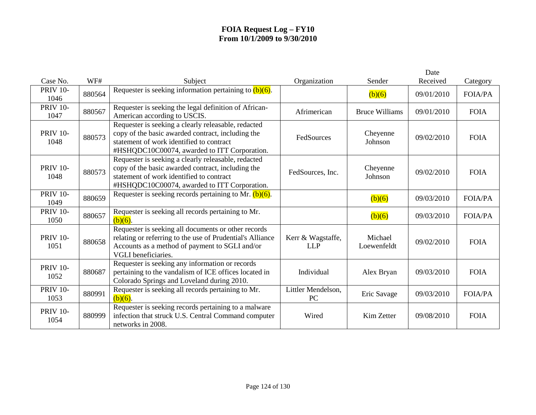| Case No.                | WF#    | Subject                                                                                                                                                                                              | Organization                    | Sender                 | Date<br>Received | Category       |
|-------------------------|--------|------------------------------------------------------------------------------------------------------------------------------------------------------------------------------------------------------|---------------------------------|------------------------|------------------|----------------|
| <b>PRIV 10-</b><br>1046 | 880564 | Requester is seeking information pertaining to $(b)(6)$ .                                                                                                                                            |                                 | (b)(6)                 | 09/01/2010       | <b>FOIA/PA</b> |
| <b>PRIV 10-</b><br>1047 | 880567 | Requester is seeking the legal definition of African-<br>American according to USCIS.                                                                                                                | Afrimerican                     | <b>Bruce Williams</b>  | 09/01/2010       | <b>FOIA</b>    |
| <b>PRIV 10-</b><br>1048 | 880573 | Requester is seeking a clearly releasable, redacted<br>copy of the basic awarded contract, including the<br>statement of work identified to contract<br>#HSHQDC10C00074, awarded to ITT Corporation. | FedSources                      | Cheyenne<br>Johnson    | 09/02/2010       | <b>FOIA</b>    |
| <b>PRIV 10-</b><br>1048 | 880573 | Requester is seeking a clearly releasable, redacted<br>copy of the basic awarded contract, including the<br>statement of work identified to contract<br>#HSHQDC10C00074, awarded to ITT Corporation. | FedSources, Inc.                | Cheyenne<br>Johnson    | 09/02/2010       | <b>FOIA</b>    |
| <b>PRIV 10-</b><br>1049 | 880659 | Requester is seeking records pertaining to Mr. $(b)(6)$ .                                                                                                                                            |                                 | (b)(6)                 | 09/03/2010       | <b>FOIA/PA</b> |
| <b>PRIV 10-</b><br>1050 | 880657 | Requester is seeking all records pertaining to Mr.<br>$(b)(6)$ .                                                                                                                                     |                                 | (b)(6)                 | 09/03/2010       | <b>FOIA/PA</b> |
| <b>PRIV 10-</b><br>1051 | 880658 | Requester is seeking all documents or other records<br>relating or referring to the use of Prudential's Alliance<br>Accounts as a method of payment to SGLI and/or<br><b>VGLI</b> beneficiaries.     | Kerr & Wagstaffe,<br><b>LLP</b> | Michael<br>Loewenfeldt | 09/02/2010       | <b>FOIA</b>    |
| <b>PRIV 10-</b><br>1052 | 880687 | Requester is seeking any information or records<br>pertaining to the vandalism of ICE offices located in<br>Colorado Springs and Loveland during 2010.                                               | Individual                      | Alex Bryan             | 09/03/2010       | <b>FOIA</b>    |
| <b>PRIV 10-</b><br>1053 | 880991 | Requester is seeking all records pertaining to Mr.<br>$(b)(6)$ .                                                                                                                                     | Littler Mendelson,<br>PC        | Eric Savage            | 09/03/2010       | <b>FOIA/PA</b> |
| <b>PRIV 10-</b><br>1054 | 880999 | Requester is seeking records pertaining to a malware<br>infection that struck U.S. Central Command computer<br>networks in 2008.                                                                     | Wired                           | Kim Zetter             | 09/08/2010       | <b>FOIA</b>    |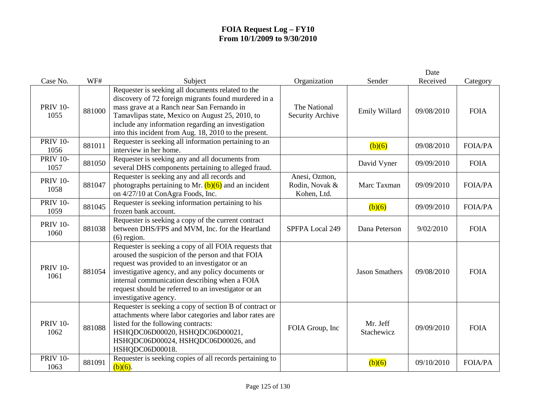|                         |        |                                                                                                                                                                                                                                                                                                                                                   |                                                |                        | Date       |                |
|-------------------------|--------|---------------------------------------------------------------------------------------------------------------------------------------------------------------------------------------------------------------------------------------------------------------------------------------------------------------------------------------------------|------------------------------------------------|------------------------|------------|----------------|
| Case No.                | WF#    | Subject                                                                                                                                                                                                                                                                                                                                           | Organization                                   | Sender                 | Received   | Category       |
| <b>PRIV 10-</b><br>1055 | 881000 | Requester is seeking all documents related to the<br>discovery of 72 foreign migrants found murdered in a<br>mass grave at a Ranch near San Fernando in<br>Tamavlipas state, Mexico on August 25, 2010, to<br>include any information regarding an investigation<br>into this incident from Aug. 18, 2010 to the present.                         | The National<br>Security Archive               | Emily Willard          | 09/08/2010 | <b>FOIA</b>    |
| <b>PRIV 10-</b><br>1056 | 881011 | Requester is seeking all information pertaining to an<br>interview in her home.                                                                                                                                                                                                                                                                   |                                                | (b)(6)                 | 09/08/2010 | <b>FOIA/PA</b> |
| <b>PRIV 10-</b><br>1057 | 881050 | Requester is seeking any and all documents from<br>several DHS components pertaining to alleged fraud.                                                                                                                                                                                                                                            |                                                | David Vyner            | 09/09/2010 | <b>FOIA</b>    |
| <b>PRIV 10-</b><br>1058 | 881047 | Requester is seeking any and all records and<br>photographs pertaining to Mr. $(b)(6)$ and an incident<br>on 4/27/10 at ConAgra Foods, Inc.                                                                                                                                                                                                       | Anesi, Ozmon,<br>Rodin, Novak &<br>Kohen, Ltd. | Marc Taxman            | 09/09/2010 | <b>FOIA/PA</b> |
| <b>PRIV 10-</b><br>1059 | 881045 | Requester is seeking information pertaining to his<br>frozen bank account.                                                                                                                                                                                                                                                                        |                                                | (b)(6)                 | 09/09/2010 | <b>FOIA/PA</b> |
| <b>PRIV 10-</b><br>1060 | 881038 | Requester is seeking a copy of the current contract<br>between DHS/FPS and MVM, Inc. for the Heartland<br>$(6)$ region.                                                                                                                                                                                                                           | SPFPA Local 249                                | Dana Peterson          | 9/02/2010  | <b>FOIA</b>    |
| <b>PRIV 10-</b><br>1061 | 881054 | Requester is seeking a copy of all FOIA requests that<br>aroused the suspicion of the person and that FOIA<br>request was provided to an investigator or an<br>investigative agency, and any policy documents or<br>internal communication describing when a FOIA<br>request should be referred to an investigator or an<br>investigative agency. |                                                | <b>Jason Smathers</b>  | 09/08/2010 | <b>FOIA</b>    |
| <b>PRIV 10-</b><br>1062 | 881088 | Requester is seeking a copy of section B of contract or<br>attachments where labor categories and labor rates are<br>listed for the following contracts:<br>HSHQDC06D00020, HSHQDC06D00021,<br>HSHQDC06D00024, HSHQDC06D00026, and<br>HSHQDC06D00018.                                                                                             | FOIA Group, Inc                                | Mr. Jeff<br>Stachewicz | 09/09/2010 | <b>FOIA</b>    |
| <b>PRIV 10-</b><br>1063 | 881091 | Requester is seeking copies of all records pertaining to<br>$(b)(6)$ .                                                                                                                                                                                                                                                                            |                                                | (b)(6)                 | 09/10/2010 | <b>FOIA/PA</b> |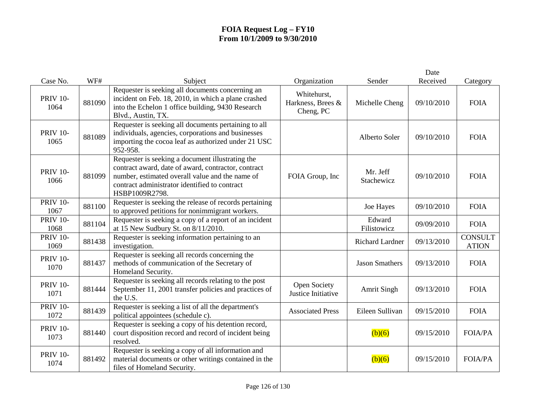|                         |        |                                                                                                                                                                                                                               |                                               |                        | Date       |                                |
|-------------------------|--------|-------------------------------------------------------------------------------------------------------------------------------------------------------------------------------------------------------------------------------|-----------------------------------------------|------------------------|------------|--------------------------------|
| Case No.                | WF#    | Subject                                                                                                                                                                                                                       | Organization                                  | Sender                 | Received   | Category                       |
| <b>PRIV 10-</b><br>1064 | 881090 | Requester is seeking all documents concerning an<br>incident on Feb. 18, 2010, in which a plane crashed<br>into the Echelon 1 office building, 9430 Research<br>Blvd., Austin, TX.                                            | Whitehurst,<br>Harkness, Brees &<br>Cheng, PC | Michelle Cheng         | 09/10/2010 | <b>FOIA</b>                    |
| <b>PRIV 10-</b><br>1065 | 881089 | Requester is seeking all documents pertaining to all<br>individuals, agencies, corporations and businesses<br>importing the cocoa leaf as authorized under 21 USC<br>952-958.                                                 |                                               | Alberto Soler          | 09/10/2010 | <b>FOIA</b>                    |
| <b>PRIV 10-</b><br>1066 | 881099 | Requester is seeking a document illustrating the<br>contract award, date of award, contractor, contract<br>number, estimated overall value and the name of<br>contract administrator identified to contract<br>HSBP1009R2798. | FOIA Group, Inc                               | Mr. Jeff<br>Stachewicz | 09/10/2010 | <b>FOIA</b>                    |
| <b>PRIV 10-</b><br>1067 | 881100 | Requester is seeking the release of records pertaining<br>to approved petitions for nonimmigrant workers.                                                                                                                     |                                               | Joe Hayes              | 09/10/2010 | <b>FOIA</b>                    |
| <b>PRIV 10-</b><br>1068 | 881104 | Requester is seeking a copy of a report of an incident<br>at 15 New Sudbury St. on 8/11/2010.                                                                                                                                 |                                               | Edward<br>Filistowicz  | 09/09/2010 | <b>FOIA</b>                    |
| <b>PRIV 10-</b><br>1069 | 881438 | Requester is seeking information pertaining to an<br>investigation.                                                                                                                                                           |                                               | Richard Lardner        | 09/13/2010 | <b>CONSULT</b><br><b>ATION</b> |
| <b>PRIV 10-</b><br>1070 | 881437 | Requester is seeking all records concerning the<br>methods of communication of the Secretary of<br>Homeland Security.                                                                                                         |                                               | <b>Jason Smathers</b>  | 09/13/2010 | <b>FOIA</b>                    |
| <b>PRIV 10-</b><br>1071 | 881444 | Requester is seeking all records relating to the post<br>September 11, 2001 transfer policies and practices of<br>the U.S.                                                                                                    | <b>Open Society</b><br>Justice Initiative     | <b>Amrit Singh</b>     | 09/13/2010 | <b>FOIA</b>                    |
| <b>PRIV 10-</b><br>1072 | 881439 | Requester is seeking a list of all the department's<br>political appointees (schedule c).                                                                                                                                     | <b>Associated Press</b>                       | Eileen Sullivan        | 09/15/2010 | <b>FOIA</b>                    |
| <b>PRIV 10-</b><br>1073 | 881440 | Requester is seeking a copy of his detention record,<br>court disposition record and record of incident being<br>resolved.                                                                                                    |                                               | (b)(6)                 | 09/15/2010 | <b>FOIA/PA</b>                 |
| <b>PRIV 10-</b><br>1074 | 881492 | Requester is seeking a copy of all information and<br>material documents or other writings contained in the<br>files of Homeland Security.                                                                                    |                                               | (b)(6)                 | 09/15/2010 | <b>FOIA/PA</b>                 |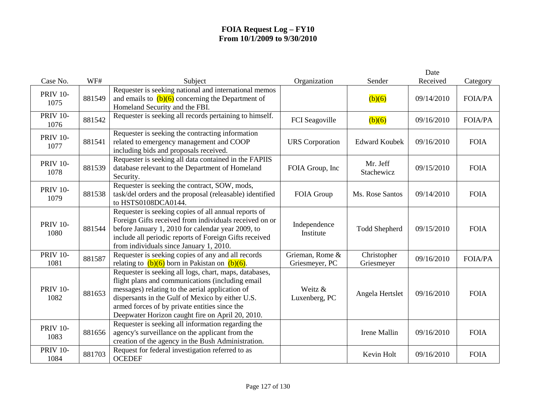|                         |        |                                                                                                                                                                                                                                                                                                                        |                                   |                           | Date       |                |
|-------------------------|--------|------------------------------------------------------------------------------------------------------------------------------------------------------------------------------------------------------------------------------------------------------------------------------------------------------------------------|-----------------------------------|---------------------------|------------|----------------|
| Case No.                | WF#    | Subject                                                                                                                                                                                                                                                                                                                | Organization                      | Sender                    | Received   | Category       |
| <b>PRIV 10-</b><br>1075 | 881549 | Requester is seeking national and international memos<br>and emails to $(b)(6)$ concerning the Department of<br>Homeland Security and the FBI.                                                                                                                                                                         |                                   | (b)(6)                    | 09/14/2010 | <b>FOIA/PA</b> |
| <b>PRIV 10-</b><br>1076 | 881542 | Requester is seeking all records pertaining to himself.                                                                                                                                                                                                                                                                | FCI Seagoville                    | (b)(6)                    | 09/16/2010 | <b>FOIA/PA</b> |
| <b>PRIV 10-</b><br>1077 | 881541 | Requester is seeking the contracting information<br>related to emergency management and COOP<br>including bids and proposals received.                                                                                                                                                                                 | <b>URS</b> Corporation            | <b>Edward Koubek</b>      | 09/16/2010 | <b>FOIA</b>    |
| <b>PRIV 10-</b><br>1078 | 881539 | Requester is seeking all data contained in the FAPIIS<br>database relevant to the Department of Homeland<br>Security.                                                                                                                                                                                                  | FOIA Group, Inc                   | Mr. Jeff<br>Stachewicz    | 09/15/2010 | <b>FOIA</b>    |
| <b>PRIV 10-</b><br>1079 | 881538 | Requester is seeking the contract, SOW, mods,<br>task/del orders and the proposal (releasable) identified<br>to HSTS0108DCA0144.                                                                                                                                                                                       | FOIA Group                        | Ms. Rose Santos           | 09/14/2010 | <b>FOIA</b>    |
| <b>PRIV 10-</b><br>1080 | 881544 | Requester is seeking copies of all annual reports of<br>Foreign Gifts received from individuals received on or<br>before January 1, 2010 for calendar year 2009, to<br>include all periodic reports of Foreign Gifts received<br>from individuals since January 1, 2010.                                               | Independence<br>Institute         | <b>Todd Shepherd</b>      | 09/15/2010 | <b>FOIA</b>    |
| <b>PRIV 10-</b><br>1081 | 881587 | Requester is seeking copies of any and all records<br>relating to $(b)(6)$ born in Pakistan on $(b)(6)$ .                                                                                                                                                                                                              | Grieman, Rome &<br>Griesmeyer, PC | Christopher<br>Griesmeyer | 09/16/2010 | <b>FOIA/PA</b> |
| <b>PRIV 10-</b><br>1082 | 881653 | Requester is seeking all logs, chart, maps, databases,<br>flight plans and communications (including email<br>messages) relating to the aerial application of<br>dispersants in the Gulf of Mexico by either U.S.<br>armed forces of by private entities since the<br>Deepwater Horizon caught fire on April 20, 2010. | Weitz &<br>Luxenberg, PC          | Angela Hertslet           | 09/16/2010 | <b>FOIA</b>    |
| <b>PRIV 10-</b><br>1083 | 881656 | Requester is seeking all information regarding the<br>agency's surveillance on the applicant from the<br>creation of the agency in the Bush Administration.                                                                                                                                                            |                                   | Irene Mallin              | 09/16/2010 | <b>FOIA</b>    |
| <b>PRIV 10-</b><br>1084 | 881703 | Request for federal investigation referred to as<br><b>OCEDEF</b>                                                                                                                                                                                                                                                      |                                   | Kevin Holt                | 09/16/2010 | <b>FOIA</b>    |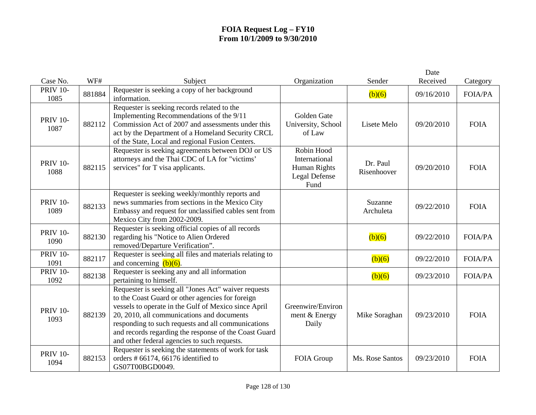|                         |        |                                                                                                                                                                                                                                                                                                                                                                               |                                                                      |                         | Date       |                |
|-------------------------|--------|-------------------------------------------------------------------------------------------------------------------------------------------------------------------------------------------------------------------------------------------------------------------------------------------------------------------------------------------------------------------------------|----------------------------------------------------------------------|-------------------------|------------|----------------|
| Case No.                | WF#    | Subject                                                                                                                                                                                                                                                                                                                                                                       | Organization                                                         | Sender                  | Received   | Category       |
| <b>PRIV 10-</b><br>1085 | 881884 | Requester is seeking a copy of her background<br>information.                                                                                                                                                                                                                                                                                                                 |                                                                      | (b)(6)                  | 09/16/2010 | <b>FOIA/PA</b> |
| <b>PRIV 10-</b><br>1087 | 882112 | Requester is seeking records related to the<br>Implementing Recommendations of the 9/11<br>Commission Act of 2007 and assessments under this<br>act by the Department of a Homeland Security CRCL<br>of the State, Local and regional Fusion Centers.                                                                                                                         | Golden Gate<br>University, School<br>of Law                          | Lisete Melo             | 09/20/2010 | <b>FOIA</b>    |
| <b>PRIV 10-</b><br>1088 | 882115 | Requester is seeking agreements between DOJ or US<br>attorneys and the Thai CDC of LA for "victims'<br>services" for T visa applicants.                                                                                                                                                                                                                                       | Robin Hood<br>International<br>Human Rights<br>Legal Defense<br>Fund | Dr. Paul<br>Risenhoover | 09/20/2010 | <b>FOIA</b>    |
| <b>PRIV 10-</b><br>1089 | 882133 | Requester is seeking weekly/monthly reports and<br>news summaries from sections in the Mexico City<br>Embassy and request for unclassified cables sent from<br>Mexico City from 2002-2009.                                                                                                                                                                                    |                                                                      | Suzanne<br>Archuleta    | 09/22/2010 | <b>FOIA</b>    |
| <b>PRIV 10-</b><br>1090 | 882130 | Requester is seeking official copies of all records<br>regarding his "Notice to Alien Ordered<br>removed/Departure Verification".                                                                                                                                                                                                                                             |                                                                      | (b)(6)                  | 09/22/2010 | <b>FOIA/PA</b> |
| <b>PRIV 10-</b><br>1091 | 882117 | Requester is seeking all files and materials relating to<br>and concerning $(b)(6)$ .                                                                                                                                                                                                                                                                                         |                                                                      | (b)(6)                  | 09/22/2010 | <b>FOIA/PA</b> |
| <b>PRIV 10-</b><br>1092 | 882138 | Requester is seeking any and all information<br>pertaining to himself.                                                                                                                                                                                                                                                                                                        |                                                                      | (b)(6)                  | 09/23/2010 | <b>FOIA/PA</b> |
| <b>PRIV 10-</b><br>1093 | 882139 | Requester is seeking all "Jones Act" waiver requests<br>to the Coast Guard or other agencies for foreign<br>vessels to operate in the Gulf of Mexico since April<br>20, 2010, all communications and documents<br>responding to such requests and all communications<br>and records regarding the response of the Coast Guard<br>and other federal agencies to such requests. | Greenwire/Environ<br>ment & Energy<br>Daily                          | Mike Soraghan           | 09/23/2010 | <b>FOIA</b>    |
| <b>PRIV 10-</b><br>1094 | 882153 | Requester is seeking the statements of work for task<br>orders # 66174, 66176 identified to<br>GS07T00BGD0049.                                                                                                                                                                                                                                                                | FOIA Group                                                           | Ms. Rose Santos         | 09/23/2010 | <b>FOIA</b>    |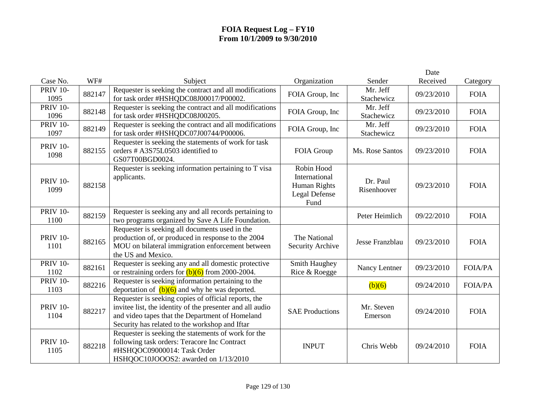|                         |        |                                                                                                                                                                                                                        |                                                                      |                         | Date       |                |
|-------------------------|--------|------------------------------------------------------------------------------------------------------------------------------------------------------------------------------------------------------------------------|----------------------------------------------------------------------|-------------------------|------------|----------------|
| Case No.                | WF#    | Subject                                                                                                                                                                                                                | Organization                                                         | Sender                  | Received   | Category       |
| <b>PRIV 10-</b><br>1095 | 882147 | Requester is seeking the contract and all modifications<br>for task order #HSHQDC08J00017/P00002.                                                                                                                      | FOIA Group, Inc                                                      | Mr. Jeff<br>Stachewicz  | 09/23/2010 | <b>FOIA</b>    |
| <b>PRIV 10-</b><br>1096 | 882148 | Requester is seeking the contract and all modifications<br>for task order #HSHQDC08J00205.                                                                                                                             | FOIA Group, Inc                                                      | Mr. Jeff<br>Stachewicz  | 09/23/2010 | <b>FOIA</b>    |
| <b>PRIV 10-</b><br>1097 | 882149 | Requester is seeking the contract and all modifications<br>for task order #HSHQDC07J00744/P00006.                                                                                                                      | FOIA Group, Inc                                                      | Mr. Jeff<br>Stachewicz  | 09/23/2010 | <b>FOIA</b>    |
| <b>PRIV 10-</b><br>1098 | 882155 | Requester is seeking the statements of work for task<br>orders # A3S75L0503 identified to<br>GS07T00BGD0024.                                                                                                           | FOIA Group                                                           | Ms. Rose Santos         | 09/23/2010 | <b>FOIA</b>    |
| <b>PRIV 10-</b><br>1099 | 882158 | Requester is seeking information pertaining to T visa<br>applicants.                                                                                                                                                   | Robin Hood<br>International<br>Human Rights<br>Legal Defense<br>Fund | Dr. Paul<br>Risenhoover | 09/23/2010 | <b>FOIA</b>    |
| <b>PRIV 10-</b><br>1100 | 882159 | Requester is seeking any and all records pertaining to<br>two programs organized by Save A Life Foundation.                                                                                                            |                                                                      | Peter Heimlich          | 09/22/2010 | <b>FOIA</b>    |
| <b>PRIV 10-</b><br>1101 | 882165 | Requester is seeking all documents used in the<br>production of, or produced in response to the 2004<br>MOU on bilateral immigration enforcement between<br>the US and Mexico.                                         | The National<br>Security Archive                                     | Jesse Franzblau         | 09/23/2010 | <b>FOIA</b>    |
| <b>PRIV 10-</b><br>1102 | 882161 | Requester is seeking any and all domestic protective<br>or restraining orders for $(b)(6)$ from 2000-2004.                                                                                                             | Smith Haughey<br>Rice & Roegge                                       | Nancy Lentner           | 09/23/2010 | <b>FOIA/PA</b> |
| <b>PRIV 10-</b><br>1103 | 882216 | Requester is seeking information pertaining to the<br>deportation of $(b)(6)$ and why he was deported.                                                                                                                 |                                                                      | (b)(6)                  | 09/24/2010 | <b>FOIA/PA</b> |
| <b>PRIV 10-</b><br>1104 | 882217 | Requester is seeking copies of official reports, the<br>invitee list, the identity of the presenter and all audio<br>and video tapes that the Department of Homeland<br>Security has related to the workshop and Iftar | <b>SAE Productions</b>                                               | Mr. Steven<br>Emerson   | 09/24/2010 | <b>FOIA</b>    |
| <b>PRIV 10-</b><br>1105 | 882218 | Requester is seeking the statements of work for the<br>following task orders: Teracore Inc Contract<br>#HSHQOC09000014: Task Order<br>HSHQOC10JOOOS2: awarded on 1/13/2010                                             | <b>INPUT</b>                                                         | Chris Webb              | 09/24/2010 | <b>FOIA</b>    |